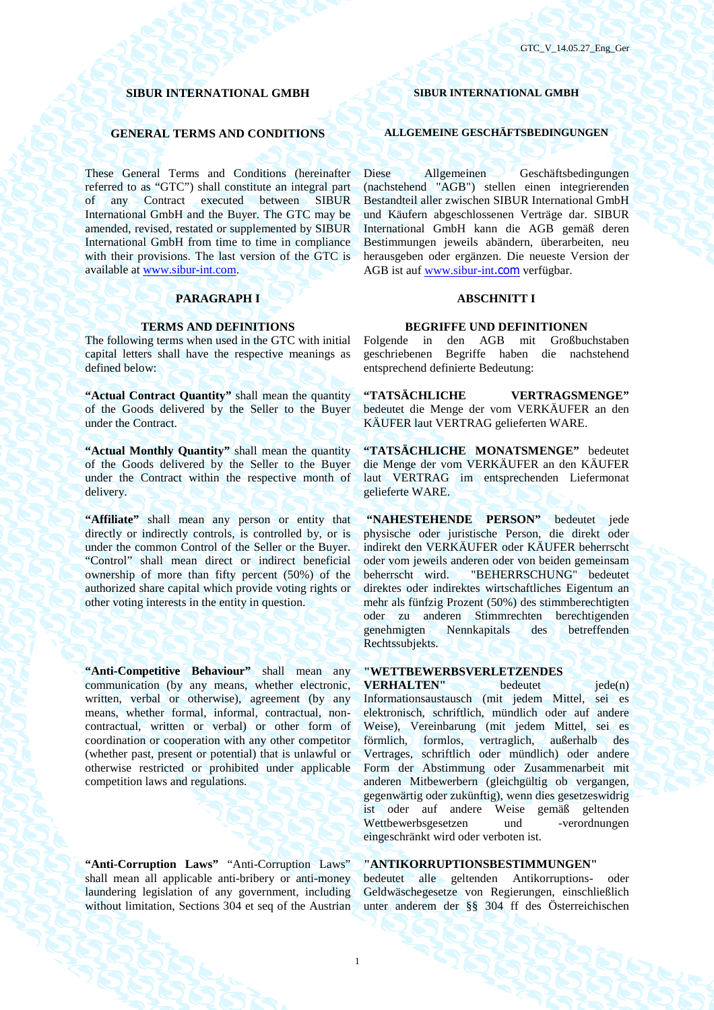# **SIBUR INTERNATIONAL GMBH SIBUR INTERNATIONAL GMBH**

These General Terms and Conditions (hereinafter referred to as "GTC") shall constitute an integral part of any Contract executed between SIBUR International GmbH and the Buyer. The GTC may be amended, revised, restated or supplemented by SIBUR International GmbH from time to time in compliance with their provisions. The last version of the GTC is available at www.sibur-int.com.

# **PARAGRAPH I** ABSCHNITT I

The following terms when used in the GTC with initial capital letters shall have the respective meanings as defined below:

**"Actual Contract Quantity"** shall mean the quantity of the Goods delivered by the Seller to the Buyer under the Contract.

**"Actual Monthly Quantity"** shall mean the quantity of the Goods delivered by the Seller to the Buyer under the Contract within the respective month of delivery.

**"Affiliate"** shall mean any person or entity that directly or indirectly controls, is controlled by, or is under the common Control of the Seller or the Buyer. "Control" shall mean direct or indirect beneficial ownership of more than fifty percent (50%) of the authorized share capital which provide voting rights or other voting interests in the entity in question.

**"Anti-Competitive Behaviour"** shall mean any communication (by any means, whether electronic, written, verbal or otherwise), agreement (by any means, whether formal, informal, contractual, noncontractual, written or verbal) or other form of coordination or cooperation with any other competitor (whether past, present or potential) that is unlawful or otherwise restricted or prohibited under applicable competition laws and regulations.

**"Anti-Corruption Laws"** "Anti-Corruption Laws" shall mean all applicable anti-bribery or anti-money laundering legislation of any government, including without limitation, Sections 304 et seq of the Austrian

# **GENERAL TERMS AND CONDITIONS ALLGEMEINE GESCHÄFTSBEDINGUNGEN**

Diese Allgemeinen Geschäftsbedingungen (nachstehend "AGB") stellen einen integrierenden Bestandteil aller zwischen SIBUR International GmbH und Käufern abgeschlossenen Verträge dar. SIBUR International GmbH kann die AGB gemäß deren Bestimmungen jeweils abändern, überarbeiten, neu herausgeben oder ergänzen. Die neueste Version der AGB ist auf www.sibur-int.com verfügbar.

# **TERMS AND DEFINITIONS BEGRIFFE UND DEFINITIONEN**

Folgende in den AGB mit Großbuchstaben geschriebenen Begriffe haben die nachstehend entsprechend definierte Bedeutung:

**"TATSÄCHLICHE VERTRAGSMENGE"**  bedeutet die Menge der vom VERKÄUFER an den KÄUFER laut VERTRAG gelieferten WARE.

**"TATSÄCHLICHE MONATSMENGE"** bedeutet die Menge der vom VERKÄUFER an den KÄUFER laut VERTRAG im entsprechenden Liefermonat gelieferte WARE.

**"NAHESTEHENDE PERSON"** bedeutet jede physische oder juristische Person, die direkt oder indirekt den VERKÄUFER oder KÄUFER beherrscht oder vom jeweils anderen oder von beiden gemeinsam beherrscht wird. "BEHERRSCHUNG" bedeutet direktes oder indirektes wirtschaftliches Eigentum an mehr als fünfzig Prozent (50%) des stimmberechtigten oder zu anderen Stimmrechten berechtigenden genehmigten Nennkapitals des betreffenden Rechtssubjekts.

# **"WETTBEWERBSVERLETZENDES**

**VERHALTEN"** bedeutet jede(n) Informationsaustausch (mit jedem Mittel, sei es elektronisch, schriftlich, mündlich oder auf andere Weise), Vereinbarung (mit jedem Mittel, sei es förmlich, formlos, vertraglich, außerhalb des Vertrages, schriftlich oder mündlich) oder andere Form der Abstimmung oder Zusammenarbeit mit anderen Mitbewerbern (gleichgültig ob vergangen, gegenwärtig oder zukünftig), wenn dies gesetzeswidrig ist oder auf andere Weise gemäß geltenden Wettbewerbsgesetzen eingeschränkt wird oder verboten ist.

# **"ANTIKORRUPTIONSBESTIMMUNGEN"**

bedeutet alle geltenden Antikorruptions- oder Geldwäschegesetze von Regierungen, einschließlich unter anderem der §§ 304 ff des Österreichischen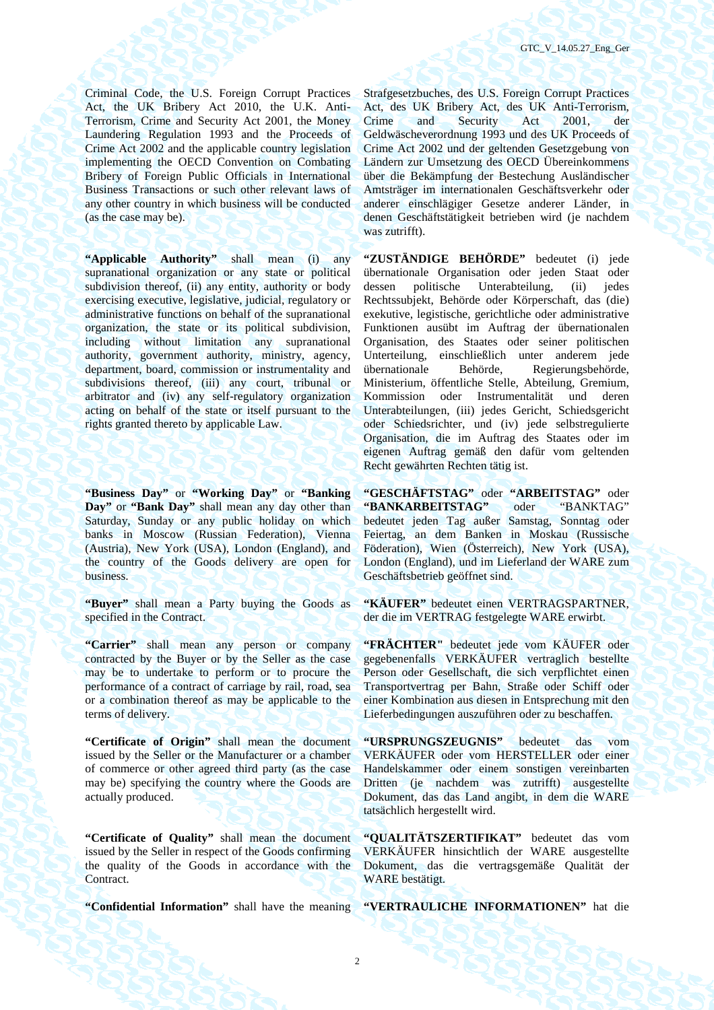Criminal Code, the U.S. Foreign Corrupt Practices Act, the UK Bribery Act 2010, the U.K. Anti-Terrorism, Crime and Security Act 2001, the Money Laundering Regulation 1993 and the Proceeds of Crime Act 2002 and the applicable country legislation implementing the OECD Convention on Combating Bribery of Foreign Public Officials in International Business Transactions or such other relevant laws of any other country in which business will be conducted (as the case may be).

**"Applicable Authority"** shall mean (i) any supranational organization or any state or political subdivision thereof, (ii) any entity, authority or body exercising executive, legislative, judicial, regulatory or administrative functions on behalf of the supranational organization, the state or its political subdivision, including without limitation any supranational authority, government authority, ministry, agency, department, board, commission or instrumentality and subdivisions thereof, (iii) any court, tribunal or arbitrator and (iv) any self-regulatory organization acting on behalf of the state or itself pursuant to the rights granted thereto by applicable Law.

**"Business Day"** or **"Working Day"** or **"Banking Day"** or **"Bank Day"** shall mean any day other than Saturday, Sunday or any public holiday on which banks in Moscow (Russian Federation), Vienna (Austria), New York (USA), London (England), and the country of the Goods delivery are open for business.

**"Buyer"** shall mean a Party buying the Goods as specified in the Contract.

**"Carrier"** shall mean any person or company contracted by the Buyer or by the Seller as the case may be to undertake to perform or to procure the performance of a contract of carriage by rail, road, sea or a combination thereof as may be applicable to the terms of delivery.

**"Certificate of Origin"** shall mean the document issued by the Seller or the Manufacturer or a chamber of commerce or other agreed third party (as the case may be) specifying the country where the Goods are actually produced.

**"Certificate of Quality"** shall mean the document issued by the Seller in respect of the Goods confirming the quality of the Goods in accordance with the Contract.

Strafgesetzbuches, des U.S. Foreign Corrupt Practices Act, des UK Bribery Act, des UK Anti-Terrorism, Crime and Security Act 2001, der Geldwäscheverordnung 1993 und des UK Proceeds of Crime Act 2002 und der geltenden Gesetzgebung von Ländern zur Umsetzung des OECD Übereinkommens über die Bekämpfung der Bestechung Ausländischer Amtsträger im internationalen Geschäftsverkehr oder anderer einschlägiger Gesetze anderer Länder, in denen Geschäftstätigkeit betrieben wird (je nachdem was zutrifft).

**"ZUSTÄNDIGE BEHÖRDE"** bedeutet (i) jede übernationale Organisation oder jeden Staat oder dessen politische Unterabteilung, (ii) jedes Rechtssubjekt, Behörde oder Körperschaft, das (die) exekutive, legistische, gerichtliche oder administrative Funktionen ausübt im Auftrag der übernationalen Organisation, des Staates oder seiner politischen Unterteilung, einschließlich unter anderem jede übernationale Behörde, Regierungsbehörde, Ministerium, öffentliche Stelle, Abteilung, Gremium, Kommission oder Instrumentalität und deren Unterabteilungen, (iii) jedes Gericht, Schiedsgericht oder Schiedsrichter, und (iv) jede selbstregulierte Organisation, die im Auftrag des Staates oder im eigenen Auftrag gemäß den dafür vom geltenden Recht gewährten Rechten tätig ist.

**"GESCHÄFTSTAG"** oder **"ARBEITSTAG"** oder **"BANKARBEITSTAG"** oder "BANKTAG" bedeutet jeden Tag außer Samstag, Sonntag oder Feiertag, an dem Banken in Moskau (Russische Föderation), Wien (Österreich), New York (USA), London (England), und im Lieferland der WARE zum Geschäftsbetrieb geöffnet sind.

**"KÄUFER"** bedeutet einen VERTRAGSPARTNER, der die im VERTRAG festgelegte WARE erwirbt.

**"FRÄCHTER"** bedeutet jede vom KÄUFER oder gegebenenfalls VERKÄUFER vertraglich bestellte Person oder Gesellschaft, die sich verpflichtet einen Transportvertrag per Bahn, Straße oder Schiff oder einer Kombination aus diesen in Entsprechung mit den Lieferbedingungen auszuführen oder zu beschaffen.

**"URSPRUNGSZEUGNIS"** bedeutet das vom VERKÄUFER oder vom HERSTELLER oder einer Handelskammer oder einem sonstigen vereinbarten Dritten (je nachdem was zutrifft) ausgestellte Dokument, das das Land angibt, in dem die WARE tatsächlich hergestellt wird.

**"QUALITÄTSZERTIFIKAT"** bedeutet das vom VERKÄUFER hinsichtlich der WARE ausgestellte Dokument, das die vertragsgemäße Qualität der WARE bestätigt.

**"Confidential Information"** shall have the meaning **"VERTRAULICHE INFORMATIONEN"** hat die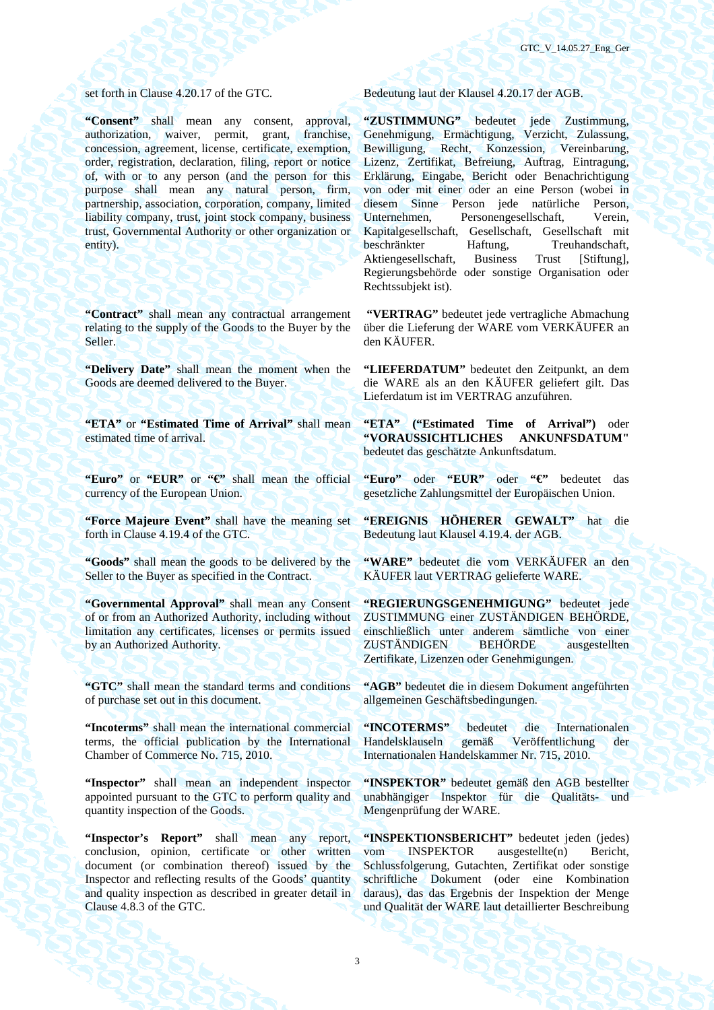**"Consent"** shall mean any consent, approval, authorization, waiver, permit, grant, franchise, concession, agreement, license, certificate, exemption, order, registration, declaration, filing, report or notice of, with or to any person (and the person for this purpose shall mean any natural person, firm, partnership, association, corporation, company, limited liability company, trust, joint stock company, business trust, Governmental Authority or other organization or entity).

**"Contract"** shall mean any contractual arrangement relating to the supply of the Goods to the Buyer by the Seller.

**"Delivery Date"** shall mean the moment when the Goods are deemed delivered to the Buyer.

**"ETA"** or **"Estimated Time of Arrival"** shall mean estimated time of arrival.

**"Euro"** or **"EUR"** or **"€"** shall mean the official currency of the European Union.

**"Force Majeure Event"** shall have the meaning set forth in Clause 4.19.4 of the GTC.

**"Goods"** shall mean the goods to be delivered by the Seller to the Buyer as specified in the Contract.

**"Governmental Approval"** shall mean any Consent of or from an Authorized Authority, including without limitation any certificates, licenses or permits issued by an Authorized Authority.

**"GTC"** shall mean the standard terms and conditions of purchase set out in this document.

**"Incoterms"** shall mean the international commercial terms, the official publication by the International Chamber of Commerce No. 715, 2010.

**"Inspector"** shall mean an independent inspector appointed pursuant to the GTC to perform quality and quantity inspection of the Goods.

**"Inspector's Report"** shall mean any report, conclusion, opinion, certificate or other written document (or combination thereof) issued by the Inspector and reflecting results of the Goods' quantity and quality inspection as described in greater detail in Clause 4.8.3 of the GTC.

set forth in Clause 4.20.17 of the GTC. Bedeutung laut der Klausel 4.20.17 der AGB.

**"ZUSTIMMUNG"** bedeutet jede Zustimmung, Genehmigung, Ermächtigung, Verzicht, Zulassung, Bewilligung, Recht, Konzession, Vereinbarung, Lizenz, Zertifikat, Befreiung, Auftrag, Eintragung, Erklärung, Eingabe, Bericht oder Benachrichtigung von oder mit einer oder an eine Person (wobei in diesem Sinne Person jede natürliche Person,<br>Unternehmen, Personengesellschaft, Verein, Personengesellschaft, Kapitalgesellschaft, Gesellschaft, Gesellschaft mit beschränkter Haftung, Treuhandschaft, Aktiengesellschaft, Business Trust [Stiftung], Regierungsbehörde oder sonstige Organisation oder Rechtssubjekt ist).

 **"VERTRAG"** bedeutet jede vertragliche Abmachung über die Lieferung der WARE vom VERKÄUFER an den KÄUFER.

**"LIEFERDATUM"** bedeutet den Zeitpunkt, an dem die WARE als an den KÄUFER geliefert gilt. Das Lieferdatum ist im VERTRAG anzuführen.

**"ETA" ("Estimated Time of Arrival")** oder **"VORAUSSICHTLICHES ANKUNFSDATUM"** bedeutet das geschätzte Ankunftsdatum.

**"Euro"** oder **"EUR"** oder **"€"** bedeutet das gesetzliche Zahlungsmittel der Europäischen Union.

**"EREIGNIS HÖHERER GEWALT"** hat die Bedeutung laut Klausel 4.19.4. der AGB.

**"WARE"** bedeutet die vom VERKÄUFER an den KÄUFER laut VERTRAG gelieferte WARE.

**"REGIERUNGSGENEHMIGUNG"** bedeutet jede ZUSTIMMUNG einer ZUSTÄNDIGEN BEHÖRDE, einschließlich unter anderem sämtliche von einer ZUSTÄNDIGEN BEHÖRDE ausgestellten Zertifikate, Lizenzen oder Genehmigungen.

**"AGB"** bedeutet die in diesem Dokument angeführten allgemeinen Geschäftsbedingungen.

**"INCOTERMS"** bedeutet die Internationalen Handelsklauseln gemäß Veröffentlichung der Internationalen Handelskammer Nr. 715, 2010.

**"INSPEKTOR"** bedeutet gemäß den AGB bestellter unabhängiger Inspektor für die Qualitäts- und Mengenprüfung der WARE.

**"INSPEKTIONSBERICHT"** bedeutet jeden (jedes) vom INSPEKTOR ausgestellte(n) Bericht, Schlussfolgerung, Gutachten, Zertifikat oder sonstige schriftliche Dokument (oder eine Kombination daraus), das das Ergebnis der Inspektion der Menge und Qualität der WARE laut detaillierter Beschreibung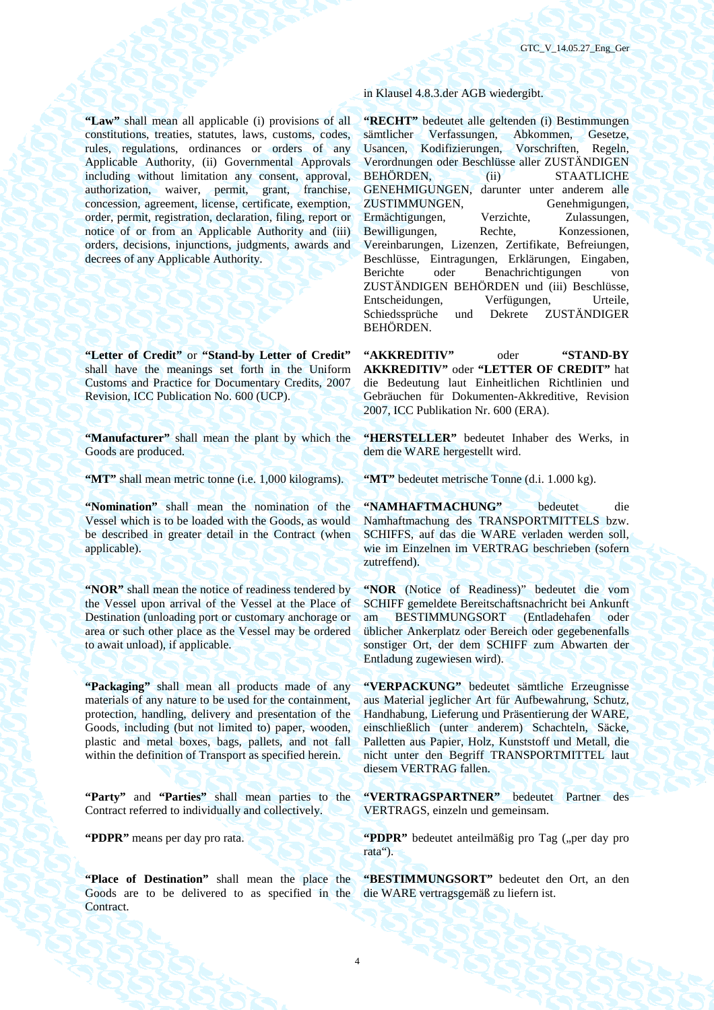**"Law"** shall mean all applicable (i) provisions of all constitutions, treaties, statutes, laws, customs, codes, rules, regulations, ordinances or orders of any Applicable Authority, (ii) Governmental Approvals including without limitation any consent, approval, authorization, waiver, permit, grant, franchise, concession, agreement, license, certificate, exemption, order, permit, registration, declaration, filing, report or notice of or from an Applicable Authority and (iii) orders, decisions, injunctions, judgments, awards and decrees of any Applicable Authority.

**"Letter of Credit"** or **"Stand-by Letter of Credit"** shall have the meanings set forth in the Uniform Customs and Practice for Documentary Credits, 2007 Revision, ICC Publication No. 600 (UCP).

**"Manufacturer"** shall mean the plant by which the Goods are produced.

**"MT"** shall mean metric tonne (i.e. 1,000 kilograms). **"MT"** bedeutet metrische Tonne (d.i. 1.000 kg).

**"Nomination"** shall mean the nomination of the Vessel which is to be loaded with the Goods, as would be described in greater detail in the Contract (when applicable).

**"NOR"** shall mean the notice of readiness tendered by the Vessel upon arrival of the Vessel at the Place of Destination (unloading port or customary anchorage or area or such other place as the Vessel may be ordered to await unload), if applicable.

**"Packaging"** shall mean all products made of any materials of any nature to be used for the containment, protection, handling, delivery and presentation of the Goods, including (but not limited to) paper, wooden, plastic and metal boxes, bags, pallets, and not fall within the definition of Transport as specified herein.

**"Party"** and **"Parties"** shall mean parties to the Contract referred to individually and collectively.

**"Place of Destination"** shall mean the place the Goods are to be delivered to as specified in the Contract.

in Klausel 4.8.3.der AGB wiedergibt.

**"RECHT"** bedeutet alle geltenden (i) Bestimmungen sämtlicher Verfassungen, Abkommen, Gesetze, Usancen, Kodifizierungen, Vorschriften, Regeln, Verordnungen oder Beschlüsse aller ZUSTÄNDIGEN BEHÖRDEN, (ii) STAATLICHE GENEHMIGUNGEN, darunter unter anderem alle ZUSTIMMUNGEN, Genehmigungen, Ermächtigungen, Verzichte, Zulassungen, Bewilligungen, Rechte, Konzessionen, Vereinbarungen, Lizenzen, Zertifikate, Befreiungen, Beschlüsse, Eintragungen, Erklärungen, Eingaben, Berichte oder Benachrichtigungen von ZUSTÄNDIGEN BEHÖRDEN und (iii) Beschlüsse, Entscheidungen, Verfügungen, Urteile, Schiedssprüche und Dekrete ZUSTÄNDIGER BEHÖRDEN.

**"AKKREDITIV"** oder **"STAND-BY AKKREDITIV"** oder **"LETTER OF CREDIT"** hat die Bedeutung laut Einheitlichen Richtlinien und Gebräuchen für Dokumenten-Akkreditive, Revision 2007, ICC Publikation Nr. 600 (ERA).

**"HERSTELLER"** bedeutet Inhaber des Werks, in dem die WARE hergestellt wird.

**"NAMHAFTMACHUNG"** bedeutet die Namhaftmachung des TRANSPORTMITTELS bzw. SCHIFFS, auf das die WARE verladen werden soll, wie im Einzelnen im VERTRAG beschrieben (sofern zutreffend).

**"NOR** (Notice of Readiness)" bedeutet die vom SCHIFF gemeldete Bereitschaftsnachricht bei Ankunft am BESTIMMUNGSORT (Entladehafen oder üblicher Ankerplatz oder Bereich oder gegebenenfalls sonstiger Ort, der dem SCHIFF zum Abwarten der Entladung zugewiesen wird).

**"VERPACKUNG"** bedeutet sämtliche Erzeugnisse aus Material jeglicher Art für Aufbewahrung, Schutz, Handhabung, Lieferung und Präsentierung der WARE, einschließlich (unter anderem) Schachteln, Säcke, Palletten aus Papier, Holz, Kunststoff und Metall, die nicht unter den Begriff TRANSPORTMITTEL laut diesem VERTRAG fallen.

**"VERTRAGSPARTNER"** bedeutet Partner des VERTRAGS, einzeln und gemeinsam.

**"PDPR"** means per day pro rata. **"PDPR"** bedeutet anteilmäßig pro Tag ("per day pro rata").

> **"BESTIMMUNGSORT"** bedeutet den Ort, an den die WARE vertragsgemäß zu liefern ist.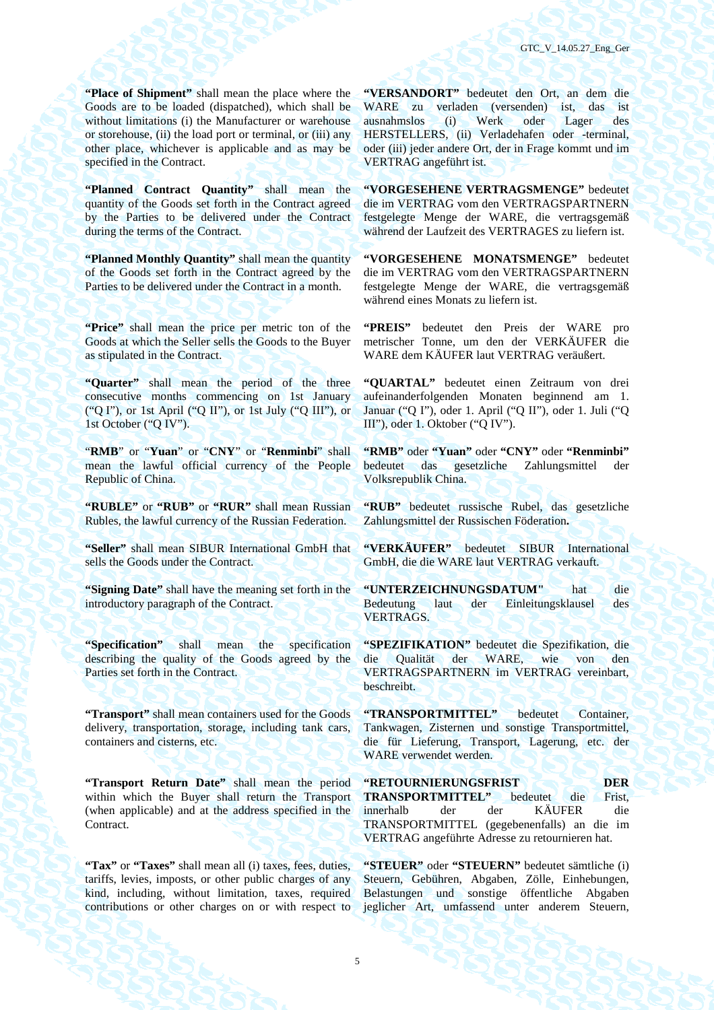**"Place of Shipment"** shall mean the place where the Goods are to be loaded (dispatched), which shall be without limitations (i) the Manufacturer or warehouse or storehouse, (ii) the load port or terminal, or (iii) any other place, whichever is applicable and as may be specified in the Contract.

**"Planned Contract Quantity"** shall mean the quantity of the Goods set forth in the Contract agreed by the Parties to be delivered under the Contract during the terms of the Contract.

**"Planned Monthly Quantity"** shall mean the quantity" of the Goods set forth in the Contract agreed by the Parties to be delivered under the Contract in a month.

**"Price"** shall mean the price per metric ton of the Goods at which the Seller sells the Goods to the Buyer as stipulated in the Contract.

**"Quarter"** shall mean the period of the three consecutive months commencing on 1st January ("Q I"), or 1st April ("Q II"), or 1st July ("Q III"), or 1st October ("Q IV").

"**RMB**" or "**Yuan**" or "**CNY**" or "**Renminbi**" shall mean the lawful official currency of the People Republic of China.

**"RUBLE"** or **"RUB"** or **"RUR"** shall mean Russian Rubles, the lawful currency of the Russian Federation.

**"Seller"** shall mean SIBUR International GmbH that sells the Goods under the Contract.

**"Signing Date"** shall have the meaning set forth in the introductory paragraph of the Contract.

**"Specification"** shall mean the specification describing the quality of the Goods agreed by the Parties set forth in the Contract.

**"Transport"** shall mean containers used for the Goods delivery, transportation, storage, including tank cars, containers and cisterns, etc.

**"Transport Return Date"** shall mean the period within which the Buyer shall return the Transport (when applicable) and at the address specified in the Contract.

**"Tax"** or **"Taxes"** shall mean all (i) taxes, fees, duties, tariffs, levies, imposts, or other public charges of any kind, including, without limitation, taxes, required contributions or other charges on or with respect to **"VERSANDORT"** bedeutet den Ort, an dem die WARE zu verladen (versenden) ist, das ist ausnahmslos (i) Werk oder Lager des HERSTELLERS, (ii) Verladehafen oder -terminal, oder (iii) jeder andere Ort, der in Frage kommt und im VERTRAG angeführt ist.

**"VORGESEHENE VERTRAGSMENGE"** bedeutet die im VERTRAG vom den VERTRAGSPARTNERN festgelegte Menge der WARE, die vertragsgemäß während der Laufzeit des VERTRAGES zu liefern ist.

**"VORGESEHENE MONATSMENGE"** bedeutet die im VERTRAG vom den VERTRAGSPARTNERN festgelegte Menge der WARE, die vertragsgemäß während eines Monats zu liefern ist.

**"PREIS"** bedeutet den Preis der WARE pro metrischer Tonne, um den der VERKÄUFER die WARE dem KÄUFER laut VERTRAG veräußert.

**"QUARTAL"** bedeutet einen Zeitraum von drei aufeinanderfolgenden Monaten beginnend am 1. Januar ("Q I"), oder 1. April ("Q II"), oder 1. Juli ("Q III"), oder 1. Oktober ("Q IV").

**"RMB"** oder **"Yuan"** oder **"CNY"** oder **"Renminbi"** bedeutet das gesetzliche Zahlungsmittel der Volksrepublik China.

**"RUB"** bedeutet russische Rubel, das gesetzliche Zahlungsmittel der Russischen Föderation**.** 

**"VERKÄUFER"** bedeutet SIBUR International GmbH, die die WARE laut VERTRAG verkauft.

**"UNTERZEICHNUNGSDATUM"** hat die Bedeutung laut der Einleitungsklausel des VERTRAGS.

**"SPEZIFIKATION"** bedeutet die Spezifikation, die die Qualität der WARE, wie von den VERTRAGSPARTNERN im VERTRAG vereinbart, beschreibt.

**"TRANSPORTMITTEL"** bedeutet Container, Tankwagen, Zisternen und sonstige Transportmittel, die für Lieferung, Transport, Lagerung, etc. der WARE verwendet werden.

**"RETOURNIERUNGSFRIST DER DER TRANSPORTMITTEL"** bedeutet die Frist, TRANSPORTMITTEL" bedeutet die innerhalb der der KÄUFER die TRANSPORTMITTEL (gegebenenfalls) an die im VERTRAG angeführte Adresse zu retournieren hat.

**"STEUER"** oder **"STEUERN"** bedeutet sämtliche (i) Steuern, Gebühren, Abgaben, Zölle, Einhebungen, Belastungen und sonstige öffentliche Abgaben jeglicher Art, umfassend unter anderem Steuern,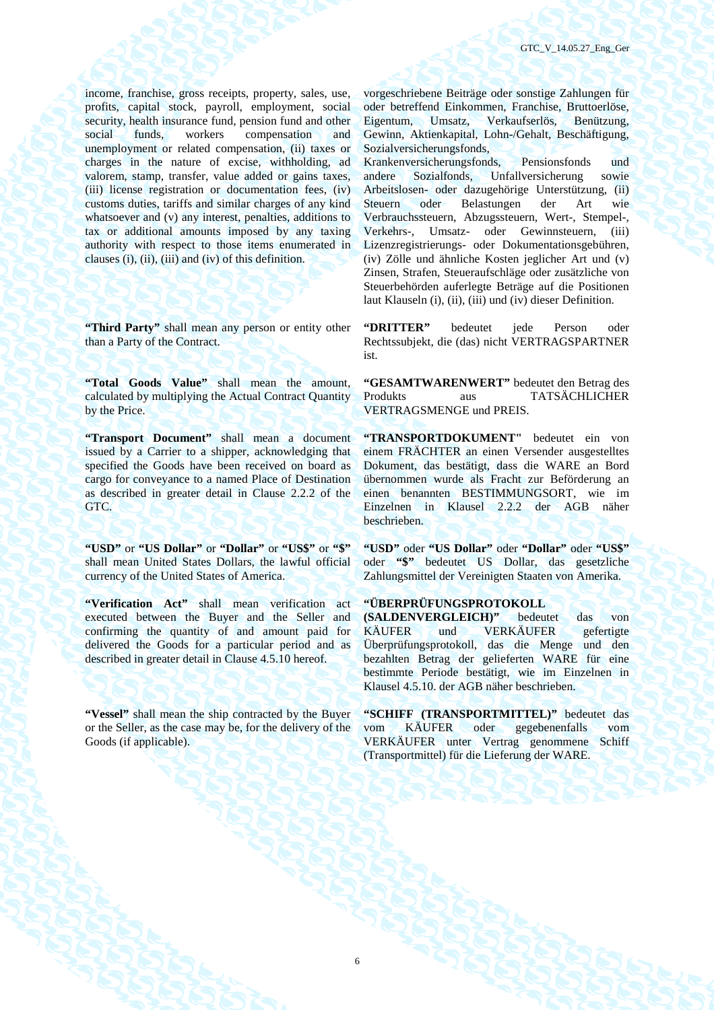income, franchise, gross receipts, property, sales, use, profits, capital stock, payroll, employment, social security, health insurance fund, pension fund and other social funds, workers compensation and unemployment or related compensation, (ii) taxes or charges in the nature of excise, withholding, ad valorem, stamp, transfer, value added or gains taxes, (iii) license registration or documentation fees, (iv) customs duties, tariffs and similar charges of any kind whatsoever and (v) any interest, penalties, additions to tax or additional amounts imposed by any taxing authority with respect to those items enumerated in clauses (i), (ii), (iii) and (iv) of this definition.

"Third Party" shall mean any person or entity other than a Party of the Contract.

**"Total Goods Value"** shall mean the amount, calculated by multiplying the Actual Contract Quantity by the Price.

**"Transport Document"** shall mean a document issued by a Carrier to a shipper, acknowledging that specified the Goods have been received on board as cargo for conveyance to a named Place of Destination as described in greater detail in Clause 2.2.2 of the GTC.

**"USD"** or **"US Dollar"** or **"Dollar"** or **"US\$"** or **"\$"** shall mean United States Dollars, the lawful official currency of the United States of America.

**"Verification Act"** shall mean verification act executed between the Buyer and the Seller and confirming the quantity of and amount paid for delivered the Goods for a particular period and as described in greater detail in Clause 4.5.10 hereof.

"Vessel" shall mean the ship contracted by the Buyer or the Seller, as the case may be, for the delivery of the Goods (if applicable).

vorgeschriebene Beiträge oder sonstige Zahlungen für oder betreffend Einkommen, Franchise, Bruttoerlöse, Eigentum, Umsatz, Verkaufserlös, Benützung, Gewinn, Aktienkapital, Lohn-/Gehalt, Beschäftigung, Sozialversicherungsfonds,

Krankenversicherungsfonds, Pensionsfonds und andere Sozialfonds, Unfallversicherung sowie Arbeitslosen- oder dazugehörige Unterstützung, (ii) Steuern oder Belastungen der Art wie Verbrauchssteuern, Abzugssteuern, Wert-, Stempel-, Verkehrs-, Umsatz- oder Gewinnsteuern, (iii) Lizenzregistrierungs- oder Dokumentationsgebühren, (iv) Zölle und ähnliche Kosten jeglicher Art und (v) Zinsen, Strafen, Steueraufschläge oder zusätzliche von Steuerbehörden auferlegte Beträge auf die Positionen laut Klauseln (i), (ii), (iii) und (iv) dieser Definition.

**"DRITTER"** bedeutet jede Person oder Rechtssubjekt, die (das) nicht VERTRAGSPARTNER ist.

**"GESAMTWARENWERT"** bedeutet den Betrag des Produkts aus TATSÄCHLICHER VERTRAGSMENGE und PREIS.

**"TRANSPORTDOKUMENT"** bedeutet ein von einem FRÄCHTER an einen Versender ausgestelltes Dokument, das bestätigt, dass die WARE an Bord übernommen wurde als Fracht zur Beförderung an einen benannten BESTIMMUNGSORT, wie im Einzelnen in Klausel 2.2.2 der AGB näher beschrieben.

**"USD"** oder **"US Dollar"** oder **"Dollar"** oder **"US\$"**  oder **"\$"** bedeutet US Dollar, das gesetzliche Zahlungsmittel der Vereinigten Staaten von Amerika.

# **"ÜBERPRÜFUNGSPROTOKOLL**

**(SALDENVERGLEICH)"** bedeutet das von KÄUFER und VERKÄUFER gefertigte Überprüfungsprotokoll, das die Menge und den bezahlten Betrag der gelieferten WARE für eine bestimmte Periode bestätigt, wie im Einzelnen in Klausel 4.5.10. der AGB näher beschrieben.

**"SCHIFF (TRANSPORTMITTEL)"** bedeutet das vom KÄUFER oder gegebenenfalls vom VERKÄUFER unter Vertrag genommene Schiff (Transportmittel) für die Lieferung der WARE.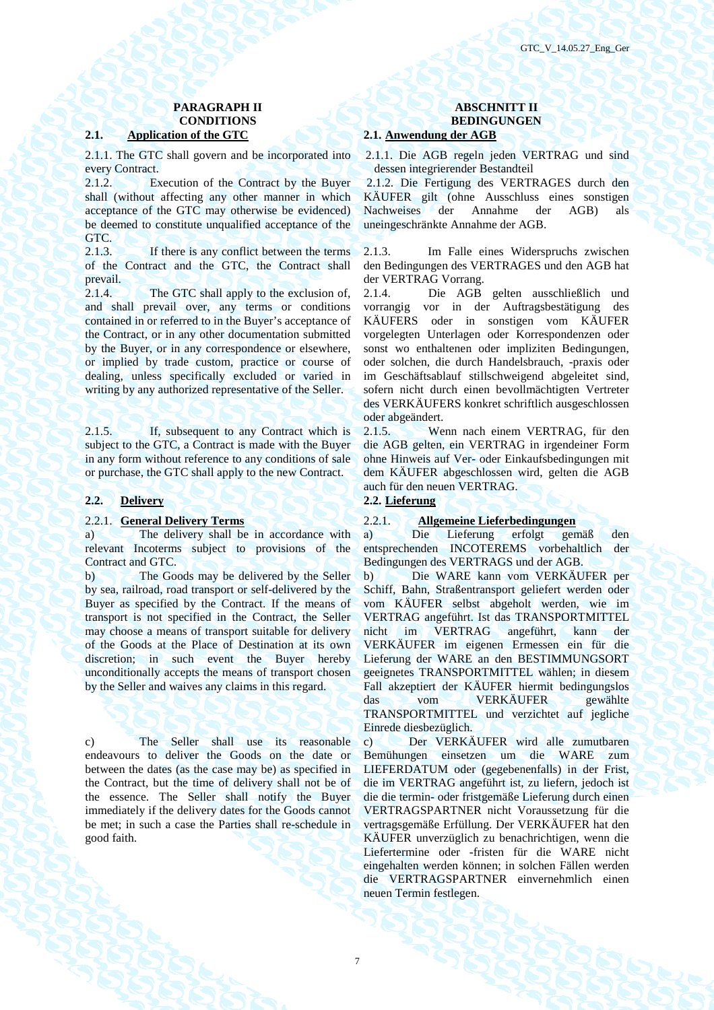# **2.1. Application of the GTC 2.1. Anwendung der AGB**

2.1.1. The GTC shall govern and be incorporated into every Contract.

2.1.2. Execution of the Contract by the Buyer shall (without affecting any other manner in which acceptance of the GTC may otherwise be evidenced) be deemed to constitute unqualified acceptance of the GTC.

2.1.3. If there is any conflict between the terms of the Contract and the GTC, the Contract shall prevail.

2.1.4. The GTC shall apply to the exclusion of, and shall prevail over, any terms or conditions contained in or referred to in the Buyer's acceptance of the Contract, or in any other documentation submitted by the Buyer, or in any correspondence or elsewhere, or implied by trade custom, practice or course of dealing, unless specifically excluded or varied in writing by any authorized representative of the Seller.

2.1.5. If, subsequent to any Contract which is subject to the GTC, a Contract is made with the Buyer in any form without reference to any conditions of sale or purchase, the GTC shall apply to the new Contract.

### **2.2. Delivery 2.2. Lieferung**

a) The delivery shall be in accordance with relevant Incoterms subject to provisions of the Contract and GTC.

b) The Goods may be delivered by the Seller by sea, railroad, road transport or self-delivered by the Buyer as specified by the Contract. If the means of transport is not specified in the Contract, the Seller may choose a means of transport suitable for delivery of the Goods at the Place of Destination at its own discretion; in such event the Buyer hereby unconditionally accepts the means of transport chosen by the Seller and waives any claims in this regard.

c) The Seller shall use its reasonable endeavours to deliver the Goods on the date or between the dates (as the case may be) as specified in the Contract, but the time of delivery shall not be of the essence. The Seller shall notify the Buyer immediately if the delivery dates for the Goods cannot be met; in such a case the Parties shall re-schedule in good faith.

# **PARAGRAPH II ABSCHNITT II CONDITIONS BEDINGUNGEN**

2.1.1. Die AGB regeln jeden VERTRAG und sind dessen integrierender Bestandteil

2.1.2. Die Fertigung des VERTRAGES durch den KÄUFER gilt (ohne Ausschluss eines sonstigen Nachweises der Annahme der AGB) als uneingeschränkte Annahme der AGB.

2.1.3. Im Falle eines Widerspruchs zwischen den Bedingungen des VERTRAGES und den AGB hat der VERTRAG Vorrang.

2.1.4. Die AGB gelten ausschließlich und vorrangig vor in der Auftragsbestätigung des KÄUFERS oder in sonstigen vom KÄUFER vorgelegten Unterlagen oder Korrespondenzen oder sonst wo enthaltenen oder impliziten Bedingungen, oder solchen, die durch Handelsbrauch, -praxis oder im Geschäftsablauf stillschweigend abgeleitet sind, sofern nicht durch einen bevollmächtigten Vertreter des VERKÄUFERS konkret schriftlich ausgeschlossen oder abgeändert.

2.1.5. Wenn nach einem VERTRAG, für den die AGB gelten, ein VERTRAG in irgendeiner Form ohne Hinweis auf Ver- oder Einkaufsbedingungen mit dem KÄUFER abgeschlossen wird, gelten die AGB auch für den neuen VERTRAG.

### 2.2.1. **General Delivery Terms** 2.2.1. **Allgemeine Lieferbedingungen**

а) Die Lieferung erfolgt gemäß den entsprechenden INCOTEREMS vorbehaltlich der Bedingungen des VERTRAGS und der AGB.

b) Die WARE kann vom VERKÄUFER per Schiff, Bahn, Straßentransport geliefert werden oder vom KÄUFER selbst abgeholt werden, wie im VERTRAG angeführt. Ist das TRANSPORTMITTEL nicht im VERTRAG angeführt, kann der VERKÄUFER im eigenen Ermessen ein für die Lieferung der WARE an den BESTIMMUNGSORT geeignetes TRANSPORTMITTEL wählen; in diesem Fall akzeptiert der KÄUFER hiermit bedingungslos das vom VERKÄUFER gewählte TRANSPORTMITTEL und verzichtet auf jegliche Einrede diesbezüglich.

c) Der VERKÄUFER wird alle zumutbaren Bemühungen einsetzen um die WARE zum LIEFERDATUM oder (gegebenenfalls) in der Frist, die im VERTRAG angeführt ist, zu liefern, jedoch ist die die termin- oder fristgemäße Lieferung durch einen VERTRAGSPARTNER nicht Voraussetzung für die vertragsgemäße Erfüllung. Der VERKÄUFER hat den KÄUFER unverzüglich zu benachrichtigen, wenn die Liefertermine oder -fristen für die WARE nicht eingehalten werden können; in solchen Fällen werden die VERTRAGSPARTNER einvernehmlich einen neuen Termin festlegen.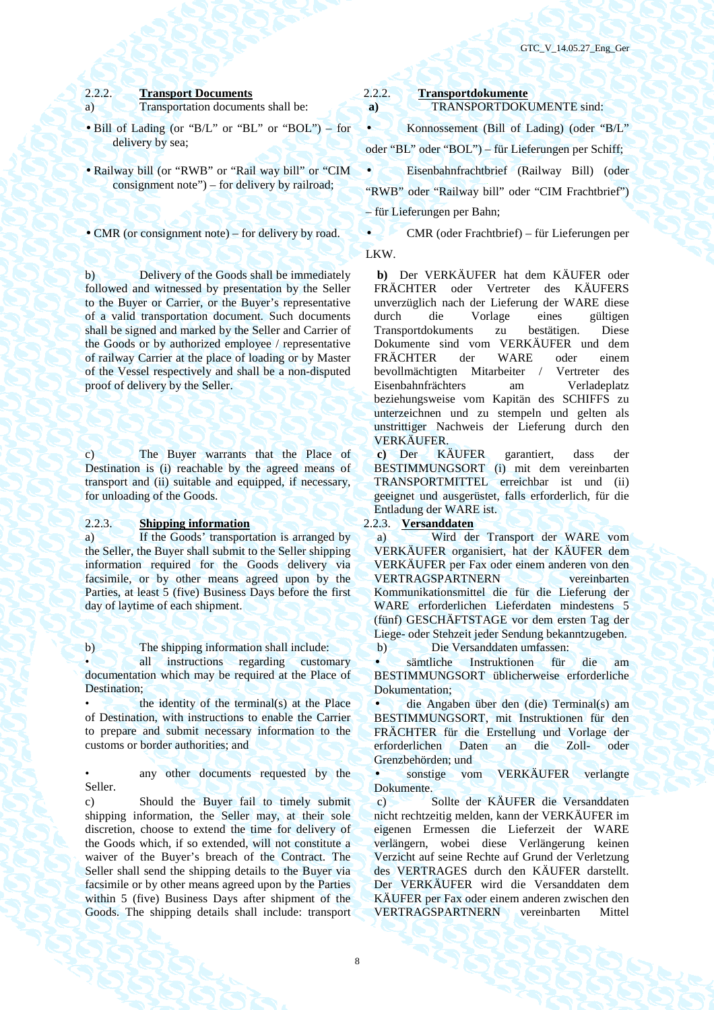a) Transportation documents shall be: **a**)

- Bill of Lading (or "B/L" or "BL" or "BOL") for delivery by sea;
- Railway bill (or "RWB" or "Rail way bill" or "CIM consignment note") – for delivery by railroad;

b) Delivery of the Goods shall be immediately followed and witnessed by presentation by the Seller to the Buyer or Carrier, or the Buyer's representative of a valid transportation document. Such documents shall be signed and marked by the Seller and Carrier of the Goods or by authorized employee / representative of railway Carrier at the place of loading or by Master of the Vessel respectively and shall be a non-disputed proof of delivery by the Seller.

c) The Buyer warrants that the Place of Destination is (i) reachable by the agreed means of transport and (ii) suitable and equipped, if necessary, for unloading of the Goods.

# 2.2.3. **Shipping information** 2.2.3. **Versanddaten**

a) If the Goods' transportation is arranged by the Seller, the Buyer shall submit to the Seller shipping information required for the Goods delivery via facsimile, or by other means agreed upon by the Parties, at least 5 (five) Business Days before the first day of laytime of each shipment.

b) The shipping information shall include: b) Die Versanddaten umfassen:

all instructions regarding customary documentation which may be required at the Place of Destination:

the identity of the terminal(s) at the Place of Destination, with instructions to enable the Carrier to prepare and submit necessary information to the customs or border authorities; and

any other documents requested by the Seller.

c) Should the Buyer fail to timely submit shipping information, the Seller may, at their sole discretion, choose to extend the time for delivery of the Goods which, if so extended, will not constitute a waiver of the Buyer's breach of the Contract. The Seller shall send the shipping details to the Buyer via facsimile or by other means agreed upon by the Parties within 5 (five) Business Days after shipment of the Goods. The shipping details shall include: transport

# 2.2.2. **Transport Documents**<br> **Example 3.2.2. Transportdokumente a TRANSPORTDOKUMENTE** sind:

• Konnossement (Bill of Lading) (oder "B/L" oder "BL" oder "BOL") – für Lieferungen per Schiff; • Eisenbahnfrachtbrief (Railway Bill) (oder "RWB" oder "Railway bill" oder "CIM Frachtbrief") – für Lieferungen per Bahn;

• CMR (or consignment note) – for delivery by road. • CMR (oder Frachtbrief) – für Lieferungen per LKW.

> **b)** Der VERKÄUFER hat dem KÄUFER oder FRÄCHTER oder Vertreter des KÄUFERS unverzüglich nach der Lieferung der WARE diese durch die Vorlage eines gültigen Transportdokuments zu bestätigen. Diese Dokumente sind vom VERKÄUFER und dem FRÄCHTER der WARE oder einem bevollmächtigten Mitarbeiter / Vertreter des Eisenbahnfrächters am Verladeplatz beziehungsweise vom Kapitän des SCHIFFS zu unterzeichnen und zu stempeln und gelten als unstrittiger Nachweis der Lieferung durch den VERKÄUFER.

> **c)** Der KÄUFER garantiert, dass der BESTIMMUNGSORT (i) mit dem vereinbarten TRANSPORTMITTEL erreichbar ist und (ii) geeignet und ausgerüstet, falls erforderlich, für die Entladung der WARE ist.

 a) Wird der Transport der WARE vom VERKÄUFER organisiert, hat der KÄUFER dem VERKÄUFER per Fax oder einem anderen von den VERTRAGSPARTNERN vereinbarten Kommunikationsmittel die für die Lieferung der WARE erforderlichen Lieferdaten mindestens 5 (fünf) GESCHÄFTSTAGE vor dem ersten Tag der Liege- oder Stehzeit jeder Sendung bekanntzugeben.

• sämtliche Instruktionen für die am BESTIMMUNGSORT üblicherweise erforderliche Dokumentation;

• die Angaben über den (die) Terminal(s) am BESTIMMUNGSORT, mit Instruktionen für den FRÄCHTER für die Erstellung und Vorlage der erforderlichen Daten an die Zoll- oder Grenzbehörden; und

• sonstige vom VERKÄUFER verlangte Dokumente.

 c) Sollte der KÄUFER die Versanddaten nicht rechtzeitig melden, kann der VERKÄUFER im eigenen Ermessen die Lieferzeit der WARE verlängern, wobei diese Verlängerung keinen Verzicht auf seine Rechte auf Grund der Verletzung des VERTRAGES durch den KÄUFER darstellt. Der VERKÄUFER wird die Versanddaten dem KÄUFER per Fax oder einem anderen zwischen den VERTRAGSPARTNERN vereinbarten Mittel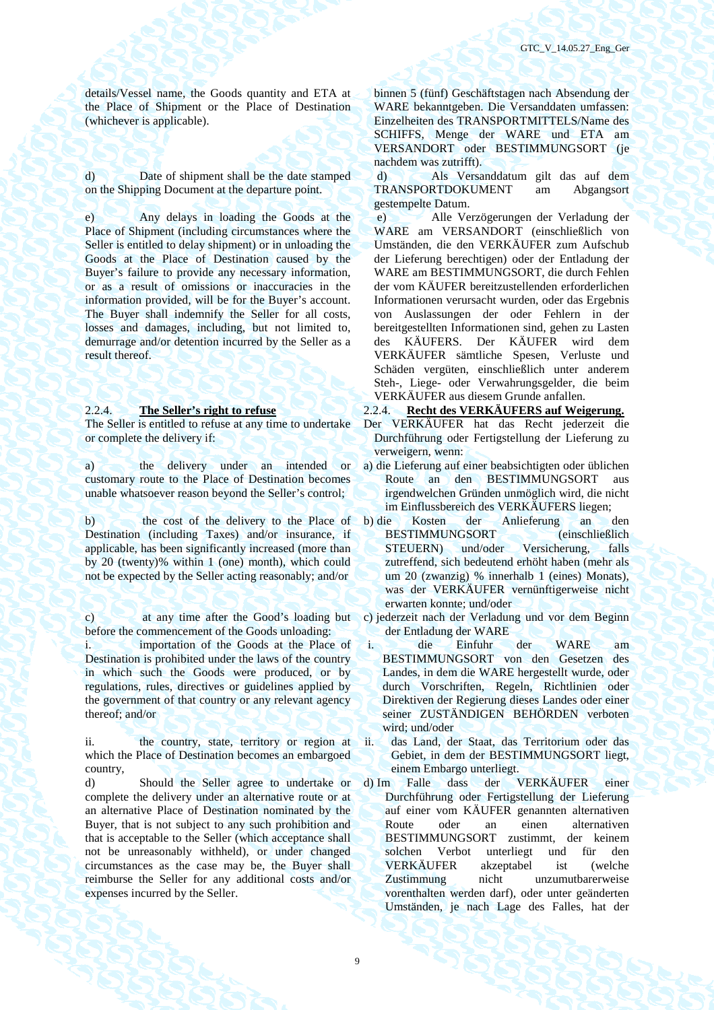details/Vessel name, the Goods quantity and ETA at the Place of Shipment or the Place of Destination (whichever is applicable).

d) Date of shipment shall be the date stamped on the Shipping Document at the departure point.

e) Any delays in loading the Goods at the Place of Shipment (including circumstances where the Seller is entitled to delay shipment) or in unloading the Goods at the Place of Destination caused by the Buyer's failure to provide any necessary information, or as a result of omissions or inaccuracies in the information provided, will be for the Buyer's account. The Buyer shall indemnify the Seller for all costs, losses and damages, including, but not limited to, demurrage and/or detention incurred by the Seller as a result thereof.

The Seller is entitled to refuse at any time to undertake or complete the delivery if:

a) the delivery under an intended or customary route to the Place of Destination becomes unable whatsoever reason beyond the Seller's control;

b) the cost of the delivery to the Place of Destination (including Taxes) and/or insurance, if applicable, has been significantly increased (more than by 20 (twenty)% within 1 (one) month), which could not be expected by the Seller acting reasonably; and/or

c) at any time after the Good's loading but before the commencement of the Goods unloading:

importation of the Goods at the Place of Destination is prohibited under the laws of the country in which such the Goods were produced, or by regulations, rules, directives or guidelines applied by the government of that country or any relevant agency thereof; and/or

ii. the country, state, territory or region at which the Place of Destination becomes an embargoed country,

d) Should the Seller agree to undertake or complete the delivery under an alternative route or at an alternative Place of Destination nominated by the Buyer, that is not subject to any such prohibition and that is acceptable to the Seller (which acceptance shall not be unreasonably withheld), or under changed circumstances as the case may be, the Buyer shall reimburse the Seller for any additional costs and/or expenses incurred by the Seller.

binnen 5 (fünf) Geschäftstagen nach Absendung der WARE bekanntgeben. Die Versanddaten umfassen: Einzelheiten des TRANSPORTMITTELS/Name des SCHIFFS, Menge der WARE und ETA am VERSANDORT oder BESTIMMUNGSORT (je nachdem was zutrifft).

 d) Als Versanddatum gilt das auf dem TRANSPORTDOKUMENT am Abgangsort gestempelte Datum.

 e) Alle Verzögerungen der Verladung der WARE am VERSANDORT (einschließlich von Umständen, die den VERKÄUFER zum Aufschub der Lieferung berechtigen) oder der Entladung der WARE am BESTIMMUNGSORT, die durch Fehlen der vom KÄUFER bereitzustellenden erforderlichen Informationen verursacht wurden, oder das Ergebnis von Auslassungen der oder Fehlern in der bereitgestellten Informationen sind, gehen zu Lasten des KÄUFERS. Der KÄUFER wird dem VERKÄUFER sämtliche Spesen, Verluste und Schäden vergüten, einschließlich unter anderem Steh-, Liege- oder Verwahrungsgelder, die beim VERKÄUFER aus diesem Grunde anfallen.

### 2.2.4. **The Seller's right to refuse** 2.2.4. **Recht des VERKÄUFERS auf Weigerung.**

- Der VERKÄUFER hat das Recht jederzeit die Durchführung oder Fertigstellung der Lieferung zu verweigern, wenn:
- a) die Lieferung auf einer beabsichtigten oder üblichen Route an den BESTIMMUNGSORT aus irgendwelchen Gründen unmöglich wird, die nicht im Einflussbereich des VERKÄUFERS liegen;
- b) die Kosten der Anlieferung an den BESTIMMUNGSORT (einschließlich STEUERN) und/oder Versicherung, falls zutreffend, sich bedeutend erhöht haben (mehr als um 20 (zwanzig) % innerhalb 1 (eines) Monats), was der VERKÄUFER vernünftigerweise nicht erwarten konnte; und/oder
- c) jederzeit nach der Verladung und vor dem Beginn der Entladung der WARE
- i. die Einfuhr der WARE am BESTIMMUNGSORT von den Gesetzen des Landes, in dem die WARE hergestellt wurde, oder durch Vorschriften, Regeln, Richtlinien oder Direktiven der Regierung dieses Landes oder einer seiner ZUSTÄNDIGEN BEHÖRDEN verboten wird; und/oder
- ii. das Land, der Staat, das Territorium oder das Gebiet, in dem der BESTIMMUNGSORT liegt, einem Embargo unterliegt.
- d) Im Falle dass der VERKÄUFER einer Durchführung oder Fertigstellung der Lieferung auf einer vom KÄUFER genannten alternativen Route oder an einen alternativen BESTIMMUNGSORT zustimmt, der keinem solchen Verbot unterliegt und für den VERKÄUFER akzeptabel ist (welche Zustimmung nicht unzumutbarerweise vorenthalten werden darf), oder unter geänderten Umständen, je nach Lage des Falles, hat der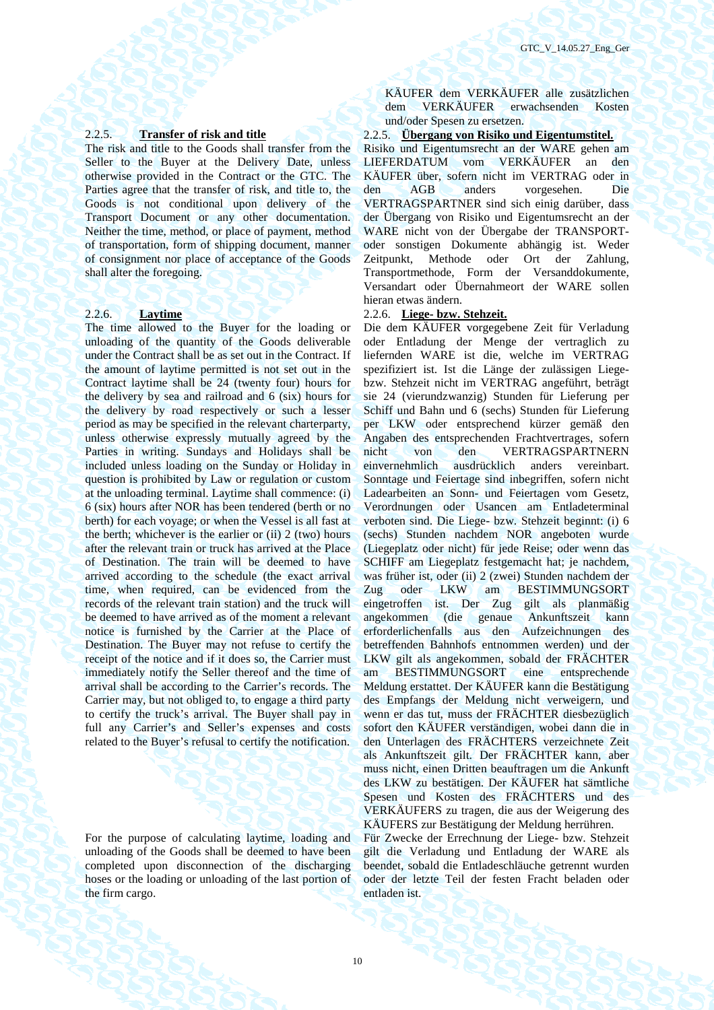The risk and title to the Goods shall transfer from the Seller to the Buyer at the Delivery Date, unless otherwise provided in the Contract or the GTC. The Parties agree that the transfer of risk, and title to, the Goods is not conditional upon delivery of the Transport Document or any other documentation. Neither the time, method, or place of payment, method of transportation, form of shipping document, manner of consignment nor place of acceptance of the Goods shall alter the foregoing.

The time allowed to the Buyer for the loading or unloading of the quantity of the Goods deliverable under the Contract shall be as set out in the Contract. If the amount of laytime permitted is not set out in the Contract laytime shall be 24 (twenty four) hours for the delivery by sea and railroad and 6 (six) hours for the delivery by road respectively or such a lesser period as may be specified in the relevant charterparty, unless otherwise expressly mutually agreed by the Parties in writing. Sundays and Holidays shall be included unless loading on the Sunday or Holiday in question is prohibited by Law or regulation or custom at the unloading terminal. Laytime shall commence: (i) 6 (six) hours after NOR has been tendered (berth or no berth) for each voyage; or when the Vessel is all fast at the berth; whichever is the earlier or  $(ii)$  2 (two) hours after the relevant train or truck has arrived at the Place of Destination. The train will be deemed to have arrived according to the schedule (the exact arrival time, when required, can be evidenced from the records of the relevant train station) and the truck will be deemed to have arrived as of the moment a relevant notice is furnished by the Carrier at the Place of Destination. The Buyer may not refuse to certify the receipt of the notice and if it does so, the Carrier must immediately notify the Seller thereof and the time of arrival shall be according to the Carrier's records. The Carrier may, but not obliged to, to engage a third party to certify the truck's arrival. The Buyer shall pay in full any Carrier's and Seller's expenses and costs related to the Buyer's refusal to certify the notification.

For the purpose of calculating laytime, loading and unloading of the Goods shall be deemed to have been completed upon disconnection of the discharging hoses or the loading or unloading of the last portion of the firm cargo.

KÄUFER dem VERKÄUFER alle zusätzlichen dem VERKÄUFER erwachsenden Kosten und/oder Spesen zu ersetzen.

# 2.2.5. **Transfer of risk and title** 2.2.5. **Übergang von Risiko und Eigentumstitel.**

Risiko und Eigentumsrecht an der WARE gehen am LIEFERDATUM vom VERKÄUFER an den KÄUFER über, sofern nicht im VERTRAG oder in den AGB anders vorgesehen. Die VERTRAGSPARTNER sind sich einig darüber, dass der Übergang von Risiko und Eigentumsrecht an der WARE nicht von der Übergabe der TRANSPORToder sonstigen Dokumente abhängig ist. Weder Zeitpunkt, Methode oder Ort der Zahlung, Transportmethode, Form der Versanddokumente, Versandart oder Übernahmeort der WARE sollen hieran etwas ändern.

# 2.2.6. **Laytime** 2.2.6. **Liege- bzw. Stehzeit.**

Die dem KÄUFER vorgegebene Zeit für Verladung oder Entladung der Menge der vertraglich zu liefernden WARE ist die, welche im VERTRAG spezifiziert ist. Ist die Länge der zulässigen Liegebzw. Stehzeit nicht im VERTRAG angeführt, beträgt sie 24 (vierundzwanzig) Stunden für Lieferung per Schiff und Bahn und 6 (sechs) Stunden für Lieferung per LKW oder entsprechend kürzer gemäß den Angaben des entsprechenden Frachtvertrages, sofern nicht von den VERTRAGSPARTNERN einvernehmlich ausdrücklich anders vereinbart. Sonntage und Feiertage sind inbegriffen, sofern nicht Ladearbeiten an Sonn- und Feiertagen vom Gesetz, Verordnungen oder Usancen am Entladeterminal verboten sind. Die Liege- bzw. Stehzeit beginnt: (i) 6 (sechs) Stunden nachdem NOR angeboten wurde (Liegeplatz oder nicht) für jede Reise; oder wenn das SCHIFF am Liegeplatz festgemacht hat; je nachdem, was früher ist, oder (ii) 2 (zwei) Stunden nachdem der Zug oder LKW am BESTIMMUNGSORT eingetroffen ist. Der Zug gilt als planmäßig angekommen (die genaue Ankunftszeit kann erforderlichenfalls aus den Aufzeichnungen des betreffenden Bahnhofs entnommen werden) und der LKW gilt als angekommen, sobald der FRÄCHTER am BESTIMMUNGSORT eine entsprechende Meldung erstattet. Der KÄUFER kann die Bestätigung des Empfangs der Meldung nicht verweigern, und wenn er das tut, muss der FRÄCHTER diesbezüglich sofort den KÄUFER verständigen, wobei dann die in den Unterlagen des FRÄCHTERS verzeichnete Zeit als Ankunftszeit gilt. Der FRÄCHTER kann, aber muss nicht, einen Dritten beauftragen um die Ankunft des LKW zu bestätigen. Der KÄUFER hat sämtliche Spesen und Kosten des FRÄCHTERS und des VERKÄUFERS zu tragen, die aus der Weigerung des KÄUFERS zur Bestätigung der Meldung herrühren.

Für Zwecke der Errechnung der Liege- bzw. Stehzeit gilt die Verladung und Entladung der WARE als beendet, sobald die Entladeschläuche getrennt wurden oder der letzte Teil der festen Fracht beladen oder entladen ist.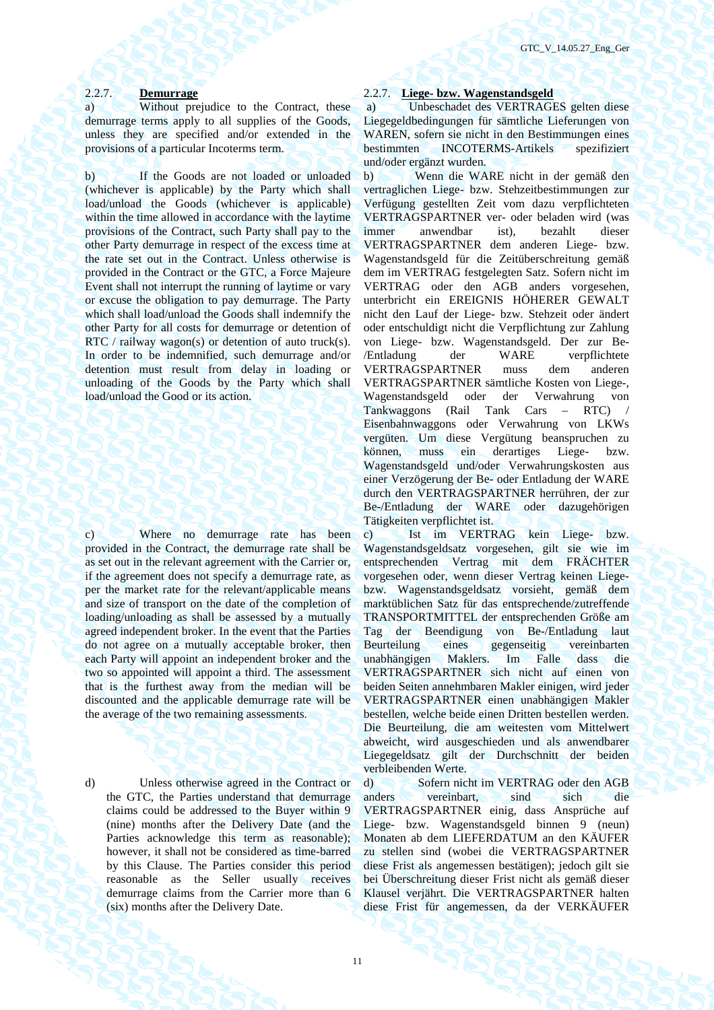a) Without prejudice to the Contract, these demurrage terms apply to all supplies of the Goods, unless they are specified and/or extended in the provisions of a particular Incoterms term.

b) If the Goods are not loaded or unloaded (whichever is applicable) by the Party which shall load/unload the Goods (whichever is applicable) within the time allowed in accordance with the laytime provisions of the Contract, such Party shall pay to the other Party demurrage in respect of the excess time at the rate set out in the Contract. Unless otherwise is provided in the Contract or the GTC, a Force Majeure Event shall not interrupt the running of laytime or vary or excuse the obligation to pay demurrage. The Party which shall load/unload the Goods shall indemnify the other Party for all costs for demurrage or detention of RTC / railway wagon(s) or detention of auto truck(s). In order to be indemnified, such demurrage and/or detention must result from delay in loading or unloading of the Goods by the Party which shall load/unload the Good or its action.

c) Where no demurrage rate has been provided in the Contract, the demurrage rate shall be as set out in the relevant agreement with the Carrier or, if the agreement does not specify a demurrage rate, as per the market rate for the relevant/applicable means and size of transport on the date of the completion of loading/unloading as shall be assessed by a mutually agreed independent broker. In the event that the Parties do not agree on a mutually acceptable broker, then each Party will appoint an independent broker and the two so appointed will appoint a third. The assessment that is the furthest away from the median will be discounted and the applicable demurrage rate will be the average of the two remaining assessments.

d) Unless otherwise agreed in the Contract or the GTC, the Parties understand that demurrage claims could be addressed to the Buyer within 9 (nine) months after the Delivery Date (and the Parties acknowledge this term as reasonable); however, it shall not be considered as time-barred by this Clause. The Parties consider this period reasonable as the Seller usually receives demurrage claims from the Carrier more than 6 (six) months after the Delivery Date.

# 2.2.7. **Demurrage** 2.2.7. **Liege- bzw. Wagenstandsgeld**

 a) Unbeschadet des VERTRAGES gelten diese Liegegeldbedingungen für sämtliche Lieferungen von WAREN, sofern sie nicht in den Bestimmungen eines bestimmten INCOTERMS-Artikels spezifiziert und/oder ergänzt wurden.

b) Wenn die WARE nicht in der gemäß den vertraglichen Liege- bzw. Stehzeitbestimmungen zur Verfügung gestellten Zeit vom dazu verpflichteten VERTRAGSPARTNER ver- oder beladen wird (was immer anwendbar ist), bezahlt dieser VERTRAGSPARTNER dem anderen Liege- bzw. Wagenstandsgeld für die Zeitüberschreitung gemäß dem im VERTRAG festgelegten Satz. Sofern nicht im VERTRAG oder den AGB anders vorgesehen, unterbricht ein EREIGNIS HÖHERER GEWALT nicht den Lauf der Liege- bzw. Stehzeit oder ändert oder entschuldigt nicht die Verpflichtung zur Zahlung von Liege- bzw. Wagenstandsgeld. Der zur Be-<br>Entladung der WARE vernflichtete /Entladung der WARE verpflichtete VERTRAGSPARTNER muss dem anderen VERTRAGSPARTNER sämtliche Kosten von Liege-, Wagenstandsgeld oder der Verwahrung von Tankwaggons (Rail Tank Cars – RTC) / Eisenbahnwaggons oder Verwahrung von LKWs vergüten. Um diese Vergütung beanspruchen zu können, muss ein derartiges Liege- bzw. Wagenstandsgeld und/oder Verwahrungskosten aus einer Verzögerung der Be- oder Entladung der WARE durch den VERTRAGSPARTNER herrühren, der zur Be-/Entladung der WARE oder dazugehörigen Tätigkeiten verpflichtet ist.

c) Ist im VERTRAG kein Liege- bzw. Wagenstandsgeldsatz vorgesehen, gilt sie wie im entsprechenden Vertrag mit dem FRÄCHTER vorgesehen oder, wenn dieser Vertrag keinen Liegebzw. Wagenstandsgeldsatz vorsieht, gemäß dem marktüblichen Satz für das entsprechende/zutreffende TRANSPORTMITTEL der entsprechenden Größe am Tag der Beendigung von Be-/Entladung laut Beurteilung eines gegenseitig vereinbarten unabhängigen Maklers. Im Falle dass die VERTRAGSPARTNER sich nicht auf einen von beiden Seiten annehmbaren Makler einigen, wird jeder VERTRAGSPARTNER einen unabhängigen Makler bestellen, welche beide einen Dritten bestellen werden. Die Beurteilung, die am weitesten vom Mittelwert abweicht, wird ausgeschieden und als anwendbarer Liegegeldsatz gilt der Durchschnitt der beiden verbleibenden Werte.

d) Sofern nicht im VERTRAG oder den AGB anders vereinbart, sind sich die VERTRAGSPARTNER einig, dass Ansprüche auf Liege- bzw. Wagenstandsgeld binnen 9 (neun) Monaten ab dem LIEFERDATUM an den KÄUFER zu stellen sind (wobei die VERTRAGSPARTNER diese Frist als angemessen bestätigen); jedoch gilt sie bei Überschreitung dieser Frist nicht als gemäß dieser Klausel verjährt. Die VERTRAGSPARTNER halten diese Frist für angemessen, da der VERKÄUFER

11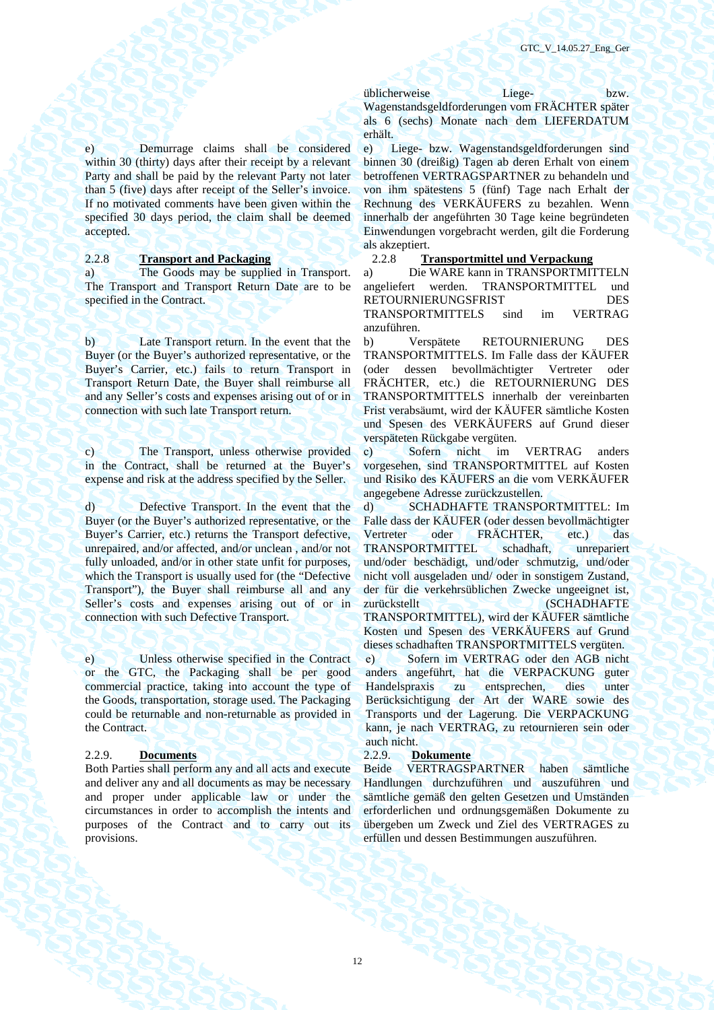e) Demurrage claims shall be considered within 30 (thirty) days after their receipt by a relevant Party and shall be paid by the relevant Party not later than 5 (five) days after receipt of the Seller's invoice. If no motivated comments have been given within the specified 30 days period, the claim shall be deemed accepted.

a) The Goods may be supplied in Transport. The Transport and Transport Return Date are to be specified in the Contract.

b) Late Transport return. In the event that the Buyer (or the Buyer's authorized representative, or the Buyer's Carrier, etc.) fails to return Transport in Transport Return Date, the Buyer shall reimburse all and any Seller's costs and expenses arising out of or in connection with such late Transport return.

c) The Transport, unless otherwise provided in the Contract, shall be returned at the Buyer's expense and risk at the address specified by the Seller.

d) Defective Transport. In the event that the Buyer (or the Buyer's authorized representative, or the Buyer's Carrier, etc.) returns the Transport defective, unrepaired, and/or affected, and/or unclean , and/or not fully unloaded, and/or in other state unfit for purposes. which the Transport is usually used for (the "Defective Transport"), the Buyer shall reimburse all and any Seller's costs and expenses arising out of or in connection with such Defective Transport.

e) Unless otherwise specified in the Contract or the GTC, the Packaging shall be per good commercial practice, taking into account the type of the Goods, transportation, storage used. The Packaging could be returnable and non-returnable as provided in the Contract.

2.2.9. **Documents** 2.2.9. **Dokumente** Both Parties shall perform any and all acts and execute and deliver any and all documents as may be necessary and proper under applicable law or under the circumstances in order to accomplish the intents and purposes of the Contract and to carry out its provisions.

üblicherweise Liege- bzw. Wagenstandsgeldforderungen vom FRÄCHTER später als 6 (sechs) Monate nach dem LIEFERDATUM erhält.

e) Liege- bzw. Wagenstandsgeldforderungen sind binnen 30 (dreißig) Tagen ab deren Erhalt von einem betroffenen VERTRAGSPARTNER zu behandeln und von ihm spätestens 5 (fünf) Tage nach Erhalt der Rechnung des VERKÄUFERS zu bezahlen. Wenn innerhalb der angeführten 30 Tage keine begründeten Einwendungen vorgebracht werden, gilt die Forderung als akzeptiert.

### 2.2.8 **Transport and Packaging** 2.2.8 **Transportmittel und Verpackung**

a) Die WARE kann in TRANSPORTMITTELN angeliefert werden. TRANSPORTMITTEL und RETOURNIERUNGSFRIST DES TRANSPORTMITTELS sind im VERTRAG anzuführen.

b) Verspätete RETOURNIERUNG DES TRANSPORTMITTELS. Im Falle dass der KÄUFER (oder dessen bevollmächtigter Vertreter oder FRÄCHTER, etc.) die RETOURNIERUNG DES TRANSPORTMITTELS innerhalb der vereinbarten Frist verabsäumt, wird der KÄUFER sämtliche Kosten und Spesen des VERKÄUFERS auf Grund dieser verspäteten Rückgabe vergüten.

с) Sofern nicht im VERTRAG anders vorgesehen, sind TRANSPORTMITTEL auf Kosten und Risiko des KÄUFERS an die vom VERKÄUFER angegebene Adresse zurückzustellen.

d) SCHADHAFTE TRANSPORTMITTEL: Im Falle dass der KÄUFER (oder dessen bevollmächtigter Vertreter oder FRÄCHTER, etc.) das TRANSPORTMITTEL schadhaft, unrepariert und/oder beschädigt, und/oder schmutzig, und/oder nicht voll ausgeladen und/ oder in sonstigem Zustand, der für die verkehrsüblichen Zwecke ungeeignet ist, zurückstellt (SCHADHAFTE TRANSPORTMITTEL), wird der KÄUFER sämtliche Kosten und Spesen des VERKÄUFERS auf Grund dieses schadhaften TRANSPORTMITTELS vergüten. е) Sofern im VERTRAG oder den AGB nicht anders angeführt, hat die VERPACKUNG guter Handelspraxis zu entsprechen, dies unter

Berücksichtigung der Art der WARE sowie des Transports und der Lagerung. Die VERPACKUNG kann, je nach VERTRAG, zu retournieren sein oder auch nicht.

VERTRAGSPARTNER haben sämtliche Handlungen durchzuführen und auszuführen und sämtliche gemäß den gelten Gesetzen und Umständen erforderlichen und ordnungsgemäßen Dokumente zu übergeben um Zweck und Ziel des VERTRAGES zu erfüllen und dessen Bestimmungen auszuführen.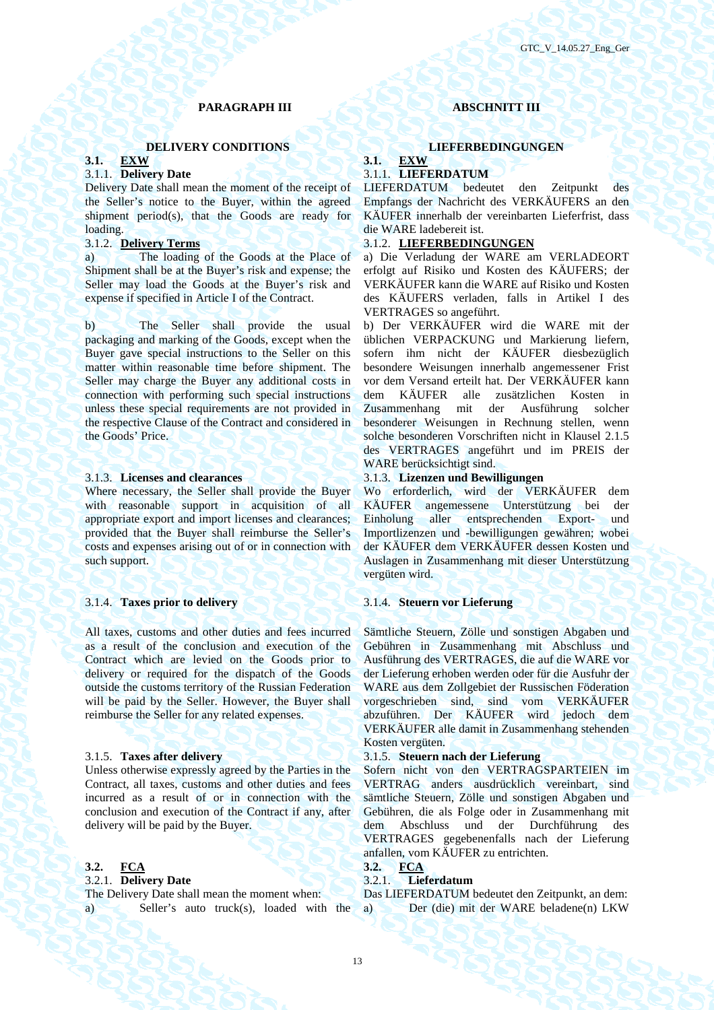# **PARAGRAPH III ABSCHNITT III**

# **DELIVERY CONDITIONS** LIEFERBEDINGUNGEN

### **3.1. EXW 3.1. EXW**

Delivery Date shall mean the moment of the receipt of the Seller's notice to the Buyer, within the agreed shipment period(s), that the Goods are ready for loading.

a) The loading of the Goods at the Place of Shipment shall be at the Buyer's risk and expense; the Seller may load the Goods at the Buyer's risk and expense if specified in Article I of the Contract.

b) The Seller shall provide the usual packaging and marking of the Goods, except when the Buyer gave special instructions to the Seller on this matter within reasonable time before shipment. The Seller may charge the Buyer any additional costs in connection with performing such special instructions unless these special requirements are not provided in the respective Clause of the Contract and considered in the Goods' Price.

Where necessary, the Seller shall provide the Buyer with reasonable support in acquisition of all appropriate export and import licenses and clearances; provided that the Buyer shall reimburse the Seller's costs and expenses arising out of or in connection with such support.

### 3.1.4. **Taxes prior to delivery** 3.1.4. **Steuern vor Lieferung**

All taxes, customs and other duties and fees incurred as a result of the conclusion and execution of the Contract which are levied on the Goods prior to delivery or required for the dispatch of the Goods outside the customs territory of the Russian Federation will be paid by the Seller. However, the Buyer shall reimburse the Seller for any related expenses.

Unless otherwise expressly agreed by the Parties in the Contract, all taxes, customs and other duties and fees incurred as a result of or in connection with the conclusion and execution of the Contract if any, after delivery will be paid by the Buyer.

# **3.2. FCA 3.2. FCA**

# 3.2.1. **Delivery Date** 3.2.1. **Lieferdatum**

The Delivery Date shall mean the moment when: Das LIEFERDATUM bedeutet den Zeitpunkt, an dem:

# 3.1.1. **Delivery Date** 3.1.1. **LIEFERDATUM**

LIEFERDATUM bedeutet den Zeitpunkt des Empfangs der Nachricht des VERKÄUFERS an den KÄUFER innerhalb der vereinbarten Lieferfrist, dass die WARE ladebereit ist.

# 3.1.2. **Delivery Terms** 3.1.2. **LIEFERBEDINGUNGEN**

а) Die Verladung der WARE am VERLADEORT erfolgt auf Risiko und Kosten des KÄUFERS; der VERKÄUFER kann die WARE auf Risiko und Kosten des KÄUFERS verladen, falls in Artikel I des VERTRAGES so angeführt.

b) Der VERKÄUFER wird die WARE mit der üblichen VERPACKUNG und Markierung liefern, sofern ihm nicht der KÄUFER diesbezüglich besondere Weisungen innerhalb angemessener Frist vor dem Versand erteilt hat. Der VERKÄUFER kann dem KÄUFER alle zusätzlichen Kosten in<br>Zusammenhang mit der Ausführung solcher Zusammenhang mit der Ausführung solcher besonderer Weisungen in Rechnung stellen, wenn solche besonderen Vorschriften nicht in Klausel 2.1.5 des VERTRAGES angeführt und im PREIS der WARE berücksichtigt sind.

# 3.1.3. **Licenses and clearances** 3.1.3. **Lizenzen und Bewilligungen**

Wo erforderlich, wird der VERKÄUFER dem KÄUFER angemessene Unterstützung bei der Einholung aller entsprechenden Export- und Importlizenzen und -bewilligungen gewähren; wobei der KÄUFER dem VERKÄUFER dessen Kosten und Auslagen in Zusammenhang mit dieser Unterstützung vergüten wird.

Sämtliche Steuern, Zölle und sonstigen Abgaben und Gebühren in Zusammenhang mit Abschluss und Ausführung des VERTRAGES, die auf die WARE vor der Lieferung erhoben werden oder für die Ausfuhr der WARE aus dem Zollgebiet der Russischen Föderation vorgeschrieben sind, sind vom VERKÄUFER abzuführen. Der KÄUFER wird jedoch dem VERKÄUFER alle damit in Zusammenhang stehenden Kosten vergüten.

### 3.1.5. **Taxes after delivery** 3.1.5. **Steuern nach der Lieferung**

Sofern nicht von den VERTRAGSPARTEIEN im VERTRAG anders ausdrücklich vereinbart, sind sämtliche Steuern, Zölle und sonstigen Abgaben und Gebühren, die als Folge oder in Zusammenhang mit dem Abschluss und der Durchführung des VERTRAGES gegebenenfalls nach der Lieferung anfallen, vom KÄUFER zu entrichten.<br>3.2.  $\mathbf{FCA}$ 

a) Seller's auto truck(s), loaded with the а) Der (die) mit der WARE beladene(n) LKW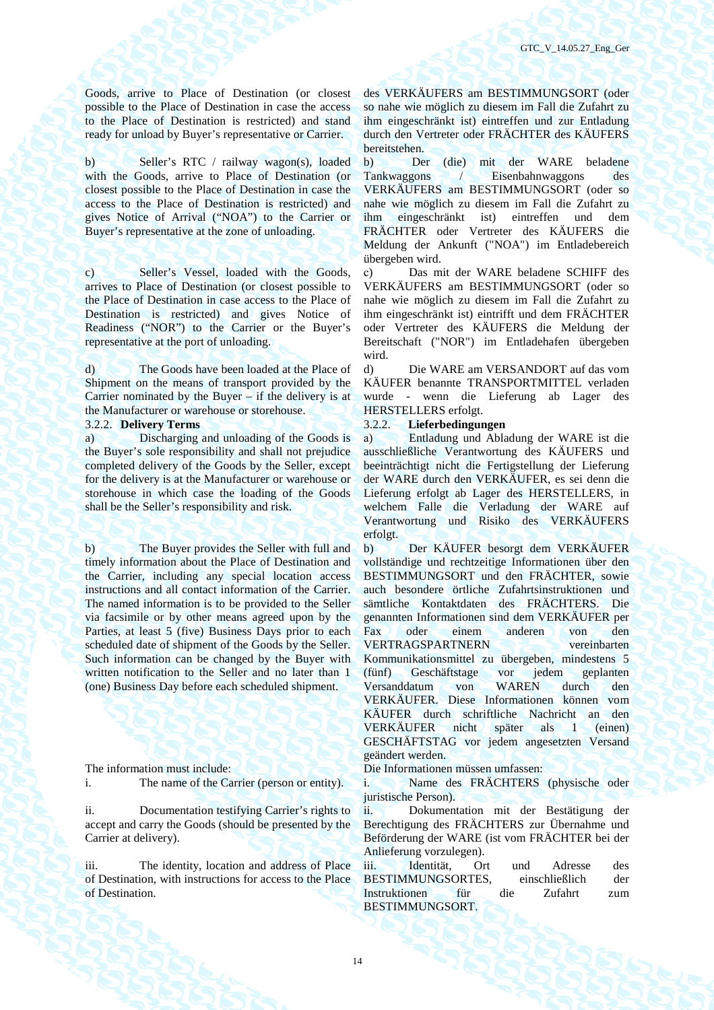Goods, arrive to Place of Destination (or closest possible to the Place of Destination in case the access to the Place of Destination is restricted) and stand ready for unload by Buyer's representative or Carrier.

b) Seller's RTC / railway wagon(s), loaded with the Goods, arrive to Place of Destination (or closest possible to the Place of Destination in case the access to the Place of Destination is restricted) and gives Notice of Arrival ("NOA") to the Carrier or Buyer's representative at the zone of unloading.

c) Seller's Vessel, loaded with the Goods, arrives to Place of Destination (or closest possible to the Place of Destination in case access to the Place of Destination is restricted) and gives Notice of Readiness ("NOR") to the Carrier or the Buyer's representative at the port of unloading.

d) The Goods have been loaded at the Place of Shipment on the means of transport provided by the Carrier nominated by the Buyer – if the delivery is at the Manufacturer or warehouse or storehouse.

a) Discharging and unloading of the Goods is the Buyer's sole responsibility and shall not prejudice completed delivery of the Goods by the Seller, except for the delivery is at the Manufacturer or warehouse or storehouse in which case the loading of the Goods shall be the Seller's responsibility and risk.

b) The Buyer provides the Seller with full and timely information about the Place of Destination and the Carrier, including any special location access instructions and all contact information of the Carrier. The named information is to be provided to the Seller via facsimile or by other means agreed upon by the Parties, at least 5 (five) Business Days prior to each scheduled date of shipment of the Goods by the Seller. Such information can be changed by the Buyer with written notification to the Seller and no later than 1 (one) Business Day before each scheduled shipment.

i. The name of the Carrier (person or entity). i. Name des FRÄCHTERS (physische oder

ii. Documentation testifying Carrier's rights to accept and carry the Goods (should be presented by the Carrier at delivery).

iii. The identity, location and address of Place of Destination, with instructions for access to the Place of Destination.

des VERKÄUFERS am BESTIMMUNGSORT (oder so nahe wie möglich zu diesem im Fall die Zufahrt zu ihm eingeschränkt ist) eintreffen und zur Entladung durch den Vertreter oder FRÄCHTER des KÄUFERS bereitstehen.

b) Der (die) mit der WARE beladene Tankwaggons / Eisenbahnwaggons des VERKÄUFERS am BESTIMMUNGSORT (oder so nahe wie möglich zu diesem im Fall die Zufahrt zu ihm eingeschränkt ist) eintreffen und dem FRÄCHTER oder Vertreter des KÄUFERS die Meldung der Ankunft ("NOA") im Entladebereich übergeben wird.

с) Das mit der WARE beladene SCHIFF des VERKÄUFERS am BESTIMMUNGSORT (oder so nahe wie möglich zu diesem im Fall die Zufahrt zu ihm eingeschränkt ist) eintrifft und dem FRÄCHTER oder Vertreter des KÄUFERS die Meldung der Bereitschaft ("NOR") im Entladehafen übergeben wird.

d) Die WARE am VERSANDORT auf das vom KÄUFER benannte TRANSPORTMITTEL verladen wurde - wenn die Lieferung ab Lager des HERSTELLERS erfolgt.

### 3.2.2. **Delivery Terms** 3.2.2. **Lieferbedingungen**

а) Entladung und Abladung der WARE ist die ausschließliche Verantwortung des KÄUFERS und beeinträchtigt nicht die Fertigstellung der Lieferung der WARE durch den VERKÄUFER, es sei denn die Lieferung erfolgt ab Lager des HERSTELLERS, in welchem Falle die Verladung der WARE auf Verantwortung und Risiko des VERKÄUFERS erfolgt.

b) Der KÄUFER besorgt dem VERKÄUFER vollständige und rechtzeitige Informationen über den BESTIMMUNGSORT und den FRÄCHTER, sowie auch besondere örtliche Zufahrtsinstruktionen und sämtliche Kontaktdaten des FRÄCHTERS. Die genannten Informationen sind dem VERKÄUFER per Fax oder einem anderen von den VERTRAGSPARTNERN vereinbarten Kommunikationsmittel zu übergeben, mindestens 5 (fünf) Geschäftstage vor jedem geplanten Versanddatum von WAREN durch den VERKÄUFER. Diese Informationen können vom KÄUFER durch schriftliche Nachricht an den VERKÄUFER nicht später als 1 (einen) GESCHÄFTSTAG vor jedem angesetzten Versand geändert werden.

The information must include: Die Informationen müssen umfassen:

juristische Person).

ii. Dokumentation mit der Bestätigung der Berechtigung des FRÄCHTERS zur Übernahme und Beförderung der WARE (ist vom FRÄCHTER bei der Anlieferung vorzulegen).

iii. Identität. Ort und Adresse des BESTIMMUNGSORTES, einschließlich der Instruktionen für die Zufahrt zum BESTIMMUNGSORT.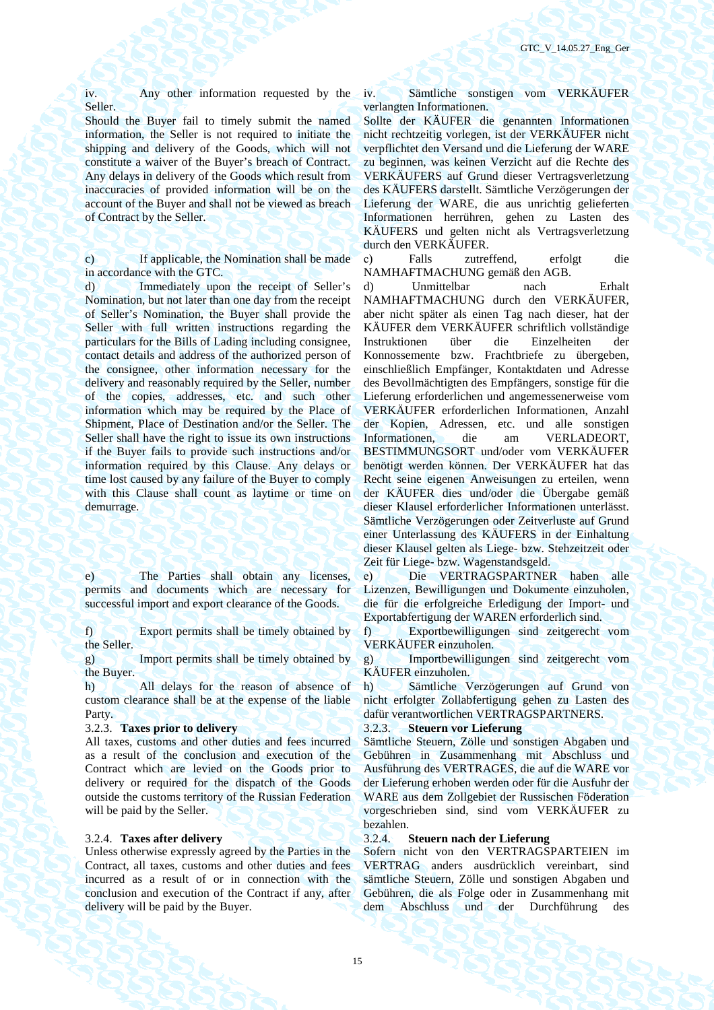iv. Any other information requested by the Seller.

Should the Buyer fail to timely submit the named information, the Seller is not required to initiate the shipping and delivery of the Goods, which will not constitute a waiver of the Buyer's breach of Contract. Any delays in delivery of the Goods which result from inaccuracies of provided information will be on the account of the Buyer and shall not be viewed as breach of Contract by the Seller.

c) If applicable, the Nomination shall be made in accordance with the GTC.

d) Immediately upon the receipt of Seller's Nomination, but not later than one day from the receipt of Seller's Nomination, the Buyer shall provide the Seller with full written instructions regarding the particulars for the Bills of Lading including consignee, contact details and address of the authorized person of the consignee, other information necessary for the delivery and reasonably required by the Seller, number of the copies, addresses, etc. and such other information which may be required by the Place of Shipment, Place of Destination and/or the Seller. The Seller shall have the right to issue its own instructions if the Buyer fails to provide such instructions and/or information required by this Clause. Any delays or time lost caused by any failure of the Buyer to comply with this Clause shall count as laytime or time on demurrage.

e) The Parties shall obtain any licenses, permits and documents which are necessary for successful import and export clearance of the Goods.

f) Export permits shall be timely obtained by the Seller.

g) Import permits shall be timely obtained by the Buyer.

h) All delays for the reason of absence of custom clearance shall be at the expense of the liable Party.

All taxes, customs and other duties and fees incurred as a result of the conclusion and execution of the Contract which are levied on the Goods prior to delivery or required for the dispatch of the Goods outside the customs territory of the Russian Federation will be paid by the Seller.

Unless otherwise expressly agreed by the Parties in the Contract, all taxes, customs and other duties and fees incurred as a result of or in connection with the conclusion and execution of the Contract if any, after delivery will be paid by the Buyer.

iv. Sämtliche sonstigen vom VERKÄUFER verlangten Informationen.

Sollte der KÄUFER die genannten Informationen nicht rechtzeitig vorlegen, ist der VERKÄUFER nicht verpflichtet den Versand und die Lieferung der WARE zu beginnen, was keinen Verzicht auf die Rechte des VERKÄUFERS auf Grund dieser Vertragsverletzung des KÄUFERS darstellt. Sämtliche Verzögerungen der Lieferung der WARE, die aus unrichtig gelieferten Informationen herrühren, gehen zu Lasten des KÄUFERS und gelten nicht als Vertragsverletzung durch den VERKÄUFER.

с) Falls zutreffend, erfolgt die NAMHAFTMACHUNG gemäß den AGB.

d) Unmittelbar nach Erhalt NAMHAFTMACHUNG durch den VERKÄUFER, aber nicht später als einen Tag nach dieser, hat der KÄUFER dem VERKÄUFER schriftlich vollständige Instruktionen über die Einzelheiten der Konnossemente bzw. Frachtbriefe zu übergeben, einschließlich Empfänger, Kontaktdaten und Adresse des Bevollmächtigten des Empfängers, sonstige für die Lieferung erforderlichen und angemessenerweise vom VERKÄUFER erforderlichen Informationen, Anzahl der Kopien, Adressen, etc. und alle sonstigen Informationen, die am VERLADEORT, BESTIMMUNGSORT und/oder vom VERKÄUFER benötigt werden können. Der VERKÄUFER hat das Recht seine eigenen Anweisungen zu erteilen, wenn der KÄUFER dies und/oder die Übergabe gemäß dieser Klausel erforderlicher Informationen unterlässt. Sämtliche Verzögerungen oder Zeitverluste auf Grund einer Unterlassung des KÄUFERS in der Einhaltung dieser Klausel gelten als Liege- bzw. Stehzeitzeit oder Zeit für Liege- bzw. Wagenstandsgeld.

е) Die VERTRAGSPARTNER haben alle Lizenzen, Bewilligungen und Dokumente einzuholen, die für die erfolgreiche Erledigung der Import- und Exportabfertigung der WAREN erforderlich sind.

f) Exportbewilligungen sind zeitgerecht vom VERKÄUFER einzuholen.

g) Importbewilligungen sind zeitgerecht vom KÄUFER einzuholen.

h) Sämtliche Verzögerungen auf Grund von nicht erfolgter Zollabfertigung gehen zu Lasten des dafür verantwortlichen VERTRAGSPARTNERS.

# 3.2.3. **Taxes prior to delivery** 3.2.3. **Steuern vor Lieferung**

Sämtliche Steuern, Zölle und sonstigen Abgaben und Gebühren in Zusammenhang mit Abschluss und Ausführung des VERTRAGES, die auf die WARE vor der Lieferung erhoben werden oder für die Ausfuhr der WARE aus dem Zollgebiet der Russischen Föderation vorgeschrieben sind, sind vom VERKÄUFER zu bezahlen.

# 3.2.4. **Taxes after delivery** 3.2.4. **Steuern nach der Lieferung**

Sofern nicht von den VERTRAGSPARTEIEN im VERTRAG anders ausdrücklich vereinbart, sind sämtliche Steuern, Zölle und sonstigen Abgaben und Gebühren, die als Folge oder in Zusammenhang mit dem Abschluss und der Durchführung des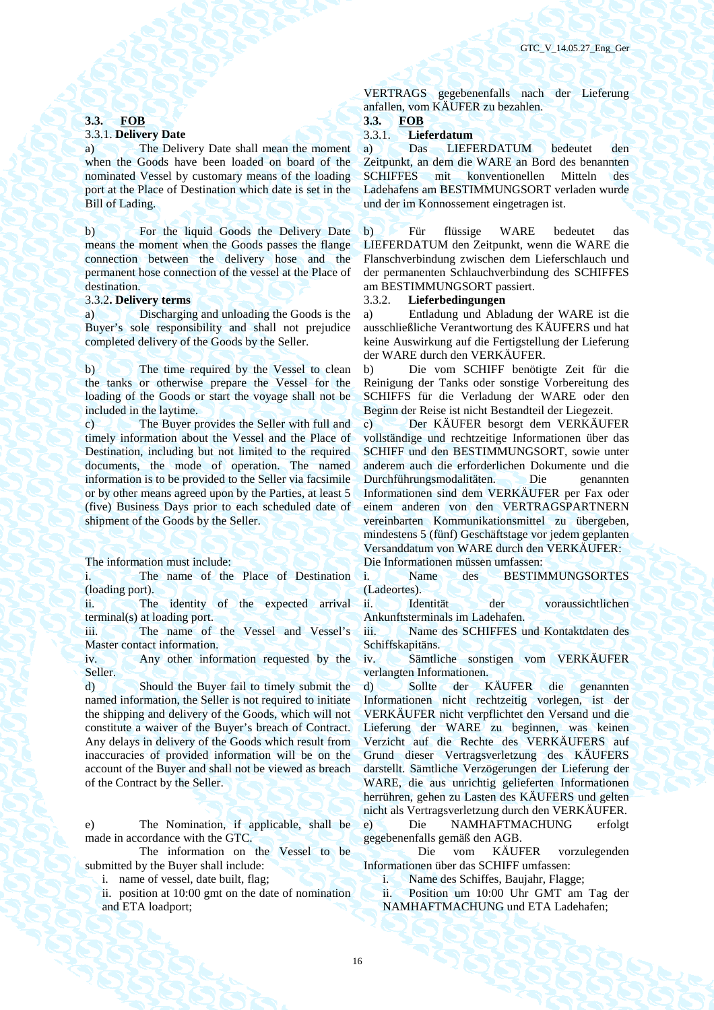### **3.3. FOB 3.3. FOB**

a) The Delivery Date shall mean the moment when the Goods have been loaded on board of the nominated Vessel by customary means of the loading port at the Place of Destination which date is set in the Bill of Lading.

b) For the liquid Goods the Delivery Date means the moment when the Goods passes the flange connection between the delivery hose and the permanent hose connection of the vessel at the Place of destination.

a) Discharging and unloading the Goods is the Buyer's sole responsibility and shall not prejudice completed delivery of the Goods by the Seller.

b) The time required by the Vessel to clean the tanks or otherwise prepare the Vessel for the loading of the Goods or start the voyage shall not be included in the laytime.

c) The Buyer provides the Seller with full and timely information about the Vessel and the Place of Destination, including but not limited to the required documents, the mode of operation. The named information is to be provided to the Seller via facsimile or by other means agreed upon by the Parties, at least 5 (five) Business Days prior to each scheduled date of shipment of the Goods by the Seller.

i. The name of the Place of Destination (loading port).

ii. The identity of the expected arrival terminal(s) at loading port.

iii. The name of the Vessel and Vessel's Master contact information.

iv. Any other information requested by the Seller.

d) Should the Buyer fail to timely submit the named information, the Seller is not required to initiate the shipping and delivery of the Goods, which will not constitute a waiver of the Buyer's breach of Contract. Any delays in delivery of the Goods which result from inaccuracies of provided information will be on the account of the Buyer and shall not be viewed as breach of the Contract by the Seller.

e) The Nomination, if applicable, shall be made in accordance with the GTC.

 The information on the Vessel to be submitted by the Buyer shall include:

ii. position at 10:00 gmt on the date of nomination and ETA loadport;

VERTRAGS gegebenenfalls nach der Lieferung anfallen, vom KÄUFER zu bezahlen.

### 3.3.1. **Delivery Date** 3.3.1. **Lieferdatum**

а) Das LIEFERDATUM bedeutet den Zeitpunkt, an dem die WARE an Bord des benannten SCHIFFES mit konventionellen Mitteln des Ladehafens am BESTIMMUNGSORT verladen wurde und der im Konnossement eingetragen ist.

b) Für flüssige WARE bedeutet das LIEFERDATUM den Zeitpunkt, wenn die WARE die Flanschverbindung zwischen dem Lieferschlauch und der permanenten Schlauchverbindung des SCHIFFES am BESTIMMUNGSORT passiert.

# 3.3.2**. Delivery terms** 3.3.2. **Lieferbedingungen**

a) Entladung und Abladung der WARE ist die ausschließliche Verantwortung des KÄUFERS und hat keine Auswirkung auf die Fertigstellung der Lieferung der WARE durch den VERKÄUFER.

b) Die vom SCHIFF benötigte Zeit für die Reinigung der Tanks oder sonstige Vorbereitung des SCHIFFS für die Verladung der WARE oder den Beginn der Reise ist nicht Bestandteil der Liegezeit.

с) Der KÄUFER besorgt dem VERKÄUFER vollständige und rechtzeitige Informationen über das SCHIFF und den BESTIMMUNGSORT, sowie unter anderem auch die erforderlichen Dokumente und die<br>Durchführungsmodalitäten. Die genannten Durchführungsmodalitäten. Informationen sind dem VERKÄUFER per Fax oder einem anderen von den VERTRAGSPARTNERN vereinbarten Kommunikationsmittel zu übergeben, mindestens 5 (fünf) Geschäftstage vor jedem geplanten Versanddatum von WARE durch den VERKÄUFER: The information must include: Die Informationen müssen umfassen:

> i. Name des BESTIMMUNGSORTES (Ladeortes).

> ii. Identität der voraussichtlichen Ankunftsterminals im Ladehafen.

> iii. Name des SCHIFFES und Kontaktdaten des Schiffskapitäns.

> iv. Sämtliche sonstigen vom VERKÄUFER verlangten Informationen.

> d) Sollte der KÄUFER die genannten Informationen nicht rechtzeitig vorlegen, ist der VERKÄUFER nicht verpflichtet den Versand und die Lieferung der WARE zu beginnen, was keinen Verzicht auf die Rechte des VERKÄUFERS auf Grund dieser Vertragsverletzung des KÄUFERS darstellt. Sämtliche Verzögerungen der Lieferung der WARE, die aus unrichtig gelieferten Informationen herrühren, gehen zu Lasten des KÄUFERS und gelten nicht als Vertragsverletzung durch den VERKÄUFER.

> e) Die NAMHAFTMACHUNG erfolgt gegebenenfalls gemäß den AGB.

> Die vom KÄUFER vorzulegenden Informationen über das SCHIFF umfassen:

i. name of vessel, date built, flag; i. Name des Schiffes, Baujahr, Flagge;

ii. Position um 10:00 Uhr GMT am Tag der NAMHAFTMACHUNG und ETA Ladehafen;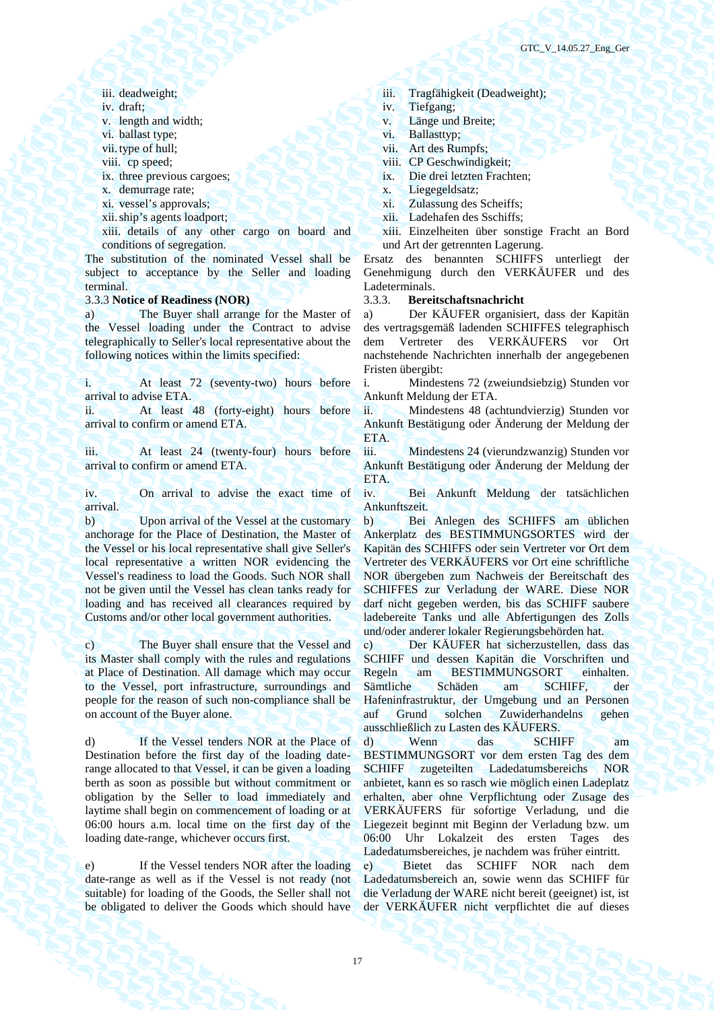- 
- 
- 
- 
- 
- 
- 
- 
- 
- 

xiii. details of any other cargo on board and conditions of segregation.

The substitution of the nominated Vessel shall be subject to acceptance by the Seller and loading terminal.

# 3.3.3 **Notice of Readiness (NOR)** 3.3.3. **Bereitschaftsnachricht**

a) The Buyer shall arrange for the Master of the Vessel loading under the Contract to advise telegraphically to Seller's local representative about the following notices within the limits specified:

i. At least 72 (seventy-two) hours before arrival to advise ETA.

ii. At least 48 (forty-eight) hours before arrival to confirm or amend ETA.

iii. At least 24 (twenty-four) hours before arrival to confirm or amend ETA.

iv. On arrival to advise the exact time of arrival.

b) Upon arrival of the Vessel at the customary anchorage for the Place of Destination, the Master of the Vessel or his local representative shall give Seller's local representative a written NOR evidencing the Vessel's readiness to load the Goods. Such NOR shall not be given until the Vessel has clean tanks ready for loading and has received all clearances required by Customs and/or other local government authorities.

c) The Buyer shall ensure that the Vessel and its Master shall comply with the rules and regulations at Place of Destination. All damage which may occur to the Vessel, port infrastructure, surroundings and people for the reason of such non-compliance shall be on account of the Buyer alone.

d) If the Vessel tenders NOR at the Place of Destination before the first day of the loading daterange allocated to that Vessel, it can be given a loading berth as soon as possible but without commitment or obligation by the Seller to load immediately and laytime shall begin on commencement of loading or at 06:00 hours a.m. local time on the first day of the loading date-range, whichever occurs first.

e) If the Vessel tenders NOR after the loading date-range as well as if the Vessel is not ready (not suitable) for loading of the Goods, the Seller shall not be obligated to deliver the Goods which should have

- iii. deadweight; iii. Tragfähigkeit (Deadweight); iii. Tragfähigkeit (Deadweight);
- iv. draft; iv. Tiefgang; iv. Tiefgang;
- v. length and width; v. Länge und Breite;
- vi. ballast type; vi. Ballasttyp;
- vii. Art des Rumpfs;
- viii. cp speed; viii. CP Geschwindigkeit;
- ix. three previous cargoes; ix. Die drei letzten Frachten;
- x. demurrage rate; x. Liegegeldsatz;
- xi. vessel's approvals; vi. Zulassung des Scheiffs;
- xii. Ship's agents loadport; xii. Ladehafen des Sschiffs;
	- xiii. Einzelheiten über sonstige Fracht an Bord und Art der getrennten Lagerung.

Ersatz des benannten SCHIFFS unterliegt der Genehmigung durch den VERKÄUFER und des Ladeterminals.

а) Der KÄUFER organisiert, dass der Kapitän des vertragsgemäß ladenden SCHIFFES telegraphisch dem Vertreter des VERKÄUFERS vor Ort nachstehende Nachrichten innerhalb der angegebenen Fristen übergibt:

i. Mindestens 72 (zweiundsiebzig) Stunden vor Ankunft Meldung der ETA.

ii. Mindestens 48 (achtundvierzig) Stunden vor Ankunft Bestätigung oder Änderung der Meldung der ETA.

iii. Mindestens 24 (vierundzwanzig) Stunden vor Ankunft Bestätigung oder Änderung der Meldung der ETA.

iv. Bei Ankunft Meldung der tatsächlichen Ankunftszeit.

b) Bei Anlegen des SCHIFFS am üblichen Ankerplatz des BESTIMMUNGSORTES wird der Kapitän des SCHIFFS oder sein Vertreter vor Ort dem Vertreter des VERKÄUFERS vor Ort eine schriftliche NOR übergeben zum Nachweis der Bereitschaft des SCHIFFES zur Verladung der WARE. Diese NOR darf nicht gegeben werden, bis das SCHIFF saubere ladebereite Tanks und alle Abfertigungen des Zolls und/oder anderer lokaler Regierungsbehörden hat.

с) Der KÄUFER hat sicherzustellen, dass das SCHIFF und dessen Kapitän die Vorschriften und Regeln am BESTIMMUNGSORT einhalten. Sämtliche Schäden am SCHIFF, der Hafeninfrastruktur, der Umgebung und an Personen auf Grund solchen Zuwiderhandelns gehen ausschließlich zu Lasten des KÄUFERS.

d) Wenn das SCHIFF am BESTIMMUNGSORT vor dem ersten Tag des dem SCHIFF zugeteilten Ladedatumsbereichs NOR anbietet, kann es so rasch wie möglich einen Ladeplatz erhalten, aber ohne Verpflichtung oder Zusage des VERKÄUFERS für sofortige Verladung, und die Liegezeit beginnt mit Beginn der Verladung bzw. um 06:00 Uhr Lokalzeit des ersten Tages des Ladedatumsbereiches, je nachdem was früher eintritt.

е) Bietet das SCHIFF NOR nach dem Ladedatumsbereich an, sowie wenn das SCHIFF für die Verladung der WARE nicht bereit (geeignet) ist, ist der VERKÄUFER nicht verpflichtet die auf dieses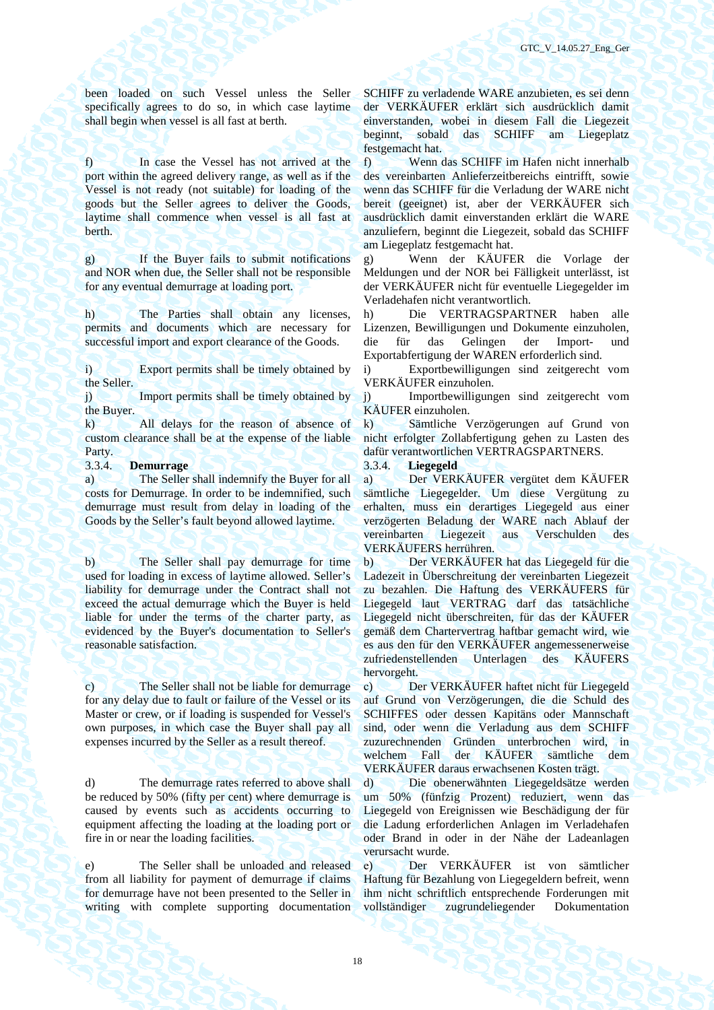been loaded on such Vessel unless the Seller specifically agrees to do so, in which case laytime shall begin when vessel is all fast at berth.

f) In case the Vessel has not arrived at the port within the agreed delivery range, as well as if the Vessel is not ready (not suitable) for loading of the goods but the Seller agrees to deliver the Goods, laytime shall commence when vessel is all fast at berth.

g) If the Buyer fails to submit notifications and NOR when due, the Seller shall not be responsible for any eventual demurrage at loading port.

h) The Parties shall obtain any licenses, permits and documents which are necessary for successful import and export clearance of the Goods.

i) Export permits shall be timely obtained by the Seller.

j) Import permits shall be timely obtained by the Buyer.

k) All delays for the reason of absence of custom clearance shall be at the expense of the liable Party.

3.3.4. **Demurrage** 3.3.4. **Liegegeld** 

a) The Seller shall indemnify the Buyer for all costs for Demurrage. In order to be indemnified, such demurrage must result from delay in loading of the Goods by the Seller's fault beyond allowed laytime.

b) The Seller shall pay demurrage for time used for loading in excess of laytime allowed. Seller's liability for demurrage under the Contract shall not exceed the actual demurrage which the Buyer is held liable for under the terms of the charter party, as evidenced by the Buyer's documentation to Seller's reasonable satisfaction.

c) The Seller shall not be liable for demurrage for any delay due to fault or failure of the Vessel or its Master or crew, or if loading is suspended for Vessel's own purposes, in which case the Buyer shall pay all expenses incurred by the Seller as a result thereof.

d) The demurrage rates referred to above shall be reduced by 50% (fifty per cent) where demurrage is caused by events such as accidents occurring to equipment affecting the loading at the loading port or fire in or near the loading facilities.

e) The Seller shall be unloaded and released from all liability for payment of demurrage if claims for demurrage have not been presented to the Seller in writing with complete supporting documentation

SCHIFF zu verladende WARE anzubieten, es sei denn der VERKÄUFER erklärt sich ausdrücklich damit einverstanden, wobei in diesem Fall die Liegezeit beginnt, sobald das SCHIFF am Liegeplatz festgemacht hat.

f) Wenn das SCHIFF im Hafen nicht innerhalb des vereinbarten Anlieferzeitbereichs eintrifft, sowie wenn das SCHIFF für die Verladung der WARE nicht bereit (geeignet) ist, aber der VERKÄUFER sich ausdrücklich damit einverstanden erklärt die WARE anzuliefern, beginnt die Liegezeit, sobald das SCHIFF am Liegeplatz festgemacht hat.

g) Wenn der KÄUFER die Vorlage der Meldungen und der NOR bei Fälligkeit unterlässt, ist der VERKÄUFER nicht für eventuelle Liegegelder im Verladehafen nicht verantwortlich.

h) Die VERTRAGSPARTNER haben alle Lizenzen, Bewilligungen und Dokumente einzuholen, die für das Gelingen der Import- und Exportabfertigung der WAREN erforderlich sind.

i) Exportbewilligungen sind zeitgerecht vom VERKÄUFER einzuholen.

j) Importbewilligungen sind zeitgerecht vom KÄUFER einzuholen.

k) Sämtliche Verzögerungen auf Grund von nicht erfolgter Zollabfertigung gehen zu Lasten des dafür verantwortlichen VERTRAGSPARTNERS.

а) Der VERKÄUFER vergütet dem KÄUFER sämtliche Liegegelder. Um diese Vergütung zu erhalten, muss ein derartiges Liegegeld aus einer verzögerten Beladung der WARE nach Ablauf der vereinbarten Liegezeit aus Verschulden des VERKÄUFERS herrühren.

b) Der VERKÄUFER hat das Liegegeld für die Ladezeit in Überschreitung der vereinbarten Liegezeit zu bezahlen. Die Haftung des VERKÄUFERS für Liegegeld laut VERTRAG darf das tatsächliche Liegegeld nicht überschreiten, für das der KÄUFER gemäß dem Chartervertrag haftbar gemacht wird, wie es aus den für den VERKÄUFER angemessenerweise zufriedenstellenden Unterlagen des KÄUFERS hervorgeht.

с) Der VERKÄUFER haftet nicht für Liegegeld auf Grund von Verzögerungen, die die Schuld des SCHIFFES oder dessen Kapitäns oder Mannschaft sind, oder wenn die Verladung aus dem SCHIFF zuzurechnenden Gründen unterbrochen wird, in welchem Fall der KÄUFER sämtliche dem VERKÄUFER daraus erwachsenen Kosten trägt.

d) Die obenerwähnten Liegegeldsätze werden um 50% (fünfzig Prozent) reduziert, wenn das Liegegeld von Ereignissen wie Beschädigung der für die Ladung erforderlichen Anlagen im Verladehafen oder Brand in oder in der Nähe der Ladeanlagen verursacht wurde.

е) Der VERKÄUFER ist von sämtlicher Haftung für Bezahlung von Liegegeldern befreit, wenn ihm nicht schriftlich entsprechende Forderungen mit vollständiger zugrundeliegender Dokumentation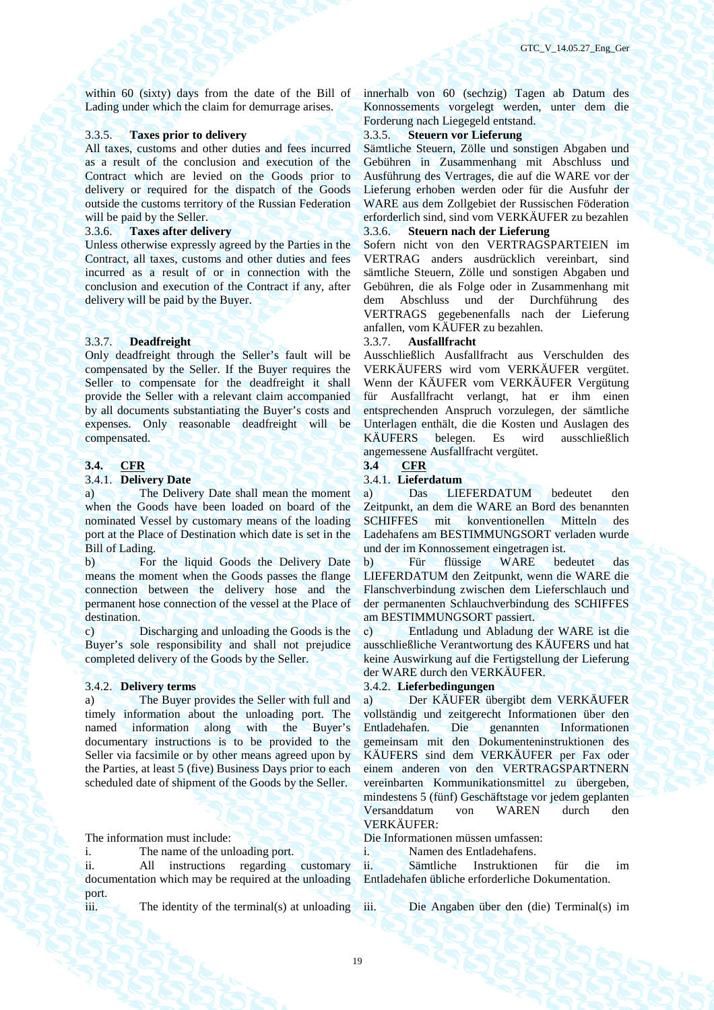within 60 (sixty) days from the date of the Bill of Lading under which the claim for demurrage arises.

# 3.3.5. **Taxes prior to delivery** 3.3.5. **Steuern vor Lieferung**

All taxes, customs and other duties and fees incurred as a result of the conclusion and execution of the Contract which are levied on the Goods prior to delivery or required for the dispatch of the Goods outside the customs territory of the Russian Federation will be paid by the Seller.

Unless otherwise expressly agreed by the Parties in the Contract, all taxes, customs and other duties and fees incurred as a result of or in connection with the conclusion and execution of the Contract if any, after delivery will be paid by the Buyer.

# 3.3.7. **Deadfreight** 3.3.7. **Ausfallfracht**

Only deadfreight through the Seller's fault will be compensated by the Seller. If the Buyer requires the Seller to compensate for the deadfreight it shall provide the Seller with a relevant claim accompanied by all documents substantiating the Buyer's costs and expenses. Only reasonable deadfreight will be compensated.

### **3.4. CFR 3.4 CFR**

### 3.4.1. **Delivery Date** 3.4.1. **Lieferdatum**

a) The Delivery Date shall mean the moment when the Goods have been loaded on board of the nominated Vessel by customary means of the loading port at the Place of Destination which date is set in the Bill of Lading.

b) For the liquid Goods the Delivery Date means the moment when the Goods passes the flange connection between the delivery hose and the permanent hose connection of the vessel at the Place of destination.

c) Discharging and unloading the Goods is the Buyer's sole responsibility and shall not prejudice completed delivery of the Goods by the Seller.

a) The Buyer provides the Seller with full and timely information about the unloading port. The named information along with the Buyer's documentary instructions is to be provided to the Seller via facsimile or by other means agreed upon by the Parties, at least 5 (five) Business Days prior to each scheduled date of shipment of the Goods by the Seller.

ii. All instructions regarding customary documentation which may be required at the unloading port.

iii. The identity of the terminal(s) at unloading iii. Die Angaben über den (die) Terminal(s) im

innerhalb von 60 (sechzig) Tagen ab Datum des Konnossements vorgelegt werden, unter dem die Forderung nach Liegegeld entstand.

Sämtliche Steuern, Zölle und sonstigen Abgaben und Gebühren in Zusammenhang mit Abschluss und Ausführung des Vertrages, die auf die WARE vor der Lieferung erhoben werden oder für die Ausfuhr der WARE aus dem Zollgebiet der Russischen Föderation erforderlich sind, sind vom VERKÄUFER zu bezahlen 3.3.6. **Taxes after delivery** 3.3.6. **Steuern nach der Lieferung** 

Sofern nicht von den VERTRAGSPARTEIEN im VERTRAG anders ausdrücklich vereinbart, sind

sämtliche Steuern, Zölle und sonstigen Abgaben und Gebühren, die als Folge oder in Zusammenhang mit dem Abschluss und der Durchführung des VERTRAGS gegebenenfalls nach der Lieferung anfallen, vom KÄUFER zu bezahlen.

Ausschließlich Ausfallfracht aus Verschulden des VERKÄUFERS wird vom VERKÄUFER vergütet. Wenn der KÄUFER vom VERKÄUFER Vergütung für Ausfallfracht verlangt, hat er ihm einen entsprechenden Anspruch vorzulegen, der sämtliche Unterlagen enthält, die die Kosten und Auslagen des KÄUFERS belegen. Es wird ausschließlich angemessene Ausfallfracht vergütet.<br>3.4 CFR

а) Das LIEFERDATUM bedeutet den Zeitpunkt, an dem die WARE an Bord des benannten SCHIFFES mit konventionellen Mitteln des Ladehafens am BESTIMMUNGSORT verladen wurde und der im Konnossement eingetragen ist.

b) Für flüssige WARE bedeutet das LIEFERDATUM den Zeitpunkt, wenn die WARE die Flanschverbindung zwischen dem Lieferschlauch und der permanenten Schlauchverbindung des SCHIFFES am BESTIMMUNGSORT passiert.

с) Entladung und Abladung der WARE ist die ausschließliche Verantwortung des KÄUFERS und hat keine Auswirkung auf die Fertigstellung der Lieferung der WARE durch den VERKÄUFER.

### 3.4.2. **Delivery terms** 3.4.2. **Lieferbedingungen**

а) Der KÄUFER übergibt dem VERKÄUFER vollständig und zeitgerecht Informationen über den Entladehafen. Die genannten Informationen gemeinsam mit den Dokumenteninstruktionen des KÄUFERS sind dem VERKÄUFER per Fax oder einem anderen von den VERTRAGSPARTNERN vereinbarten Kommunikationsmittel zu übergeben, mindestens 5 (fünf) Geschäftstage vor jedem geplanten Versanddatum von WAREN durch den VERKÄUFER:

### The information must include: Die Informationen müssen umfassen:

i. The name of the unloading port.  $\overrightarrow{\ }$  i. Namen des Entladehafens.

ii. Sämtliche Instruktionen für die im Entladehafen übliche erforderliche Dokumentation.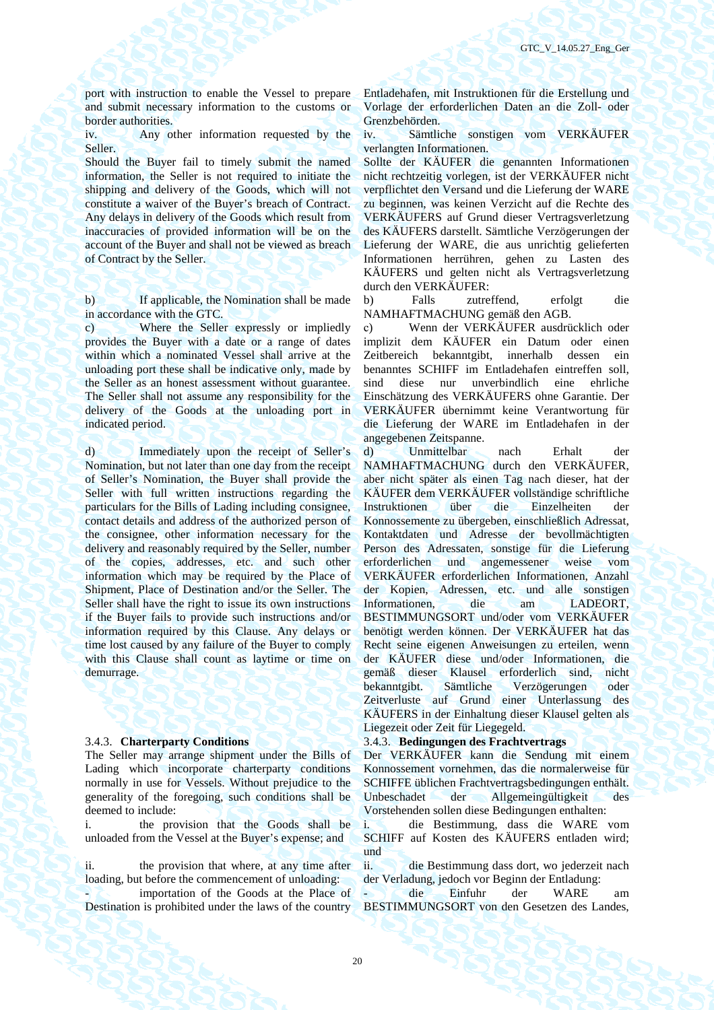port with instruction to enable the Vessel to prepare and submit necessary information to the customs or border authorities.

iv. Any other information requested by the Seller.

Should the Buyer fail to timely submit the named information, the Seller is not required to initiate the shipping and delivery of the Goods, which will not constitute a waiver of the Buyer's breach of Contract. Any delays in delivery of the Goods which result from inaccuracies of provided information will be on the account of the Buyer and shall not be viewed as breach of Contract by the Seller.

b) If applicable, the Nomination shall be made in accordance with the GTC.

c) Where the Seller expressly or impliedly provides the Buyer with a date or a range of dates within which a nominated Vessel shall arrive at the unloading port these shall be indicative only, made by the Seller as an honest assessment without guarantee. The Seller shall not assume any responsibility for the delivery of the Goods at the unloading port in indicated period.

d) Immediately upon the receipt of Seller's Nomination, but not later than one day from the receipt of Seller's Nomination, the Buyer shall provide the Seller with full written instructions regarding the particulars for the Bills of Lading including consignee, contact details and address of the authorized person of the consignee, other information necessary for the delivery and reasonably required by the Seller, number of the copies, addresses, etc. and such other information which may be required by the Place of Shipment, Place of Destination and/or the Seller. The Seller shall have the right to issue its own instructions if the Buyer fails to provide such instructions and/or information required by this Clause. Any delays or time lost caused by any failure of the Buyer to comply with this Clause shall count as laytime or time on demurrage.

The Seller may arrange shipment under the Bills of Lading which incorporate charterparty conditions normally in use for Vessels. Without prejudice to the generality of the foregoing, such conditions shall be deemed to include:

i. the provision that the Goods shall be unloaded from the Vessel at the Buyer's expense; and

ii. the provision that where, at any time after loading, but before the commencement of unloading:

importation of the Goods at the Place of Destination is prohibited under the laws of the country

Entladehafen, mit Instruktionen für die Erstellung und Vorlage der erforderlichen Daten an die Zoll- oder Grenzbehörden.

iv. Sämtliche sonstigen vom VERKÄUFER verlangten Informationen.

Sollte der KÄUFER die genannten Informationen nicht rechtzeitig vorlegen, ist der VERKÄUFER nicht verpflichtet den Versand und die Lieferung der WARE zu beginnen, was keinen Verzicht auf die Rechte des VERKÄUFERS auf Grund dieser Vertragsverletzung des KÄUFERS darstellt. Sämtliche Verzögerungen der Lieferung der WARE, die aus unrichtig gelieferten Informationen herrühren, gehen zu Lasten des KÄUFERS und gelten nicht als Vertragsverletzung durch den VERKÄUFER:

b) Falls zutreffend, erfolgt die NAMHAFTMACHUNG gemäß den AGB.

с) Wenn der VERKÄUFER ausdrücklich oder implizit dem KÄUFER ein Datum oder einen Zeitbereich bekanntgibt, innerhalb dessen ein benanntes SCHIFF im Entladehafen eintreffen soll, sind diese nur unverbindlich eine ehrliche Einschätzung des VERKÄUFERS ohne Garantie. Der VERKÄUFER übernimmt keine Verantwortung für die Lieferung der WARE im Entladehafen in der angegebenen Zeitspanne.

d) Unmittelbar nach Erhalt der NAMHAFTMACHUNG durch den VERKÄUFER, aber nicht später als einen Tag nach dieser, hat der KÄUFER dem VERKÄUFER vollständige schriftliche Instruktionen über die Einzelheiten der Konnossemente zu übergeben, einschließlich Adressat, Kontaktdaten und Adresse der bevollmächtigten Person des Adressaten, sonstige für die Lieferung erforderlichen und angemessener weise vom VERKÄUFER erforderlichen Informationen, Anzahl der Kopien, Adressen, etc. und alle sonstigen Informationen, die am LADEORT, BESTIMMUNGSORT und/oder vom VERKÄUFER benötigt werden können. Der VERKÄUFER hat das Recht seine eigenen Anweisungen zu erteilen, wenn der KÄUFER diese und/oder Informationen, die gemäß dieser Klausel erforderlich sind, nicht bekanntgibt. Sämtliche Verzögerungen oder Zeitverluste auf Grund einer Unterlassung des KÄUFERS in der Einhaltung dieser Klausel gelten als Liegezeit oder Zeit für Liegegeld.

# 3.4.3. **Charterparty Conditions** 3.4.3. **Bedingungen des Frachtvertrags**

Der VERKÄUFER kann die Sendung mit einem Konnossement vornehmen, das die normalerweise für SCHIFFE üblichen Frachtvertragsbedingungen enthält. Unbeschadet der Allgemeingültigkeit des Vorstehenden sollen diese Bedingungen enthalten:

i. die Bestimmung, dass die WARE vom SCHIFF auf Kosten des KÄUFERS entladen wird; und

ii. die Bestimmung dass dort, wo jederzeit nach der Verladung, jedoch vor Beginn der Entladung:

- die Einfuhr der WARE am BESTIMMUNGSORT von den Gesetzen des Landes,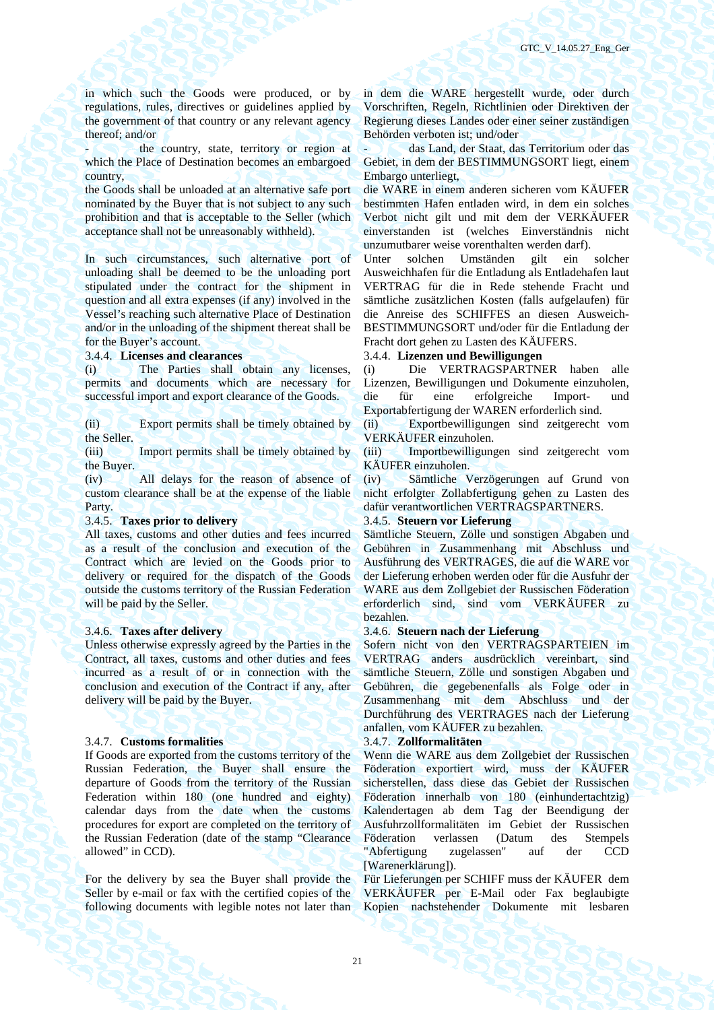in which such the Goods were produced, or by regulations, rules, directives or guidelines applied by the government of that country or any relevant agency thereof; and/or

the country, state, territory or region at which the Place of Destination becomes an embargoed country,

the Goods shall be unloaded at an alternative safe port nominated by the Buyer that is not subject to any such prohibition and that is acceptable to the Seller (which acceptance shall not be unreasonably withheld).

In such circumstances, such alternative port of unloading shall be deemed to be the unloading port stipulated under the contract for the shipment in question and all extra expenses (if any) involved in the Vessel's reaching such alternative Place of Destination and/or in the unloading of the shipment thereat shall be for the Buyer's account.

(i) The Parties shall obtain any licenses, permits and documents which are necessary for successful import and export clearance of the Goods.

(ii) Export permits shall be timely obtained by the Seller.

(iii) Import permits shall be timely obtained by the Buyer.

(iv) All delays for the reason of absence of custom clearance shall be at the expense of the liable Party.

### 3.4.5. **Taxes prior to delivery** 3.4.5. **Steuern vor Lieferung**

All taxes, customs and other duties and fees incurred as a result of the conclusion and execution of the Contract which are levied on the Goods prior to delivery or required for the dispatch of the Goods outside the customs territory of the Russian Federation will be paid by the Seller.

Unless otherwise expressly agreed by the Parties in the Contract, all taxes, customs and other duties and fees incurred as a result of or in connection with the conclusion and execution of the Contract if any, after delivery will be paid by the Buyer.

### 3.4.7. **Customs formalities** 3.4.7. **Zollformalitäten**

If Goods are exported from the customs territory of the Russian Federation, the Buyer shall ensure the departure of Goods from the territory of the Russian Federation within 180 (one hundred and eighty) calendar days from the date when the customs procedures for export are completed on the territory of the Russian Federation (date of the stamp "Clearance allowed" in CCD).

For the delivery by sea the Buyer shall provide the Seller by e-mail or fax with the certified copies of the following documents with legible notes not later than in dem die WARE hergestellt wurde, oder durch Vorschriften, Regeln, Richtlinien oder Direktiven der Regierung dieses Landes oder einer seiner zuständigen Behörden verboten ist; und/oder

- das Land, der Staat, das Territorium oder das Gebiet, in dem der BESTIMMUNGSORT liegt, einem Embargo unterliegt,

die WARE in einem anderen sicheren vom KÄUFER bestimmten Hafen entladen wird, in dem ein solches Verbot nicht gilt und mit dem der VERKÄUFER einverstanden ist (welches Einverständnis nicht unzumutbarer weise vorenthalten werden darf).

Unter solchen Umständen gilt ein solcher Ausweichhafen für die Entladung als Entladehafen laut VERTRAG für die in Rede stehende Fracht und sämtliche zusätzlichen Kosten (falls aufgelaufen) für die Anreise des SCHIFFES an diesen Ausweich-BESTIMMUNGSORT und/oder für die Entladung der Fracht dort gehen zu Lasten des KÄUFERS.

# 3.4.4. **Licenses and clearances** 3.4.4. **Lizenzen und Bewilligungen**

(i) Die VERTRAGSPARTNER haben alle Lizenzen, Bewilligungen und Dokumente einzuholen, die für eine erfolgreiche Import- und Exportabfertigung der WAREN erforderlich sind.

(ii) Exportbewilligungen sind zeitgerecht vom VERKÄUFER einzuholen.

(iii) Importbewilligungen sind zeitgerecht vom KÄUFER einzuholen.

(iv) Sämtliche Verzögerungen auf Grund von nicht erfolgter Zollabfertigung gehen zu Lasten des dafür verantwortlichen VERTRAGSPARTNERS.

Sämtliche Steuern, Zölle und sonstigen Abgaben und Gebühren in Zusammenhang mit Abschluss und Ausführung des VERTRAGES, die auf die WARE vor der Lieferung erhoben werden oder für die Ausfuhr der WARE aus dem Zollgebiet der Russischen Föderation erforderlich sind, sind vom VERKÄUFER zu bezahlen.

### 3.4.6. **Taxes after delivery** 3.4.6. **Steuern nach der Lieferung**

Sofern nicht von den VERTRAGSPARTEIEN im VERTRAG anders ausdrücklich vereinbart, sind sämtliche Steuern, Zölle und sonstigen Abgaben und Gebühren, die gegebenenfalls als Folge oder in Zusammenhang mit dem Abschluss und der Durchführung des VERTRAGES nach der Lieferung anfallen, vom KÄUFER zu bezahlen.

Wenn die WARE aus dem Zollgebiet der Russischen Föderation exportiert wird, muss der KÄUFER sicherstellen, dass diese das Gebiet der Russischen Föderation innerhalb von 180 (einhundertachtzig) Kalendertagen ab dem Tag der Beendigung der Ausfuhrzollformalitäten im Gebiet der Russischen Föderation verlassen (Datum des Stempels "Abfertigung zugelassen" auf der CCD [Warenerklärung]).

Für Lieferungen per SCHIFF muss der KÄUFER dem VERKÄUFER per E-Mail oder Fax beglaubigte Kopien nachstehender Dokumente mit lesbaren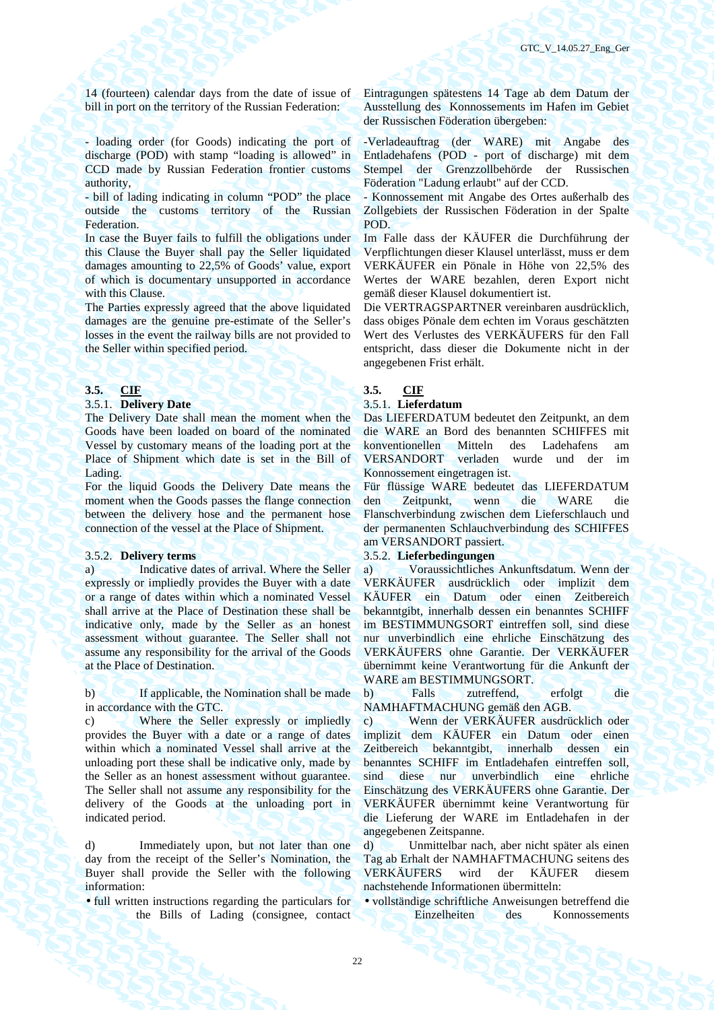14 (fourteen) calendar days from the date of issue of bill in port on the territory of the Russian Federation:

- loading order (for Goods) indicating the port of discharge (POD) with stamp "loading is allowed" in CCD made by Russian Federation frontier customs authority,

- bill of lading indicating in column "POD" the place outside the customs territory of the Russian Federation.

In case the Buyer fails to fulfill the obligations under this Clause the Buyer shall pay the Seller liquidated damages amounting to 22,5% of Goods' value, export of which is documentary unsupported in accordance with this Clause.

The Parties expressly agreed that the above liquidated damages are the genuine pre-estimate of the Seller's losses in the event the railway bills are not provided to the Seller within specified period.

### 3.5.1. **Delivery Date** 3.5.1. **Lieferdatum**

The Delivery Date shall mean the moment when the Goods have been loaded on board of the nominated Vessel by customary means of the loading port at the Place of Shipment which date is set in the Bill of Lading.

For the liquid Goods the Delivery Date means the moment when the Goods passes the flange connection between the delivery hose and the permanent hose connection of the vessel at the Place of Shipment.

a) Indicative dates of arrival. Where the Seller expressly or impliedly provides the Buyer with a date or a range of dates within which a nominated Vessel shall arrive at the Place of Destination these shall be indicative only, made by the Seller as an honest assessment without guarantee. The Seller shall not assume any responsibility for the arrival of the Goods at the Place of Destination.

b) If applicable, the Nomination shall be made in accordance with the GTC.

c) Where the Seller expressly or impliedly provides the Buyer with a date or a range of dates within which a nominated Vessel shall arrive at the unloading port these shall be indicative only, made by the Seller as an honest assessment without guarantee. The Seller shall not assume any responsibility for the delivery of the Goods at the unloading port in indicated period.

d) Immediately upon, but not later than one day from the receipt of the Seller's Nomination, the Buyer shall provide the Seller with the following information:

• full written instructions regarding the particulars for the Bills of Lading (consignee, contact Eintragungen spätestens 14 Tage ab dem Datum der Ausstellung des Konnossements im Hafen im Gebiet der Russischen Föderation übergeben:

-Verladeauftrag (der WARE) mit Angabe des Entladehafens (POD - port of discharge) mit dem Stempel der Grenzzollbehörde der Russischen Föderation "Ladung erlaubt" auf der CCD.

- Konnossement mit Angabe des Ortes außerhalb des Zollgebiets der Russischen Föderation in der Spalte POD.

Im Falle dass der KÄUFER die Durchführung der Verpflichtungen dieser Klausel unterlässt, muss er dem VERKÄUFER ein Pönale in Höhe von 22,5% des Wertes der WARE bezahlen, deren Export nicht gemäß dieser Klausel dokumentiert ist.

Die VERTRAGSPARTNER vereinbaren ausdrücklich, dass obiges Pönale dem echten im Voraus geschätzten Wert des Verlustes des VERKÄUFERS für den Fall entspricht, dass dieser die Dokumente nicht in der angegebenen Frist erhält.

### **3.5. CIF 3.5. CIF**

Das LIEFERDATUM bedeutet den Zeitpunkt, an dem die WARE an Bord des benannten SCHIFFES mit konventionellen Mitteln des Ladehafens am VERSANDORT verladen wurde und der im Konnossement eingetragen ist.

Für flüssige WARE bedeutet das LIEFERDATUM den Zeitpunkt, wenn die WARE die Flanschverbindung zwischen dem Lieferschlauch und der permanenten Schlauchverbindung des SCHIFFES am VERSANDORT passiert.

### 3.5.2. **Delivery terms** 3.5.2. **Lieferbedingungen**

а) Voraussichtliches Ankunftsdatum. Wenn der VERKÄUFER ausdrücklich oder implizit dem KÄUFER ein Datum oder einen Zeitbereich bekanntgibt, innerhalb dessen ein benanntes SCHIFF im BESTIMMUNGSORT eintreffen soll, sind diese nur unverbindlich eine ehrliche Einschätzung des VERKÄUFERS ohne Garantie. Der VERKÄUFER übernimmt keine Verantwortung für die Ankunft der WARE am BESTIMMUNGSORT.

b) Falls zutreffend, erfolgt die NAMHAFTMACHUNG gemäß den AGB.

c) Wenn der VERKÄUFER ausdrücklich oder implizit dem KÄUFER ein Datum oder einen Zeitbereich bekanntgibt, innerhalb dessen ein benanntes SCHIFF im Entladehafen eintreffen soll, sind diese nur unverbindlich eine ehrliche Einschätzung des VERKÄUFERS ohne Garantie. Der VERKÄUFER übernimmt keine Verantwortung für die Lieferung der WARE im Entladehafen in der angegebenen Zeitspanne.

d) Unmittelbar nach, aber nicht später als einen Tag ab Erhalt der NAMHAFTMACHUNG seitens des VERKÄUFERS wird der KÄUFER diesem nachstehende Informationen übermitteln:

• vollständige schriftliche Anweisungen betreffend die Einzelheiten des Konnossements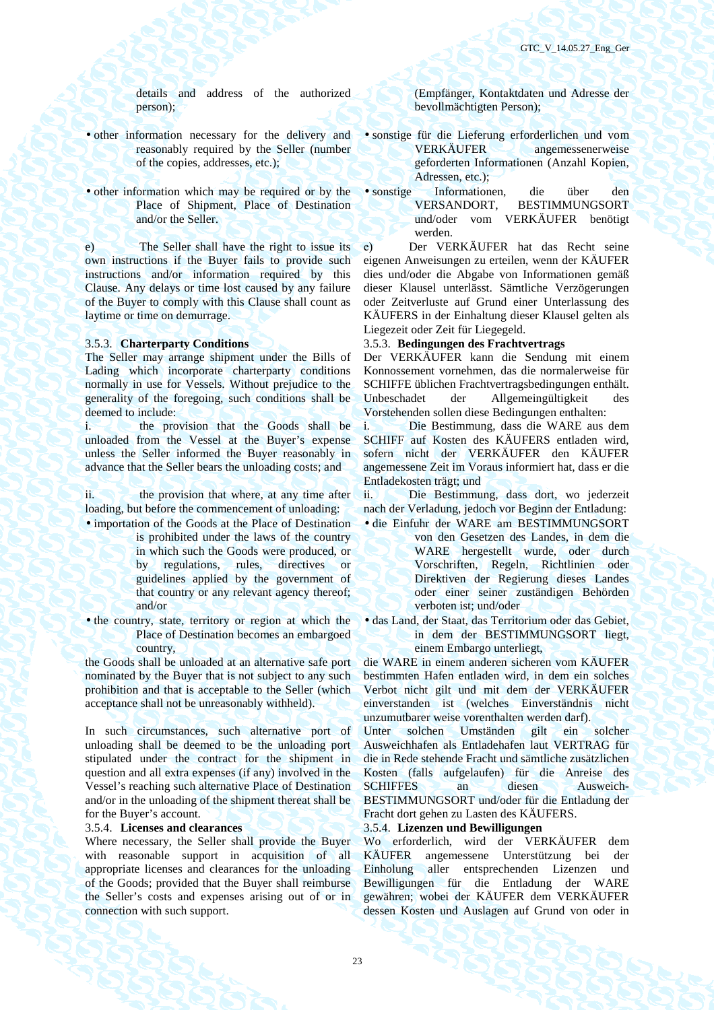details and address of the authorized person);

- other information necessary for the delivery and reasonably required by the Seller (number of the copies, addresses, etc.);
- other information which may be required or by the Place of Shipment, Place of Destination and/or the Seller.

e) The Seller shall have the right to issue its own instructions if the Buyer fails to provide such instructions and/or information required by this Clause. Any delays or time lost caused by any failure of the Buyer to comply with this Clause shall count as laytime or time on demurrage.

The Seller may arrange shipment under the Bills of Lading which incorporate charterparty conditions normally in use for Vessels. Without prejudice to the generality of the foregoing, such conditions shall be deemed to include:

i. the provision that the Goods shall be unloaded from the Vessel at the Buyer's expense unless the Seller informed the Buyer reasonably in advance that the Seller bears the unloading costs; and

ii. the provision that where, at any time after loading, but before the commencement of unloading: • importation of the Goods at the Place of Destination

- is prohibited under the laws of the country in which such the Goods were produced, or by regulations, rules, directives or guidelines applied by the government of that country or any relevant agency thereof; and/or
- the country, state, territory or region at which the Place of Destination becomes an embargoed country,

the Goods shall be unloaded at an alternative safe port nominated by the Buyer that is not subject to any such prohibition and that is acceptable to the Seller (which acceptance shall not be unreasonably withheld).

In such circumstances, such alternative port of unloading shall be deemed to be the unloading port stipulated under the contract for the shipment in question and all extra expenses (if any) involved in the Vessel's reaching such alternative Place of Destination and/or in the unloading of the shipment thereat shall be for the Buyer's account.

Where necessary, the Seller shall provide the Buyer with reasonable support in acquisition of all appropriate licenses and clearances for the unloading of the Goods; provided that the Buyer shall reimburse the Seller's costs and expenses arising out of or in connection with such support.

(Empfänger, Kontaktdaten und Adresse der bevollmächtigten Person);

- sonstige für die Lieferung erforderlichen und vom VERKÄUFER angemessenerweise geforderten Informationen (Anzahl Kopien, Adressen, etc.);
- sonstige Informationen, die über den VERSANDORT, BESTIMMUNGSORT und/oder vom VERKÄUFER benötigt werden.

е) Der VERKÄUFER hat das Recht seine eigenen Anweisungen zu erteilen, wenn der KÄUFER dies und/oder die Abgabe von Informationen gemäß dieser Klausel unterlässt. Sämtliche Verzögerungen oder Zeitverluste auf Grund einer Unterlassung des KÄUFERS in der Einhaltung dieser Klausel gelten als Liegezeit oder Zeit für Liegegeld.

### 3.5.3. **Charterparty Conditions** 3.5.3. **Bedingungen des Frachtvertrags**

Der VERKÄUFER kann die Sendung mit einem Konnossement vornehmen, das die normalerweise für SCHIFFE üblichen Frachtvertragsbedingungen enthält. Unbeschadet der Allgemeingültigkeit des Vorstehenden sollen diese Bedingungen enthalten:

i. Die Bestimmung, dass die WARE aus dem SCHIFF auf Kosten des KÄUFERS entladen wird, sofern nicht der VERKÄUFER den KÄUFER angemessene Zeit im Voraus informiert hat, dass er die Entladekosten trägt; und

ii. Die Bestimmung, dass dort, wo jederzeit nach der Verladung, jedoch vor Beginn der Entladung: • die Einfuhr der WARE am BESTIMMUNGSORT

> von den Gesetzen des Landes, in dem die WARE hergestellt wurde, oder durch Vorschriften, Regeln, Richtlinien oder Direktiven der Regierung dieses Landes oder einer seiner zuständigen Behörden verboten ist; und/oder

• das Land, der Staat, das Territorium oder das Gebiet, in dem der BESTIMMUNGSORT liegt, einem Embargo unterliegt,

die WARE in einem anderen sicheren vom KÄUFER bestimmten Hafen entladen wird, in dem ein solches Verbot nicht gilt und mit dem der VERKÄUFER einverstanden ist (welches Einverständnis nicht unzumutbarer weise vorenthalten werden darf).

Unter solchen Umständen gilt ein solcher Ausweichhafen als Entladehafen laut VERTRAG für die in Rede stehende Fracht und sämtliche zusätzlichen Kosten (falls aufgelaufen) für die Anreise des SCHIFFES an diesen Ausweich-BESTIMMUNGSORT und/oder für die Entladung der Fracht dort gehen zu Lasten des KÄUFERS.

### 3.5.4. **Licenses and clearances** 3.5.4. **Lizenzen und Bewilligungen**

Wo erforderlich, wird der VERKÄUFER dem KÄUFER angemessene Unterstützung bei der Einholung aller entsprechenden Lizenzen und Bewilligungen für die Entladung der WARE gewähren; wobei der KÄUFER dem VERKÄUFER dessen Kosten und Auslagen auf Grund von oder in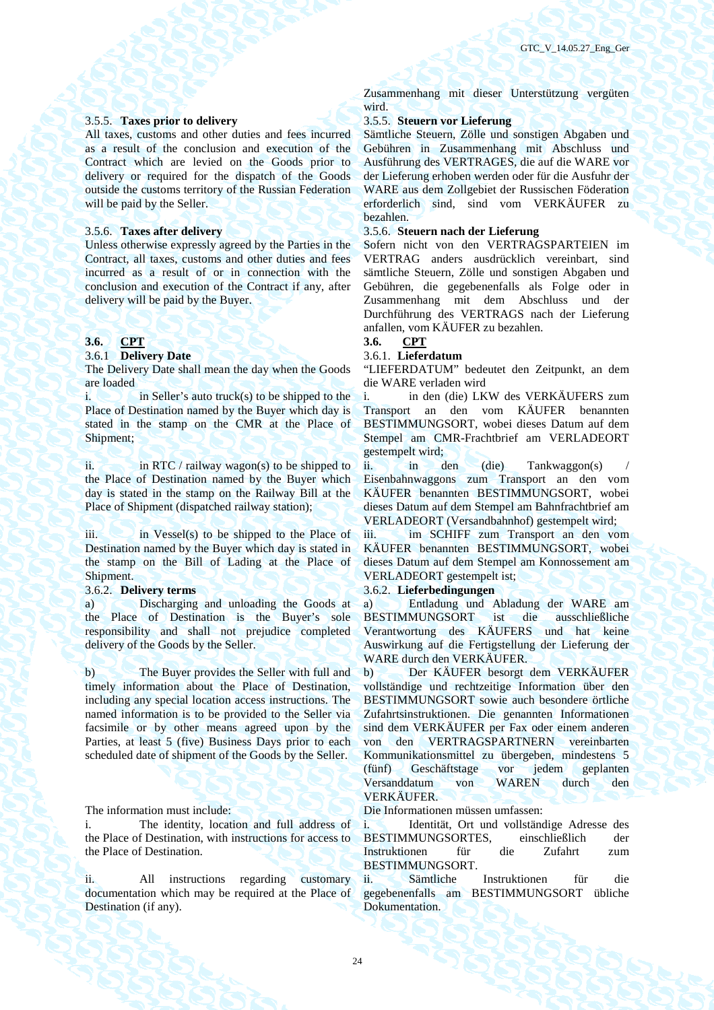### 3.5.5. **Taxes prior to delivery** 3.5.5. **Steuern vor Lieferung**

All taxes, customs and other duties and fees incurred as a result of the conclusion and execution of the Contract which are levied on the Goods prior to delivery or required for the dispatch of the Goods outside the customs territory of the Russian Federation will be paid by the Seller.

Unless otherwise expressly agreed by the Parties in the Contract, all taxes, customs and other duties and fees incurred as a result of or in connection with the conclusion and execution of the Contract if any, after delivery will be paid by the Buyer.

### 3.6.1 **Delivery Date** 3.6.1. **Lieferdatum**

The Delivery Date shall mean the day when the Goods are loaded

i.  $\qquad$  in Seller's auto truck(s) to be shipped to the Place of Destination named by the Buyer which day is stated in the stamp on the CMR at the Place of Shipment;

ii. in RTC / railway wagon(s) to be shipped to the Place of Destination named by the Buyer which day is stated in the stamp on the Railway Bill at the Place of Shipment (dispatched railway station);

 $iii.$  in Vessel(s) to be shipped to the Place of Destination named by the Buyer which day is stated in the stamp on the Bill of Lading at the Place of Shipment.

a) Discharging and unloading the Goods at the Place of Destination is the Buyer's sole responsibility and shall not prejudice completed delivery of the Goods by the Seller.

b) The Buyer provides the Seller with full and timely information about the Place of Destination, including any special location access instructions. The named information is to be provided to the Seller via facsimile or by other means agreed upon by the Parties, at least 5 (five) Business Days prior to each scheduled date of shipment of the Goods by the Seller.

The identity, location and full address of the Place of Destination, with instructions for access to the Place of Destination.

ii. All instructions regarding customary documentation which may be required at the Place of Destination (if any).

Zusammenhang mit dieser Unterstützung vergüten wird.

Sämtliche Steuern, Zölle und sonstigen Abgaben und Gebühren in Zusammenhang mit Abschluss und Ausführung des VERTRAGES, die auf die WARE vor der Lieferung erhoben werden oder für die Ausfuhr der WARE aus dem Zollgebiet der Russischen Föderation erforderlich sind, sind vom VERKÄUFER zu bezahlen.

# 3.5.6. **Taxes after delivery** 3.5.6. **Steuern nach der Lieferung**

Sofern nicht von den VERTRAGSPARTEIEN im VERTRAG anders ausdrücklich vereinbart, sind sämtliche Steuern, Zölle und sonstigen Abgaben und Gebühren, die gegebenenfalls als Folge oder in Zusammenhang mit dem Abschluss und der Durchführung des VERTRAGS nach der Lieferung anfallen, vom KÄUFER zu bezahlen.

### **3.6. CPT 3.6. CPT**

"LIEFERDATUM" bedeutet den Zeitpunkt, an dem die WARE verladen wird

i. in den (die) LKW des VERKÄUFERS zum Transport an den vom KÄUFER benannten BESTIMMUNGSORT, wobei dieses Datum auf dem Stempel am CMR-Frachtbrief am VERLADEORT gestempelt wird;

ii. in den (die) Tankwaggon(s) Eisenbahnwaggons zum Transport an den vom KÄUFER benannten BESTIMMUNGSORT, wobei dieses Datum auf dem Stempel am Bahnfrachtbrief am VERLADEORT (Versandbahnhof) gestempelt wird;

iii. im SCHIFF zum Transport an den vom KÄUFER benannten BESTIMMUNGSORT, wobei dieses Datum auf dem Stempel am Konnossement am VERLADEORT gestempelt ist;

# 3.6.2. **Delivery terms** 3.6.2. **Lieferbedingungen**

a) Entladung und Abladung der WARE am<br>BESTIMMUNGSORT ist die ausschließliche BESTIMMUNGSORT ist die Verantwortung des KÄUFERS und hat keine Auswirkung auf die Fertigstellung der Lieferung der WARE durch den VERKÄUFER.

b) Der KÄUFER besorgt dem VERKÄUFER vollständige und rechtzeitige Information über den BESTIMMUNGSORT sowie auch besondere örtliche Zufahrtsinstruktionen. Die genannten Informationen sind dem VERKÄUFER per Fax oder einem anderen von den VERTRAGSPARTNERN vereinbarten Kommunikationsmittel zu übergeben, mindestens 5 (fünf) Geschäftstage vor Versanddatum von WAREN durch den VERKÄUFER.

The information must include: Die Informationen müssen umfassen:

i. Identität, Ort und vollständige Adresse des BESTIMMUNGSORTES, einschließlich der Instruktionen für die Zufahrt zum BESTIMMUNGSORT.

ii. Sämtliche Instruktionen für die gegebenenfalls am BESTIMMUNGSORT übliche Dokumentation.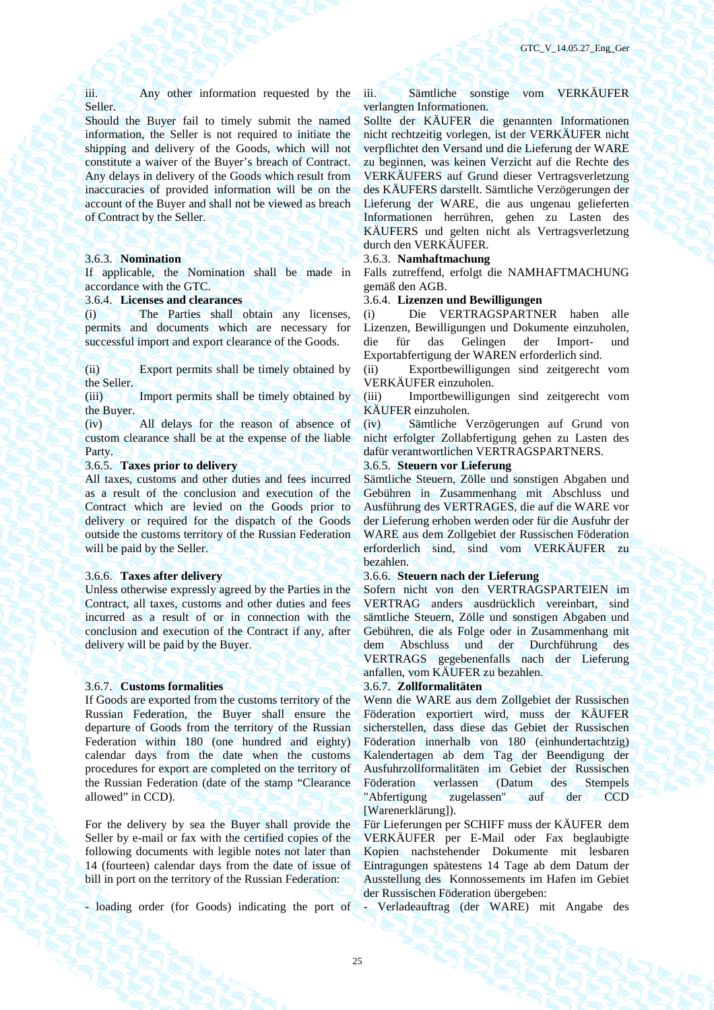iii. Any other information requested by the Seller.

Should the Buyer fail to timely submit the named information, the Seller is not required to initiate the shipping and delivery of the Goods, which will not constitute a waiver of the Buyer's breach of Contract. Any delays in delivery of the Goods which result from inaccuracies of provided information will be on the account of the Buyer and shall not be viewed as breach of Contract by the Seller.

If applicable, the Nomination shall be made in accordance with the GTC.

(i) The Parties shall obtain any licenses, permits and documents which are necessary for successful import and export clearance of the Goods.

(ii) Export permits shall be timely obtained by the Seller.

(iii) Import permits shall be timely obtained by the Buyer.

(iv) All delays for the reason of absence of custom clearance shall be at the expense of the liable Party.

# 3.6.5. **Taxes prior to delivery**

All taxes, customs and other duties and fees incurred as a result of the conclusion and execution of the Contract which are levied on the Goods prior to delivery or required for the dispatch of the Goods outside the customs territory of the Russian Federation will be paid by the Seller.

Unless otherwise expressly agreed by the Parties in the Contract, all taxes, customs and other duties and fees incurred as a result of or in connection with the conclusion and execution of the Contract if any, after delivery will be paid by the Buyer.

### 3.6.7. **Customs formalities** 3.6.7. **Zollformalitäten**

If Goods are exported from the customs territory of the Russian Federation, the Buyer shall ensure the departure of Goods from the territory of the Russian Federation within 180 (one hundred and eighty) calendar days from the date when the customs procedures for export are completed on the territory of the Russian Federation (date of the stamp "Clearance allowed" in CCD).

For the delivery by sea the Buyer shall provide the Seller by e-mail or fax with the certified copies of the following documents with legible notes not later than 14 (fourteen) calendar days from the date of issue of bill in port on the territory of the Russian Federation:

- loading order (for Goods) indicating the port of

iii. Sämtliche sonstige vom VERKÄUFER verlangten Informationen.

Sollte der KÄUFER die genannten Informationen nicht rechtzeitig vorlegen, ist der VERKÄUFER nicht verpflichtet den Versand und die Lieferung der WARE zu beginnen, was keinen Verzicht auf die Rechte des VERKÄUFERS auf Grund dieser Vertragsverletzung des KÄUFERS darstellt. Sämtliche Verzögerungen der Lieferung der WARE, die aus ungenau gelieferten Informationen herrühren, gehen zu Lasten des KÄUFERS und gelten nicht als Vertragsverletzung durch den VERKÄUFER.

### 3.6.3. **Nomination** 3.6.3. **Namhaftmachung**

Falls zutreffend, erfolgt die NAMHAFTMACHUNG gemäß den AGB.

# 3.6.4. **Licenses and clearances** 3.6.4. **Lizenzen und Bewilligungen**

(i) Die VERTRAGSPARTNER haben alle Lizenzen, Bewilligungen und Dokumente einzuholen, die für das Gelingen der Import- und Exportabfertigung der WAREN erforderlich sind.

(ii) Exportbewilligungen sind zeitgerecht vom VERKÄUFER einzuholen.

(iii) Importbewilligungen sind zeitgerecht vom KÄUFER einzuholen.

(iv) Sämtliche Verzögerungen auf Grund von nicht erfolgter Zollabfertigung gehen zu Lasten des dafür verantwortlichen VERTRAGSPARTNERS.<br>3.6.5. Steuern vor Lieferung

Sämtliche Steuern, Zölle und sonstigen Abgaben und Gebühren in Zusammenhang mit Abschluss und Ausführung des VERTRAGES, die auf die WARE vor der Lieferung erhoben werden oder für die Ausfuhr der WARE aus dem Zollgebiet der Russischen Föderation erforderlich sind, sind vom VERKÄUFER zu bezahlen.

# 3.6.6. **Taxes after delivery** 3.6.6. **Steuern nach der Lieferung**

Sofern nicht von den VERTRAGSPARTEIEN im VERTRAG anders ausdrücklich vereinbart, sind sämtliche Steuern, Zölle und sonstigen Abgaben und Gebühren, die als Folge oder in Zusammenhang mit dem Abschluss und der Durchführung des VERTRAGS gegebenenfalls nach der Lieferung anfallen, vom KÄUFER zu bezahlen.

Wenn die WARE aus dem Zollgebiet der Russischen Föderation exportiert wird, muss der KÄUFER sicherstellen, dass diese das Gebiet der Russischen Föderation innerhalb von 180 (einhundertachtzig) Kalendertagen ab dem Tag der Beendigung der Ausfuhrzollformalitäten im Gebiet der Russischen Föderation verlassen (Datum des Stempels "Abfertigung zugelassen" auf der CCD [Warenerklärung]).

Für Lieferungen per SCHIFF muss der KÄUFER dem VERKÄUFER per E-Mail oder Fax beglaubigte Kopien nachstehender Dokumente mit lesbaren Eintragungen spätestens 14 Tage ab dem Datum der Ausstellung des Konnossements im Hafen im Gebiet der Russischen Föderation übergeben:

- Verladeauftrag (der WARE) mit Angabe des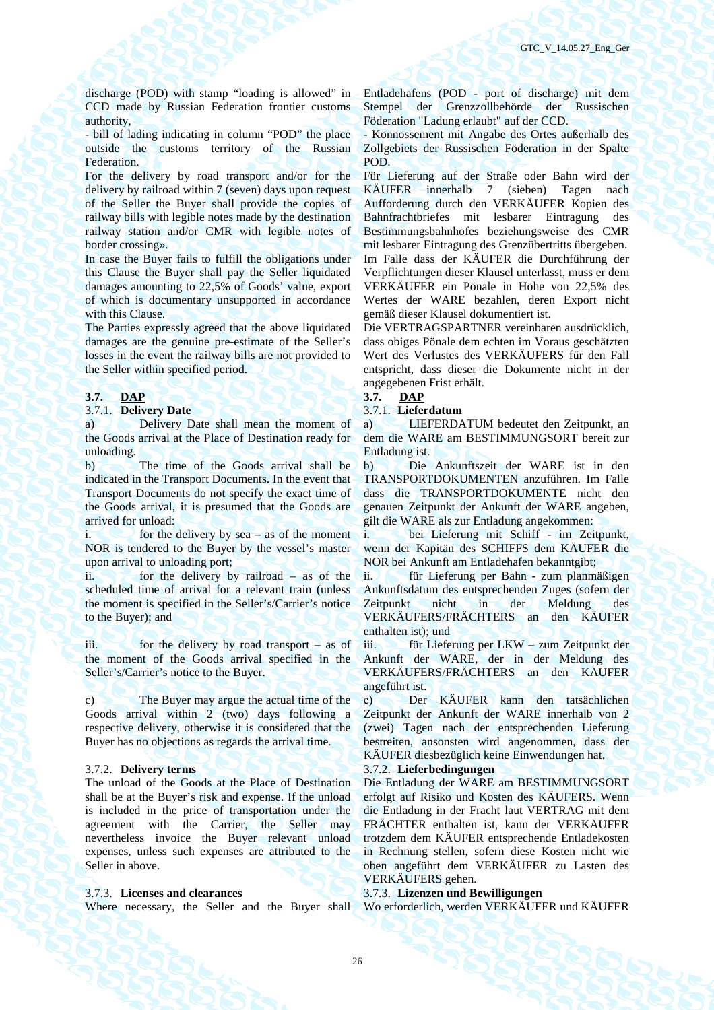discharge (POD) with stamp "loading is allowed" in CCD made by Russian Federation frontier customs authority,

- bill of lading indicating in column "POD" the place outside the customs territory of the Russian Federation.

For the delivery by road transport and/or for the delivery by railroad within 7 (seven) days upon request of the Seller the Buyer shall provide the copies of railway bills with legible notes made by the destination railway station and/or CMR with legible notes of border crossing».

In case the Buyer fails to fulfill the obligations under this Clause the Buyer shall pay the Seller liquidated damages amounting to 22,5% of Goods' value, export of which is documentary unsupported in accordance with this Clause.

The Parties expressly agreed that the above liquidated damages are the genuine pre-estimate of the Seller's losses in the event the railway bills are not provided to the Seller within specified period.

### **3.7. DAP**  $\overline{\phantom{a}}$  **DAP**

### 3.7.1. **Delivery Date** 3.7.1. **Lieferdatum**

a) Delivery Date shall mean the moment of the Goods arrival at the Place of Destination ready for unloading.

b) The time of the Goods arrival shall be indicated in the Transport Documents. In the event that Transport Documents do not specify the exact time of the Goods arrival, it is presumed that the Goods are arrived for unload:

 $i.$  for the delivery by sea – as of the moment NOR is tendered to the Buyer by the vessel's master upon arrival to unloading port;

ii. for the delivery by railroad – as of the scheduled time of arrival for a relevant train (unless the moment is specified in the Seller's/Carrier's notice to the Buyer); and

iii. for the delivery by road transport – as of the moment of the Goods arrival specified in the Seller's/Carrier's notice to the Buyer.

c) The Buyer may argue the actual time of the Goods arrival within 2 (two) days following a respective delivery, otherwise it is considered that the Buyer has no objections as regards the arrival time.

The unload of the Goods at the Place of Destination shall be at the Buyer's risk and expense. If the unload is included in the price of transportation under the agreement with the Carrier, the Seller may nevertheless invoice the Buyer relevant unload expenses, unless such expenses are attributed to the Seller in above.

Entladehafens (POD - port of discharge) mit dem Stempel der Grenzzollbehörde der Russischen Föderation "Ladung erlaubt" auf der CCD.

- Konnossement mit Angabe des Ortes außerhalb des Zollgebiets der Russischen Föderation in der Spalte POD.

Für Lieferung auf der Straße oder Bahn wird der KÄUFER innerhalb 7 (sieben) Tagen nach Aufforderung durch den VERKÄUFER Kopien des Bahnfrachtbriefes mit lesbarer Eintragung des Bestimmungsbahnhofes beziehungsweise des CMR mit lesbarer Eintragung des Grenzübertritts übergeben. Im Falle dass der KÄUFER die Durchführung der Verpflichtungen dieser Klausel unterlässt, muss er dem VERKÄUFER ein Pönale in Höhe von 22,5% des Wertes der WARE bezahlen, deren Export nicht gemäß dieser Klausel dokumentiert ist.

Die VERTRAGSPARTNER vereinbaren ausdrücklich, dass obiges Pönale dem echten im Voraus geschätzten Wert des Verlustes des VERKÄUFERS für den Fall entspricht, dass dieser die Dokumente nicht in der angegebenen Frist erhält.

а) LIEFERDATUM bedeutet den Zeitpunkt, an dem die WARE am BESTIMMUNGSORT bereit zur Entladung ist.

b) Die Ankunftszeit der WARE ist in den TRANSPORTDOKUMENTEN anzuführen. Im Falle dass die TRANSPORTDOKUMENTE nicht den genauen Zeitpunkt der Ankunft der WARE angeben, gilt die WARE als zur Entladung angekommen:

i. bei Lieferung mit Schiff - im Zeitpunkt, wenn der Kapitän des SCHIFFS dem KÄUFER die NOR bei Ankunft am Entladehafen bekanntgibt;

ii. für Lieferung per Bahn - zum planmäßigen Ankunftsdatum des entsprechenden Zuges (sofern der Zeitpunkt nicht in der Meldung des VERKÄUFERS/FRÄCHTERS an den KÄUFER enthalten ist); und

iii. für Lieferung per LKW – zum Zeitpunkt der Ankunft der WARE, der in der Meldung des VERKÄUFERS/FRÄCHTERS an den KÄUFER angeführt ist.

с) Der KÄUFER kann den tatsächlichen Zeitpunkt der Ankunft der WARE innerhalb von 2 (zwei) Tagen nach der entsprechenden Lieferung bestreiten, ansonsten wird angenommen, dass der KÄUFER diesbezüglich keine Einwendungen hat.

### 3.7.2. **Delivery terms** 3.7.2. **Lieferbedingungen**

Die Entladung der WARE am BESTIMMUNGSORT erfolgt auf Risiko und Kosten des KÄUFERS. Wenn die Entladung in der Fracht laut VERTRAG mit dem FRÄCHTER enthalten ist, kann der VERKÄUFER trotzdem dem KÄUFER entsprechende Entladekosten in Rechnung stellen, sofern diese Kosten nicht wie oben angeführt dem VERKÄUFER zu Lasten des VERKÄUFERS gehen.

### 3.7.3. **Licenses and clearances** 3.7.3. **Lizenzen und Bewilligungen**

Where necessary, the Seller and the Buyer shall Wo erforderlich, werden VERKÄUFER und KÄUFER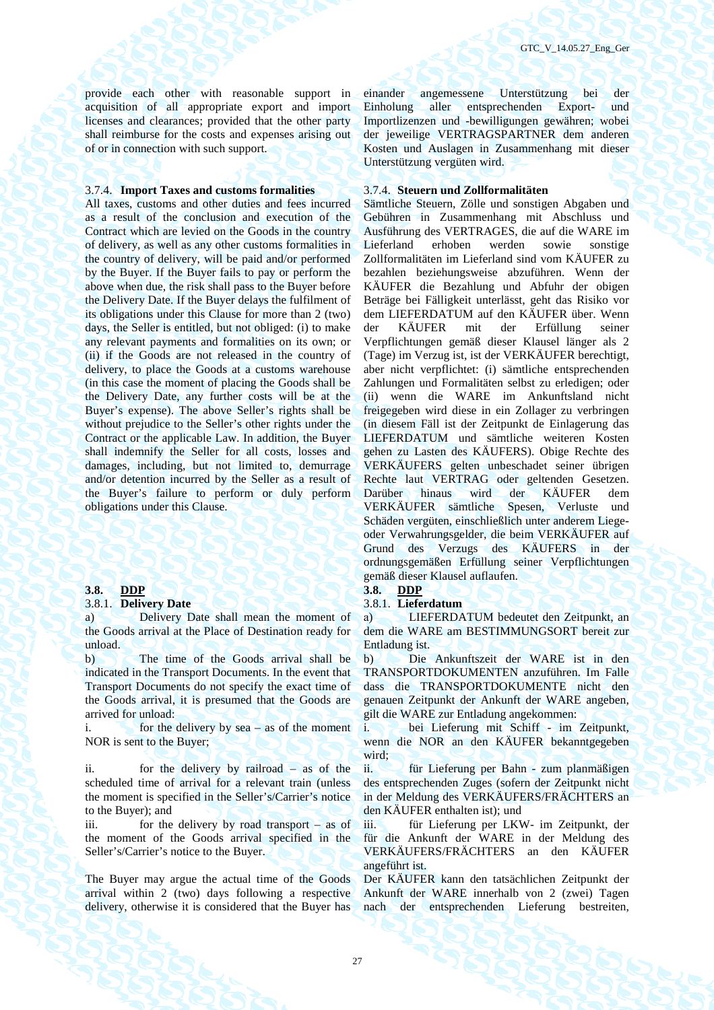provide each other with reasonable support in acquisition of all appropriate export and import licenses and clearances; provided that the other party shall reimburse for the costs and expenses arising out of or in connection with such support.

# 3.7.4. **Import Taxes and customs formalities** 3.7.4. **Steuern und Zollformalitäten**

All taxes, customs and other duties and fees incurred as a result of the conclusion and execution of the Contract which are levied on the Goods in the country of delivery, as well as any other customs formalities in the country of delivery, will be paid and/or performed by the Buyer. If the Buyer fails to pay or perform the above when due, the risk shall pass to the Buyer before the Delivery Date. If the Buyer delays the fulfilment of its obligations under this Clause for more than 2 (two) days, the Seller is entitled, but not obliged: (i) to make any relevant payments and formalities on its own; or (ii) if the Goods are not released in the country of delivery, to place the Goods at a customs warehouse (in this case the moment of placing the Goods shall be the Delivery Date, any further costs will be at the Buyer's expense). The above Seller's rights shall be without prejudice to the Seller's other rights under the Contract or the applicable Law. In addition, the Buyer shall indemnify the Seller for all costs, losses and damages, including, but not limited to, demurrage and/or detention incurred by the Seller as a result of the Buyer's failure to perform or duly perform obligations under this Clause.

### **3.8. DDP** 3.8. **DDP**

### 3.8.1. **Delivery Date** 3.8.1. **Lieferdatum**

Delivery Date shall mean the moment of the Goods arrival at the Place of Destination ready for unload.

b) The time of the Goods arrival shall be indicated in the Transport Documents. In the event that Transport Documents do not specify the exact time of the Goods arrival, it is presumed that the Goods are arrived for unload:

i. for the delivery by sea – as of the moment NOR is sent to the Buyer;

ii. for the delivery by railroad – as of the scheduled time of arrival for a relevant train (unless the moment is specified in the Seller's/Carrier's notice to the Buyer); and

iii. for the delivery by road transport – as of the moment of the Goods arrival specified in the Seller's/Carrier's notice to the Buyer.

The Buyer may argue the actual time of the Goods arrival within 2 (two) days following a respective delivery, otherwise it is considered that the Buyer has

einander angemessene Unterstützung bei der Einholung aller entsprechenden Export- und Importlizenzen und -bewilligungen gewähren; wobei der jeweilige VERTRAGSPARTNER dem anderen Kosten und Auslagen in Zusammenhang mit dieser Unterstützung vergüten wird.

Sämtliche Steuern, Zölle und sonstigen Abgaben und Gebühren in Zusammenhang mit Abschluss und Ausführung des VERTRAGES, die auf die WARE im Lieferland erhoben werden sowie sonstige Zollformalitäten im Lieferland sind vom KÄUFER zu bezahlen beziehungsweise abzuführen. Wenn der KÄUFER die Bezahlung und Abfuhr der obigen Beträge bei Fälligkeit unterlässt, geht das Risiko vor dem LIEFERDATUM auf den KÄUFER über. Wenn der KÄUFER mit der Erfüllung seiner Verpflichtungen gemäß dieser Klausel länger als 2 (Tage) im Verzug ist, ist der VERKÄUFER berechtigt, aber nicht verpflichtet: (i) sämtliche entsprechenden Zahlungen und Formalitäten selbst zu erledigen; oder (ii) wenn die WARE im Ankunftsland nicht freigegeben wird diese in ein Zollager zu verbringen (in diesem Fäll ist der Zeitpunkt de Einlagerung das LIEFERDATUM und sämtliche weiteren Kosten gehen zu Lasten des KÄUFERS). Obige Rechte des VERKÄUFERS gelten unbeschadet seiner übrigen Rechte laut VERTRAG oder geltenden Gesetzen. Darüber hinaus wird der KÄUFER dem VERKÄUFER sämtliche Spesen, Verluste und Schäden vergüten, einschließlich unter anderem Liegeoder Verwahrungsgelder, die beim VERKÄUFER auf Grund des Verzugs des KÄUFERS in der ordnungsgemäßen Erfüllung seiner Verpflichtungen gemäß dieser Klausel auflaufen.

а) LIEFERDATUM bedeutet den Zeitpunkt, an dem die WARE am BESTIMMUNGSORT bereit zur Entladung ist.

b) Die Ankunftszeit der WARE ist in den TRANSPORTDOKUMENTEN anzuführen. Im Falle dass die TRANSPORTDOKUMENTE nicht den genauen Zeitpunkt der Ankunft der WARE angeben, gilt die WARE zur Entladung angekommen:

i. bei Lieferung mit Schiff - im Zeitpunkt, wenn die NOR an den KÄUFER bekanntgegeben wird:

ii. für Lieferung per Bahn - zum planmäßigen des entsprechenden Zuges (sofern der Zeitpunkt nicht in der Meldung des VERKÄUFERS/FRÄCHTERS an den KÄUFER enthalten ist); und

iii. für Lieferung per LKW- im Zeitpunkt, der für die Ankunft der WARE in der Meldung des VERKÄUFERS/FRÄCHTERS an den KÄUFER angeführt ist.

Der KÄUFER kann den tatsächlichen Zeitpunkt der Ankunft der WARE innerhalb von 2 (zwei) Tagen nach der entsprechenden Lieferung bestreiten,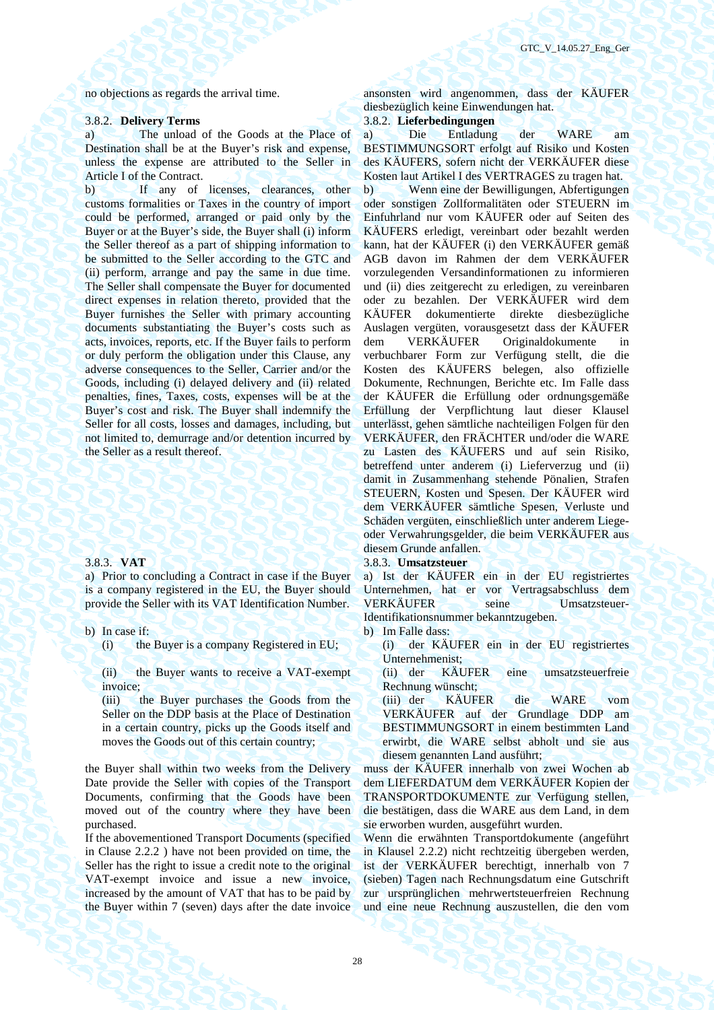### 3.8.2. **Delivery Terms** 3.8.2. **Lieferbedingungen**

a) The unload of the Goods at the Place of Destination shall be at the Buyer's risk and expense, unless the expense are attributed to the Seller in Article I of the Contract.

b) If any of licenses, clearances, other customs formalities or Taxes in the country of import could be performed, arranged or paid only by the Buyer or at the Buyer's side, the Buyer shall (i) inform the Seller thereof as a part of shipping information to be submitted to the Seller according to the GTC and (ii) perform, arrange and pay the same in due time. The Seller shall compensate the Buyer for documented direct expenses in relation thereto, provided that the Buyer furnishes the Seller with primary accounting documents substantiating the Buyer's costs such as acts, invoices, reports, etc. If the Buyer fails to perform or duly perform the obligation under this Clause, any adverse consequences to the Seller, Carrier and/or the Goods, including (i) delayed delivery and (ii) related penalties, fines, Taxes, costs, expenses will be at the Buyer's cost and risk. The Buyer shall indemnify the Seller for all costs, losses and damages, including, but not limited to, demurrage and/or detention incurred by the Seller as a result thereof.

a) Prior to concluding a Contract in case if the Buyer is a company registered in the EU, the Buyer should provide the Seller with its VAT Identification Number.

b) In case if: b) Im Falle dass:

(ii) the Buyer wants to receive a VAT-exempt invoice;

(iii) the Buyer purchases the Goods from the Seller on the DDP basis at the Place of Destination in a certain country, picks up the Goods itself and moves the Goods out of this certain country;

the Buyer shall within two weeks from the Delivery Date provide the Seller with copies of the Transport Documents, confirming that the Goods have been moved out of the country where they have been purchased.

If the abovementioned Transport Documents (specified in Clause 2.2.2 ) have not been provided on time, the Seller has the right to issue a credit note to the original VAT-exempt invoice and issue a new invoice, increased by the amount of VAT that has to be paid by the Buyer within 7 (seven) days after the date invoice

no objections as regards the arrival time. ansonsten wird angenommen, dass der KÄUFER diesbezüglich keine Einwendungen hat.

а) Die Entladung der WARE am BESTIMMUNGSORT erfolgt auf Risiko und Kosten des KÄUFERS, sofern nicht der VERKÄUFER diese Kosten laut Artikel I des VERTRAGES zu tragen hat. b) Wenn eine der Bewilligungen, Abfertigungen oder sonstigen Zollformalitäten oder STEUERN im Einfuhrland nur vom KÄUFER oder auf Seiten des KÄUFERS erledigt, vereinbart oder bezahlt werden kann, hat der KÄUFER (i) den VERKÄUFER gemäß AGB davon im Rahmen der dem VERKÄUFER vorzulegenden Versandinformationen zu informieren und (ii) dies zeitgerecht zu erledigen, zu vereinbaren oder zu bezahlen. Der VERKÄUFER wird dem KÄUFER dokumentierte direkte diesbezügliche Auslagen vergüten, vorausgesetzt dass der KÄUFER dem VERKÄUFER Originaldokumente in verbuchbarer Form zur Verfügung stellt, die die Kosten des KÄUFERS belegen, also offizielle Dokumente, Rechnungen, Berichte etc. Im Falle dass der KÄUFER die Erfüllung oder ordnungsgemäße Erfüllung der Verpflichtung laut dieser Klausel unterlässt, gehen sämtliche nachteiligen Folgen für den VERKÄUFER, den FRÄCHTER und/oder die WARE zu Lasten des KÄUFERS und auf sein Risiko, betreffend unter anderem (i) Lieferverzug und (ii) damit in Zusammenhang stehende Pönalien, Strafen STEUERN, Kosten und Spesen. Der KÄUFER wird dem VERKÄUFER sämtliche Spesen, Verluste und Schäden vergüten, einschließlich unter anderem Liegeoder Verwahrungsgelder, die beim VERKÄUFER aus diesem Grunde anfallen.

### 3.8.3. **VAT** 3.8.3. **Umsatzsteuer**

а) Ist der KÄUFER ein in der EU registriertes Unternehmen, hat er vor Vertragsabschluss dem VERKÄUFER seine Umsatzsteuer-Identifikationsnummer bekanntzugeben.

(i) the Buyer is a company Registered in EU; (i) der KÄUFER ein in der EU registriertes Unternehmenist;

> (ii) der KÄUFER eine umsatzsteuerfreie Rechnung wünscht;

> (iii) der KÄUFER die WARE vom VERKÄUFER auf der Grundlage DDP am BESTIMMUNGSORT in einem bestimmten Land erwirbt, die WARE selbst abholt und sie aus diesem genannten Land ausführt;

muss der KÄUFER innerhalb von zwei Wochen ab dem LIEFERDATUM dem VERKÄUFER Kopien der TRANSPORTDOKUMENTE zur Verfügung stellen, die bestätigen, dass die WARE aus dem Land, in dem sie erworben wurden, ausgeführt wurden.

Wenn die erwähnten Transportdokumente (angeführt in Klausel 2.2.2) nicht rechtzeitig übergeben werden, ist der VERKÄUFER berechtigt, innerhalb von 7 (sieben) Tagen nach Rechnungsdatum eine Gutschrift zur ursprünglichen mehrwertsteuerfreien Rechnung und eine neue Rechnung auszustellen, die den vom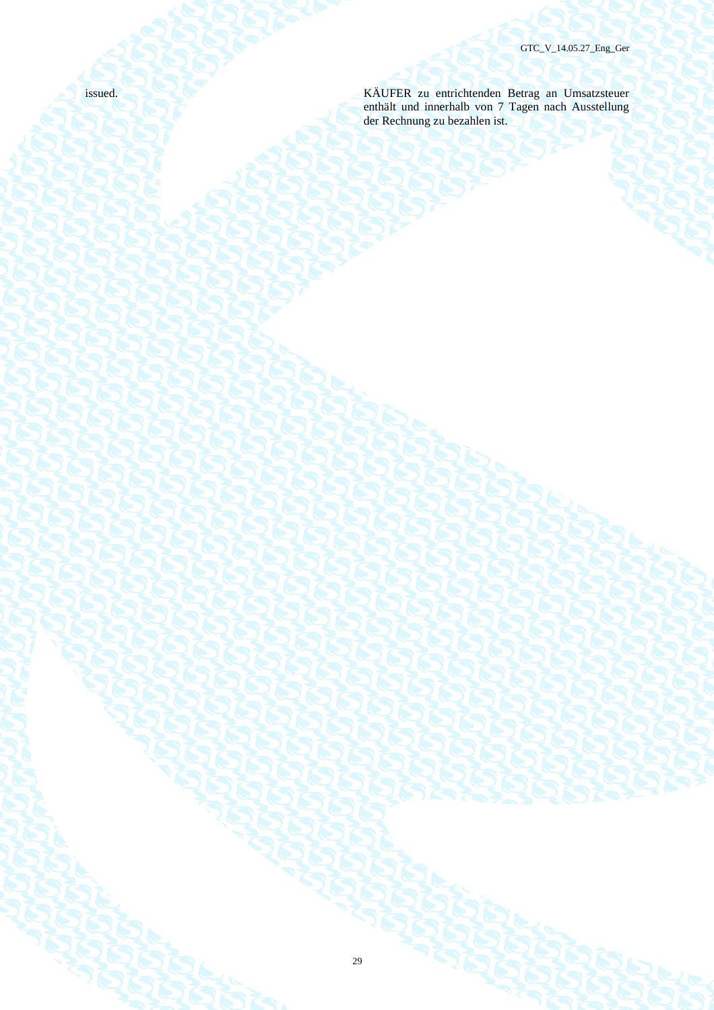issued. KÄUFER zu entrichtenden Betrag an Umsatzsteuer enthält und innerhalb von 7 Tagen nach Ausstellung der Rechnung zu bezahlen ist.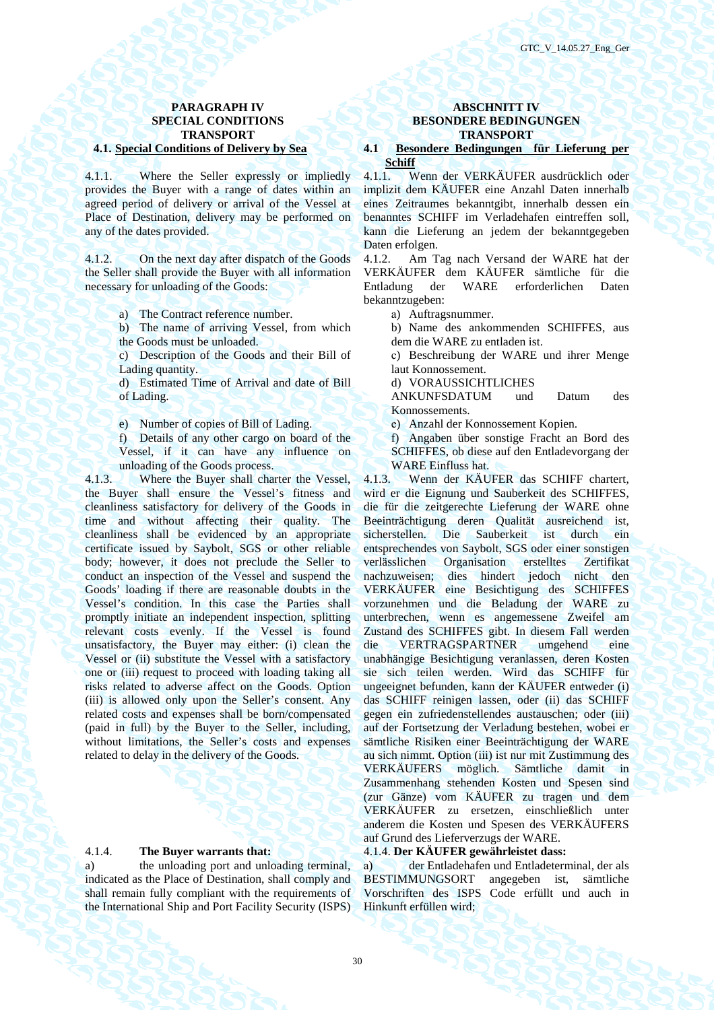4.1.1. Where the Seller expressly or impliedly provides the Buyer with a range of dates within an agreed period of delivery or arrival of the Vessel at Place of Destination, delivery may be performed on any of the dates provided.

4.1.2. On the next day after dispatch of the Goods the Seller shall provide the Buyer with all information necessary for unloading of the Goods:

- a) The Contract reference number. а) Auftragsnummer.
- b) The name of arriving Vessel, from which the Goods must be unloaded.
- c) Description of the Goods and their Bill of Lading quantity.
- d) Estimated Time of Arrival and date of Bill of Lading.
- e) Number of copies of Bill of Lading. (e) Anzahl der Konnossement Kopien.
- f) Details of any other cargo on board of the Vessel, if it can have any influence on unloading of the Goods process.

4.1.3. Where the Buyer shall charter the Vessel, the Buyer shall ensure the Vessel's fitness and cleanliness satisfactory for delivery of the Goods in time and without affecting their quality. The cleanliness shall be evidenced by an appropriate certificate issued by Saybolt, SGS or other reliable body; however, it does not preclude the Seller to conduct an inspection of the Vessel and suspend the Goods' loading if there are reasonable doubts in the Vessel's condition. In this case the Parties shall promptly initiate an independent inspection, splitting relevant costs evenly. If the Vessel is found unsatisfactory, the Buyer may either: (i) clean the Vessel or (ii) substitute the Vessel with a satisfactory one or (iii) request to proceed with loading taking all risks related to adverse affect on the Goods. Option (iii) is allowed only upon the Seller's consent. Any related costs and expenses shall be born/compensated (paid in full) by the Buyer to the Seller, including, without limitations, the Seller's costs and expenses related to delay in the delivery of the Goods.

a) the unloading port and unloading terminal, indicated as the Place of Destination, shall comply and shall remain fully compliant with the requirements of the International Ship and Port Facility Security (ISPS)

### **PARAGRAPH IV ABSCHNITT IV SPECIAL CONDITIONS BESONDERE BEDINGUNGEN TRANSPORT AND TRANSPORT**

# **4.1. Special Conditions of Delivery by Sea 4.1 Besondere Bedingungen für Lieferung per Schiff**

4.1.1. Wenn der VERKÄUFER ausdrücklich oder implizit dem KÄUFER eine Anzahl Daten innerhalb eines Zeitraumes bekanntgibt, innerhalb dessen ein benanntes SCHIFF im Verladehafen eintreffen soll, kann die Lieferung an jedem der bekanntgegeben Daten erfolgen.

4.1.2. Am Tag nach Versand der WARE hat der VERKÄUFER dem KÄUFER sämtliche für die Entladung der WARE erforderlichen Daten bekanntzugeben:

- 
- b) Name des ankommenden SCHIFFES, aus dem die WARE zu entladen ist.
- с) Beschreibung der WARE und ihrer Menge laut Konnossement.
- d) VORAUSSICHTLICHES

ANKUNFSDATUM und Datum des Konnossements.

f) Angaben über sonstige Fracht an Bord des SCHIFFES, ob diese auf den Entladevorgang der WARE Einfluss hat.

4.1.3. Wenn der KÄUFER das SCHIFF chartert, wird er die Eignung und Sauberkeit des SCHIFFES, die für die zeitgerechte Lieferung der WARE ohne Beeinträchtigung deren Qualität ausreichend ist, sicherstellen. Die Sauberkeit ist durch ein entsprechendes von Saybolt, SGS oder einer sonstigen verlässlichen Organisation erstelltes Zertifikat nachzuweisen; dies hindert jedoch nicht den VERKÄUFER eine Besichtigung des SCHIFFES vorzunehmen und die Beladung der WARE zu unterbrechen, wenn es angemessene Zweifel am Zustand des SCHIFFES gibt. In diesem Fall werden die VERTRAGSPARTNER umgehend eine unabhängige Besichtigung veranlassen, deren Kosten sie sich teilen werden. Wird das SCHIFF für ungeeignet befunden, kann der KÄUFER entweder (i) das SCHIFF reinigen lassen, oder (ii) das SCHIFF gegen ein zufriedenstellendes austauschen; oder (iii) auf der Fortsetzung der Verladung bestehen, wobei er sämtliche Risiken einer Beeinträchtigung der WARE au sich nimmt. Option (iii) ist nur mit Zustimmung des VERKÄUFERS möglich. Sämtliche damit in Zusammenhang stehenden Kosten und Spesen sind (zur Gänze) vom KÄUFER zu tragen und dem VERKÄUFER zu ersetzen, einschließlich unter anderem die Kosten und Spesen des VERKÄUFERS auf Grund des Lieferverzugs der WARE.

### 4.1.4. **The Buyer warrants that:** 4.1.4. **Der KÄUFER gewährleistet dass:**

а) der Entladehafen und Entladeterminal, der als BESTIMMUNGSORT angegeben ist, sämtliche Vorschriften des ISPS Code erfüllt und auch in Hinkunft erfüllen wird;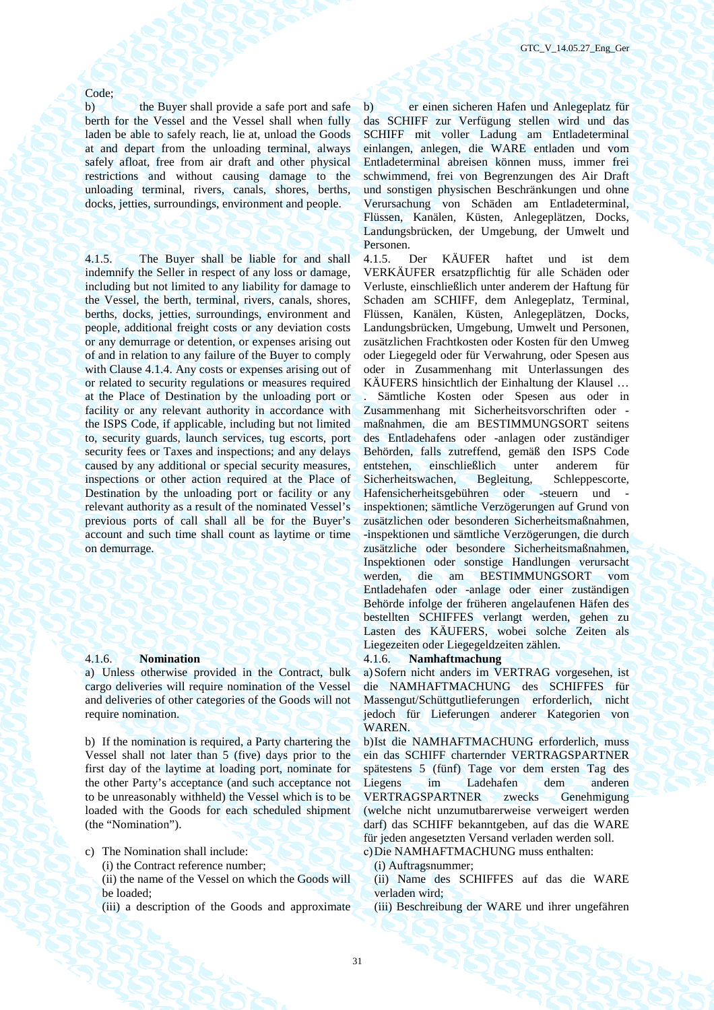### Code;

b) the Buyer shall provide a safe port and safe berth for the Vessel and the Vessel shall when fully laden be able to safely reach, lie at, unload the Goods at and depart from the unloading terminal, always safely afloat, free from air draft and other physical restrictions and without causing damage to the unloading terminal, rivers, canals, shores, berths, docks, jetties, surroundings, environment and people.

4.1.5. The Buyer shall be liable for and shall indemnify the Seller in respect of any loss or damage, including but not limited to any liability for damage to the Vessel, the berth, terminal, rivers, canals, shores, berths, docks, jetties, surroundings, environment and people, additional freight costs or any deviation costs or any demurrage or detention, or expenses arising out of and in relation to any failure of the Buyer to comply with Clause 4.1.4. Any costs or expenses arising out of or related to security regulations or measures required at the Place of Destination by the unloading port or facility or any relevant authority in accordance with the ISPS Code, if applicable, including but not limited to, security guards, launch services, tug escorts, port security fees or Taxes and inspections; and any delays caused by any additional or special security measures, inspections or other action required at the Place of Destination by the unloading port or facility or any relevant authority as a result of the nominated Vessel's previous ports of call shall all be for the Buyer's account and such time shall count as laytime or time on demurrage.

a) Unless otherwise provided in the Contract, bulk cargo deliveries will require nomination of the Vessel and deliveries of other categories of the Goods will not require nomination.

b) If the nomination is required, a Party chartering the Vessel shall not later than 5 (five) days prior to the first day of the laytime at loading port, nominate for the other Party's acceptance (and such acceptance not to be unreasonably withheld) the Vessel which is to be loaded with the Goods for each scheduled shipment (the "Nomination").

- c) The Nomination shall include: с) Die NAMHAFTMACHUNG muss enthalten:
	- (i) the Contract reference number; (i) Auftragsnummer;
	- (ii) the name of the Vessel on which the Goods will be loaded;

b) er einen sicheren Hafen und Anlegeplatz für das SCHIFF zur Verfügung stellen wird und das SCHIFF mit voller Ladung am Entladeterminal einlangen, anlegen, die WARE entladen und vom Entladeterminal abreisen können muss, immer frei schwimmend, frei von Begrenzungen des Air Draft und sonstigen physischen Beschränkungen und ohne Verursachung von Schäden am Entladeterminal, Flüssen, Kanälen, Küsten, Anlegeplätzen, Docks, Landungsbrücken, der Umgebung, der Umwelt und Personen.

4.1.5. Der KÄUFER haftet und ist dem VERKÄUFER ersatzpflichtig für alle Schäden oder Verluste, einschließlich unter anderem der Haftung für Schaden am SCHIFF, dem Anlegeplatz, Terminal, Flüssen, Kanälen, Küsten, Anlegeplätzen, Docks, Landungsbrücken, Umgebung, Umwelt und Personen, zusätzlichen Frachtkosten oder Kosten für den Umweg oder Liegegeld oder für Verwahrung, oder Spesen aus oder in Zusammenhang mit Unterlassungen des KÄUFERS hinsichtlich der Einhaltung der Klausel …

. Sämtliche Kosten oder Spesen aus oder in Zusammenhang mit Sicherheitsvorschriften oder maßnahmen, die am BESTIMMUNGSORT seitens des Entladehafens oder -anlagen oder zuständiger Behörden, falls zutreffend, gemäß den ISPS Code entstehen, einschließlich unter anderem für Sicherheitswachen, Begleitung, Schleppescorte, Hafensicherheitsgebühren oder -steuern und inspektionen; sämtliche Verzögerungen auf Grund von zusätzlichen oder besonderen Sicherheitsmaßnahmen, -inspektionen und sämtliche Verzögerungen, die durch zusätzliche oder besondere Sicherheitsmaßnahmen, Inspektionen oder sonstige Handlungen verursacht werden, die am BESTIMMUNGSORT vom Entladehafen oder -anlage oder einer zuständigen Behörde infolge der früheren angelaufenen Häfen des bestellten SCHIFFES verlangt werden, gehen zu Lasten des KÄUFERS, wobei solche Zeiten als Liegezeiten oder Liegegeldzeiten zählen.

### 4.1.6. **Nomination** 4.1.6. **Namhaftmachung**

а) Sofern nicht anders im VERTRAG vorgesehen, ist die NAMHAFTMACHUNG des SCHIFFES für Massengut/Schüttgutlieferungen erforderlich, nicht jedoch für Lieferungen anderer Kategorien von WAREN.

b) Ist die NAMHAFTMACHUNG erforderlich, muss ein das SCHIFF charternder VERTRAGSPARTNER spätestens 5 (fünf) Tage vor dem ersten Tag des Liegens im Ladehafen dem anderen VERTRAGSPARTNER zwecks Genehmigung (welche nicht unzumutbarerweise verweigert werden darf) das SCHIFF bekanntgeben, auf das die WARE für jeden angesetzten Versand verladen werden soll.

(ii) Name des SCHIFFES auf das die WARE verladen wird;

(iii) a description of the Goods and approximate (iii) Beschreibung der WARE und ihrer ungefähren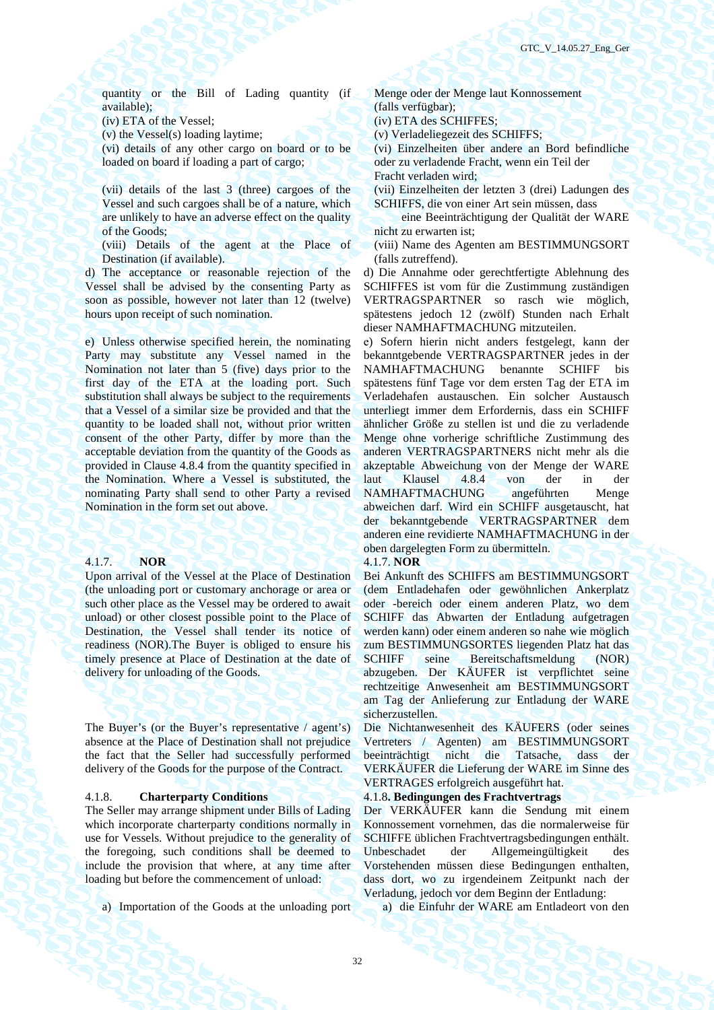quantity or the Bill of Lading quantity (if available);

(iv) ETA of the Vessel; (iv) ETA des SCHIFFES;

(v) the Vessel(s) loading laytime; (v) Verladeliegezeit des SCHIFFS;

(vi) details of any other cargo on board or to be loaded on board if loading a part of cargo;

(vii) details of the last 3 (three) cargoes of the Vessel and such cargoes shall be of a nature, which are unlikely to have an adverse effect on the quality of the Goods;

(viii) Details of the agent at the Place of Destination (if available).

d) The acceptance or reasonable rejection of the Vessel shall be advised by the consenting Party as soon as possible, however not later than 12 (twelve) hours upon receipt of such nomination.

e) Unless otherwise specified herein, the nominating Party may substitute any Vessel named in the Nomination not later than 5 (five) days prior to the first day of the ETA at the loading port. Such substitution shall always be subject to the requirements that a Vessel of a similar size be provided and that the quantity to be loaded shall not, without prior written consent of the other Party, differ by more than the acceptable deviation from the quantity of the Goods as provided in Clause 4.8.4 from the quantity specified in the Nomination. Where a Vessel is substituted, the nominating Party shall send to other Party a revised Nomination in the form set out above.

### 4.1.7. **NOR** 4.1.7. **NOR**

Upon arrival of the Vessel at the Place of Destination (the unloading port or customary anchorage or area or such other place as the Vessel may be ordered to await unload) or other closest possible point to the Place of Destination, the Vessel shall tender its notice of readiness (NOR).The Buyer is obliged to ensure his timely presence at Place of Destination at the date of delivery for unloading of the Goods.

The Buyer's (or the Buyer's representative / agent's) absence at the Place of Destination shall not prejudice the fact that the Seller had successfully performed delivery of the Goods for the purpose of the Contract.

The Seller may arrange shipment under Bills of Lading which incorporate charterparty conditions normally in use for Vessels. Without prejudice to the generality of the foregoing, such conditions shall be deemed to include the provision that where, at any time after loading but before the commencement of unload:

a) Importation of the Goods at the unloading port a) die Einfuhr der WARE am Entladeort von den

Menge oder der Menge laut Konnossement (falls verfügbar);

(vi) Einzelheiten über andere an Bord befindliche oder zu verladende Fracht, wenn ein Teil der Fracht verladen wird;

(vii) Einzelheiten der letzten 3 (drei) Ladungen des SCHIFFS, die von einer Art sein müssen, dass

 eine Beeinträchtigung der Qualität der WARE nicht zu erwarten ist;

(viii) Name des Agenten am BESTIMMUNGSORT (falls zutreffend).

d) Die Annahme oder gerechtfertigte Ablehnung des SCHIFFES ist vom für die Zustimmung zuständigen VERTRAGSPARTNER so rasch wie möglich, spätestens jedoch 12 (zwölf) Stunden nach Erhalt dieser NAMHAFTMACHUNG mitzuteilen.

е) Sofern hierin nicht anders festgelegt, kann der bekanntgebende VERTRAGSPARTNER jedes in der NAMHAFTMACHUNG benannte SCHIFF bis spätestens fünf Tage vor dem ersten Tag der ETA im Verladehafen austauschen. Ein solcher Austausch unterliegt immer dem Erfordernis, dass ein SCHIFF ähnlicher Größe zu stellen ist und die zu verladende Menge ohne vorherige schriftliche Zustimmung des anderen VERTRAGSPARTNERS nicht mehr als die akzeptable Abweichung von der Menge der WARE<br>laut Klausel 4.8.4 von der in der Klausel 4.8.4 von der in der NAMHAFTMACHUNG angeführten Menge abweichen darf. Wird ein SCHIFF ausgetauscht, hat der bekanntgebende VERTRAGSPARTNER dem anderen eine revidierte NAMHAFTMACHUNG in der oben dargelegten Form zu übermitteln.

Bei Ankunft des SCHIFFS am BESTIMMUNGSORT (dem Entladehafen oder gewöhnlichen Ankerplatz oder -bereich oder einem anderen Platz, wo dem SCHIFF das Abwarten der Entladung aufgetragen werden kann) oder einem anderen so nahe wie möglich zum BESTIMMUNGSORTES liegenden Platz hat das SCHIFF seine Bereitschaftsmeldung (NOR) abzugeben. Der KÄUFER ist verpflichtet seine rechtzeitige Anwesenheit am BESTIMMUNGSORT am Tag der Anlieferung zur Entladung der WARE sicherzustellen.

Die Nichtanwesenheit des KÄUFERS (oder seines Vertreters / Agenten) am BESTIMMUNGSORT beeinträchtigt nicht die Tatsache, dass der VERKÄUFER die Lieferung der WARE im Sinne des VERTRAGES erfolgreich ausgeführt hat.

### 4.1.8. **Charterparty Conditions** 4.1.8**. Bedingungen des Frachtvertrags**

Der VERKÄUFER kann die Sendung mit einem Konnossement vornehmen, das die normalerweise für SCHIFFE üblichen Frachtvertragsbedingungen enthält. Unbeschadet der Allgemeingültigkeit Vorstehenden müssen diese Bedingungen enthalten, dass dort, wo zu irgendeinem Zeitpunkt nach der Verladung, jedoch vor dem Beginn der Entladung: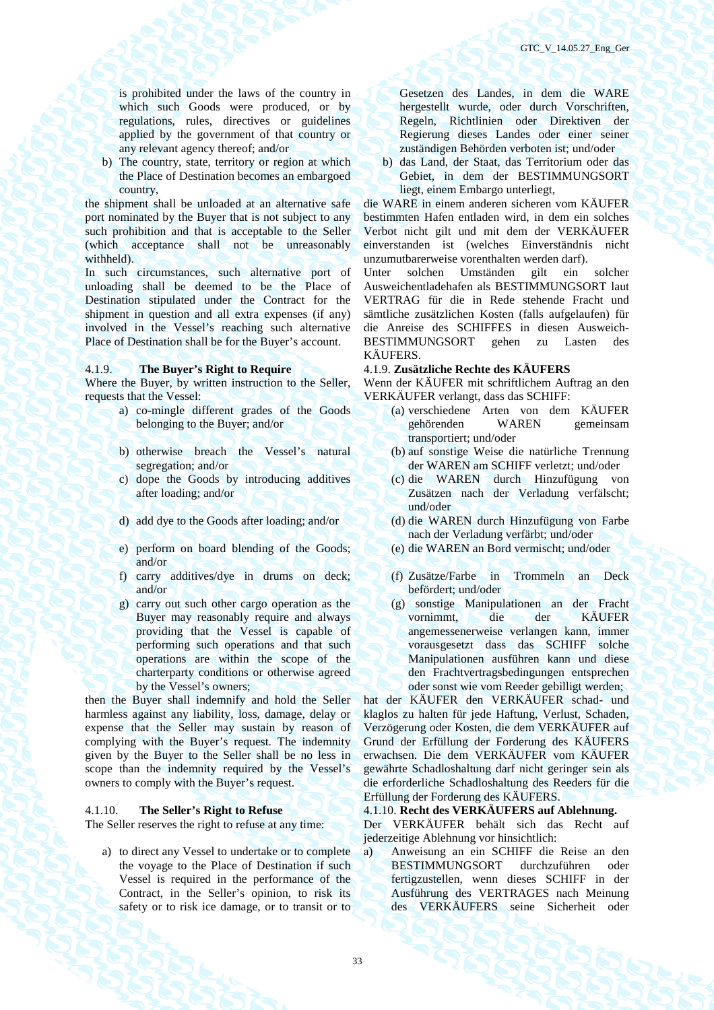is prohibited under the laws of the country in which such Goods were produced, or by regulations, rules, directives or guidelines applied by the government of that country or any relevant agency thereof; and/or

b) The country, state, territory or region at which the Place of Destination becomes an embargoed country,

the shipment shall be unloaded at an alternative safe port nominated by the Buyer that is not subject to any such prohibition and that is acceptable to the Seller (which acceptance shall not be unreasonably withheld).

In such circumstances, such alternative port of unloading shall be deemed to be the Place of Destination stipulated under the Contract for the shipment in question and all extra expenses (if any) involved in the Vessel's reaching such alternative Place of Destination shall be for the Buyer's account.

Where the Buyer, by written instruction to the Seller, requests that the Vessel:

- a) co-mingle different grades of the Goods belonging to the Buyer; and/or
- b) otherwise breach the Vessel's natural segregation; and/or
- c) dope the Goods by introducing additives after loading; and/or
- 
- e) perform on board blending of the Goods; and/or
- f) carry additives/dye in drums on deck; and/or
- g) carry out such other cargo operation as the Buyer may reasonably require and always providing that the Vessel is capable of performing such operations and that such operations are within the scope of the charterparty conditions or otherwise agreed by the Vessel's owners;

then the Buyer shall indemnify and hold the Seller harmless against any liability, loss, damage, delay or expense that the Seller may sustain by reason of complying with the Buyer's request. The indemnity given by the Buyer to the Seller shall be no less in scope than the indemnity required by the Vessel's owners to comply with the Buyer's request.

a) to direct any Vessel to undertake or to complete the voyage to the Place of Destination if such Vessel is required in the performance of the Contract, in the Seller's opinion, to risk its safety or to risk ice damage, or to transit or to

Gesetzen des Landes, in dem die WARE hergestellt wurde, oder durch Vorschriften, Regeln, Richtlinien oder Direktiven der Regierung dieses Landes oder einer seiner zuständigen Behörden verboten ist; und/oder

b) das Land, der Staat, das Territorium oder das Gebiet, in dem der BESTIMMUNGSORT liegt, einem Embargo unterliegt,

die WARE in einem anderen sicheren vom KÄUFER bestimmten Hafen entladen wird, in dem ein solches Verbot nicht gilt und mit dem der VERKÄUFER einverstanden ist (welches Einverständnis nicht unzumutbarerweise vorenthalten werden darf).

Unter solchen Umständen gilt ein solcher Ausweichentladehafen als BESTIMMUNGSORT laut VERTRAG für die in Rede stehende Fracht und sämtliche zusätzlichen Kosten (falls aufgelaufen) für die Anreise des SCHIFFES in diesen Ausweich-BESTIMMUNGSORT gehen zu Lasten des KÄUFERS.

### 4.1.9. **The Buyer's Right to Require** 4.1.9. **Zusätzliche Rechte des KÄUFERS**

Wenn der KÄUFER mit schriftlichem Auftrag an den VERKÄUFER verlangt, dass das SCHIFF:

- (a) verschiedene Arten von dem KÄUFER gehörenden WAREN gemeinsam transportiert; und/oder
- (b) auf sonstige Weise die natürliche Trennung der WAREN am SCHIFF verletzt; und/oder
- (c) die WAREN durch Hinzufügung von Zusätzen nach der Verladung verfälscht; und/oder
- d) add dye to the Goods after loading; and/or (d) die WAREN durch Hinzufügung von Farbe nach der Verladung verfärbt; und/oder
	- (e) die WAREN an Bord vermischt; und/oder
	- (f) Zusätze/Farbe in Trommeln an Deck befördert; und/oder
	- (g) sonstige Manipulationen an der Fracht vornimmt, die der KÄUFER angemessenerweise verlangen kann, immer vorausgesetzt dass das SCHIFF solche Manipulationen ausführen kann und diese den Frachtvertragsbedingungen entsprechen oder sonst wie vom Reeder gebilligt werden;

hat der KÄUFER den VERKÄUFER schad- und klaglos zu halten für jede Haftung, Verlust, Schaden, Verzögerung oder Kosten, die dem VERKÄUFER auf Grund der Erfüllung der Forderung des KÄUFERS erwachsen. Die dem VERKÄUFER vom KÄUFER gewährte Schadloshaltung darf nicht geringer sein als die erforderliche Schadloshaltung des Reeders für die Erfüllung der Forderung des KÄUFERS.

# 4.1.10. **The Seller's Right to Refuse** 4.1.10. **Recht des VERKÄUFERS auf Ablehnung.**

The Seller reserves the right to refuse at any time: Der VERKÄUFER behält sich das Recht auf jederzeitige Ablehnung vor hinsichtlich:

> а) Anweisung an ein SCHIFF die Reise an den BESTIMMUNGSORT durchzuführen oder fertigzustellen, wenn dieses SCHIFF in der Ausführung des VERTRAGES nach Meinung des VERKÄUFERS seine Sicherheit oder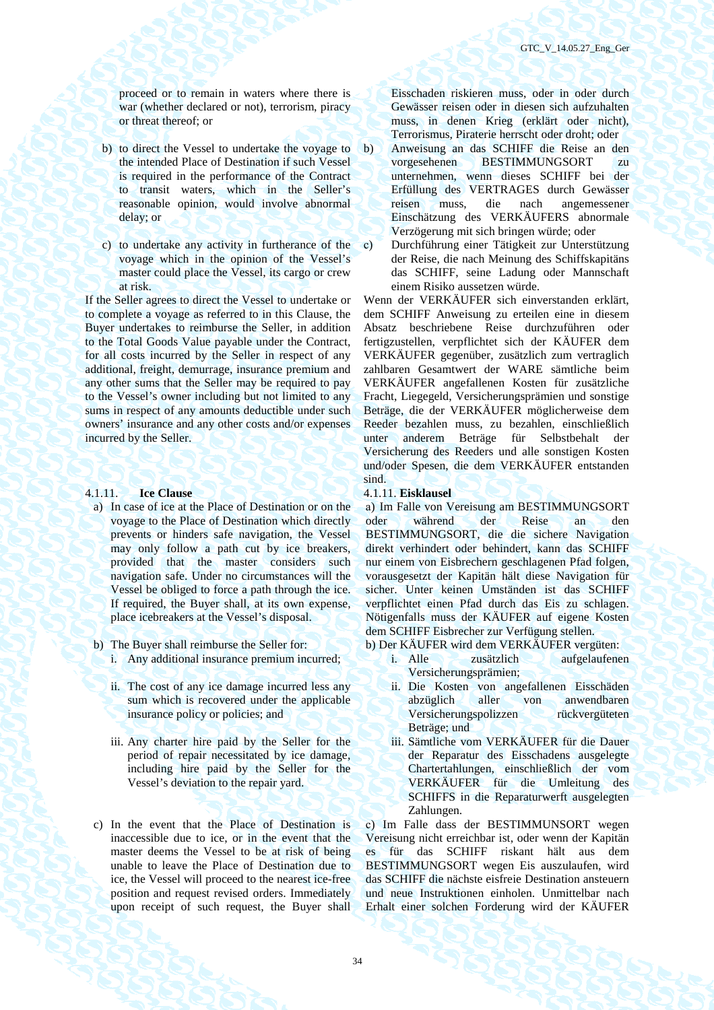proceed or to remain in waters where there is war (whether declared or not), terrorism, piracy or threat thereof; or

- b) to direct the Vessel to undertake the voyage to the intended Place of Destination if such Vessel is required in the performance of the Contract to transit waters, which in the Seller's reasonable opinion, would involve abnormal delay; or
- c) to undertake any activity in furtherance of the voyage which in the opinion of the Vessel's master could place the Vessel, its cargo or crew at risk.

If the Seller agrees to direct the Vessel to undertake or to complete a voyage as referred to in this Clause, the Buyer undertakes to reimburse the Seller, in addition to the Total Goods Value payable under the Contract, for all costs incurred by the Seller in respect of any additional, freight, demurrage, insurance premium and any other sums that the Seller may be required to pay to the Vessel's owner including but not limited to any sums in respect of any amounts deductible under such owners' insurance and any other costs and/or expenses incurred by the Seller.

### 4.1.11. **Ice Clause** 4.1.11. **Eisklausel**

- a) In case of ice at the Place of Destination or on the voyage to the Place of Destination which directly prevents or hinders safe navigation, the Vessel may only follow a path cut by ice breakers, provided that the master considers such navigation safe. Under no circumstances will the Vessel be obliged to force a path through the ice. If required, the Buyer shall, at its own expense, place icebreakers at the Vessel's disposal.
- -
	- ii. The cost of any ice damage incurred less any sum which is recovered under the applicable insurance policy or policies; and
	- iii. Any charter hire paid by the Seller for the period of repair necessitated by ice damage, including hire paid by the Seller for the Vessel's deviation to the repair yard.
- c) In the event that the Place of Destination is inaccessible due to ice, or in the event that the master deems the Vessel to be at risk of being unable to leave the Place of Destination due to ice, the Vessel will proceed to the nearest ice-free position and request revised orders. Immediately upon receipt of such request, the Buyer shall

Eisschaden riskieren muss, oder in oder durch Gewässer reisen oder in diesen sich aufzuhalten muss, in denen Krieg (erklärt oder nicht), Terrorismus, Piraterie herrscht oder droht; oder

- b) Anweisung an das SCHIFF die Reise an den vorgesehenen BESTIMMUNGSORT zu unternehmen, wenn dieses SCHIFF bei der Erfüllung des VERTRAGES durch Gewässer reisen muss, die nach angemessener Einschätzung des VERKÄUFERS abnormale Verzögerung mit sich bringen würde; oder
- с) Durchführung einer Tätigkeit zur Unterstützung der Reise, die nach Meinung des Schiffskapitäns das SCHIFF, seine Ladung oder Mannschaft einem Risiko aussetzen würde.

Wenn der VERKÄUFER sich einverstanden erklärt, dem SCHIFF Anweisung zu erteilen eine in diesem Absatz beschriebene Reise durchzuführen oder fertigzustellen, verpflichtet sich der KÄUFER dem VERKÄUFER gegenüber, zusätzlich zum vertraglich zahlbaren Gesamtwert der WARE sämtliche beim VERKÄUFER angefallenen Kosten für zusätzliche Fracht, Liegegeld, Versicherungsprämien und sonstige Beträge, die der VERKÄUFER möglicherweise dem Reeder bezahlen muss, zu bezahlen, einschließlich unter anderem Beträge für Selbstbehalt der Versicherung des Reeders und alle sonstigen Kosten und/oder Spesen, die dem VERKÄUFER entstanden sind.

а) Im Falle von Vereisung am BESTIMMUNGSORT oder während der Reise an den BESTIMMUNGSORT, die die sichere Navigation direkt verhindert oder behindert, kann das SCHIFF nur einem von Eisbrechern geschlagenen Pfad folgen, vorausgesetzt der Kapitän hält diese Navigation für sicher. Unter keinen Umständen ist das SCHIFF verpflichtet einen Pfad durch das Eis zu schlagen. Nötigenfalls muss der KÄUFER auf eigene Kosten dem SCHIFF Eisbrecher zur Verfügung stellen.

b) The Buyer shall reimburse the Seller for: b) Der KÄUFER wird dem VERKÄUFER vergüten:

- i. Any additional insurance premium incurred; i. Alle zusätzlich aufgelaufenen Versicherungsprämien;
	- ii. Die Kosten von angefallenen Eisschäden abzüglich aller von anwendbaren Versicherungspolizzen rückvergüteten Beträge; und
	- iii. Sämtliche vom VERKÄUFER für die Dauer der Reparatur des Eisschadens ausgelegte Chartertahlungen, einschließlich der vom VERKÄUFER für die Umleitung des SCHIFFS in die Reparaturwerft ausgelegten Zahlungen.

с) Im Falle dass der BESTIMMUNSORT wegen Vereisung nicht erreichbar ist, oder wenn der Kapitän es für das SCHIFF riskant hält aus dem BESTIMMUNGSORT wegen Eis auszulaufen, wird das SCHIFF die nächste eisfreie Destination ansteuern und neue Instruktionen einholen. Unmittelbar nach Erhalt einer solchen Forderung wird der KÄUFER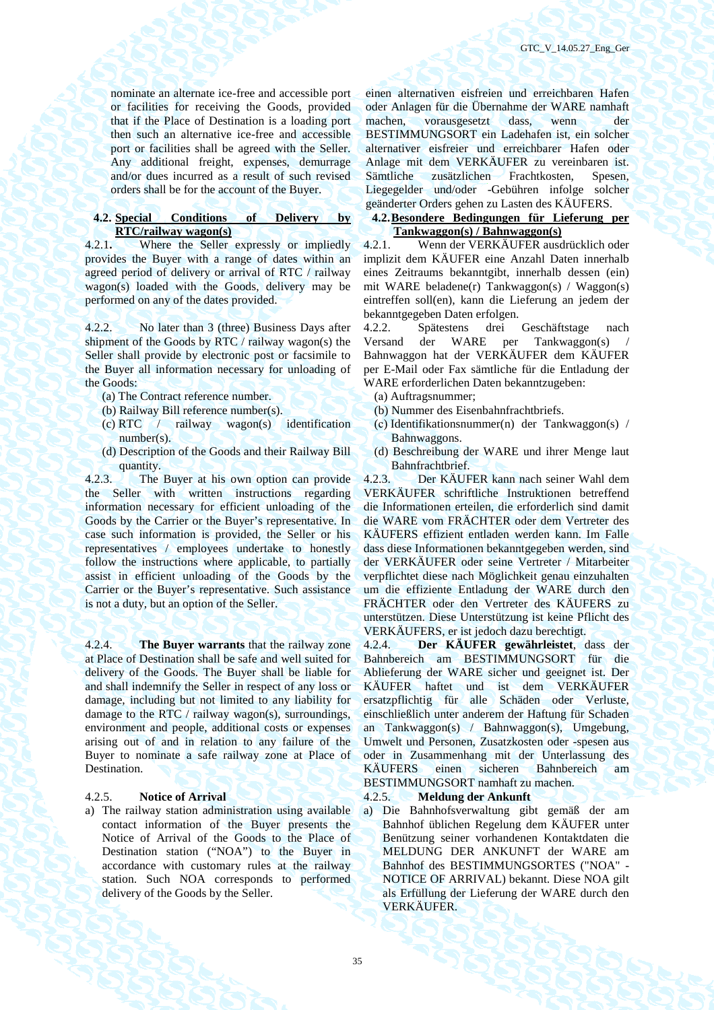nominate an alternate ice-free and accessible port or facilities for receiving the Goods, provided that if the Place of Destination is a loading port then such an alternative ice-free and accessible port or facilities shall be agreed with the Seller. Any additional freight, expenses, demurrage and/or dues incurred as a result of such revised orders shall be for the account of the Buyer.

# **4.2. Special Conditions of Delivery by RTC/railway wagon(s)**

4.2.1**.** Where the Seller expressly or impliedly provides the Buyer with a range of dates within an agreed period of delivery or arrival of RTC / railway wagon(s) loaded with the Goods, delivery may be performed on any of the dates provided.

4.2.2. No later than 3 (three) Business Days after shipment of the Goods by RTC / railway wagon(s) the Seller shall provide by electronic post or facsimile to the Buyer all information necessary for unloading of the Goods:

- (a) The Contract reference number. (а) Auftragsnummer;
- 
- (c) RTC / railway wagon(s) identification number(s).
- (d) Description of the Goods and their Railway Bill quantity.

4.2.3. The Buyer at his own option can provide the Seller with written instructions regarding information necessary for efficient unloading of the Goods by the Carrier or the Buyer's representative. In case such information is provided, the Seller or his representatives / employees undertake to honestly follow the instructions where applicable, to partially assist in efficient unloading of the Goods by the Carrier or the Buyer's representative. Such assistance is not a duty, but an option of the Seller.

4.2.4. **The Buyer warrants** that the railway zone at Place of Destination shall be safe and well suited for delivery of the Goods. The Buyer shall be liable for and shall indemnify the Seller in respect of any loss or damage, including but not limited to any liability for damage to the RTC / railway wagon(s), surroundings, environment and people, additional costs or expenses arising out of and in relation to any failure of the Buyer to nominate a safe railway zone at Place of Destination.

a) The railway station administration using available contact information of the Buyer presents the Notice of Arrival of the Goods to the Place of Destination station ("NOA") to the Buyer in accordance with customary rules at the railway station. Such NOA corresponds to performed delivery of the Goods by the Seller.

einen alternativen eisfreien und erreichbaren Hafen oder Anlagen für die Übernahme der WARE namhaft machen, vorausgesetzt dass, wenn der BESTIMMUNGSORT ein Ladehafen ist, ein solcher alternativer eisfreier und erreichbarer Hafen oder Anlage mit dem VERKÄUFER zu vereinbaren ist. Sämtliche zusätzlichen Frachtkosten, Liegegelder und/oder -Gebühren infolge solcher geänderter Orders gehen zu Lasten des KÄUFERS.

# **4.2.Besondere Bedingungen für Lieferung per Tankwaggon(s) / Bahnwaggon(s)**

4.2.1. Wenn der VERKÄUFER ausdrücklich oder implizit dem KÄUFER eine Anzahl Daten innerhalb eines Zeitraums bekanntgibt, innerhalb dessen (ein) mit WARE beladene(r) Tankwaggon(s) / Waggon(s) eintreffen soll(en), kann die Lieferung an jedem der bekanntgegeben Daten erfolgen.

4.2.2. Spätestens drei Geschäftstage nach Versand der WARE per Tankwaggon(s) / Bahnwaggon hat der VERKÄUFER dem KÄUFER per E-Mail oder Fax sämtliche für die Entladung der WARE erforderlichen Daten bekanntzugeben:

- 
- (b) Railway Bill reference number(s). (b) Nummer des Eisenbahnfrachtbriefs.
	- (с) Identifikationsnummer(n) der Tankwaggon(s) / Bahnwaggons.
	- (d) Beschreibung der WARE und ihrer Menge laut Bahnfrachtbrief.

4.2.3. Der KÄUFER kann nach seiner Wahl dem VERKÄUFER schriftliche Instruktionen betreffend die Informationen erteilen, die erforderlich sind damit die WARE vom FRÄCHTER oder dem Vertreter des KÄUFERS effizient entladen werden kann. Im Falle dass diese Informationen bekanntgegeben werden, sind der VERKÄUFER oder seine Vertreter / Mitarbeiter verpflichtet diese nach Möglichkeit genau einzuhalten um die effiziente Entladung der WARE durch den FRÄCHTER oder den Vertreter des KÄUFERS zu unterstützen. Diese Unterstützung ist keine Pflicht des VERKÄUFERS, er ist jedoch dazu berechtigt.

4.2.4. **Der KÄUFER gewährleistet**, dass der Bahnbereich am BESTIMMUNGSORT für die Ablieferung der WARE sicher und geeignet ist. Der KÄUFER haftet und ist dem VERKÄUFER ersatzpflichtig für alle Schäden oder Verluste, einschließlich unter anderem der Haftung für Schaden an Tankwaggon(s) / Bahnwaggon(s), Umgebung, Umwelt und Personen, Zusatzkosten oder -spesen aus oder in Zusammenhang mit der Unterlassung des<br>KÄUFERS einen sicheren Bahnbereich am sicheren Bahnbereich am BESTIMMUNGSORT namhaft zu machen.

# 4.2.5. **Notice of Arrival** 4.2.5. **Meldung der Ankunft**

a) Die Bahnhofsverwaltung gibt gemäß der am Bahnhof üblichen Regelung dem KÄUFER unter Benützung seiner vorhandenen Kontaktdaten die MELDUNG DER ANKUNFT der WARE am Bahnhof des BESTIMMUNGSORTES ("NOA" - NOTICE OF ARRIVAL) bekannt. Diese NOA gilt als Erfüllung der Lieferung der WARE durch den VERKÄUFER.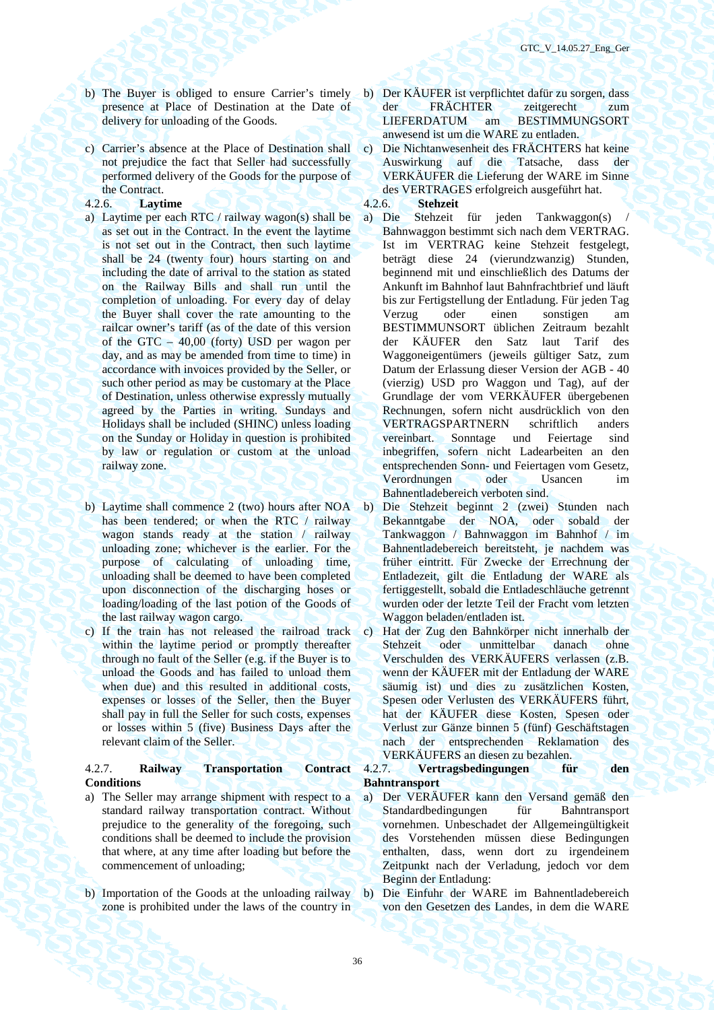- b) The Buyer is obliged to ensure Carrier's timely presence at Place of Destination at the Date of delivery for unloading of the Goods.
- c) Carrier's absence at the Place of Destination shall not prejudice the fact that Seller had successfully performed delivery of the Goods for the purpose of the Contract.

# 4.2.6. **Laytime** 4.2.6. **Stehzeit**

- a) Laytime per each RTC / railway wagon(s) shall be as set out in the Contract. In the event the laytime is not set out in the Contract, then such laytime shall be 24 (twenty four) hours starting on and including the date of arrival to the station as stated on the Railway Bills and shall run until the completion of unloading. For every day of delay the Buyer shall cover the rate amounting to the railcar owner's tariff (as of the date of this version of the GTC – 40,00 (forty) USD per wagon per day, and as may be amended from time to time) in accordance with invoices provided by the Seller, or such other period as may be customary at the Place of Destination, unless otherwise expressly mutually agreed by the Parties in writing. Sundays and Holidays shall be included (SHINC) unless loading on the Sunday or Holiday in question is prohibited by law or regulation or custom at the unload railway zone.
- b) Laytime shall commence 2 (two) hours after NOA b) Die Stehzeit beginnt 2 (zwei) Stunden nach has been tendered; or when the RTC / railway wagon stands ready at the station / railway unloading zone; whichever is the earlier. For the purpose of calculating of unloading time, unloading shall be deemed to have been completed upon disconnection of the discharging hoses or loading/loading of the last potion of the Goods of the last railway wagon cargo.
- c) If the train has not released the railroad track within the laytime period or promptly thereafter through no fault of the Seller (e.g. if the Buyer is to unload the Goods and has failed to unload them when due) and this resulted in additional costs, expenses or losses of the Seller, then the Buyer shall pay in full the Seller for such costs, expenses or losses within 5 (five) Business Days after the relevant claim of the Seller.

# 4.2.7. **Railway Transportation Contract Conditions**

- a) The Seller may arrange shipment with respect to a standard railway transportation contract. Without prejudice to the generality of the foregoing, such conditions shall be deemed to include the provision that where, at any time after loading but before the commencement of unloading;
- b) Importation of the Goods at the unloading railway zone is prohibited under the laws of the country in
- b) Der KÄUFER ist verpflichtet dafür zu sorgen, dass der FRÄCHTER zeitgerecht zum LIEFERDATUM am BESTIMMUNGSORT anwesend ist um die WARE zu entladen.
- c) Die Nichtanwesenheit des FRÄCHTERS hat keine Auswirkung auf die Tatsache, dass der VERKÄUFER die Lieferung der WARE im Sinne des VERTRAGES erfolgreich ausgeführt hat.

- a) Die Stehzeit für jeden Tankwaggon(s) Bahnwaggon bestimmt sich nach dem VERTRAG. Ist im VERTRAG keine Stehzeit festgelegt, beträgt diese 24 (vierundzwanzig) Stunden, beginnend mit und einschließlich des Datums der Ankunft im Bahnhof laut Bahnfrachtbrief und läuft bis zur Fertigstellung der Entladung. Für jeden Tag Verzug oder einen sonstigen am BESTIMMUNSORT üblichen Zeitraum bezahlt der KÄUFER den Satz laut Tarif des Waggoneigentümers (jeweils gültiger Satz, zum Datum der Erlassung dieser Version der AGB - 40 (vierzig) USD pro Waggon und Tag), auf der Grundlage der vom VERKÄUFER übergebenen Rechnungen, sofern nicht ausdrücklich von den VERTRAGSPARTNERN schriftlich anders vereinbart. Sonntage und Feiertage sind inbegriffen, sofern nicht Ladearbeiten an den entsprechenden Sonn- und Feiertagen vom Gesetz,<br>Verordnungen oder Usancen im Verordnungen oder Usancen im Bahnentladebereich verboten sind.
- Bekanntgabe der NOA, oder sobald der Tankwaggon / Bahnwaggon im Bahnhof / im Bahnentladebereich bereitsteht, je nachdem was früher eintritt. Für Zwecke der Errechnung der Entladezeit, gilt die Entladung der WARE als fertiggestellt, sobald die Entladeschläuche getrennt wurden oder der letzte Teil der Fracht vom letzten Waggon beladen/entladen ist.
- c) Hat der Zug den Bahnkörper nicht innerhalb der Stehzeit oder unmittelbar danach ohne Verschulden des VERKÄUFERS verlassen (z.B. wenn der KÄUFER mit der Entladung der WARE säumig ist) und dies zu zusätzlichen Kosten, Spesen oder Verlusten des VERKÄUFERS führt, hat der KÄUFER diese Kosten, Spesen oder Verlust zur Gänze binnen 5 (fünf) Geschäftstagen nach der entsprechenden Reklamation des VERKÄUFERS an diesen zu bezahlen.<br>4.2.7. **Vertragsbedingungen** für

# 4.2.7. **Vertragsbedingungen für den Bahntransport**

- а) Der VERÄUFER kann den Versand gemäß den Standardbedingungen für Bahntransport vornehmen. Unbeschadet der Allgemeingültigkeit des Vorstehenden müssen diese Bedingungen enthalten, dass, wenn dort zu irgendeinem Zeitpunkt nach der Verladung, jedoch vor dem Beginn der Entladung:
- b) Die Einfuhr der WARE im Bahnentladebereich von den Gesetzen des Landes, in dem die WARE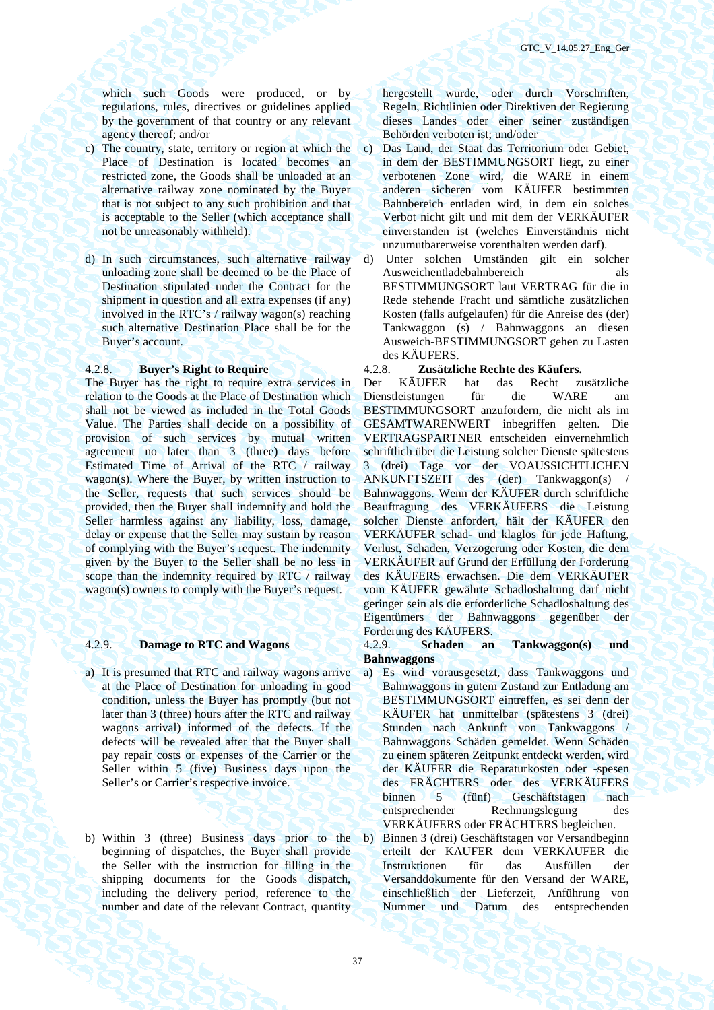which such Goods were produced, or by regulations, rules, directives or guidelines applied by the government of that country or any relevant agency thereof; and/or

- c) The country, state, territory or region at which the Place of Destination is located becomes an restricted zone, the Goods shall be unloaded at an alternative railway zone nominated by the Buyer that is not subject to any such prohibition and that is acceptable to the Seller (which acceptance shall not be unreasonably withheld).
- d) In such circumstances, such alternative railway unloading zone shall be deemed to be the Place of Destination stipulated under the Contract for the shipment in question and all extra expenses (if any) involved in the RTC's / railway wagon(s) reaching such alternative Destination Place shall be for the Buyer's account.

The Buyer has the right to require extra services in relation to the Goods at the Place of Destination which shall not be viewed as included in the Total Goods Value. The Parties shall decide on a possibility of provision of such services by mutual written agreement no later than 3 (three) days before Estimated Time of Arrival of the RTC / railway wagon(s). Where the Buyer, by written instruction to the Seller, requests that such services should be provided, then the Buyer shall indemnify and hold the Seller harmless against any liability, loss, damage, delay or expense that the Seller may sustain by reason of complying with the Buyer's request. The indemnity given by the Buyer to the Seller shall be no less in scope than the indemnity required by RTC / railway wagon(s) owners to comply with the Buyer's request.

- a) It is presumed that RTC and railway wagons arrive at the Place of Destination for unloading in good condition, unless the Buyer has promptly (but not later than 3 (three) hours after the RTC and railway wagons arrival) informed of the defects. If the defects will be revealed after that the Buyer shall pay repair costs or expenses of the Carrier or the Seller within 5 (five) Business days upon the Seller's or Carrier's respective invoice.
- b) Within 3 (three) Business days prior to the beginning of dispatches, the Buyer shall provide the Seller with the instruction for filling in the shipping documents for the Goods dispatch, including the delivery period, reference to the number and date of the relevant Contract, quantity

hergestellt wurde, oder durch Vorschriften, Regeln, Richtlinien oder Direktiven der Regierung dieses Landes oder einer seiner zuständigen Behörden verboten ist; und/oder

- c) Das Land, der Staat das Territorium oder Gebiet, in dem der BESTIMMUNGSORT liegt, zu einer verbotenen Zone wird, die WARE in einem anderen sicheren vom KÄUFER bestimmten Bahnbereich entladen wird, in dem ein solches Verbot nicht gilt und mit dem der VERKÄUFER einverstanden ist (welches Einverständnis nicht unzumutbarerweise vorenthalten werden darf).
- d) Unter solchen Umständen gilt ein solcher Ausweichentladebahnbereich als BESTIMMUNGSORT laut VERTRAG für die in Rede stehende Fracht und sämtliche zusätzlichen Kosten (falls aufgelaufen) für die Anreise des (der) Tankwaggon (s) / Bahnwaggons an diesen Ausweich-BESTIMMUNGSORT gehen zu Lasten des KÄUFERS.

### 4.2.8. **Buyer's Right to Require** 4.2.8. **Zusätzliche Rechte des Käufers.**

Der KÄUFER hat das Recht zusätzliche Dienstleistungen für die WARE am BESTIMMUNGSORT anzufordern, die nicht als im GESAMTWARENWERT inbegriffen gelten. Die VERTRAGSPARTNER entscheiden einvernehmlich schriftlich über die Leistung solcher Dienste spätestens 3 (drei) Tage vor der VOAUSSICHTLICHEN ANKUNFTSZEIT des (der) Tankwaggon(s) / Bahnwaggons. Wenn der KÄUFER durch schriftliche Beauftragung des VERKÄUFERS die Leistung solcher Dienste anfordert, hält der KÄUFER den VERKÄUFER schad- und klaglos für jede Haftung, Verlust, Schaden, Verzögerung oder Kosten, die dem VERKÄUFER auf Grund der Erfüllung der Forderung des KÄUFERS erwachsen. Die dem VERKÄUFER vom KÄUFER gewährte Schadloshaltung darf nicht geringer sein als die erforderliche Schadloshaltung des Eigentümers der Bahnwaggons gegenüber der Forderung des KÄUFERS.

# 4.2.9. **Damage to RTC and Wagons** 4.2.9. **Schaden an Tankwaggon(s) und Bahnwaggons**

- a) Es wird vorausgesetzt, dass Tankwaggons und Bahnwaggons in gutem Zustand zur Entladung am BESTIMMUNGSORT eintreffen, es sei denn der KÄUFER hat unmittelbar (spätestens 3 (drei) Stunden nach Ankunft von Tankwaggons / Bahnwaggons Schäden gemeldet. Wenn Schäden zu einem späteren Zeitpunkt entdeckt werden, wird der KÄUFER die Reparaturkosten oder -spesen des FRÄCHTERS oder des VERKÄUFERS binnen 5 (fünf) Geschäftstagen nach entsprechender Rechnungslegung des VERKÄUFERS oder FRÄCHTERS begleichen.
	- b) Binnen 3 (drei) Geschäftstagen vor Versandbeginn erteilt der KÄUFER dem VERKÄUFER die Instruktionen für das Ausfüllen der Versanddokumente für den Versand der WARE, einschließlich der Lieferzeit, Anführung von Nummer und Datum des entsprechenden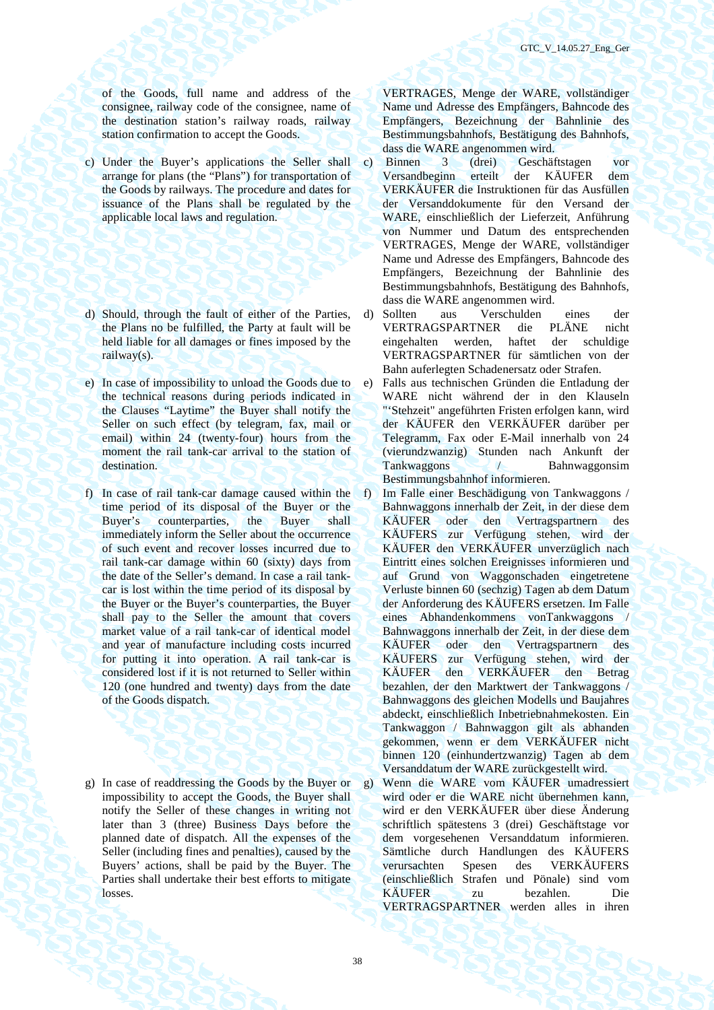of the Goods, full name and address of the consignee, railway code of the consignee, name of the destination station's railway roads, railway station confirmation to accept the Goods.

- c) Under the Buyer's applications the Seller shall arrange for plans (the "Plans") for transportation of the Goods by railways. The procedure and dates for issuance of the Plans shall be regulated by the applicable local laws and regulation.
- d) Should, through the fault of either of the Parties, the Plans no be fulfilled, the Party at fault will be held liable for all damages or fines imposed by the railway(s).
- e) In case of impossibility to unload the Goods due to the technical reasons during periods indicated in the Clauses "Laytime" the Buyer shall notify the Seller on such effect (by telegram, fax, mail or email) within 24 (twenty-four) hours from the moment the rail tank-car arrival to the station of destination.
- f) In case of rail tank-car damage caused within the time period of its disposal of the Buyer or the Buyer's counterparties, the Buyer shall immediately inform the Seller about the occurrence of such event and recover losses incurred due to rail tank-car damage within 60 (sixty) days from the date of the Seller's demand. In case a rail tankcar is lost within the time period of its disposal by the Buyer or the Buyer's counterparties, the Buyer shall pay to the Seller the amount that covers market value of a rail tank-car of identical model and year of manufacture including costs incurred for putting it into operation. A rail tank-car is considered lost if it is not returned to Seller within 120 (one hundred and twenty) days from the date of the Goods dispatch.
- g) In case of readdressing the Goods by the Buyer or impossibility to accept the Goods, the Buyer shall notify the Seller of these changes in writing not later than 3 (three) Business Days before the planned date of dispatch. All the expenses of the Seller (including fines and penalties), caused by the Buyers' actions, shall be paid by the Buyer. The Parties shall undertake their best efforts to mitigate losses.

VERTRAGES, Menge der WARE, vollständiger Name und Adresse des Empfängers, Bahncode des Empfängers, Bezeichnung der Bahnlinie des Bestimmungsbahnhofs, Bestätigung des Bahnhofs, dass die WARE angenommen wird.

- c) Binnen 3 (drei) Geschäftstagen vor Versandbeginn erteilt der KÄUFER dem VERKÄUFER die Instruktionen für das Ausfüllen der Versanddokumente für den Versand der WARE, einschließlich der Lieferzeit, Anführung von Nummer und Datum des entsprechenden VERTRAGES, Menge der WARE, vollständiger Name und Adresse des Empfängers, Bahncode des Empfängers, Bezeichnung der Bahnlinie des Bestimmungsbahnhofs, Bestätigung des Bahnhofs, dass die WARE angenommen wird.
- d) Sollten aus Verschulden eines der VERTRAGSPARTNER die PLÄNE nicht eingehalten werden, haftet der schuldige VERTRAGSPARTNER für sämtlichen von der Bahn auferlegten Schadenersatz oder Strafen.
- e) Falls aus technischen Gründen die Entladung der WARE nicht während der in den Klauseln "'Stehzeit" angeführten Fristen erfolgen kann, wird der KÄUFER den VERKÄUFER darüber per Telegramm, Fax oder E-Mail innerhalb von 24 (vierundzwanzig) Stunden nach Ankunft der Tankwaggons / Bahnwaggonsim Bestimmungsbahnhof informieren.
- f) Im Falle einer Beschädigung von Tankwaggons / Bahnwaggons innerhalb der Zeit, in der diese dem KÄUFER oder den Vertragspartnern des KÄUFERS zur Verfügung stehen, wird der KÄUFER den VERKÄUFER unverzüglich nach Eintritt eines solchen Ereignisses informieren und auf Grund von Waggonschaden eingetretene Verluste binnen 60 (sechzig) Tagen ab dem Datum der Anforderung des KÄUFERS ersetzen. Im Falle eines Abhandenkommens vonTankwaggons / Bahnwaggons innerhalb der Zeit, in der diese dem KÄUFER oder den Vertragspartnern des KÄUFERS zur Verfügung stehen, wird der KÄUFER den VERKÄUFER den Betrag bezahlen, der den Marktwert der Tankwaggons / Bahnwaggons des gleichen Modells und Baujahres abdeckt, einschließlich Inbetriebnahmekosten. Ein Tankwaggon / Bahnwaggon gilt als abhanden gekommen, wenn er dem VERKÄUFER nicht binnen 120 (einhundertzwanzig) Tagen ab dem Versanddatum der WARE zurückgestellt wird.
- g) Wenn die WARE vom KÄUFER umadressiert wird oder er die WARE nicht übernehmen kann, wird er den VERKÄUFER über diese Änderung schriftlich spätestens 3 (drei) Geschäftstage vor dem vorgesehenen Versanddatum informieren. Sämtliche durch Handlungen des KÄUFERS verursachten Spesen des VERKÄUFERS (einschließlich Strafen und Pönale) sind vom KÄUFER zu bezahlen. Die VERTRAGSPARTNER werden alles in ihren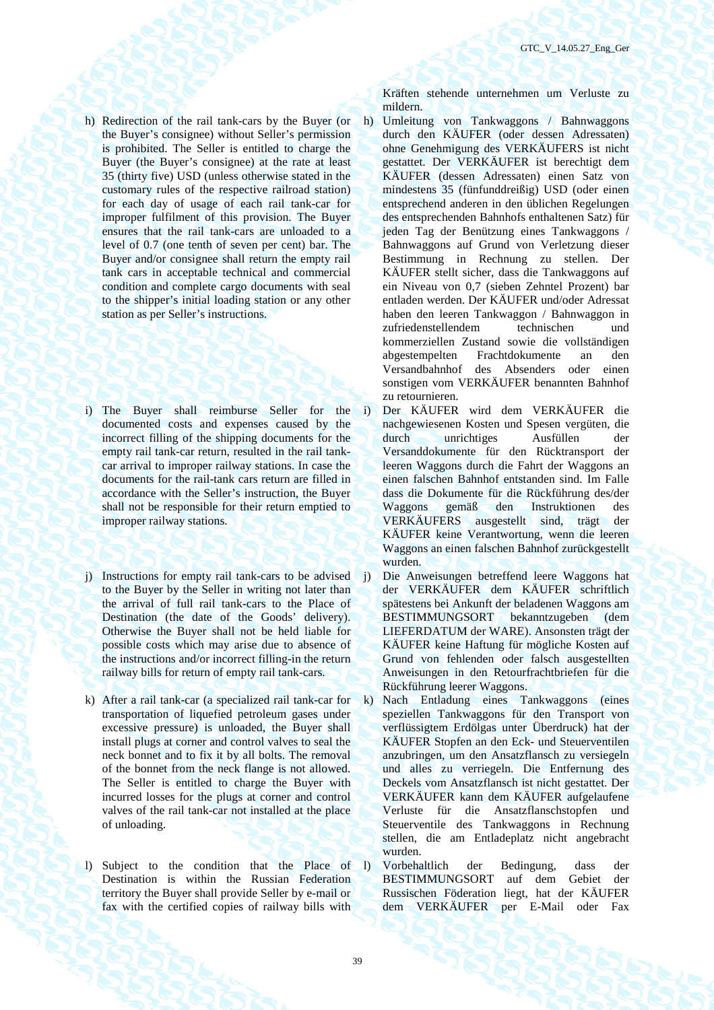- h) Redirection of the rail tank-cars by the Buyer (or the Buyer's consignee) without Seller's permission is prohibited. The Seller is entitled to charge the Buyer (the Buyer's consignee) at the rate at least 35 (thirty five) USD (unless otherwise stated in the customary rules of the respective railroad station) for each day of usage of each rail tank-car for improper fulfilment of this provision. The Buyer ensures that the rail tank-cars are unloaded to a level of 0.7 (one tenth of seven per cent) bar. The Buyer and/or consignee shall return the empty rail tank cars in acceptable technical and commercial condition and complete cargo documents with seal to the shipper's initial loading station or any other station as per Seller's instructions.
- i) The Buyer shall reimburse Seller for the i) documented costs and expenses caused by the incorrect filling of the shipping documents for the empty rail tank-car return, resulted in the rail tankcar arrival to improper railway stations. In case the documents for the rail-tank cars return are filled in accordance with the Seller's instruction, the Buyer shall not be responsible for their return emptied to improper railway stations.
- j) Instructions for empty rail tank-cars to be advised to the Buyer by the Seller in writing not later than the arrival of full rail tank-cars to the Place of Destination (the date of the Goods' delivery). Otherwise the Buyer shall not be held liable for possible costs which may arise due to absence of the instructions and/or incorrect filling-in the return railway bills for return of empty rail tank-cars.
- k) After a rail tank-car (a specialized rail tank-car for transportation of liquefied petroleum gases under excessive pressure) is unloaded, the Buyer shall install plugs at corner and control valves to seal the neck bonnet and to fix it by all bolts. The removal of the bonnet from the neck flange is not allowed. The Seller is entitled to charge the Buyer with incurred losses for the plugs at corner and control valves of the rail tank-car not installed at the place of unloading.
- l) Subject to the condition that the Place of Destination is within the Russian Federation territory the Buyer shall provide Seller by e-mail or fax with the certified copies of railway bills with

Kräften stehende unternehmen um Verluste zu mildern.

- h) Umleitung von Tankwaggons / Bahnwaggons durch den KÄUFER (oder dessen Adressaten) ohne Genehmigung des VERKÄUFERS ist nicht gestattet. Der VERKÄUFER ist berechtigt dem KÄUFER (dessen Adressaten) einen Satz von mindestens 35 (fünfunddreißig) USD (oder einen entsprechend anderen in den üblichen Regelungen des entsprechenden Bahnhofs enthaltenen Satz) für jeden Tag der Benützung eines Tankwaggons / Bahnwaggons auf Grund von Verletzung dieser Bestimmung in Rechnung zu stellen. Der KÄUFER stellt sicher, dass die Tankwaggons auf ein Niveau von 0,7 (sieben Zehntel Prozent) bar entladen werden. Der KÄUFER und/oder Adressat haben den leeren Tankwaggon / Bahnwaggon in zufriedenstellendem technischen und kommerziellen Zustand sowie die vollständigen abgestempelten Frachtdokumente an den Versandbahnhof des Absenders oder einen sonstigen vom VERKÄUFER benannten Bahnhof zu retournieren.
	- i) Der KÄUFER wird dem VERKÄUFER die nachgewiesenen Kosten und Spesen vergüten, die durch unrichtiges Ausfüllen der Versanddokumente für den Rücktransport der leeren Waggons durch die Fahrt der Waggons an einen falschen Bahnhof entstanden sind. Im Falle dass die Dokumente für die Rückführung des/der Waggons gemäß den Instruktionen des VERKÄUFERS ausgestellt sind, trägt der KÄUFER keine Verantwortung, wenn die leeren Waggons an einen falschen Bahnhof zurückgestellt wurden.
- j) Die Anweisungen betreffend leere Waggons hat der VERKÄUFER dem KÄUFER schriftlich spätestens bei Ankunft der beladenen Waggons am BESTIMMUNGSORT bekanntzugeben (dem LIEFERDATUM der WARE). Ansonsten trägt der KÄUFER keine Haftung für mögliche Kosten auf Grund von fehlenden oder falsch ausgestellten Anweisungen in den Retourfrachtbriefen für die Rückführung leerer Waggons.
- k) Nach Entladung eines Tankwaggons (eines speziellen Tankwaggons für den Transport von verflüssigtem Erdölgas unter Überdruck) hat der KÄUFER Stopfen an den Eck- und Steuerventilen anzubringen, um den Ansatzflansch zu versiegeln und alles zu verriegeln. Die Entfernung des Deckels vom Ansatzflansch ist nicht gestattet. Der VERKÄUFER kann dem KÄUFER aufgelaufene Verluste für die Ansatzflanschstopfen und Steuerventile des Tankwaggons in Rechnung stellen, die am Entladeplatz nicht angebracht wurden.
- l) Vorbehaltlich der Bedingung, dass der BESTIMMUNGSORT auf dem Gebiet der Russischen Föderation liegt, hat der KÄUFER dem VERKÄUFER per E-Mail oder Fax

39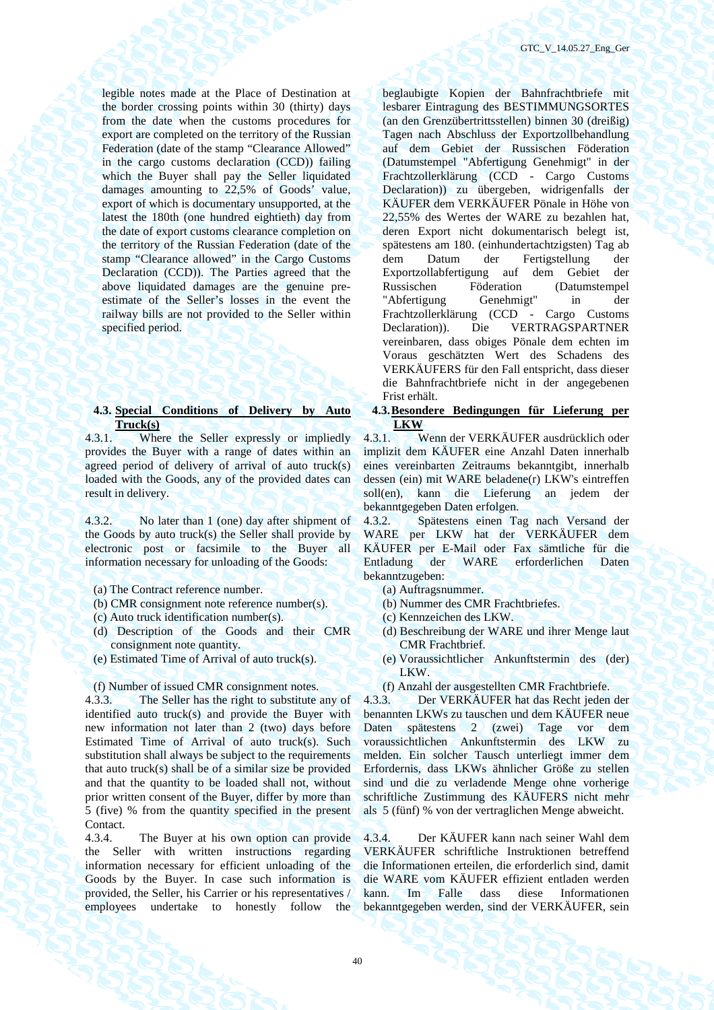legible notes made at the Place of Destination at the border crossing points within 30 (thirty) days from the date when the customs procedures for export are completed on the territory of the Russian Federation (date of the stamp "Clearance Allowed" in the cargo customs declaration (CCD)) failing which the Buyer shall pay the Seller liquidated damages amounting to 22,5% of Goods' value, export of which is documentary unsupported, at the latest the 180th (one hundred eightieth) day from the date of export customs clearance completion on the territory of the Russian Federation (date of the stamp "Clearance allowed" in the Cargo Customs Declaration (CCD)). The Parties agreed that the above liquidated damages are the genuine preestimate of the Seller's losses in the event the railway bills are not provided to the Seller within specified period.

## **4.3. Special Conditions of Delivery by Auto Truck(s)**

4.3.1. Where the Seller expressly or impliedly provides the Buyer with a range of dates within an agreed period of delivery of arrival of auto truck(s) loaded with the Goods, any of the provided dates can result in delivery.

4.3.2. No later than 1 (one) day after shipment of the Goods by auto truck(s) the Seller shall provide by electronic post or facsimile to the Buyer all information necessary for unloading of the Goods:

- (a) The Contract reference number. (a) Auftragsnummer.
- (b) CMR consignment note reference number(s). (b) Nummer des CMR Frachtbriefes.
- (c) Auto truck identification number(s). (c) Kennzeichen des LKW.
- (d) Description of the Goods and their CMR consignment note quantity.
- 

4.3.3. The Seller has the right to substitute any of identified auto truck(s) and provide the Buyer with new information not later than 2 (two) days before Estimated Time of Arrival of auto truck(s). Such substitution shall always be subject to the requirements that auto truck(s) shall be of a similar size be provided and that the quantity to be loaded shall not, without prior written consent of the Buyer, differ by more than 5 (five) % from the quantity specified in the present Contact.

4.3.4. The Buyer at his own option can provide the Seller with written instructions regarding information necessary for efficient unloading of the Goods by the Buyer. In case such information is provided, the Seller, his Carrier or his representatives / employees undertake to honestly follow the beglaubigte Kopien der Bahnfrachtbriefe mit lesbarer Eintragung des BESTIMMUNGSORTES (an den Grenzübertrittsstellen) binnen 30 (dreißig) Tagen nach Abschluss der Exportzollbehandlung auf dem Gebiet der Russischen Föderation (Datumstempel "Abfertigung Genehmigt" in der Frachtzollerklärung (CCD - Cargo Customs Declaration)) zu übergeben, widrigenfalls der KÄUFER dem VERKÄUFER Pönale in Höhe von 22,55% des Wertes der WARE zu bezahlen hat, deren Export nicht dokumentarisch belegt ist, spätestens am 180. (einhundertachtzigsten) Tag ab dem Datum der Fertigstellung der Exportzollabfertigung auf dem Gebiet der Russischen Föderation (Datumstempel "Abfertigung Genehmigt" in der Frachtzollerklärung (CCD - Cargo Customs Declaration)). Die VERTRAGSPARTNER vereinbaren, dass obiges Pönale dem echten im Voraus geschätzten Wert des Schadens des VERKÄUFERS für den Fall entspricht, dass dieser die Bahnfrachtbriefe nicht in der angegebenen Frist erhält.

**4.3.Besondere Bedingungen für Lieferung per LKW** 

4.3.1. Wenn der VERKÄUFER ausdrücklich oder implizit dem KÄUFER eine Anzahl Daten innerhalb eines vereinbarten Zeitraums bekanntgibt, innerhalb dessen (ein) mit WARE beladene(r) LKW's eintreffen soll(en), kann die Lieferung an jedem der bekanntgegeben Daten erfolgen.

4.3.2. Spätestens einen Tag nach Versand der WARE per LKW hat der VERKÄUFER dem KÄUFER per E-Mail oder Fax sämtliche für die Entladung der WARE erforderlichen Daten bekanntzugeben:

- 
- 
- 
- (d) Beschreibung der WARE und ihrer Menge laut CMR Frachtbrief.
- (e) Estimated Time of Arrival of auto truck(s). (e) Voraussichtlicher Ankunftstermin des (der) LKW.
- (f) Number of issued CMR consignment notes. (f) Anzahl der ausgestellten CMR Frachtbriefe.

4.3.3. Der VERKÄUFER hat das Recht jeden der benannten LKWs zu tauschen und dem KÄUFER neue Daten spätestens 2 (zwei) Tage vor dem voraussichtlichen Ankunftstermin des LKW zu melden. Ein solcher Tausch unterliegt immer dem Erfordernis, dass LKWs ähnlicher Größe zu stellen sind und die zu verladende Menge ohne vorherige schriftliche Zustimmung des KÄUFERS nicht mehr als 5 (fünf) % von der vertraglichen Menge abweicht.

4.3.4. Der KÄUFER kann nach seiner Wahl dem VERKÄUFER schriftliche Instruktionen betreffend die Informationen erteilen, die erforderlich sind, damit die WARE vom KÄUFER effizient entladen werden kann. Im Falle dass diese Informationen bekanntgegeben werden, sind der VERKÄUFER, sein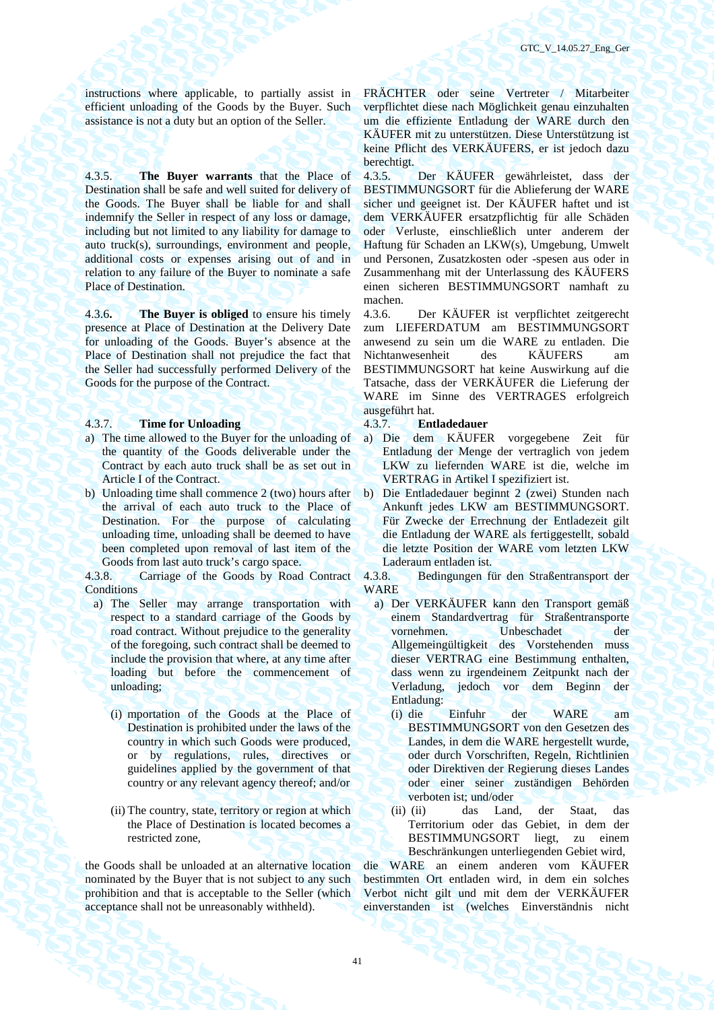instructions where applicable, to partially assist in efficient unloading of the Goods by the Buyer. Such assistance is not a duty but an option of the Seller.

4.3.5. **The Buyer warrants** that the Place of Destination shall be safe and well suited for delivery of the Goods. The Buyer shall be liable for and shall indemnify the Seller in respect of any loss or damage, including but not limited to any liability for damage to auto truck(s), surroundings, environment and people, additional costs or expenses arising out of and in relation to any failure of the Buyer to nominate a safe Place of Destination.

4.3.6**. The Buyer is obliged** to ensure his timely presence at Place of Destination at the Delivery Date for unloading of the Goods. Buyer's absence at the Place of Destination shall not prejudice the fact that the Seller had successfully performed Delivery of the Goods for the purpose of the Contract.

### 4.3.7. **Time for Unloading** 4.3.7. **Entladedauer**

- a) The time allowed to the Buyer for the unloading of the quantity of the Goods deliverable under the Contract by each auto truck shall be as set out in Article I of the Contract.
- b) Unloading time shall commence 2 (two) hours after the arrival of each auto truck to the Place of Destination. For the purpose of calculating unloading time, unloading shall be deemed to have been completed upon removal of last item of the Goods from last auto truck's cargo space.

4.3.8. Carriage of the Goods by Road Contract **Conditions** 

- a) The Seller may arrange transportation with respect to a standard carriage of the Goods by road contract. Without prejudice to the generality of the foregoing, such contract shall be deemed to include the provision that where, at any time after loading but before the commencement of unloading;
	- (i) mportation of the Goods at the Place of Destination is prohibited under the laws of the country in which such Goods were produced, or by regulations, rules, directives or guidelines applied by the government of that country or any relevant agency thereof; and/or
	- (ii) The country, state, territory or region at which the Place of Destination is located becomes a restricted zone,

the Goods shall be unloaded at an alternative location nominated by the Buyer that is not subject to any such prohibition and that is acceptable to the Seller (which acceptance shall not be unreasonably withheld).

FRÄCHTER oder seine Vertreter / Mitarbeiter verpflichtet diese nach Möglichkeit genau einzuhalten um die effiziente Entladung der WARE durch den KÄUFER mit zu unterstützen. Diese Unterstützung ist keine Pflicht des VERKÄUFERS, er ist jedoch dazu berechtigt.

4.3.5. Der KÄUFER gewährleistet, dass der BESTIMMUNGSORT für die Ablieferung der WARE sicher und geeignet ist. Der KÄUFER haftet und ist dem VERKÄUFER ersatzpflichtig für alle Schäden oder Verluste, einschließlich unter anderem der Haftung für Schaden an LKW(s), Umgebung, Umwelt und Personen, Zusatzkosten oder -spesen aus oder in Zusammenhang mit der Unterlassung des KÄUFERS einen sicheren BESTIMMUNGSORT namhaft zu machen.

4.3.6. Der KÄUFER ist verpflichtet zeitgerecht zum LIEFERDATUM am BESTIMMUNGSORT anwesend zu sein um die WARE zu entladen. Die Nichtanwesenheit des KÄUFERS am BESTIMMUNGSORT hat keine Auswirkung auf die Tatsache, dass der VERKÄUFER die Lieferung der WARE im Sinne des VERTRAGES erfolgreich ausgeführt hat.

- a) Die dem KÄUFER vorgegebene Zeit für Entladung der Menge der vertraglich von jedem LKW zu liefernden WARE ist die, welche im VERTRAG in Artikel I spezifiziert ist.
- b) Die Entladedauer beginnt 2 (zwei) Stunden nach Ankunft jedes LKW am BESTIMMUNGSORT. Für Zwecke der Errechnung der Entladezeit gilt die Entladung der WARE als fertiggestellt, sobald die letzte Position der WARE vom letzten LKW Laderaum entladen ist.

4.3.8. Bedingungen für den Straßentransport der WARE

- a) Der VERKÄUFER kann den Transport gemäß einem Standardvertrag für Straßentransporte vornehmen. Unbeschadet der Allgemeingültigkeit des Vorstehenden muss dieser VERTRAG eine Bestimmung enthalten, dass wenn zu irgendeinem Zeitpunkt nach der Verladung, jedoch vor dem Beginn der Entladung:
	- (i) die Einfuhr der WARE am BESTIMMUNGSORT von den Gesetzen des Landes, in dem die WARE hergestellt wurde, oder durch Vorschriften, Regeln, Richtlinien oder Direktiven der Regierung dieses Landes oder einer seiner zuständigen Behörden verboten ist; und/oder
	- (ii) (ii) das Land, der Staat, das Territorium oder das Gebiet, in dem der BESTIMMUNGSORT liegt, zu einem Beschränkungen unterliegenden Gebiet wird,

die WARE an einem anderen vom KÄUFER bestimmten Ort entladen wird, in dem ein solches Verbot nicht gilt und mit dem der VERKÄUFER einverstanden ist (welches Einverständnis nicht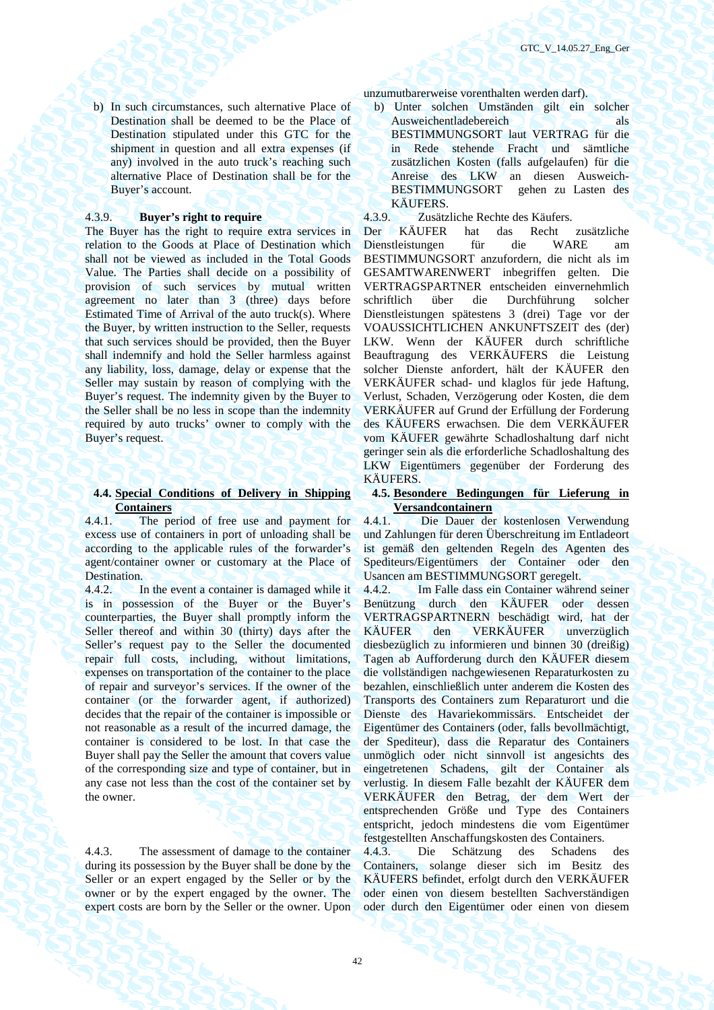b) In such circumstances, such alternative Place of Destination shall be deemed to be the Place of Destination stipulated under this GTC for the shipment in question and all extra expenses (if any) involved in the auto truck's reaching such alternative Place of Destination shall be for the Buyer's account.

The Buyer has the right to require extra services in relation to the Goods at Place of Destination which shall not be viewed as included in the Total Goods Value. The Parties shall decide on a possibility of provision of such services by mutual written agreement no later than 3 (three) days before Estimated Time of Arrival of the auto truck(s). Where the Buyer, by written instruction to the Seller, requests that such services should be provided, then the Buyer shall indemnify and hold the Seller harmless against any liability, loss, damage, delay or expense that the Seller may sustain by reason of complying with the Buyer's request. The indemnity given by the Buyer to the Seller shall be no less in scope than the indemnity required by auto trucks' owner to comply with the Buyer's request.

# **4.4. Special Conditions of Delivery in Shipping Containers**

4.4.1. The period of free use and payment for excess use of containers in port of unloading shall be according to the applicable rules of the forwarder's agent/container owner or customary at the Place of Destination.

4.4.2. In the event a container is damaged while it is in possession of the Buyer or the Buyer's counterparties, the Buyer shall promptly inform the Seller thereof and within 30 (thirty) days after the Seller's request pay to the Seller the documented repair full costs, including, without limitations, expenses on transportation of the container to the place of repair and surveyor's services. If the owner of the container (or the forwarder agent, if authorized) decides that the repair of the container is impossible or not reasonable as a result of the incurred damage, the container is considered to be lost. In that case the Buyer shall pay the Seller the amount that covers value of the corresponding size and type of container, but in any case not less than the cost of the container set by the owner.

4.4.3. The assessment of damage to the container during its possession by the Buyer shall be done by the Seller or an expert engaged by the Seller or by the owner or by the expert engaged by the owner. The expert costs are born by the Seller or the owner. Upon

unzumutbarerweise vorenthalten werden darf).

b) Unter solchen Umständen gilt ein solcher Ausweichentladebereich als BESTIMMUNGSORT laut VERTRAG für die in Rede stehende Fracht und sämtliche zusätzlichen Kosten (falls aufgelaufen) für die Anreise des LKW an diesen Ausweich-BESTIMMUNGSORT gehen zu Lasten des

KÄUFERS.<br>4.3.9. Zusätz 4.3.9. **Buyer's right to require** 4.3.9. Zusätzliche Rechte des Käufers.

> Der KÄUFER hat das Recht zusätzliche Dienstleistungen für die WARE am BESTIMMUNGSORT anzufordern, die nicht als im GESAMTWARENWERT inbegriffen gelten. Die VERTRAGSPARTNER entscheiden einvernehmlich schriftlich über die Durchführung solcher Dienstleistungen spätestens 3 (drei) Tage vor der VOAUSSICHTLICHEN ANKUNFTSZEIT des (der) LKW. Wenn der KÄUFER durch schriftliche Beauftragung des VERKÄUFERS die Leistung solcher Dienste anfordert, hält der KÄUFER den VERKÄUFER schad- und klaglos für jede Haftung, Verlust, Schaden, Verzögerung oder Kosten, die dem VERKÄUFER auf Grund der Erfüllung der Forderung des KÄUFERS erwachsen. Die dem VERKÄUFER vom KÄUFER gewährte Schadloshaltung darf nicht geringer sein als die erforderliche Schadloshaltung des LKW Eigentümers gegenüber der Forderung des KÄUFERS.

## **4.5. Besondere Bedingungen für Lieferung in Versandcontainern**

4.4.1. Die Dauer der kostenlosen Verwendung und Zahlungen für deren Überschreitung im Entladeort ist gemäß den geltenden Regeln des Agenten des Spediteurs/Eigentümers der Container oder den Usancen am BESTIMMUNGSORT geregelt.

4.4.2. Im Falle dass ein Container während seiner Benützung durch den KÄUFER oder dessen VERTRAGSPARTNERN beschädigt wird, hat der KÄUFER den VERKÄUFER unverzüglich diesbezüglich zu informieren und binnen 30 (dreißig) Tagen ab Aufforderung durch den KÄUFER diesem die vollständigen nachgewiesenen Reparaturkosten zu bezahlen, einschließlich unter anderem die Kosten des Transports des Containers zum Reparaturort und die Dienste des Havariekommissärs. Entscheidet der Eigentümer des Containers (oder, falls bevollmächtigt, der Spediteur), dass die Reparatur des Containers unmöglich oder nicht sinnvoll ist angesichts des eingetretenen Schadens, gilt der Container als verlustig. In diesem Falle bezahlt der KÄUFER dem VERKÄUFER den Betrag, der dem Wert der entsprechenden Größe und Type des Containers entspricht, jedoch mindestens die vom Eigentümer festgestellten Anschaffungskosten des Containers.

4.4.3. Die Schätzung des Schadens des Containers, solange dieser sich im Besitz des KÄUFERS befindet, erfolgt durch den VERKÄUFER oder einen von diesem bestellten Sachverständigen oder durch den Eigentümer oder einen von diesem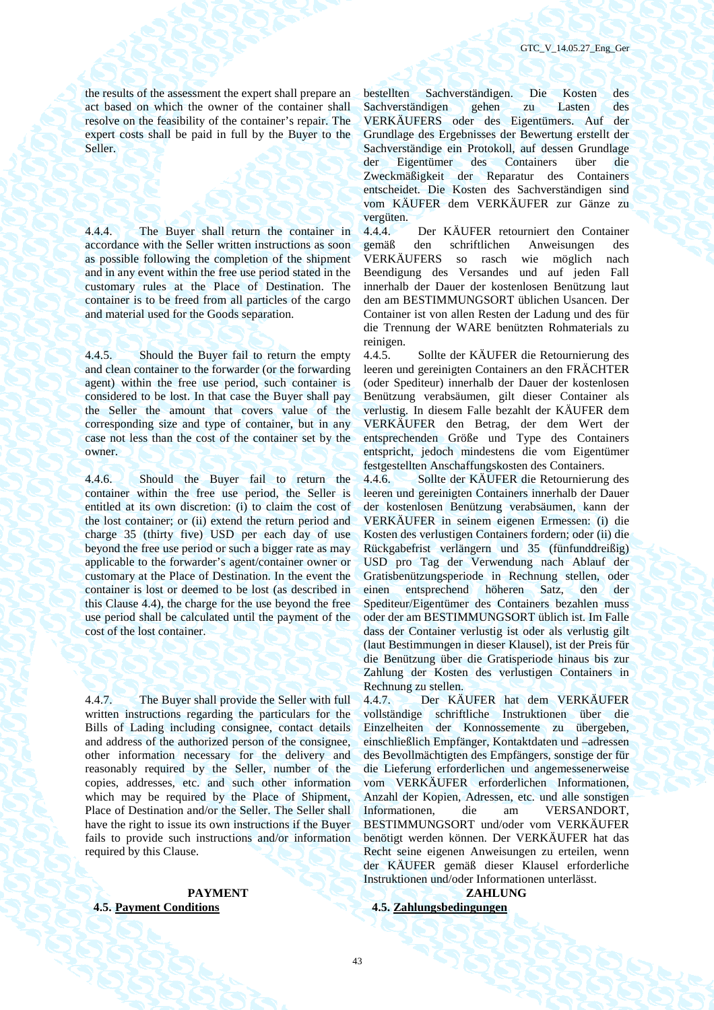the results of the assessment the expert shall prepare an act based on which the owner of the container shall resolve on the feasibility of the container's repair. The expert costs shall be paid in full by the Buyer to the Seller.

4.4.4. The Buyer shall return the container in accordance with the Seller written instructions as soon as possible following the completion of the shipment and in any event within the free use period stated in the customary rules at the Place of Destination. The container is to be freed from all particles of the cargo and material used for the Goods separation.

4.4.5. Should the Buyer fail to return the empty and clean container to the forwarder (or the forwarding agent) within the free use period, such container is considered to be lost. In that case the Buyer shall pay the Seller the amount that covers value of the corresponding size and type of container, but in any case not less than the cost of the container set by the owner.

4.4.6. Should the Buyer fail to return the container within the free use period, the Seller is entitled at its own discretion: (i) to claim the cost of the lost container; or (ii) extend the return period and charge 35 (thirty five) USD per each day of use beyond the free use period or such a bigger rate as may applicable to the forwarder's agent/container owner or customary at the Place of Destination. In the event the container is lost or deemed to be lost (as described in this Clause 4.4), the charge for the use beyond the free use period shall be calculated until the payment of the cost of the lost container.

4.4.7. The Buyer shall provide the Seller with full written instructions regarding the particulars for the Bills of Lading including consignee, contact details and address of the authorized person of the consignee, other information necessary for the delivery and reasonably required by the Seller, number of the copies, addresses, etc. and such other information which may be required by the Place of Shipment, Place of Destination and/or the Seller. The Seller shall have the right to issue its own instructions if the Buyer fails to provide such instructions and/or information required by this Clause.

# **4.5. Payment Conditions 4.5. Zahlungsbedingungen**

bestellten Sachverständigen. Die Kosten des Sachverständigen gehen zu Lasten des VERKÄUFERS oder des Eigentümers. Auf der Grundlage des Ergebnisses der Bewertung erstellt der Sachverständige ein Protokoll, auf dessen Grundlage der Eigentümer des Containers über die Zweckmäßigkeit der Reparatur des Containers entscheidet. Die Kosten des Sachverständigen sind vom KÄUFER dem VERKÄUFER zur Gänze zu vergüten.

4.4.4. Der KÄUFER retourniert den Container gemäß den schriftlichen Anweisungen des VERKÄUFERS so rasch wie möglich nach Beendigung des Versandes und auf jeden Fall innerhalb der Dauer der kostenlosen Benützung laut den am BESTIMMUNGSORT üblichen Usancen. Der Container ist von allen Resten der Ladung und des für die Trennung der WARE benützten Rohmaterials zu reinigen.<br>4.4.5.

4.4.5. Sollte der KÄUFER die Retournierung des leeren und gereinigten Containers an den FRÄCHTER (oder Spediteur) innerhalb der Dauer der kostenlosen Benützung verabsäumen, gilt dieser Container als verlustig. In diesem Falle bezahlt der KÄUFER dem VERKÄUFER den Betrag, der dem Wert der entsprechenden Größe und Type des Containers entspricht, jedoch mindestens die vom Eigentümer festgestellten Anschaffungskosten des Containers.

4.4.6. Sollte der KÄUFER die Retournierung des leeren und gereinigten Containers innerhalb der Dauer der kostenlosen Benützung verabsäumen, kann der VERKÄUFER in seinem eigenen Ermessen: (i) die Kosten des verlustigen Containers fordern; oder (ii) die Rückgabefrist verlängern und 35 (fünfunddreißig) USD pro Tag der Verwendung nach Ablauf der Gratisbenützungsperiode in Rechnung stellen, oder einen entsprechend höheren Satz, den der Spediteur/Eigentümer des Containers bezahlen muss oder der am BESTIMMUNGSORT üblich ist. Im Falle dass der Container verlustig ist oder als verlustig gilt (laut Bestimmungen in dieser Klausel), ist der Preis für die Benützung über die Gratisperiode hinaus bis zur Zahlung der Kosten des verlustigen Containers in Rechnung zu stellen.

4.4.7. Der KÄUFER hat dem VERKÄUFER vollständige schriftliche Instruktionen über die Einzelheiten der Konnossemente zu übergeben, einschließlich Empfänger, Kontaktdaten und –adressen des Bevollmächtigten des Empfängers, sonstige der für die Lieferung erforderlichen und angemessenerweise vom VERKÄUFER erforderlichen Informationen, Anzahl der Kopien, Adressen, etc. und alle sonstigen Informationen, die am VERSANDORT, BESTIMMUNGSORT und/oder vom VERKÄUFER benötigt werden können. Der VERKÄUFER hat das Recht seine eigenen Anweisungen zu erteilen, wenn der KÄUFER gemäß dieser Klausel erforderliche Instruktionen und/oder Informationen unterlässt.

PAYMENT **EXAMPLE 2018 ZAHLUNG**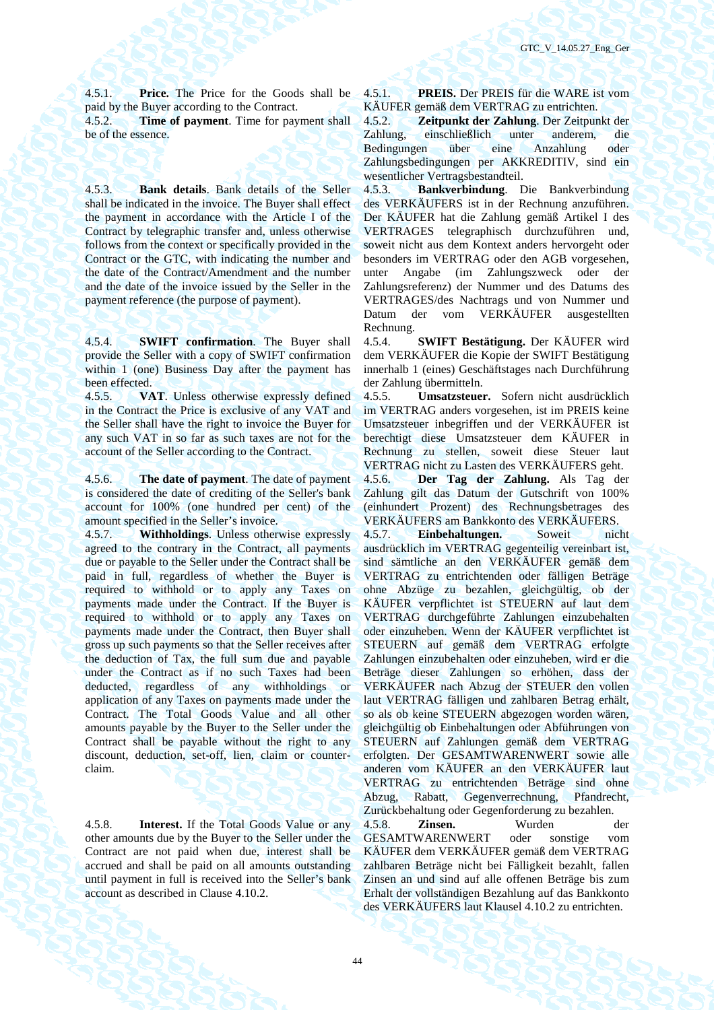4.5.1. **Price.** The Price for the Goods shall be paid by the Buyer according to the Contract.

4.5.2. **Time of payment**. Time for payment shall be of the essence.

4.5.3. **Bank details**. Bank details of the Seller shall be indicated in the invoice. The Buyer shall effect the payment in accordance with the Article I of the Contract by telegraphic transfer and, unless otherwise follows from the context or specifically provided in the Contract or the GTC, with indicating the number and the date of the Contract/Amendment and the number and the date of the invoice issued by the Seller in the payment reference (the purpose of payment).

4.5.4. **SWIFT confirmation**. The Buyer shall provide the Seller with a copy of SWIFT confirmation within 1 (one) Business Day after the payment has been effected.

4.5.5. **VAT**. Unless otherwise expressly defined in the Contract the Price is exclusive of any VAT and the Seller shall have the right to invoice the Buyer for any such VAT in so far as such taxes are not for the account of the Seller according to the Contract.

4.5.6. **The date of payment**. The date of payment is considered the date of crediting of the Seller's bank account for 100% (one hundred per cent) of the amount specified in the Seller's invoice.

4.5.7. **Withholdings**. Unless otherwise expressly agreed to the contrary in the Contract, all payments due or payable to the Seller under the Contract shall be paid in full, regardless of whether the Buyer is required to withhold or to apply any Taxes on payments made under the Contract. If the Buyer is required to withhold or to apply any Taxes on payments made under the Contract, then Buyer shall gross up such payments so that the Seller receives after the deduction of Tax, the full sum due and payable under the Contract as if no such Taxes had been deducted, regardless of any withholdings or application of any Taxes on payments made under the Contract. The Total Goods Value and all other amounts payable by the Buyer to the Seller under the Contract shall be payable without the right to any discount, deduction, set-off, lien, claim or counterclaim.

4.5.8. **Interest.** If the Total Goods Value or any other amounts due by the Buyer to the Seller under the Contract are not paid when due, interest shall be accrued and shall be paid on all amounts outstanding until payment in full is received into the Seller's bank account as described in Clause 4.10.2.

4.5.1. **PREIS.** Der PREIS für die WARE ist vom KÄUFER gemäß dem VERTRAG zu entrichten.

4.5.2. **Zeitpunkt der Zahlung**. Der Zeitpunkt der Zahlung, einschließlich unter anderem, die Bedingungen über eine Anzahlung oder Zahlungsbedingungen per AKKREDITIV, sind ein wesentlicher Vertragsbestandteil.

4.5.3. **Bankverbindung**. Die Bankverbindung des VERKÄUFERS ist in der Rechnung anzuführen. Der KÄUFER hat die Zahlung gemäß Artikel I des VERTRAGES telegraphisch durchzuführen und, soweit nicht aus dem Kontext anders hervorgeht oder besonders im VERTRAG oder den AGB vorgesehen, unter Angabe (im Zahlungszweck oder der Zahlungsreferenz) der Nummer und des Datums des VERTRAGES/des Nachtrags und von Nummer und Datum der vom VERKÄUFER ausgestellten Rechnung.

4.5.4. **SWIFT Bestätigung.** Der KÄUFER wird dem VERKÄUFER die Kopie der SWIFT Bestätigung innerhalb 1 (eines) Geschäftstages nach Durchführung der Zahlung übermitteln.

4.5.5. **Umsatzsteuer.** Sofern nicht ausdrücklich im VERTRAG anders vorgesehen, ist im PREIS keine Umsatzsteuer inbegriffen und der VERKÄUFER ist berechtigt diese Umsatzsteuer dem KÄUFER in Rechnung zu stellen, soweit diese Steuer laut VERTRAG nicht zu Lasten des VERKÄUFERS geht.<br>4.5.6. Der Tag der Zahlung. Als Tag der

4.5.6. **Der Tag der Zahlung.** Als Tag der Zahlung gilt das Datum der Gutschrift von 100% (einhundert Prozent) des Rechnungsbetrages des VERKÄUFERS am Bankkonto des VERKÄUFERS.

4.5.7. **Einbehaltungen.** Soweit nicht ausdrücklich im VERTRAG gegenteilig vereinbart ist, sind sämtliche an den VERKÄUFER gemäß dem VERTRAG zu entrichtenden oder fälligen Beträge ohne Abzüge zu bezahlen, gleichgültig, ob der KÄUFER verpflichtet ist STEUERN auf laut dem VERTRAG durchgeführte Zahlungen einzubehalten oder einzuheben. Wenn der KÄUFER verpflichtet ist STEUERN auf gemäß dem VERTRAG erfolgte Zahlungen einzubehalten oder einzuheben, wird er die Beträge dieser Zahlungen so erhöhen, dass der VERKÄUFER nach Abzug der STEUER den vollen laut VERTRAG fälligen und zahlbaren Betrag erhält, so als ob keine STEUERN abgezogen worden wären, gleichgültig ob Einbehaltungen oder Abführungen von STEUERN auf Zahlungen gemäß dem VERTRAG erfolgten. Der GESAMTWARENWERT sowie alle anderen vom KÄUFER an den VERKÄUFER laut VERTRAG zu entrichtenden Beträge sind ohne Abzug, Rabatt, Gegenverrechnung, Pfandrecht, Zurückbehaltung oder Gegenforderung zu bezahlen.

4.5.8. **Zinsen.** Wurden der GESAMTWARENWERT oder sonstige vom KÄUFER dem VERKÄUFER gemäß dem VERTRAG zahlbaren Beträge nicht bei Fälligkeit bezahlt, fallen Zinsen an und sind auf alle offenen Beträge bis zum Erhalt der vollständigen Bezahlung auf das Bankkonto des VERKÄUFERS laut Klausel 4.10.2 zu entrichten.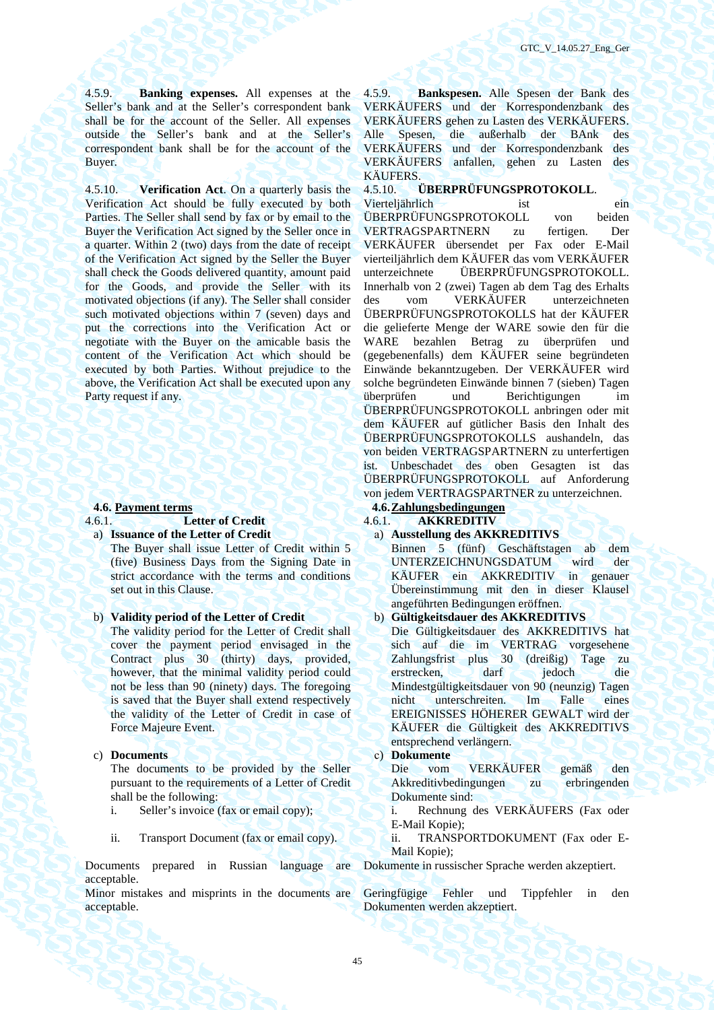GTC\_V\_14.05.27\_Eng\_Ger

4.5.9. **Banking expenses.** All expenses at the Seller's bank and at the Seller's correspondent bank shall be for the account of the Seller. All expenses outside the Seller's bank and at the Seller's correspondent bank shall be for the account of the Buyer.

4.5.10. **Verification Act**. On a quarterly basis the Verification Act should be fully executed by both Parties. The Seller shall send by fax or by email to the Buyer the Verification Act signed by the Seller once in a quarter. Within 2 (two) days from the date of receipt of the Verification Act signed by the Seller the Buyer shall check the Goods delivered quantity, amount paid for the Goods, and provide the Seller with its motivated objections (if any). The Seller shall consider such motivated objections within 7 (seven) days and put the corrections into the Verification Act or negotiate with the Buyer on the amicable basis the content of the Verification Act which should be executed by both Parties. Without prejudice to the above, the Verification Act shall be executed upon any Party request if any.

### **4.6. Payment terms 4.6.Zahlungsbedingungen**

- 4.6.1. **Letter of Credit** 4.6.1. **AKKREDITIV**
- a) **Issuance of the Letter of Credit** а) **Ausstellung des AKKREDITIVS** 
	- The Buyer shall issue Letter of Credit within 5 (five) Business Days from the Signing Date in strict accordance with the terms and conditions set out in this Clause.

- The validity period for the Letter of Credit shall cover the payment period envisaged in the Contract plus 30 (thirty) days, provided, however, that the minimal validity period could not be less than 90 (ninety) days. The foregoing is saved that the Buyer shall extend respectively the validity of the Letter of Credit in case of Force Majeure Event.
- 

c) **Documents** с) **Dokumente**  The documents to be provided by the Seller pursuant to the requirements of a Letter of Credit shall be the following:

- 
- 

Documents prepared in Russian language are acceptable.

Minor mistakes and misprints in the documents are acceptable.

4.5.9. **Bankspesen.** Alle Spesen der Bank des VERKÄUFERS und der Korrespondenzbank des VERKÄUFERS gehen zu Lasten des VERKÄUFERS. Alle Spesen, die außerhalb der BAnk des VERKÄUFERS und der Korrespondenzbank des VERKÄUFERS anfallen, gehen zu Lasten des KÄUFERS.

4.5.10. **ÜBERPRÜFUNGSPROTOKOLL**. Vierteljährlich ist ein ÜBERPRÜFUNGSPROTOKOLL von beiden VERTRAGSPARTNERN zu fertigen. Der VERKÄUFER übersendet per Fax oder E-Mail vierteiljährlich dem KÄUFER das vom VERKÄUFER unterzeichnete ÜBERPRÜFUNGSPROTOKOLL. Innerhalb von 2 (zwei) Tagen ab dem Tag des Erhalts des vom VERKÄUFER unterzeichneten ÜBERPRÜFUNGSPROTOKOLLS hat der KÄUFER die gelieferte Menge der WARE sowie den für die WARE bezahlen Betrag zu überprüfen und (gegebenenfalls) dem KÄUFER seine begründeten Einwände bekanntzugeben. Der VERKÄUFER wird solche begründeten Einwände binnen 7 (sieben) Tagen überprüfen und Berichtigungen im ÜBERPRÜFUNGSPROTOKOLL anbringen oder mit dem KÄUFER auf gütlicher Basis den Inhalt des ÜBERPRÜFUNGSPROTOKOLLS aushandeln, das von beiden VERTRAGSPARTNERN zu unterfertigen ist. Unbeschadet des oben Gesagten ist das ÜBERPRÜFUNGSPROTOKOLL auf Anforderung von jedem VERTRAGSPARTNER zu unterzeichnen.

- - Binnen 5 (fünf) Geschäftstagen ab dem UNTERZEICHNUNGSDATUM wird der KÄUFER ein AKKREDITIV in genauer Übereinstimmung mit den in dieser Klausel angeführten Bedingungen eröffnen.

# b) **Validity period of the Letter of Credit** b) **Gültigkeitsdauer des AKKREDITIVS**

Die Gültigkeitsdauer des AKKREDITIVS hat sich auf die im VERTRAG vorgesehene Zahlungsfrist plus 30 (dreißig) Tage zu erstrecken, darf jedoch die Mindestgültigkeitsdauer von 90 (neunzig) Tagen nicht unterschreiten. Im Falle eines EREIGNISSES HÖHERER GEWALT wird der KÄUFER die Gültigkeit des AKKREDITIVS entsprechend verlängern.

Die vom VERKÄUFER gemäß den Akkreditivbedingungen zu erbringenden Dokumente sind:

i. Seller's invoice (fax or email copy); i. Rechnung des VERKÄUFERS (Fax oder E-Mail Kopie);

ii. Transport Document (fax or email copy). ii. TRANSPORTDOKUMENT (Fax oder E-Mail Kopie);

Dokumente in russischer Sprache werden akzeptiert.

Geringfügige Fehler und Tippfehler in den Dokumenten werden akzeptiert.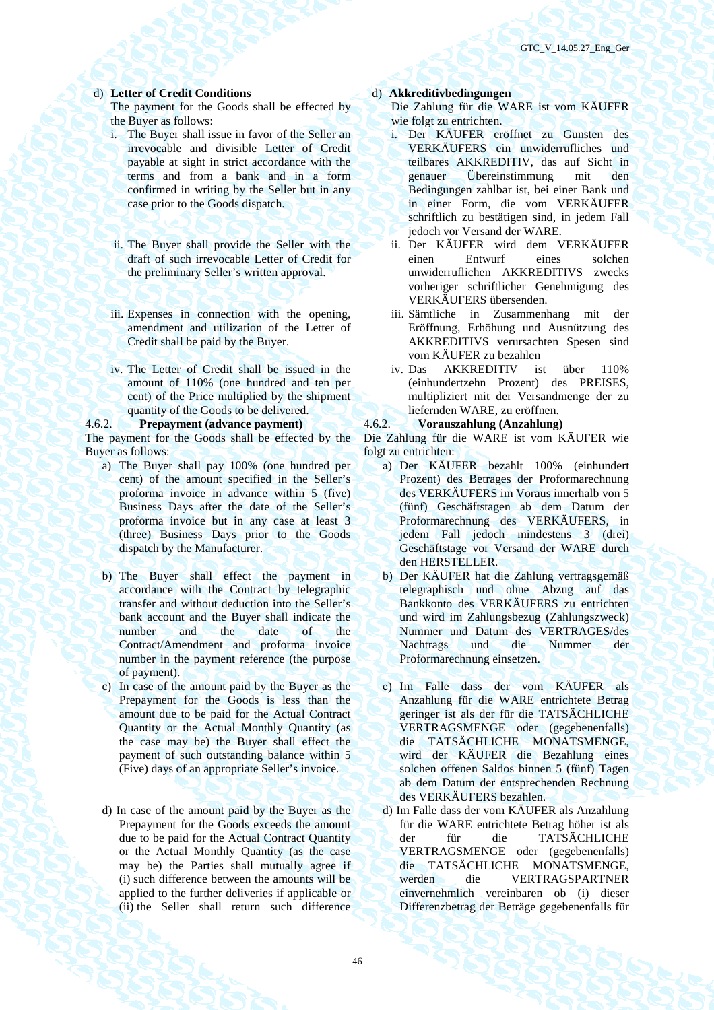### d) **Letter of Credit Conditions** d) **Akkreditivbedingungen**

The payment for the Goods shall be effected by the Buyer as follows:

- i. The Buyer shall issue in favor of the Seller an irrevocable and divisible Letter of Credit payable at sight in strict accordance with the terms and from a bank and in a form confirmed in writing by the Seller but in any case prior to the Goods dispatch.
- ii. The Buyer shall provide the Seller with the draft of such irrevocable Letter of Credit for the preliminary Seller's written approval.
- iii. Expenses in connection with the opening, amendment and utilization of the Letter of Credit shall be paid by the Buyer.
- iv. The Letter of Credit shall be issued in the amount of 110% (one hundred and ten per cent) of the Price multiplied by the shipment quantity of the Goods to be delivered.

### 4.6.2. **Prepayment (advance payment)** 4.6.2. **Vorauszahlung (Anzahlung)**

The payment for the Goods shall be effected by the Buyer as follows:

- a) The Buyer shall pay 100% (one hundred per cent) of the amount specified in the Seller's proforma invoice in advance within 5 (five) Business Days after the date of the Seller's proforma invoice but in any case at least 3 (three) Business Days prior to the Goods dispatch by the Manufacturer.
- b) The Buyer shall effect the payment in accordance with the Contract by telegraphic transfer and without deduction into the Seller's bank account and the Buyer shall indicate the number and the date of the Contract/Amendment and proforma invoice number in the payment reference (the purpose of payment).
- c) In case of the amount paid by the Buyer as the Prepayment for the Goods is less than the amount due to be paid for the Actual Contract Quantity or the Actual Monthly Quantity (as the case may be) the Buyer shall effect the payment of such outstanding balance within 5 (Five) days of an appropriate Seller's invoice.
- d) In case of the amount paid by the Buyer as the Prepayment for the Goods exceeds the amount due to be paid for the Actual Contract Quantity or the Actual Monthly Quantity (as the case may be) the Parties shall mutually agree if (i) such difference between the amounts will be applied to the further deliveries if applicable or (ii) the Seller shall return such difference

Die Zahlung für die WARE ist vom KÄUFER wie folgt zu entrichten.

- i. Der KÄUFER eröffnet zu Gunsten des VERKÄUFERS ein unwiderrufliches und teilbares AKKREDITIV, das auf Sicht in genauer Übereinstimmung mit den Bedingungen zahlbar ist, bei einer Bank und in einer Form, die vom VERKÄUFER schriftlich zu bestätigen sind, in jedem Fall jedoch vor Versand der WARE.
- ii. Der KÄUFER wird dem VERKÄUFER einen Entwurf eines solchen unwiderruflichen AKKREDITIVS zwecks vorheriger schriftlicher Genehmigung des VERKÄUFERS übersenden.
- iii. Sämtliche in Zusammenhang mit der Eröffnung, Erhöhung und Ausnützung des AKKREDITIVS verursachten Spesen sind vom KÄUFER zu bezahlen
- iv. Das AKKREDITIV ist über 110% (einhundertzehn Prozent) des PREISES, multipliziert mit der Versandmenge der zu liefernden WARE, zu eröffnen.

Die Zahlung für die WARE ist vom KÄUFER wie folgt zu entrichten:

- а) Der KÄUFER bezahlt 100% (einhundert Prozent) des Betrages der Proformarechnung des VERKÄUFERS im Voraus innerhalb von 5 (fünf) Geschäftstagen ab dem Datum der Proformarechnung des VERKÄUFERS, in jedem Fall jedoch mindestens 3 (drei) Geschäftstage vor Versand der WARE durch den HERSTELLER.
- b) Der KÄUFER hat die Zahlung vertragsgemäß telegraphisch und ohne Abzug auf das Bankkonto des VERKÄUFERS zu entrichten und wird im Zahlungsbezug (Zahlungszweck) Nummer und Datum des VERTRAGES/des Nachtrags und die Nummer der Proformarechnung einsetzen.
- с) Im Falle dass der vom KÄUFER als Anzahlung für die WARE entrichtete Betrag geringer ist als der für die TATSÄCHLICHE VERTRAGSMENGE oder (gegebenenfalls) die TATSÄCHLICHE MONATSMENGE, wird der KÄUFER die Bezahlung eines solchen offenen Saldos binnen 5 (fünf) Tagen ab dem Datum der entsprechenden Rechnung des VERKÄUFERS bezahlen.
- d) Im Falle dass der vom KÄUFER als Anzahlung für die WARE entrichtete Betrag höher ist als der für die TATSÄCHLICHE VERTRAGSMENGE oder (gegebenenfalls) die TATSÄCHLICHE MONATSMENGE, werden die VERTRAGSPARTNER einvernehmlich vereinbaren ob (i) dieser Differenzbetrag der Beträge gegebenenfalls für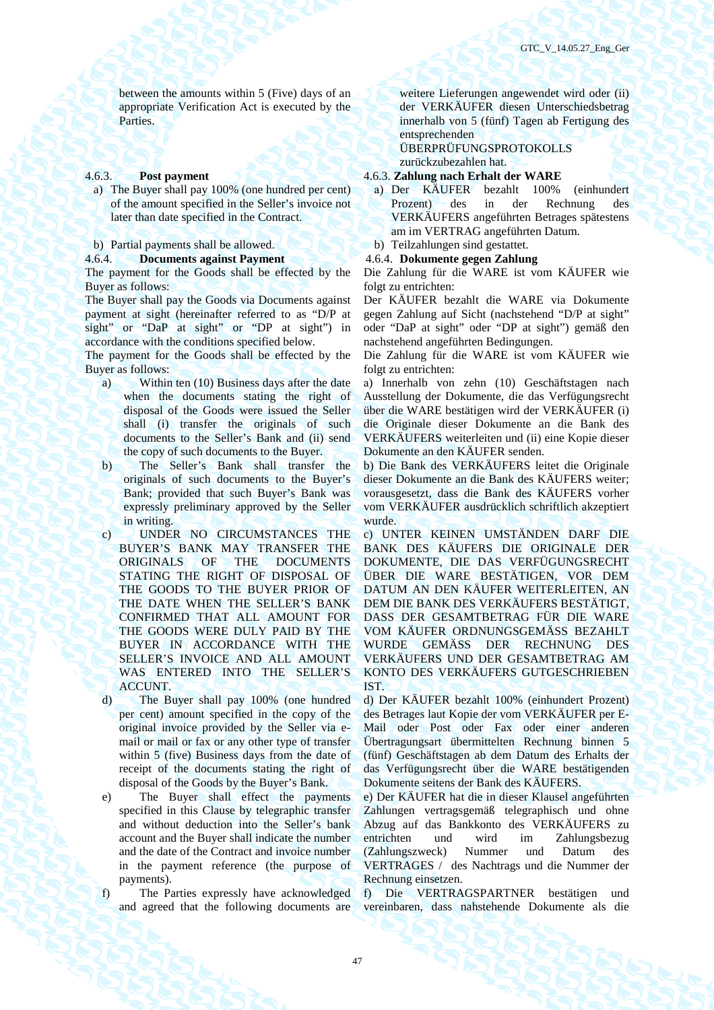between the amounts within 5 (Five) days of an appropriate Verification Act is executed by the Parties.

a) The Buyer shall pay 100% (one hundred per cent) of the amount specified in the Seller's invoice not later than date specified in the Contract.

b) Partial payments shall be allowed. b) Teilzahlungen sind gestattet.

### 4.6.4. **Documents against Payment** 4.6.4. **Dokumente gegen Zahlung**

The payment for the Goods shall be effected by the Buyer as follows:

The Buyer shall pay the Goods via Documents against payment at sight (hereinafter referred to as "D/P at sight" or "DaP at sight" or "DP at sight") in accordance with the conditions specified below.

The payment for the Goods shall be effected by the Buyer as follows:

- a) Within ten (10) Business days after the date when the documents stating the right of disposal of the Goods were issued the Seller shall (i) transfer the originals of such documents to the Seller's Bank and (ii) send the copy of such documents to the Buyer.
- b) The Seller's Bank shall transfer the originals of such documents to the Buyer's Bank; provided that such Buyer's Bank was expressly preliminary approved by the Seller in writing.
- c) UNDER NO CIRCUMSTANCES THE BUYER'S BANK MAY TRANSFER THE ORIGINALS OF THE DOCUMENTS STATING THE RIGHT OF DISPOSAL OF THE GOODS TO THE BUYER PRIOR OF THE DATE WHEN THE SELLER'S BANK CONFIRMED THAT ALL AMOUNT FOR THE GOODS WERE DULY PAID BY THE BUYER IN ACCORDANCE WITH THE SELLER'S INVOICE AND ALL AMOUNT WAS ENTERED INTO THE SELLER'S ACCUNT.
- d) The Buyer shall pay 100% (one hundred per cent) amount specified in the copy of the original invoice provided by the Seller via email or mail or fax or any other type of transfer within 5 (five) Business days from the date of receipt of the documents stating the right of disposal of the Goods by the Buyer's Bank.

e) The Buyer shall effect the payments specified in this Clause by telegraphic transfer and without deduction into the Seller's bank account and the Buyer shall indicate the number and the date of the Contract and invoice number in the payment reference (the purpose of payments).

f) The Parties expressly have acknowledged and agreed that the following documents are

weitere Lieferungen angewendet wird oder (ii) der VERKÄUFER diesen Unterschiedsbetrag innerhalb von 5 (fünf) Tagen ab Fertigung des entsprechenden

ÜBERPRÜFUNGSPROTOKOLLS

zurückzubezahlen hat.

# 4.6.3. **Post payment** 4.6.3. **Zahlung nach Erhalt der WARE**

- а) Der KÄUFER bezahlt 100% (einhundert Prozent) des in der Rechnung des VERKÄUFERS angeführten Betrages spätestens am im VERTRAG angeführten Datum.
- 
- 

Die Zahlung für die WARE ist vom KÄUFER wie folgt zu entrichten:

Der KÄUFER bezahlt die WARE via Dokumente gegen Zahlung auf Sicht (nachstehend "D/P at sight" oder "DaP at sight" oder "DP at sight") gemäß den nachstehend angeführten Bedingungen.

Die Zahlung für die WARE ist vom KÄUFER wie folgt zu entrichten:

а) Innerhalb von zehn (10) Geschäftstagen nach Ausstellung der Dokumente, die das Verfügungsrecht über die WARE bestätigen wird der VERKÄUFER (i) die Originale dieser Dokumente an die Bank des VERKÄUFERS weiterleiten und (ii) eine Kopie dieser Dokumente an den KÄUFER senden.

b) Die Bank des VERKÄUFERS leitet die Originale dieser Dokumente an die Bank des KÄUFERS weiter; vorausgesetzt, dass die Bank des KÄUFERS vorher vom VERKÄUFER ausdrücklich schriftlich akzeptiert wurde.

c) UNTER KEINEN UMSTÄNDEN DARF DIE BANK DES KÄUFERS DIE ORIGINALE DER DOKUMENTE, DIE DAS VERFÜGUNGSRECHT ÜBER DIE WARE BESTÄTIGEN, VOR DEM DATUM AN DEN KÄUFER WEITERLEITEN, AN DEM DIE BANK DES VERKÄUFERS BESTÄTIGT, DASS DER GESAMTBETRAG FÜR DIE WARE VOM KÄUFER ORDNUNGSGEMÄSS BEZAHLT WURDE GEMÄSS DER RECHNUNG DES VERKÄUFERS UND DER GESAMTBETRAG AM KONTO DES VERKÄUFERS GUTGESCHRIEBEN IST.

d) Der KÄUFER bezahlt 100% (einhundert Prozent) des Betrages laut Kopie der vom VERKÄUFER per E-Mail oder Post oder Fax oder einer anderen Übertragungsart übermittelten Rechnung binnen 5 (fünf) Geschäftstagen ab dem Datum des Erhalts der das Verfügungsrecht über die WARE bestätigenden Dokumente seitens der Bank des KÄUFERS.

e) Der KÄUFER hat die in dieser Klausel angeführten Zahlungen vertragsgemäß telegraphisch und ohne Abzug auf das Bankkonto des VERKÄUFERS zu entrichten und wird im Zahlungsbezug (Zahlungszweck) Nummer und Datum des VERTRAGES / des Nachtrags und die Nummer der Rechnung einsetzen.

f) Die VERTRAGSPARTNER bestätigen und vereinbaren, dass nahstehende Dokumente als die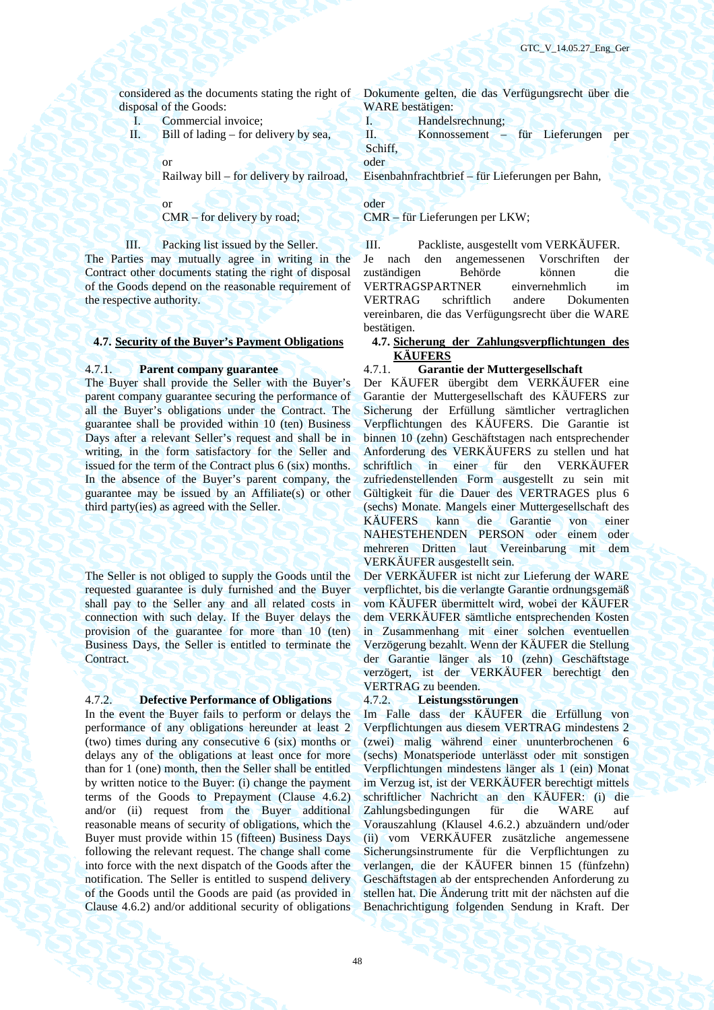considered as the documents stating the right of disposal of the Goods:

I. Commercial invoice;

II. Bill of lading – for delivery by sea,

or

Railway bill – for delivery by railroad,

or

CMR – for delivery by road;

III. Packing list issued by the Seller.

The Parties may mutually agree in writing in the Contract other documents stating the right of disposal of the Goods depend on the reasonable requirement of the respective authority.

The Buyer shall provide the Seller with the Buyer's parent company guarantee securing the performance of all the Buyer's obligations under the Contract. The guarantee shall be provided within 10 (ten) Business Days after a relevant Seller's request and shall be in writing, in the form satisfactory for the Seller and issued for the term of the Contract plus 6 (six) months. In the absence of the Buyer's parent company, the guarantee may be issued by an Affiliate(s) or other third party(ies) as agreed with the Seller.

The Seller is not obliged to supply the Goods until the requested guarantee is duly furnished and the Buyer shall pay to the Seller any and all related costs in connection with such delay. If the Buyer delays the provision of the guarantee for more than 10 (ten) Business Days, the Seller is entitled to terminate the Contract.

### 4.7.2. **Defective Performance of Obligations** 4.7.2. **Leistungsstörungen**

In the event the Buyer fails to perform or delays the performance of any obligations hereunder at least 2 (two) times during any consecutive 6 (six) months or delays any of the obligations at least once for more than for 1 (one) month, then the Seller shall be entitled by written notice to the Buyer: (i) change the payment terms of the Goods to Prepayment (Clause 4.6.2) and/or (ii) request from the Buyer additional reasonable means of security of obligations, which the Buyer must provide within 15 (fifteen) Business Days following the relevant request. The change shall come into force with the next dispatch of the Goods after the notification. The Seller is entitled to suspend delivery of the Goods until the Goods are paid (as provided in Clause 4.6.2) and/or additional security of obligations

Dokumente gelten, die das Verfügungsrecht über die WARE bestätigen:

I. Handelsrechnung;

II. Konnossement – für Lieferungen per Schiff,

oder

Eisenbahnfrachtbrief – für Lieferungen per Bahn,

oder

CMR – für Lieferungen per LKW;

III. Packliste, ausgestellt vom VERKÄUFER. Je nach den angemessenen Vorschriften der zuständigen Behörde können die<br>VERTRAGSPARTNER einvernehmlich im VERTRAGSPARTNER einvernehmlich im VERTRAG schriftlich andere Dokumenten vereinbaren, die das Verfügungsrecht über die WARE bestätigen.

**4.7. Security of the Buyer's Payment Obligations 4.7. Sicherung der Zahlungsverpflichtungen des KÄUFERS** 

## 4.7.1. **Parent company guarantee** 4.7.1. **Garantie der Muttergesellschaft**

Der KÄUFER übergibt dem VERKÄUFER eine Garantie der Muttergesellschaft des KÄUFERS zur Sicherung der Erfüllung sämtlicher vertraglichen Verpflichtungen des KÄUFERS. Die Garantie ist binnen 10 (zehn) Geschäftstagen nach entsprechender Anforderung des VERKÄUFERS zu stellen und hat schriftlich in einer für den VERKÄUFER zufriedenstellenden Form ausgestellt zu sein mit Gültigkeit für die Dauer des VERTRAGES plus 6 (sechs) Monate. Mangels einer Muttergesellschaft des KÄUFERS kann die Garantie von einer NAHESTEHENDEN PERSON oder einem oder mehreren Dritten laut Vereinbarung mit dem VERKÄUFER ausgestellt sein.

Der VERKÄUFER ist nicht zur Lieferung der WARE verpflichtet, bis die verlangte Garantie ordnungsgemäß vom KÄUFER übermittelt wird, wobei der KÄUFER dem VERKÄUFER sämtliche entsprechenden Kosten in Zusammenhang mit einer solchen eventuellen Verzögerung bezahlt. Wenn der KÄUFER die Stellung der Garantie länger als 10 (zehn) Geschäftstage verzögert, ist der VERKÄUFER berechtigt den VERTRAG zu beenden.

Im Falle dass der KÄUFER die Erfüllung von Verpflichtungen aus diesem VERTRAG mindestens 2 (zwei) malig während einer ununterbrochenen 6 (sechs) Monatsperiode unterlässt oder mit sonstigen Verpflichtungen mindestens länger als 1 (ein) Monat im Verzug ist, ist der VERKÄUFER berechtigt mittels schriftlicher Nachricht an den KÄUFER: (i) die Zahlungsbedingungen für die WARE auf Vorauszahlung (Klausel 4.6.2.) abzuändern und/oder (ii) vom VERKÄUFER zusätzliche angemessene Sicherungsinstrumente für die Verpflichtungen zu verlangen, die der KÄUFER binnen 15 (fünfzehn) Geschäftstagen ab der entsprechenden Anforderung zu stellen hat. Die Änderung tritt mit der nächsten auf die Benachrichtigung folgenden Sendung in Kraft. Der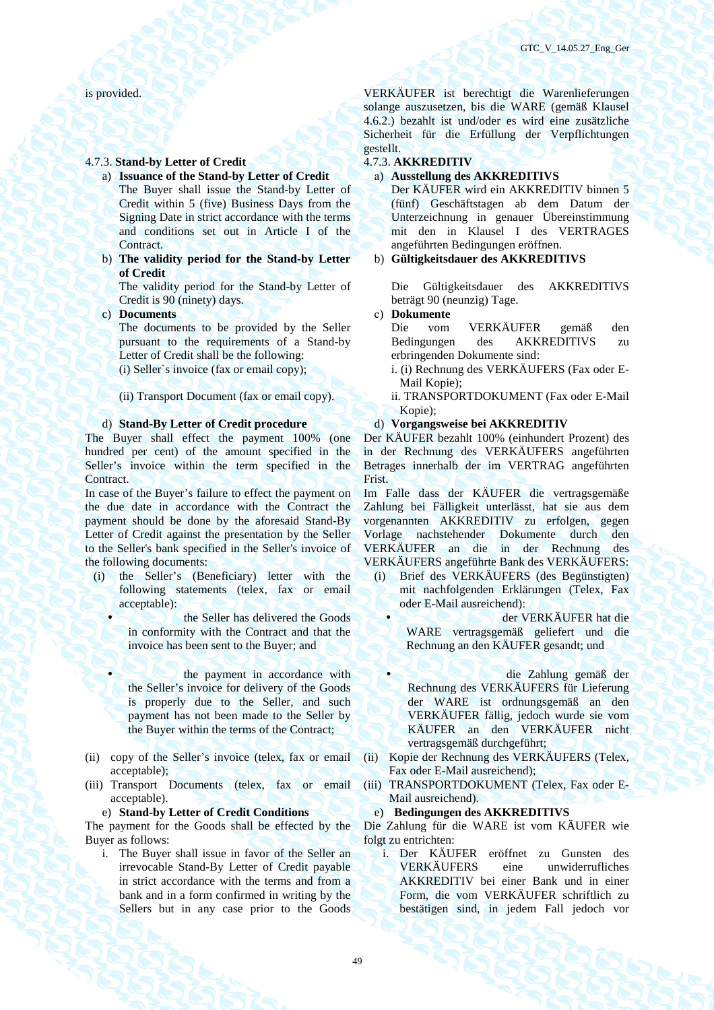### 4.7.3. **Stand-by Letter of Credit** 4.7.3. **AKKREDITIV**

- a) **Issuance of the Stand-by Letter of Credit** а) **Ausstellung des AKKREDITIVS**  The Buyer shall issue the Stand-by Letter of Credit within 5 (five) Business Days from the Signing Date in strict accordance with the terms and conditions set out in Article I of the Contract.
- b) **The validity period for the Stand-by Letter of Credit**

The validity period for the Stand-by Letter of Credit is 90 (ninety) days.

The documents to be provided by the Seller pursuant to the requirements of a Stand-by Letter of Credit shall be the following:

The Buyer shall effect the payment 100% (one hundred per cent) of the amount specified in the Seller's invoice within the term specified in the Contract.

In case of the Buyer's failure to effect the payment on the due date in accordance with the Contract the payment should be done by the aforesaid Stand-By Letter of Credit against the presentation by the Seller to the Seller's bank specified in the Seller's invoice of the following documents:

- (i) the Seller's (Beneficiary) letter with the following statements (telex, fax or email acceptable):
	- the Seller has delivered the Goods in conformity with the Contract and that the invoice has been sent to the Buyer; and
		- the payment in accordance with the Seller's invoice for delivery of the Goods is properly due to the Seller, and such payment has not been made to the Seller by the Buyer within the terms of the Contract;
- (ii) copy of the Seller's invoice (telex, fax or email acceptable);
- (iii) Transport Documents (telex, fax or email acceptable).

### e) **Stand-by Letter of Credit Conditions** e) **Bedingungen des AKKREDITIVS**

The payment for the Goods shall be effected by the Buyer as follows:

i. The Buyer shall issue in favor of the Seller an irrevocable Stand-By Letter of Credit payable in strict accordance with the terms and from a bank and in a form confirmed in writing by the Sellers but in any case prior to the Goods

is provided. VERKÄUFER ist berechtigt die Warenlieferungen solange auszusetzen, bis die WARE (gemäß Klausel 4.6.2.) bezahlt ist und/oder es wird eine zusätzliche Sicherheit für die Erfüllung der Verpflichtungen gestellt.

Der KÄUFER wird ein AKKREDITIV binnen 5 (fünf) Geschäftstagen ab dem Datum der Unterzeichnung in genauer Übereinstimmung mit den in Klausel I des VERTRAGES angeführten Bedingungen eröffnen.

### b) **Gültigkeitsdauer des AKKREDITIVS**

Die Gültigkeitsdauer des AKKREDITIVS beträgt 90 (neunzig) Tage.

c) **Documents** с) **Dokumente** 

Die vom VERKÄUFER gemäß den Bedingungen des AKKREDITIVS zu erbringenden Dokumente sind:

- (i) Seller`s invoice (fax or email copy); i. (i) Rechnung des VERKÄUFERS (Fax oder E-Mail Kopie);
- (ii) Transport Document (fax or email copy). ii. TRANSPORTDOKUMENT (Fax oder E-Mail Kopie);
- d) **Stand-By Letter of Credit procedure** d) **Vorgangsweise bei AKKREDITIV**

Der KÄUFER bezahlt 100% (einhundert Prozent) des in der Rechnung des VERKÄUFERS angeführten Betrages innerhalb der im VERTRAG angeführten Frist.

Im Falle dass der KÄUFER die vertragsgemäße Zahlung bei Fälligkeit unterlässt, hat sie aus dem vorgenannten AKKREDITIV zu erfolgen, gegen Vorlage nachstehender Dokumente durch den VERKÄUFER an die in der Rechnung des VERKÄUFERS angeführte Bank des VERKÄUFERS:

- (i) Brief des VERKÄUFERS (des Begünstigten) mit nachfolgenden Erklärungen (Telex, Fax oder E-Mail ausreichend):
	- der VERKÄUFER hat die WARE vertragsgemäß geliefert und die Rechnung an den KÄUFER gesandt; und
- die Zahlung gemäß der Rechnung des VERKÄUFERS für Lieferung der WARE ist ordnungsgemäß an den VERKÄUFER fällig, jedoch wurde sie vom KÄUFER an den VERKÄUFER nicht vertragsgemäß durchgeführt;
- (ii) Kopie der Rechnung des VERKÄUFERS (Telex, Fax oder E-Mail ausreichend);
- (iii) TRANSPORTDOKUMENT (Telex, Fax oder E-Mail ausreichend).

Die Zahlung für die WARE ist vom KÄUFER wie folgt zu entrichten:

i. Der KÄUFER eröffnet zu Gunsten des VERKÄUFERS eine unwiderrufliches AKKREDITIV bei einer Bank und in einer Form, die vom VERKÄUFER schriftlich zu bestätigen sind, in jedem Fall jedoch vor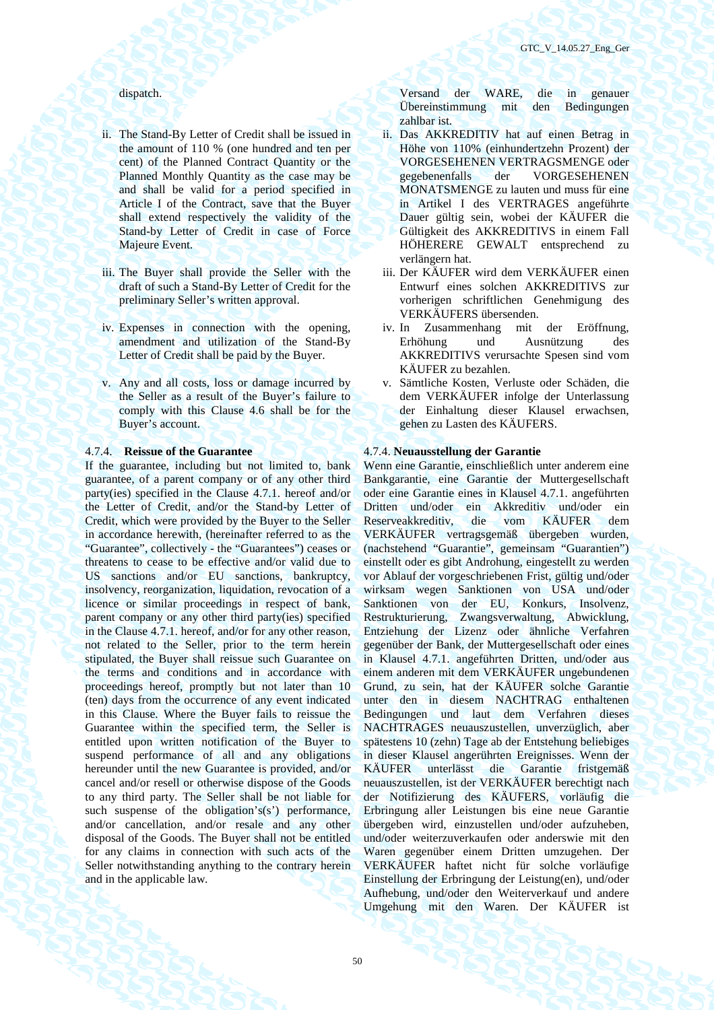- ii. The Stand-By Letter of Credit shall be issued in the amount of 110 % (one hundred and ten per cent) of the Planned Contract Quantity or the Planned Monthly Quantity as the case may be and shall be valid for a period specified in Article I of the Contract, save that the Buyer shall extend respectively the validity of the Stand-by Letter of Credit in case of Force Majeure Event.
- iii. The Buyer shall provide the Seller with the draft of such a Stand-By Letter of Credit for the preliminary Seller's written approval.
- iv. Expenses in connection with the opening, amendment and utilization of the Stand-By Letter of Credit shall be paid by the Buyer.
- v. Any and all costs, loss or damage incurred by the Seller as a result of the Buyer's failure to comply with this Clause 4.6 shall be for the Buyer's account.

### 4.7.4. **Reissue of the Guarantee**

If the guarantee, including but not limited to, bank guarantee, of a parent company or of any other third party(ies) specified in the Clause 4.7.1. hereof and/or the Letter of Credit, and/or the Stand-by Letter of Credit, which were provided by the Buyer to the Seller in accordance herewith, (hereinafter referred to as the "Guarantee", collectively - the "Guarantees") ceases or threatens to cease to be effective and/or valid due to US sanctions and/or EU sanctions, bankruptcy, insolvency, reorganization, liquidation, revocation of a licence or similar proceedings in respect of bank, parent company or any other third party(ies) specified in the Clause 4.7.1. hereof, and/or for any other reason, not related to the Seller, prior to the term herein stipulated, the Buyer shall reissue such Guarantee on the terms and conditions and in accordance with proceedings hereof, promptly but not later than 10 (ten) days from the occurrence of any event indicated in this Clause. Where the Buyer fails to reissue the Guarantee within the specified term, the Seller is entitled upon written notification of the Buyer to suspend performance of all and any obligations hereunder until the new Guarantee is provided, and/or cancel and/or resell or otherwise dispose of the Goods to any third party. The Seller shall be not liable for such suspense of the obligation's $(s')$  performance, and/or cancellation, and/or resale and any other disposal of the Goods. The Buyer shall not be entitled for any claims in connection with such acts of the Seller notwithstanding anything to the contrary herein and in the applicable law.

dispatch. Versand der WARE, die in genauer Übereinstimmung mit den Bedingungen zahlbar ist.

- ii. Das AKKREDITIV hat auf einen Betrag in Höhe von 110% (einhundertzehn Prozent) der VORGESEHENEN VERTRAGSMENGE oder gegebenenfalls der VORGESEHENEN MONATSMENGE zu lauten und muss für eine in Artikel I des VERTRAGES angeführte Dauer gültig sein, wobei der KÄUFER die Gültigkeit des AKKREDITIVS in einem Fall HÖHERERE GEWALT entsprechend zu verlängern hat.
- iii. Der KÄUFER wird dem VERKÄUFER einen Entwurf eines solchen AKKREDITIVS zur vorherigen schriftlichen Genehmigung des VERKÄUFERS übersenden.
- iv. In Zusammenhang mit der Eröffnung, Erhöhung und Ausnützung des AKKREDITIVS verursachte Spesen sind vom KÄUFER zu bezahlen.
- v. Sämtliche Kosten, Verluste oder Schäden, die dem VERKÄUFER infolge der Unterlassung der Einhaltung dieser Klausel erwachsen, gehen zu Lasten des KÄUFERS.

# 4.7.4. **Neuausstellung der Garantie**

Wenn eine Garantie, einschließlich unter anderem eine Bankgarantie, eine Garantie der Muttergesellschaft oder eine Garantie eines in Klausel 4.7.1. angeführten Dritten und/oder ein Akkreditiv und/oder ein Reserveakkreditiv, die vom KÄUFER dem VERKÄUFER vertragsgemäß übergeben wurden, (nachstehend "Guarantie", gemeinsam "Guarantien") einstellt oder es gibt Androhung, eingestellt zu werden vor Ablauf der vorgeschriebenen Frist, gültig und/oder wirksam wegen Sanktionen von USA und/oder Sanktionen von der EU, Konkurs, Insolvenz, Restrukturierung, Zwangsverwaltung, Abwicklung, Entziehung der Lizenz oder ähnliche Verfahren gegenüber der Bank, der Muttergesellschaft oder eines in Klausel 4.7.1. angeführten Dritten, und/oder aus einem anderen mit dem VERKÄUFER ungebundenen Grund, zu sein, hat der KÄUFER solche Garantie unter den in diesem NACHTRAG enthaltenen Bedingungen und laut dem Verfahren dieses NACHTRAGES neuauszustellen, unverzüglich, aber spätestens 10 (zehn) Tage ab der Entstehung beliebiges in dieser Klausel angerührten Ereignisses. Wenn der KÄUFER unterlässt die Garantie fristgemäß neuauszustellen, ist der VERKÄUFER berechtigt nach der Notifizierung des KÄUFERS, vorläufig die Erbringung aller Leistungen bis eine neue Garantie übergeben wird, einzustellen und/oder aufzuheben, und/oder weiterzuverkaufen oder anderswie mit den Waren gegenüber einem Dritten umzugehen. Der VERKÄUFER haftet nicht für solche vorläufige Einstellung der Erbringung der Leistung(en), und/oder Aufhebung, und/oder den Weiterverkauf und andere Umgehung mit den Waren. Der KÄUFER ist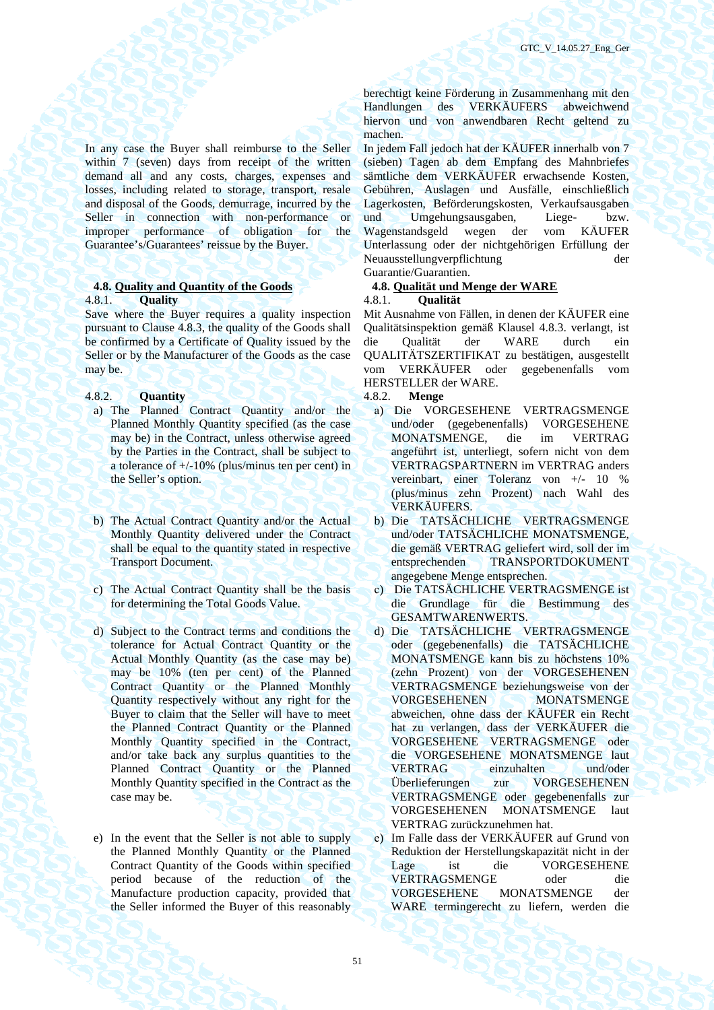In any case the Buyer shall reimburse to the Seller within 7 (seven) days from receipt of the written demand all and any costs, charges, expenses and losses, including related to storage, transport, resale and disposal of the Goods, demurrage, incurred by the Seller in connection with non-performance or improper performance of obligation for the Guarantee's/Guarantees' reissue by the Buyer.

# **4.8. Quality and Quantity of the Goods 4.8. Qualität und Menge der WARE**

Save where the Buyer requires a quality inspection pursuant to Clause 4.8.3, the quality of the Goods shall be confirmed by a Certificate of Quality issued by the Seller or by the Manufacturer of the Goods as the case may be.

# 4.8.2. **Quantity** 4.8.2. **Menge**

- a) The Planned Contract Quantity and/or the Planned Monthly Quantity specified (as the case may be) in the Contract, unless otherwise agreed by the Parties in the Contract, shall be subject to a tolerance of +/-10% (plus/minus ten per cent) in the Seller's option.
- b) The Actual Contract Quantity and/or the Actual Monthly Quantity delivered under the Contract shall be equal to the quantity stated in respective Transport Document.
- c) The Actual Contract Quantity shall be the basis for determining the Total Goods Value.
- d) Subject to the Contract terms and conditions the tolerance for Actual Contract Quantity or the Actual Monthly Quantity (as the case may be) may be 10% (ten per cent) of the Planned Contract Quantity or the Planned Monthly Quantity respectively without any right for the Buyer to claim that the Seller will have to meet the Planned Contract Quantity or the Planned Monthly Quantity specified in the Contract, and/or take back any surplus quantities to the Planned Contract Quantity or the Planned Monthly Quantity specified in the Contract as the case may be.
- e) In the event that the Seller is not able to supply the Planned Monthly Quantity or the Planned Contract Quantity of the Goods within specified period because of the reduction of the Manufacture production capacity, provided that the Seller informed the Buyer of this reasonably

berechtigt keine Förderung in Zusammenhang mit den Handlungen des VERKÄUFERS abweichwend hiervon und von anwendbaren Recht geltend zu machen.

In jedem Fall jedoch hat der KÄUFER innerhalb von 7 (sieben) Tagen ab dem Empfang des Mahnbriefes sämtliche dem VERKÄUFER erwachsende Kosten, Gebühren, Auslagen und Ausfälle, einschließlich Lagerkosten, Beförderungskosten, Verkaufsausgaben und Umgehungsausgaben, Liege- bzw. Wagenstandsgeld wegen der vom KÄUFER Unterlassung oder der nichtgehörigen Erfüllung der Neuausstellungverpflichtung der Guarantie/Guarantien.

### 4.8.1. **Quality** 4.8.1. **Qualität**

Mit Ausnahme von Fällen, in denen der KÄUFER eine Qualitätsinspektion gemäß Klausel 4.8.3. verlangt, ist die Qualität der WARE durch ein QUALITÄTSZERTIFIKAT zu bestätigen, ausgestellt vom VERKÄUFER oder gegebenenfalls vom HERSTELLER der WARE.

- а) Die VORGESEHENE VERTRAGSMENGE und/oder (gegebenenfalls) VORGESEHENE MONATSMENGE, die im VERTRAG angeführt ist, unterliegt, sofern nicht von dem VERTRAGSPARTNERN im VERTRAG anders vereinbart, einer Toleranz von +/- 10 % (plus/minus zehn Prozent) nach Wahl des VERKÄUFERS.
- b) Die TATSÄCHLICHE VERTRAGSMENGE und/oder TATSÄCHLICHE MONATSMENGE, die gemäß VERTRAG geliefert wird, soll der im entsprechenden TRANSPORTDOKUMENT angegebene Menge entsprechen.
- с) Die TATSÄCHLICHE VERTRAGSMENGE ist die Grundlage für die Bestimmung des GESAMTWARENWERTS.
- d) Die TATSÄCHLICHE VERTRAGSMENGE oder (gegebenenfalls) die TATSÄCHLICHE MONATSMENGE kann bis zu höchstens 10% (zehn Prozent) von der VORGESEHENEN VERTRAGSMENGE beziehungsweise von der VORGESEHENEN MONATSMENGE abweichen, ohne dass der KÄUFER ein Recht hat zu verlangen, dass der VERKÄUFER die VORGESEHENE VERTRAGSMENGE oder die VORGESEHENE MONATSMENGE laut<br>VERTRAG einzuhalten und/oder VERTRAG einzuhalten und/oder Überlieferungen zur VORGESEHENEN VERTRAGSMENGE oder gegebenenfalls zur VORGESEHENEN MONATSMENGE laut VERTRAG zurückzunehmen hat.
- е) Im Falle dass der VERKÄUFER auf Grund von Reduktion der Herstellungskapazität nicht in der Lage ist die VORGESEHENE VERTRAGSMENGE oder die VORGESEHENE MONATSMENGE der WARE termingerecht zu liefern, werden die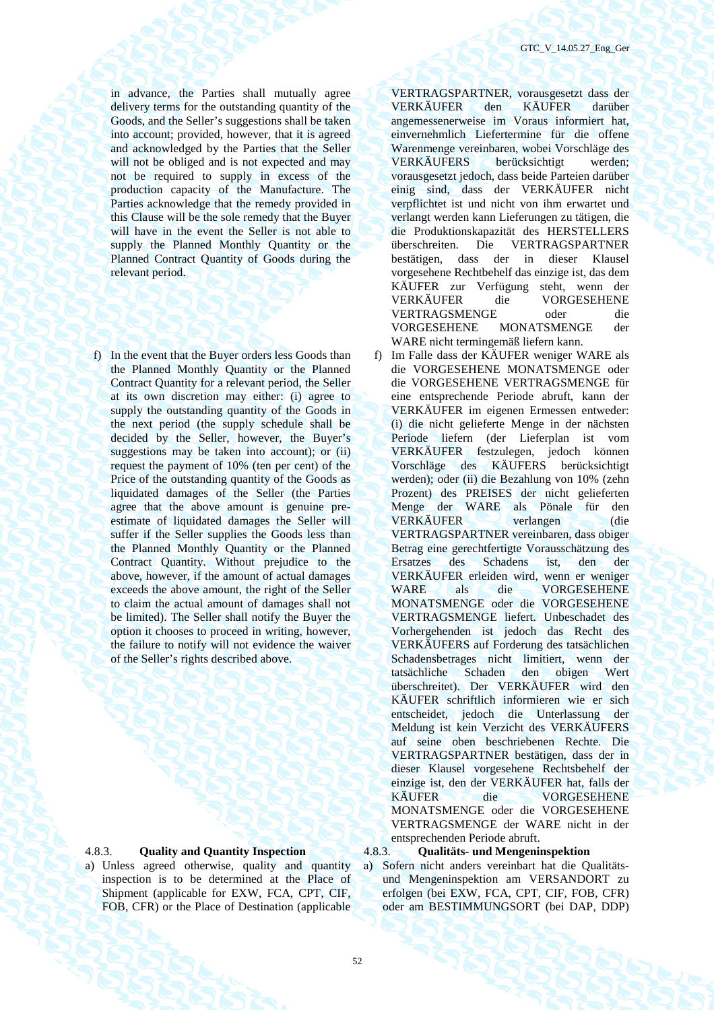in advance, the Parties shall mutually agree delivery terms for the outstanding quantity of the Goods, and the Seller's suggestions shall be taken into account; provided, however, that it is agreed and acknowledged by the Parties that the Seller will not be obliged and is not expected and may not be required to supply in excess of the production capacity of the Manufacture. The Parties acknowledge that the remedy provided in this Clause will be the sole remedy that the Buyer will have in the event the Seller is not able to supply the Planned Monthly Quantity or the Planned Contract Quantity of Goods during the relevant period.

f) In the event that the Buyer orders less Goods than the Planned Monthly Quantity or the Planned Contract Quantity for a relevant period, the Seller at its own discretion may either: (i) agree to supply the outstanding quantity of the Goods in the next period (the supply schedule shall be decided by the Seller, however, the Buyer's suggestions may be taken into account); or (ii) request the payment of 10% (ten per cent) of the Price of the outstanding quantity of the Goods as liquidated damages of the Seller (the Parties agree that the above amount is genuine preestimate of liquidated damages the Seller will suffer if the Seller supplies the Goods less than the Planned Monthly Quantity or the Planned Contract Quantity. Without prejudice to the above, however, if the amount of actual damages exceeds the above amount, the right of the Seller to claim the actual amount of damages shall not be limited). The Seller shall notify the Buyer the option it chooses to proceed in writing, however, the failure to notify will not evidence the waiver of the Seller's rights described above.

a) Unless agreed otherwise, quality and quantity inspection is to be determined at the Place of Shipment (applicable for EXW, FCA, CPT, CIF, FOB, CFR) or the Place of Destination (applicable

VERTRAGSPARTNER, vorausgesetzt dass der VERKÄUFER den KÄUFER darüber angemessenerweise im Voraus informiert hat, einvernehmlich Liefertermine für die offene Warenmenge vereinbaren, wobei Vorschläge des VERKÄUFERS berücksichtigt werden; vorausgesetzt jedoch, dass beide Parteien darüber einig sind, dass der VERKÄUFER nicht verpflichtet ist und nicht von ihm erwartet und verlangt werden kann Lieferungen zu tätigen, die die Produktionskapazität des HERSTELLERS überschreiten. Die VERTRAGSPARTNER bestätigen, dass der in dieser Klausel vorgesehene Rechtbehelf das einzige ist, das dem KÄUFER zur Verfügung steht, wenn der VERKÄUFER die VORGESEHENE VERTRAGSMENGE oder die VORGESEHENE MONATSMENGE der WARE nicht termingemäß liefern kann.

f) Im Falle dass der KÄUFER weniger WARE als die VORGESEHENE MONATSMENGE oder die VORGESEHENE VERTRAGSMENGE für eine entsprechende Periode abruft, kann der VERKÄUFER im eigenen Ermessen entweder: (i) die nicht gelieferte Menge in der nächsten Periode liefern (der Lieferplan ist vom VERKÄUFER festzulegen, jedoch können Vorschläge des KÄUFERS berücksichtigt werden); oder (ii) die Bezahlung von 10% (zehn Prozent) des PREISES der nicht gelieferten Menge der WARE als Pönale für den VERKÄUFER verlangen (die VERTRAGSPARTNER vereinbaren, dass obiger Betrag eine gerechtfertigte Vorausschätzung des Ersatzes des Schadens ist, den der VERKÄUFER erleiden wird, wenn er weniger WARE als die VORGESEHENE MONATSMENGE oder die VORGESEHENE VERTRAGSMENGE liefert. Unbeschadet des Vorhergehenden ist jedoch das Recht des VERKÄUFERS auf Forderung des tatsächlichen Schadensbetrages nicht limitiert, wenn der tatsächliche Schaden den obigen Wert überschreitet). Der VERKÄUFER wird den KÄUFER schriftlich informieren wie er sich entscheidet, jedoch die Unterlassung der Meldung ist kein Verzicht des VERKÄUFERS auf seine oben beschriebenen Rechte. Die VERTRAGSPARTNER bestätigen, dass der in dieser Klausel vorgesehene Rechtsbehelf der einzige ist, den der VERKÄUFER hat, falls der KÄUFER die VORGESEHENE MONATSMENGE oder die VORGESEHENE VERTRAGSMENGE der WARE nicht in der entsprechenden Periode abruft.

### 4.8.3. **Quality and Quantity Inspection** 4.8.3. **Qualitäts- und Mengeninspektion**

а) Sofern nicht anders vereinbart hat die Qualitätsund Mengeninspektion am VERSANDORT zu erfolgen (bei EXW, FCA, CPT, CIF, FOB, CFR) oder am BESTIMMUNGSORT (bei DAP, DDP)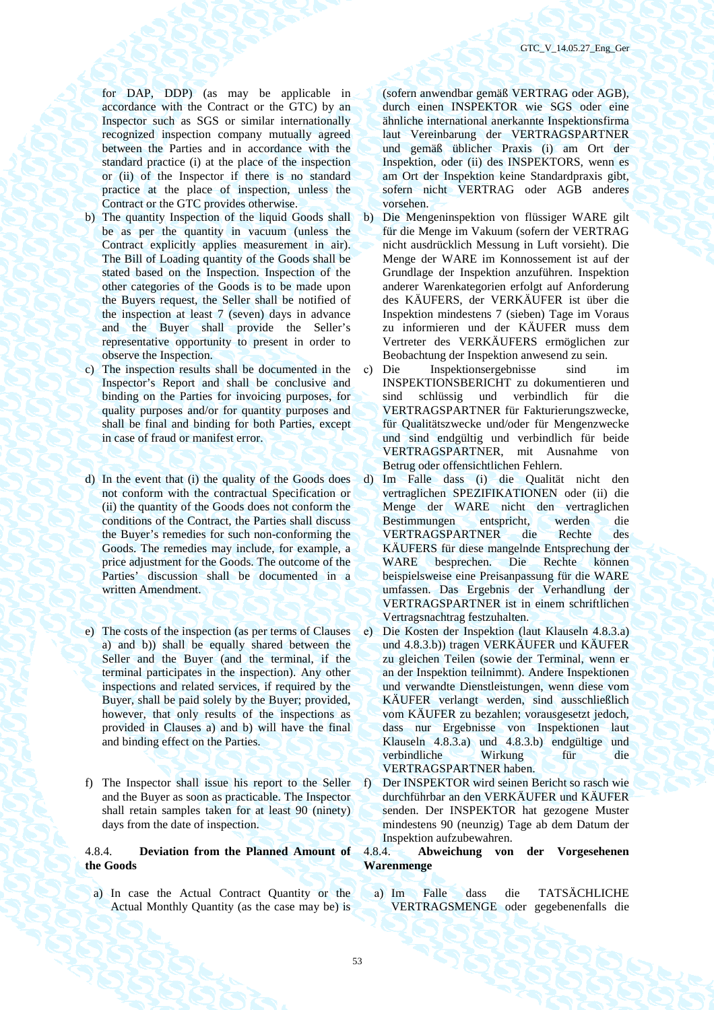for DAP, DDP) (as may be applicable in accordance with the Contract or the GTC) by an Inspector such as SGS or similar internationally recognized inspection company mutually agreed between the Parties and in accordance with the standard practice (i) at the place of the inspection or (ii) of the Inspector if there is no standard practice at the place of inspection, unless the Contract or the GTC provides otherwise.

- b) The quantity Inspection of the liquid Goods shall be as per the quantity in vacuum (unless the Contract explicitly applies measurement in air). The Bill of Loading quantity of the Goods shall be stated based on the Inspection. Inspection of the other categories of the Goods is to be made upon the Buyers request, the Seller shall be notified of the inspection at least 7 (seven) days in advance and the Buyer shall provide the Seller's representative opportunity to present in order to observe the Inspection.
- c) The inspection results shall be documented in the Inspector's Report and shall be conclusive and binding on the Parties for invoicing purposes, for quality purposes and/or for quantity purposes and shall be final and binding for both Parties, except in case of fraud or manifest error.
- d) In the event that (i) the quality of the Goods does not conform with the contractual Specification or (ii) the quantity of the Goods does not conform the conditions of the Contract, the Parties shall discuss the Buyer's remedies for such non-conforming the Goods. The remedies may include, for example, a price adjustment for the Goods. The outcome of the Parties' discussion shall be documented in a written Amendment.
- e) The costs of the inspection (as per terms of Clauses a) and b)) shall be equally shared between the Seller and the Buyer (and the terminal, if the terminal participates in the inspection). Any other inspections and related services, if required by the Buyer, shall be paid solely by the Buyer; provided, however, that only results of the inspections as provided in Clauses a) and b) will have the final and binding effect on the Parties.
- f) The Inspector shall issue his report to the Seller and the Buyer as soon as practicable. The Inspector shall retain samples taken for at least 90 (ninety) days from the date of inspection.

# 4.8.4. **Deviation from the Planned Amount of the Goods**

a) In case the Actual Contract Quantity or the Actual Monthly Quantity (as the case may be) is

(sofern anwendbar gemäß VERTRAG oder AGB), durch einen INSPEKTOR wie SGS oder eine ähnliche international anerkannte Inspektionsfirma laut Vereinbarung der VERTRAGSPARTNER und gemäß üblicher Praxis (i) am Ort der Inspektion, oder (ii) des INSPEKTORS, wenn es am Ort der Inspektion keine Standardpraxis gibt, sofern nicht VERTRAG oder AGB anderes vorsehen.

- b) Die Mengeninspektion von flüssiger WARE gilt für die Menge im Vakuum (sofern der VERTRAG nicht ausdrücklich Messung in Luft vorsieht). Die Menge der WARE im Konnossement ist auf der Grundlage der Inspektion anzuführen. Inspektion anderer Warenkategorien erfolgt auf Anforderung des KÄUFERS, der VERKÄUFER ist über die Inspektion mindestens 7 (sieben) Tage im Voraus zu informieren und der KÄUFER muss dem Vertreter des VERKÄUFERS ermöglichen zur Beobachtung der Inspektion anwesend zu sein.
- с) Die Inspektionsergebnisse sind im INSPEKTIONSBERICHT zu dokumentieren und sind schlüssig und verbindlich für die VERTRAGSPARTNER für Fakturierungszwecke, für Qualitätszwecke und/oder für Mengenzwecke und sind endgültig und verbindlich für beide VERTRAGSPARTNER, mit Ausnahme von Betrug oder offensichtlichen Fehlern.
- d) Im Falle dass (i) die Qualität nicht den vertraglichen SPEZIFIKATIONEN oder (ii) die Menge der WARE nicht den vertraglichen Bestimmungen entspricht, werden die VERTRAGSPARTNER die Rechte des KÄUFERS für diese mangelnde Entsprechung der WARE besprechen. Die Rechte können beispielsweise eine Preisanpassung für die WARE umfassen. Das Ergebnis der Verhandlung der VERTRAGSPARTNER ist in einem schriftlichen Vertragsnachtrag festzuhalten.
- е) Die Kosten der Inspektion (laut Klauseln 4.8.3.a) und 4.8.3.b)) tragen VERKÄUFER und KÄUFER zu gleichen Teilen (sowie der Terminal, wenn er an der Inspektion teilnimmt). Andere Inspektionen und verwandte Dienstleistungen, wenn diese vom KÄUFER verlangt werden, sind ausschließlich vom KÄUFER zu bezahlen; vorausgesetzt jedoch, dass nur Ergebnisse von Inspektionen laut Klauseln 4.8.3.a) und 4.8.3.b) endgültige und verbindliche Wirkung für die VERTRAGSPARTNER haben.
- f) Der INSPEKTOR wird seinen Bericht so rasch wie durchführbar an den VERKÄUFER und KÄUFER senden. Der INSPEKTOR hat gezogene Muster mindestens 90 (neunzig) Tage ab dem Datum der Inspektion aufzubewahren.

# 4.8.4. **Abweichung von der Vorgesehenen Warenmenge**

а) Im Falle dass die TATSÄCHLICHE VERTRAGSMENGE oder gegebenenfalls die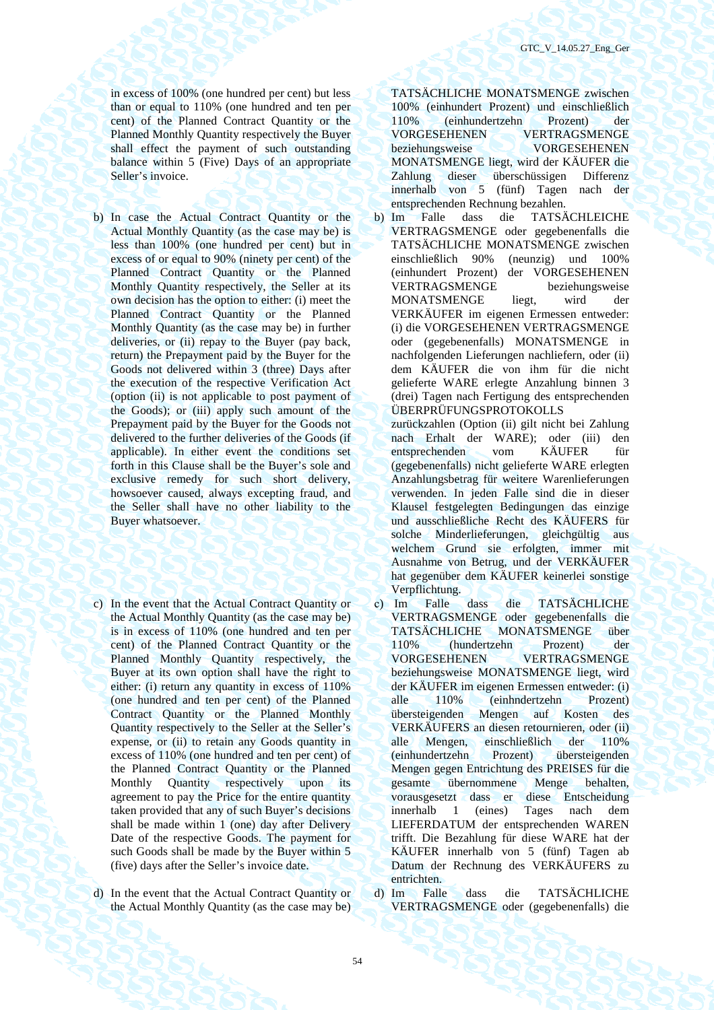in excess of 100% (one hundred per cent) but less than or equal to 110% (one hundred and ten per cent) of the Planned Contract Quantity or the Planned Monthly Quantity respectively the Buyer shall effect the payment of such outstanding balance within 5 (Five) Days of an appropriate Seller's invoice.

- b) In case the Actual Contract Quantity or the Actual Monthly Quantity (as the case may be) is less than 100% (one hundred per cent) but in excess of or equal to 90% (ninety per cent) of the Planned Contract Quantity or the Planned Monthly Quantity respectively, the Seller at its own decision has the option to either: (i) meet the Planned Contract Quantity or the Planned Monthly Quantity (as the case may be) in further deliveries, or (ii) repay to the Buyer (pay back, return) the Prepayment paid by the Buyer for the Goods not delivered within 3 (three) Days after the execution of the respective Verification Act (option (ii) is not applicable to post payment of the Goods); or (iii) apply such amount of the Prepayment paid by the Buyer for the Goods not delivered to the further deliveries of the Goods (if applicable). In either event the conditions set forth in this Сlause shall be the Buyer's sole and exclusive remedy for such short delivery, howsoever caused, always excepting fraud, and the Seller shall have no other liability to the Buyer whatsoever.
- c) In the event that the Actual Contract Quantity or the Actual Monthly Quantity (as the case may be) is in excess of 110% (one hundred and ten per cent) of the Planned Contract Quantity or the Planned Monthly Quantity respectively, the Buyer at its own option shall have the right to either: (i) return any quantity in excess of 110% (one hundred and ten per cent) of the Planned Contract Quantity or the Planned Monthly Quantity respectively to the Seller at the Seller's expense, or (ii) to retain any Goods quantity in excess of 110% (one hundred and ten per cent) of the Planned Contract Quantity or the Planned Monthly Quantity respectively upon its agreement to pay the Price for the entire quantity taken provided that any of such Buyer's decisions shall be made within 1 (one) day after Delivery Date of the respective Goods. The payment for such Goods shall be made by the Buyer within 5 (five) days after the Seller's invoice date.
- d) In the event that the Actual Contract Quantity or the Actual Monthly Quantity (as the case may be)

TATSÄCHLICHE MONATSMENGE zwischen 100% (einhundert Prozent) und einschließlich 110% (einhundertzehn Prozent) der VORGESEHENEN VERTRAGSMENGE beziehungsweise VORGESEHENEN MONATSMENGE liegt, wird der KÄUFER die Zahlung dieser überschüssigen Differenz innerhalb von 5 (fünf) Tagen nach der entsprechenden Rechnung bezahlen.

b) Im Falle dass die TATSÄCHLEICHE VERTRAGSMENGE oder gegebenenfalls die TATSÄCHLICHE MONATSMENGE zwischen einschließlich 90% (neunzig) und 100% (einhundert Prozent) der VORGESEHENEN VERTRAGSMENGE beziehungsweise MONATSMENGE liegt, wird der VERKÄUFER im eigenen Ermessen entweder: (i) die VORGESEHENEN VERTRAGSMENGE oder (gegebenenfalls) MONATSMENGE in nachfolgenden Lieferungen nachliefern, oder (ii) dem KÄUFER die von ihm für die nicht gelieferte WARE erlegte Anzahlung binnen 3 (drei) Tagen nach Fertigung des entsprechenden ÜBERPRÜFUNGSPROTOKOLLS

zurückzahlen (Option (ii) gilt nicht bei Zahlung nach Erhalt der WARE); oder (iii) den entsprechenden vom KÄUFER für (gegebenenfalls) nicht gelieferte WARE erlegten Anzahlungsbetrag für weitere Warenlieferungen verwenden. In jeden Falle sind die in dieser Klausel festgelegten Bedingungen das einzige und ausschließliche Recht des KÄUFERS für solche Minderlieferungen, gleichgültig aus welchem Grund sie erfolgten, immer mit Ausnahme von Betrug, und der VERKÄUFER hat gegenüber dem KÄUFER keinerlei sonstige Verpflichtung.

- с) Im Falle dass die TATSÄCHLICHE VERTRAGSMENGE oder gegebenenfalls die TATSÄCHLICHE MONATSMENGE über 110% (hundertzehn Prozent) der VORGESEHENEN VERTRAGSMENGE beziehungsweise MONATSMENGE liegt, wird der KÄUFER im eigenen Ermessen entweder: (i) alle 110% (einhndertzehn Prozent) übersteigenden Mengen auf Kosten des VERKÄUFERS an diesen retournieren, oder (ii) alle Mengen, einschließlich der 110% (einhundertzehn Prozent) übersteigenden Mengen gegen Entrichtung des PREISES für die gesamte übernommene Menge behalten, vorausgesetzt dass er diese Entscheidung innerhalb 1 (eines) Tages nach dem LIEFERDATUM der entsprechenden WAREN trifft. Die Bezahlung für diese WARE hat der KÄUFER innerhalb von 5 (fünf) Tagen ab Datum der Rechnung des VERKÄUFERS zu entrichten.
- d) Im Falle dass die TATSÄCHLICHE VERTRAGSMENGE oder (gegebenenfalls) die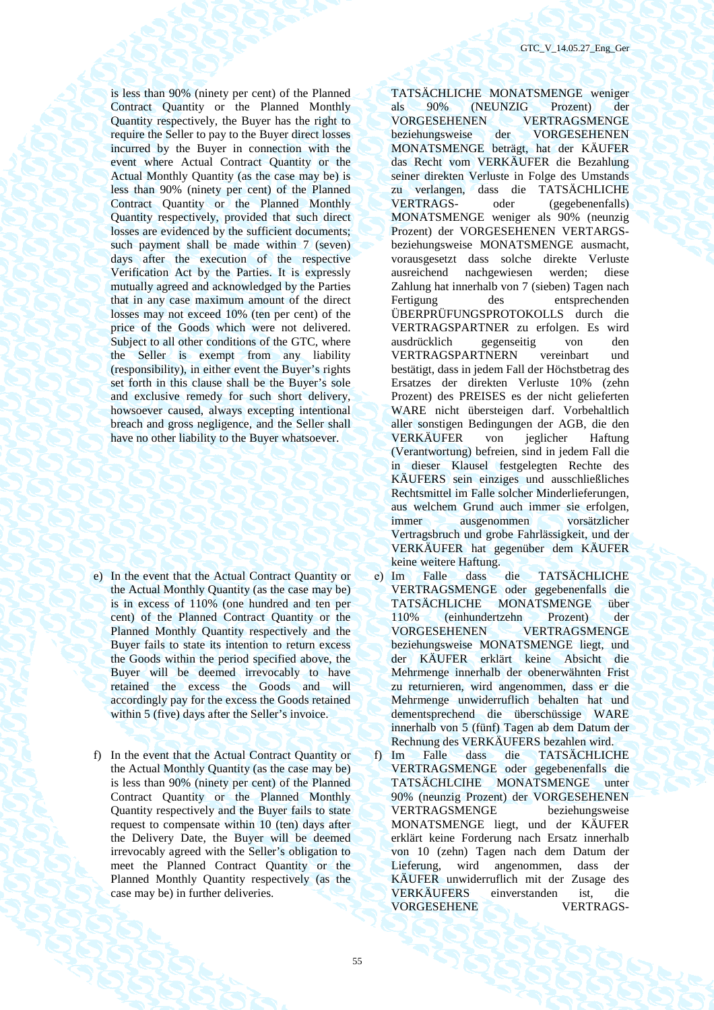is less than 90% (ninety per cent) of the Planned Contract Quantity or the Planned Monthly Quantity respectively, the Buyer has the right to require the Seller to pay to the Buyer direct losses incurred by the Buyer in connection with the event where Actual Contract Quantity or the Actual Monthly Quantity (as the case may be) is less than 90% (ninety per cent) of the Planned Contract Quantity or the Planned Monthly Quantity respectively, provided that such direct losses are evidenced by the sufficient documents; such payment shall be made within 7 (seven) days after the execution of the respective Verification Act by the Parties. It is expressly mutually agreed and acknowledged by the Parties that in any case maximum amount of the direct losses may not exceed 10% (ten per cent) of the price of the Goods which were not delivered. Subject to all other conditions of the GTC, where the Seller is exempt from any liability (responsibility), in either event the Buyer's rights set forth in this clause shall be the Buyer's sole and exclusive remedy for such short delivery, howsoever caused, always excepting intentional breach and gross negligence, and the Seller shall have no other liability to the Buyer whatsoever.

- e) In the event that the Actual Contract Quantity or the Actual Monthly Quantity (as the case may be) is in excess of 110% (one hundred and ten per cent) of the Planned Contract Quantity or the Planned Monthly Quantity respectively and the Buyer fails to state its intention to return excess the Goods within the period specified above, the Buyer will be deemed irrevocably to have retained the excess the Goods and will accordingly pay for the excess the Goods retained within 5 (five) days after the Seller's invoice.
- f) In the event that the Actual Contract Quantity or the Actual Monthly Quantity (as the case may be) is less than 90% (ninety per cent) of the Planned Contract Quantity or the Planned Monthly Quantity respectively and the Buyer fails to state request to compensate within 10 (ten) days after the Delivery Date, the Buyer will be deemed irrevocably agreed with the Seller's obligation to meet the Planned Contract Quantity or the Planned Monthly Quantity respectively (as the case may be) in further deliveries.

TATSÄCHLICHE MONATSMENGE weniger als 90% (NEUNZIG Prozent) der VORGESEHENEN VERTRAGSMENGE beziehungsweise der VORGESEHENEN MONATSMENGE beträgt, hat der KÄUFER das Recht vom VERKÄUFER die Bezahlung seiner direkten Verluste in Folge des Umstands zu verlangen, dass die TATSÄCHLICHE VERTRAGS- oder (gegebenenfalls) MONATSMENGE weniger als 90% (neunzig Prozent) der VORGESEHENEN VERTARGSbeziehungsweise MONATSMENGE ausmacht, vorausgesetzt dass solche direkte Verluste ausreichend nachgewiesen werden; diese Zahlung hat innerhalb von 7 (sieben) Tagen nach Fertigung des entsprechenden ÜBERPRÜFUNGSPROTOKOLLS durch die VERTRAGSPARTNER zu erfolgen. Es wird ausdrücklich gegenseitig von den VERTRAGSPARTNERN vereinbart und bestätigt, dass in jedem Fall der Höchstbetrag des Ersatzes der direkten Verluste 10% (zehn Prozent) des PREISES es der nicht gelieferten WARE nicht übersteigen darf. Vorbehaltlich aller sonstigen Bedingungen der AGB, die den<br>VERKÄUFER von jeglicher Haftung VERKÄUFER von jeglicher Haftung (Verantwortung) befreien, sind in jedem Fall die in dieser Klausel festgelegten Rechte des KÄUFERS sein einziges und ausschließliches Rechtsmittel im Falle solcher Minderlieferungen, aus welchem Grund auch immer sie erfolgen, immer ausgenommen vorsätzlicher Vertragsbruch und grobe Fahrlässigkeit, und der VERKÄUFER hat gegenüber dem KÄUFER keine weitere Haftung.

- е) Im Falle dass die TATSÄCHLICHE VERTRAGSMENGE oder gegebenenfalls die TATSÄCHLICHE MONATSMENGE über 110% (einhundertzehn Prozent) der VORGESEHENEN VERTRAGSMENGE beziehungsweise MONATSMENGE liegt, und der KÄUFER erklärt keine Absicht die Mehrmenge innerhalb der obenerwähnten Frist zu returnieren, wird angenommen, dass er die Mehrmenge unwiderruflich behalten hat und dementsprechend die überschüssige WARE innerhalb von 5 (fünf) Tagen ab dem Datum der Rechnung des VERKÄUFERS bezahlen wird.
- f) Im Falle dass die TATSÄCHLICHE VERTRAGSMENGE oder gegebenenfalls die TATSÄCHLCIHE MONATSMENGE unter 90% (neunzig Prozent) der VORGESEHENEN VERTRAGSMENGE beziehungsweise MONATSMENGE liegt, und der KÄUFER erklärt keine Forderung nach Ersatz innerhalb von 10 (zehn) Tagen nach dem Datum der Lieferung, wird angenommen, dass der KÄUFER unwiderruflich mit der Zusage des VERKÄUFERS einverstanden ist, die VORGESEHENE VERTRAGS-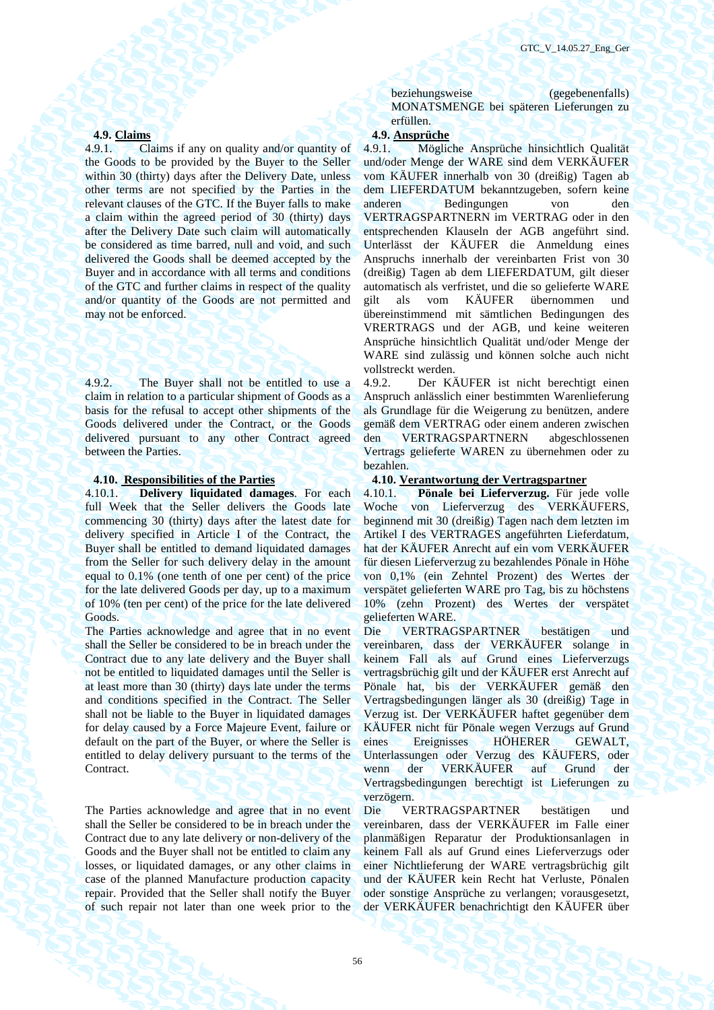4.9.1. Claims if any on quality and/or quantity of the Goods to be provided by the Buyer to the Seller within 30 (thirty) days after the Delivery Date, unless other terms are not specified by the Parties in the relevant clauses of the GTC. If the Buyer falls to make a claim within the agreed period of 30 (thirty) days after the Delivery Date such claim will automatically be considered as time barred, null and void, and such delivered the Goods shall be deemed accepted by the Buyer and in accordance with all terms and conditions of the GTC and further claims in respect of the quality and/or quantity of the Goods are not permitted and may not be enforced.

4.9.2. The Buyer shall not be entitled to use a claim in relation to a particular shipment of Goods as a basis for the refusal to accept other shipments of the Goods delivered under the Contract, or the Goods delivered pursuant to any other Contract agreed between the Parties.

4.10.1. **Delivery liquidated damages**. For each full Week that the Seller delivers the Goods late commencing 30 (thirty) days after the latest date for delivery specified in Article I of the Contract, the Buyer shall be entitled to demand liquidated damages from the Seller for such delivery delay in the amount equal to 0.1% (one tenth of one per cent) of the price for the late delivered Goods per day, up to a maximum of 10% (ten per cent) of the price for the late delivered Goods.

The Parties acknowledge and agree that in no event shall the Seller be considered to be in breach under the Contract due to any late delivery and the Buyer shall not be entitled to liquidated damages until the Seller is at least more than 30 (thirty) days late under the terms and conditions specified in the Contract. The Seller shall not be liable to the Buyer in liquidated damages for delay caused by a Force Majeure Event, failure or default on the part of the Buyer, or where the Seller is entitled to delay delivery pursuant to the terms of the Contract.

The Parties acknowledge and agree that in no event shall the Seller be considered to be in breach under the Contract due to any late delivery or non-delivery of the Goods and the Buyer shall not be entitled to claim any losses, or liquidated damages, or any other claims in case of the planned Manufacture production capacity repair. Provided that the Seller shall notify the Buyer of such repair not later than one week prior to the

beziehungsweise (gegebenenfalls) MONATSMENGE bei späteren Lieferungen zu erfüllen.

# **4.9. Claims 4.9. Ansprüche**

4.9.1. Mögliche Ansprüche hinsichtlich Qualität und/oder Menge der WARE sind dem VERKÄUFER vom KÄUFER innerhalb von 30 (dreißig) Tagen ab dem LIEFERDATUM bekanntzugeben, sofern keine anderen Bedingungen von den VERTRAGSPARTNERN im VERTRAG oder in den entsprechenden Klauseln der AGB angeführt sind. Unterlässt der KÄUFER die Anmeldung eines Anspruchs innerhalb der vereinbarten Frist von 30 (dreißig) Tagen ab dem LIEFERDATUM, gilt dieser automatisch als verfristet, und die so gelieferte WARE gilt als vom KÄUFER übernommen und übereinstimmend mit sämtlichen Bedingungen des VRERTRAGS und der AGB, und keine weiteren Ansprüche hinsichtlich Qualität und/oder Menge der WARE sind zulässig und können solche auch nicht vollstreckt werden.

4.9.2. Der KÄUFER ist nicht berechtigt einen Anspruch anlässlich einer bestimmten Warenlieferung als Grundlage für die Weigerung zu benützen, andere gemäß dem VERTRAG oder einem anderen zwischen den VERTRAGSPARTNERN abgeschlossenen Vertrags gelieferte WAREN zu übernehmen oder zu bezahlen.

# **4.10. Responsibilities of the Parties 4.10. Verantwortung der Vertragspartner**

4.10.1. **Pönale bei Lieferverzug.** Für jede volle Woche von Lieferverzug des VERKÄUFERS, beginnend mit 30 (dreißig) Tagen nach dem letzten im Artikel I des VERTRAGES angeführten Lieferdatum, hat der KÄUFER Anrecht auf ein vom VERKÄUFER für diesen Lieferverzug zu bezahlendes Pönale in Höhe von 0,1% (ein Zehntel Prozent) des Wertes der verspätet gelieferten WARE pro Tag, bis zu höchstens 10% (zehn Prozent) des Wertes der verspätet gelieferten WARE.

Die VERTRAGSPARTNER bestätigen und vereinbaren, dass der VERKÄUFER solange in keinem Fall als auf Grund eines Lieferverzugs vertragsbrüchig gilt und der KÄUFER erst Anrecht auf Pönale hat, bis der VERKÄUFER gemäß den Vertragsbedingungen länger als 30 (dreißig) Tage in Verzug ist. Der VERKÄUFER haftet gegenüber dem KÄUFER nicht für Pönale wegen Verzugs auf Grund eines Ereignisses HÖHERER GEWALT, Unterlassungen oder Verzug des KÄUFERS, oder wenn der VERKÄUFER auf Grund Vertragsbedingungen berechtigt ist Lieferungen zu verzögern.

Die VERTRAGSPARTNER bestätigen und vereinbaren, dass der VERKÄUFER im Falle einer planmäßigen Reparatur der Produktionsanlagen in keinem Fall als auf Grund eines Lieferverzugs oder einer Nichtlieferung der WARE vertragsbrüchig gilt und der KÄUFER kein Recht hat Verluste, Pönalen oder sonstige Ansprüche zu verlangen; vorausgesetzt, der VERKÄUFER benachrichtigt den KÄUFER über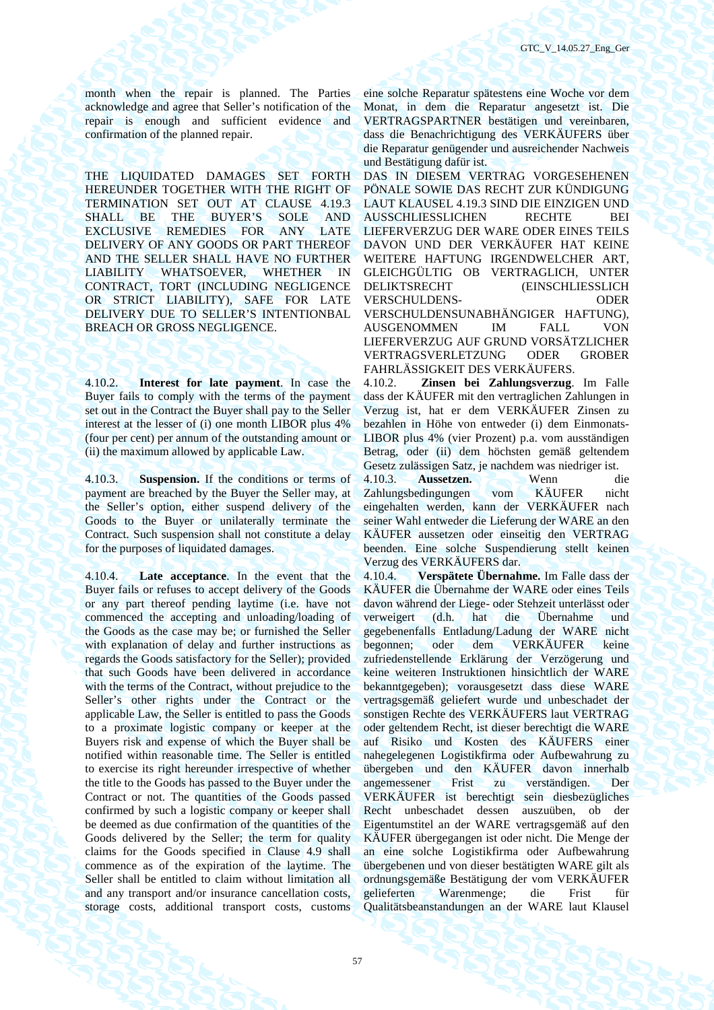month when the repair is planned. The Parties acknowledge and agree that Seller's notification of the repair is enough and sufficient evidence and confirmation of the planned repair.

THE LIQUIDATED DAMAGES SET FORTH HEREUNDER TOGETHER WITH THE RIGHT OF TERMINATION SET OUT AT CLAUSE 4.19.3 SHALL BE THE BUYER'S SOLE AND EXCLUSIVE REMEDIES FOR ANY LATE DELIVERY OF ANY GOODS OR PART THEREOF AND THE SELLER SHALL HAVE NO FURTHER LIABILITY WHATSOEVER, WHETHER IN CONTRACT, TORT (INCLUDING NEGLIGENCE OR STRICT LIABILITY), SAFE FOR LATE DELIVERY DUE TO SELLER'S INTENTIONBAL BREACH OR GROSS NEGLIGENCE.

4.10.2. **Interest for late payment**. In case the Buyer fails to comply with the terms of the payment set out in the Contract the Buyer shall pay to the Seller interest at the lesser of (i) one month LIBOR plus 4% (four per cent) per annum of the outstanding amount or (ii) the maximum allowed by applicable Law.

4.10.3. **Suspension.** If the conditions or terms of payment are breached by the Buyer the Seller may, at the Seller's option, either suspend delivery of the Goods to the Buyer or unilaterally terminate the Contract. Such suspension shall not constitute a delay for the purposes of liquidated damages.

4.10.4. **Late acceptance**. In the event that the Buyer fails or refuses to accept delivery of the Goods or any part thereof pending laytime (i.e. have not commenced the accepting and unloading/loading of the Goods as the case may be; or furnished the Seller with explanation of delay and further instructions as regards the Goods satisfactory for the Seller); provided that such Goods have been delivered in accordance with the terms of the Contract, without prejudice to the Seller's other rights under the Contract or the applicable Law, the Seller is entitled to pass the Goods to a proximate logistic company or keeper at the Buyers risk and expense of which the Buyer shall be notified within reasonable time. The Seller is entitled to exercise its right hereunder irrespective of whether the title to the Goods has passed to the Buyer under the Contract or not. The quantities of the Goods passed confirmed by such a logistic company or keeper shall be deemed as due confirmation of the quantities of the Goods delivered by the Seller; the term for quality claims for the Goods specified in Clause 4.9 shall commence as of the expiration of the laytime. The Seller shall be entitled to claim without limitation all and any transport and/or insurance cancellation costs, storage costs, additional transport costs, customs

eine solche Reparatur spätestens eine Woche vor dem Monat, in dem die Reparatur angesetzt ist. Die VERTRAGSPARTNER bestätigen und vereinbaren, dass die Benachrichtigung des VERKÄUFERS über die Reparatur genügender und ausreichender Nachweis und Bestätigung dafür ist.

DAS IN DIESEM VERTRAG VORGESEHENEN PÖNALE SOWIE DAS RECHT ZUR KÜNDIGUNG LAUT KLAUSEL 4.19.3 SIND DIE EINZIGEN UND AUSSCHLIESSLICHEN RECHTE BEI LIEFERVERZUG DER WARE ODER EINES TEILS DAVON UND DER VERKÄUFER HAT KEINE WEITERE HAFTUNG IRGENDWELCHER ART, GLEICHGÜLTIG OB VERTRAGLICH, UNTER DELIKTSRECHT (EINSCHLIESSLICH VERSCHULDENS- ODER VERSCHULDENSUNABHÄNGIGER HAFTUNG), AUSGENOMMEN IM FALL VON LIEFERVERZUG AUF GRUND VORSÄTZLICHER VERTRAGSVERLETZUNG ODER GROBER FAHRLÄSSIGKEIT DES VERKÄUFERS.

4.10.2. **Zinsen bei Zahlungsverzug**. Im Falle dass der KÄUFER mit den vertraglichen Zahlungen in Verzug ist, hat er dem VERKÄUFER Zinsen zu bezahlen in Höhe von entweder (i) dem Einmonats-LIBOR plus 4% (vier Prozent) p.a. vom ausständigen Betrag, oder (ii) dem höchsten gemäß geltendem Gesetz zulässigen Satz, je nachdem was niedriger ist.

4.10.3. **Aussetzen.** Wenn die Zahlungsbedingungen vom KÄUFER nicht eingehalten werden, kann der VERKÄUFER nach seiner Wahl entweder die Lieferung der WARE an den KÄUFER aussetzen oder einseitig den VERTRAG beenden. Eine solche Suspendierung stellt keinen Verzug des VERKÄUFERS dar.

4.10.4. **Verspätete Übernahme.** Im Falle dass der KÄUFER die Übernahme der WARE oder eines Teils davon während der Liege- oder Stehzeit unterlässt oder verweigert (d.h. hat die Übernahme und gegebenenfalls Entladung/Ladung der WARE nicht begonnen; oder dem VERKÄUFER keine zufriedenstellende Erklärung der Verzögerung und keine weiteren Instruktionen hinsichtlich der WARE bekanntgegeben); vorausgesetzt dass diese WARE vertragsgemäß geliefert wurde und unbeschadet der sonstigen Rechte des VERKÄUFERS laut VERTRAG oder geltendem Recht, ist dieser berechtigt die WARE auf Risiko und Kosten des KÄUFERS einer nahegelegenen Logistikfirma oder Aufbewahrung zu übergeben und den KÄUFER davon innerhalb angemessener Frist zu verständigen. Der VERKÄUFER ist berechtigt sein diesbezügliches Recht unbeschadet dessen auszuüben, ob der Eigentumstitel an der WARE vertragsgemäß auf den KÄUFER übergegangen ist oder nicht. Die Menge der an eine solche Logistikfirma oder Aufbewahrung übergebenen und von dieser bestätigten WARE gilt als ordnungsgemäße Bestätigung der vom VERKÄUFER Warenmenge; die Frist für Qualitätsbeanstandungen an der WARE laut Klausel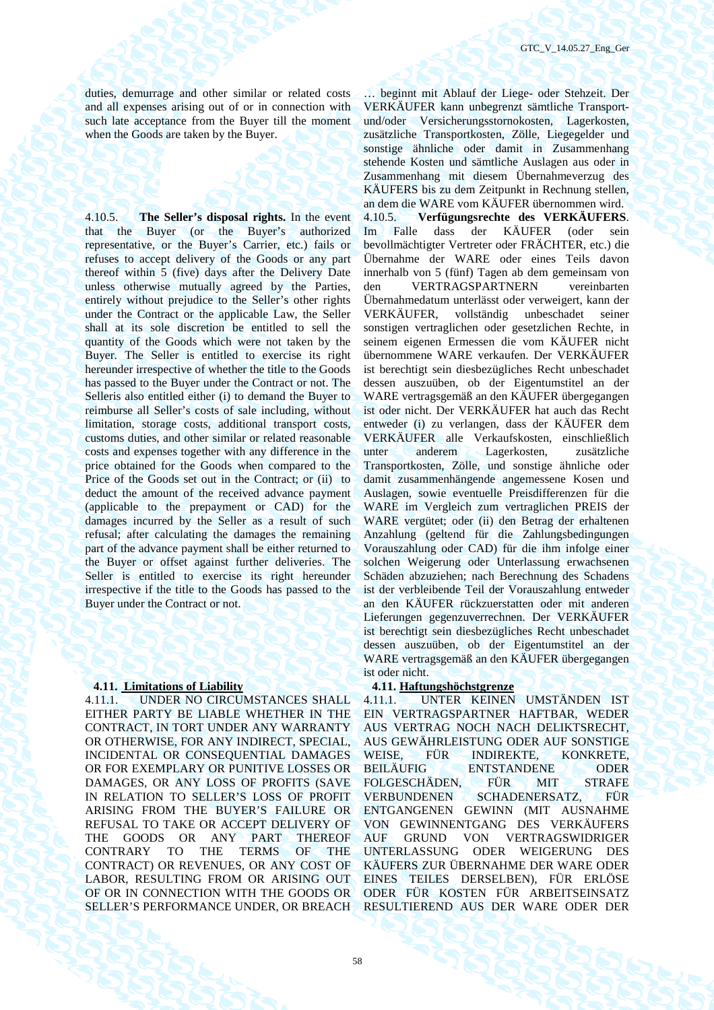duties, demurrage and other similar or related costs and all expenses arising out of or in connection with such late acceptance from the Buyer till the moment when the Goods are taken by the Buyer.

4.10.5. **The Seller's disposal rights.** In the event that the Buyer (or the Buyer's authorized representative, or the Buyer's Carrier, etc.) fails or refuses to accept delivery of the Goods or any part thereof within 5 (five) days after the Delivery Date unless otherwise mutually agreed by the Parties, entirely without prejudice to the Seller's other rights under the Contract or the applicable Law, the Seller shall at its sole discretion be entitled to sell the quantity of the Goods which were not taken by the Buyer. The Seller is entitled to exercise its right hereunder irrespective of whether the title to the Goods has passed to the Buyer under the Contract or not. The Selleris also entitled either (i) to demand the Buyer to reimburse all Seller's costs of sale including, without limitation, storage costs, additional transport costs, customs duties, and other similar or related reasonable costs and expenses together with any difference in the price obtained for the Goods when compared to the Price of the Goods set out in the Contract; or (ii) to deduct the amount of the received advance payment (applicable to the prepayment or CAD) for the damages incurred by the Seller as a result of such refusal; after calculating the damages the remaining part of the advance payment shall be either returned to the Buyer or offset against further deliveries. The Seller is entitled to exercise its right hereunder irrespective if the title to the Goods has passed to the Buyer under the Contract or not.

# **4.11. Limitations of Liability 4.11. Haftungshöchstgrenze**

4.11.1. UNDER NO CIRCUMSTANCES SHALL EITHER PARTY BE LIABLE WHETHER IN THE CONTRACT, IN TORT UNDER ANY WARRANTY OR OTHERWISE, FOR ANY INDIRECT, SPECIAL, INCIDENTAL OR CONSEQUENTIAL DAMAGES OR FOR EXEMPLARY OR PUNITIVE LOSSES OR DAMAGES, OR ANY LOSS OF PROFITS (SAVE IN RELATION TO SELLER'S LOSS OF PROFIT ARISING FROM THE BUYER'S FAILURE OR REFUSAL TO TAKE OR ACCEPT DELIVERY OF THE GOODS OR ANY PART THEREOF CONTRARY TO THE TERMS OF THE CONTRACT) OR REVENUES, OR ANY COST OF LABOR, RESULTING FROM OR ARISING OUT OF OR IN CONNECTION WITH THE GOODS OR SELLER'S PERFORMANCE UNDER, OR BREACH

… beginnt mit Ablauf der Liege- oder Stehzeit. Der VERKÄUFER kann unbegrenzt sämtliche Transportund/oder Versicherungsstornokosten, Lagerkosten, zusätzliche Transportkosten, Zölle, Liegegelder und sonstige ähnliche oder damit in Zusammenhang stehende Kosten und sämtliche Auslagen aus oder in Zusammenhang mit diesem Übernahmeverzug des KÄUFERS bis zu dem Zeitpunkt in Rechnung stellen, an dem die WARE vom KÄUFER übernommen wird. 4.10.5. **Verfügungsrechte des VERKÄUFERS**. Im Falle dass der KÄUFER (oder sein bevollmächtigter Vertreter oder FRÄCHTER, etc.) die Übernahme der WARE oder eines Teils davon innerhalb von 5 (fünf) Tagen ab dem gemeinsam von den VERTRAGSPARTNERN vereinbarten Übernahmedatum unterlässt oder verweigert, kann der VERKÄUFER, vollständig unbeschadet seiner sonstigen vertraglichen oder gesetzlichen Rechte, in seinem eigenen Ermessen die vom KÄUFER nicht übernommene WARE verkaufen. Der VERKÄUFER ist berechtigt sein diesbezügliches Recht unbeschadet dessen auszuüben, ob der Eigentumstitel an der WARE vertragsgemäß an den KÄUFER übergegangen ist oder nicht. Der VERKÄUFER hat auch das Recht entweder (i) zu verlangen, dass der KÄUFER dem VERKÄUFER alle Verkaufskosten, einschließlich unter anderem Lagerkosten, zusätzliche Transportkosten, Zölle, und sonstige ähnliche oder damit zusammenhängende angemessene Kosen und Auslagen, sowie eventuelle Preisdifferenzen für die WARE im Vergleich zum vertraglichen PREIS der WARE vergütet; oder (ii) den Betrag der erhaltenen Anzahlung (geltend für die Zahlungsbedingungen Vorauszahlung oder CAD) für die ihm infolge einer solchen Weigerung oder Unterlassung erwachsenen Schäden abzuziehen; nach Berechnung des Schadens ist der verbleibende Teil der Vorauszahlung entweder an den KÄUFER rückzuerstatten oder mit anderen Lieferungen gegenzuverrechnen. Der VERKÄUFER ist berechtigt sein diesbezügliches Recht unbeschadet dessen auszuüben, ob der Eigentumstitel an der WARE vertragsgemäß an den KÄUFER übergegangen ist oder nicht.

4.11.1. UNTER KEINEN UMSTÄNDEN IST EIN VERTRAGSPARTNER HAFTBAR, WEDER AUS VERTRAG NOCH NACH DELIKTSRECHT, AUS GEWÄHRLEISTUNG ODER AUF SONSTIGE WEISE, FÜR INDIREKTE, KONKRETE, BEILÄUFIG ENTSTANDENE ODER FOLGESCHÄDEN, FÜR MIT STRAFE VERBUNDENEN SCHADENERSATZ, FÜR ENTGANGENEN GEWINN (MIT AUSNAHME VON GEWINNENTGANG DES VERKÄUFERS AUF GRUND VON VERTRAGSWIDRIGER UNTERLASSUNG ODER WEIGERUNG DES KÄUFERS ZUR ÜBERNAHME DER WARE ODER EINES TEILES DERSELBEN), FÜR ERLÖSE ODER FÜR KOSTEN FÜR ARBEITSEINSATZ RESULTIEREND AUS DER WARE ODER DER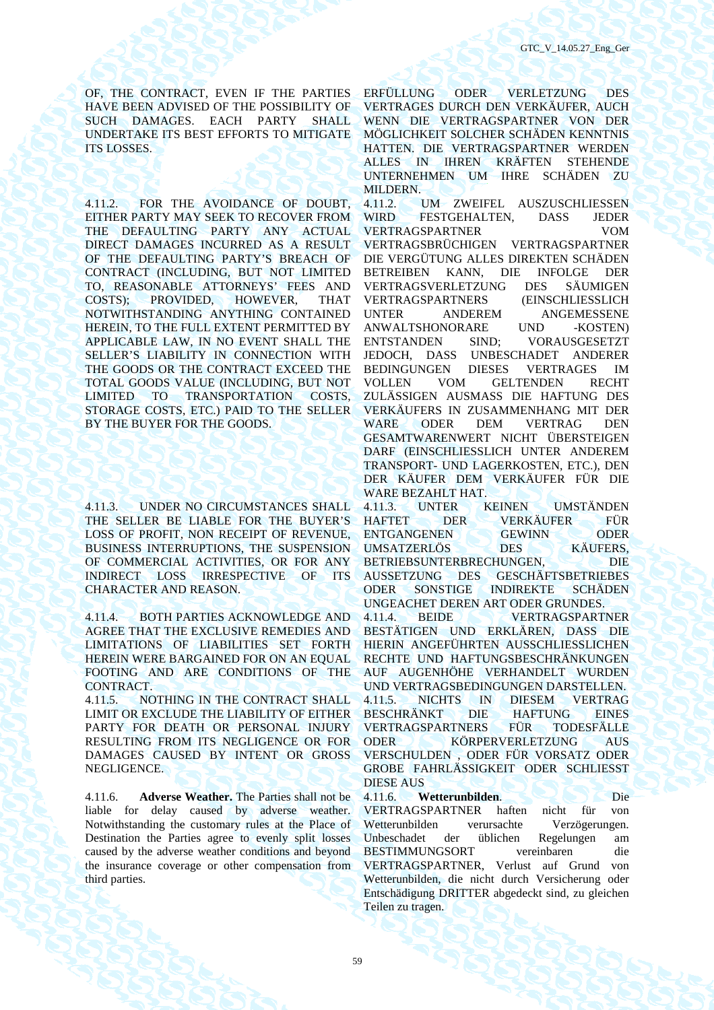OF, THE CONTRACT, EVEN IF THE PARTIES HAVE BEEN ADVISED OF THE POSSIBILITY OF SUCH DAMAGES. EACH PARTY SHALL UNDERTAKE ITS BEST EFFORTS TO MITIGATE ITS LOSSES.

4.11.2. FOR THE AVOIDANCE OF DOUBT, EITHER PARTY MAY SEEK TO RECOVER FROM THE DEFAULTING PARTY ANY ACTUAL DIRECT DAMAGES INCURRED AS A RESULT OF THE DEFAULTING PARTY'S BREACH OF CONTRACT (INCLUDING, BUT NOT LIMITED TO, REASONABLE ATTORNEYS' FEES AND COSTS); PROVIDED, HOWEVER, THAT NOTWITHSTANDING ANYTHING CONTAINED HEREIN, TO THE FULL EXTENT PERMITTED BY APPLICABLE LAW, IN NO EVENT SHALL THE SELLER'S LIABILITY IN CONNECTION WITH THE GOODS OR THE CONTRACT EXCEED THE TOTAL GOODS VALUE (INCLUDING, BUT NOT LIMITED TO TRANSPORTATION COSTS, STORAGE COSTS, ETC.) PAID TO THE SELLER BY THE BUYER FOR THE GOODS.

4.11.3. UNDER NO CIRCUMSTANCES SHALL THE SELLER BE LIABLE FOR THE BUYER'S LOSS OF PROFIT, NON RECEIPT OF REVENUE, BUSINESS INTERRUPTIONS, THE SUSPENSION OF COMMERCIAL ACTIVITIES, OR FOR ANY INDIRECT LOSS IRRESPECTIVE OF ITS CHARACTER AND REASON.

4.11.4. BOTH PARTIES ACKNOWLEDGE AND AGREE THAT THE EXCLUSIVE REMEDIES AND LIMITATIONS OF LIABILITIES SET FORTH HEREIN WERE BARGAINED FOR ON AN EQUAL FOOTING AND ARE CONDITIONS OF THE CONTRACT.

4.11.5. NOTHING IN THE CONTRACT SHALL LIMIT OR EXCLUDE THE LIABILITY OF EITHER PARTY FOR DEATH OR PERSONAL INJURY RESULTING FROM ITS NEGLIGENCE OR FOR DAMAGES CAUSED BY INTENT OR GROSS NEGLIGENCE.

4.11.6. **Adverse Weather.** The Parties shall not be liable for delay caused by adverse weather. Notwithstanding the customary rules at the Place of Destination the Parties agree to evenly split losses caused by the adverse weather conditions and beyond the insurance coverage or other compensation from third parties.

ERFÜLLUNG ODER VERLETZUNG DES VERTRAGES DURCH DEN VERKÄUFER, AUCH WENN DIE VERTRAGSPARTNER VON DER MÖGLICHKEIT SOLCHER SCHÄDEN KENNTNIS HATTEN. DIE VERTRAGSPARTNER WERDEN ALLES IN IHREN KRÄFTEN STEHENDE UNTERNEHMEN UM IHRE SCHÄDEN ZU MILDERN.

4.11.2. UM ZWEIFEL AUSZUSCHLIESSEN WIRD FESTGEHALTEN, DASS JEDER VERTRAGSPARTNER VOM VERTRAGSBRÜCHIGEN VERTRAGSPARTNER DIE VERGÜTUNG ALLES DIREKTEN SCHÄDEN BETREIBEN KANN, DIE INFOLGE DER VERTRAGSVERLETZUNG DES SÄUMIGEN VERTRAGSPARTNERS (EINSCHLIESSLICH UNTER ANDEREM ANGEMESSENE ANWALTSHONORARE UND -KOSTEN) ENTSTANDEN SIND; VORAUSGESETZT JEDOCH, DASS UNBESCHADET ANDERER BEDINGUNGEN DIESES VERTRAGES IM VOLLEN VOM GELTENDEN RECHT ZULÄSSIGEN AUSMASS DIE HAFTUNG DES VERKÄUFERS IN ZUSAMMENHANG MIT DER WARE ODER DEM VERTRAG DEN GESAMTWARENWERT NICHT ÜBERSTEIGEN DARF (EINSCHLIESSLICH UNTER ANDEREM TRANSPORT- UND LAGERKOSTEN, ETC.), DEN DER KÄUFER DEM VERKÄUFER FÜR DIE WARE BEZAHLT HAT. 4.11.3. UNTER KEINEN UMSTÄNDEN HAFTET DER VERKÄUFER FÜR ENTGANGENEN GEWINN ODER UMSATZERLÖS DES KÄUFERS, BETRIEBSUNTERBRECHUNGEN. DIE

AUSSETZUNG DES GESCHÄFTSBETRIEBES ODER SONSTIGE INDIREKTE SCHÄDEN UNGEACHET DEREN ART ODER GRUNDES. 4.11.4. BEIDE VERTRAGSPARTNER BESTÄTIGEN UND ERKLÄREN, DASS DIE

HIERIN ANGEFÜHRTEN AUSSCHLIESSLICHEN RECHTE UND HAFTUNGSBESCHRÄNKUNGEN AUF AUGENHÖHE VERHANDELT WURDEN UND VERTRAGSBEDINGUNGEN DARSTELLEN. 4.11.5. NICHTS IN DIESEM VERTRAG BESCHRÄNKT DIE HAFTUNG EINES VERTRAGSPARTNERS FÜR TODESFÄLLE ODER KÖRPERVERLETZUNG AUS VERSCHULDEN , ODER FÜR VORSATZ ODER GROBE FAHRLÄSSIGKEIT ODER SCHLIESST DIESE AUS

4.11.6. **Wetterunbilden**. Die VERTRAGSPARTNER haften nicht für von Wetterunbilden verursachte Verzögerungen. Unbeschadet der üblichen Regelungen am BESTIMMUNGSORT vereinbaren die VERTRAGSPARTNER, Verlust auf Grund von Wetterunbilden, die nicht durch Versicherung oder Entschädigung DRITTER abgedeckt sind, zu gleichen Teilen zu tragen.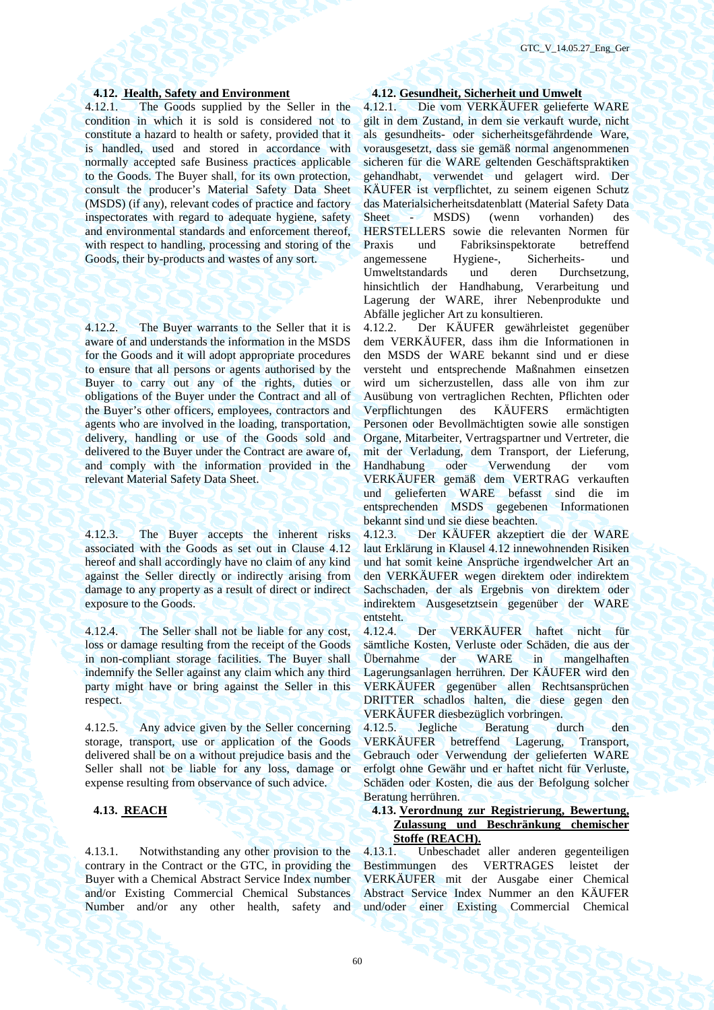# **4.12. Health, Safety and Environment 4.12. Gesundheit, Sicherheit und Umwelt**

4.12.1. The Goods supplied by the Seller in the condition in which it is sold is considered not to constitute a hazard to health or safety, provided that it is handled, used and stored in accordance with normally accepted safe Business practices applicable to the Goods. The Buyer shall, for its own protection, consult the producer's Material Safety Data Sheet (MSDS) (if any), relevant codes of practice and factory inspectorates with regard to adequate hygiene, safety and environmental standards and enforcement thereof, with respect to handling, processing and storing of the Goods, their by-products and wastes of any sort.

4.12.2. The Buyer warrants to the Seller that it is aware of and understands the information in the MSDS for the Goods and it will adopt appropriate procedures to ensure that all persons or agents authorised by the Buyer to carry out any of the rights, duties or obligations of the Buyer under the Contract and all of the Buyer's other officers, employees, contractors and agents who are involved in the loading, transportation, delivery, handling or use of the Goods sold and delivered to the Buyer under the Contract are aware of, and comply with the information provided in the relevant Material Safety Data Sheet.

4.12.3. The Buyer accepts the inherent risks associated with the Goods as set out in Clause 4.12 hereof and shall accordingly have no claim of any kind against the Seller directly or indirectly arising from damage to any property as a result of direct or indirect exposure to the Goods.

4.12.4. The Seller shall not be liable for any cost, loss or damage resulting from the receipt of the Goods in non-compliant storage facilities. The Buyer shall indemnify the Seller against any claim which any third party might have or bring against the Seller in this respect.

4.12.5. Any advice given by the Seller concerning storage, transport, use or application of the Goods delivered shall be on a without prejudice basis and the Seller shall not be liable for any loss, damage or expense resulting from observance of such advice.

4.13.1. Notwithstanding any other provision to the contrary in the Contract or the GTC, in providing the Buyer with a Chemical Abstract Service Index number and/or Existing Commercial Chemical Substances Number and/or any other health, safety and

4.12.1. Die vom VERKÄUFER gelieferte WARE gilt in dem Zustand, in dem sie verkauft wurde, nicht als gesundheits- oder sicherheitsgefährdende Ware, vorausgesetzt, dass sie gemäß normal angenommenen sicheren für die WARE geltenden Geschäftspraktiken gehandhabt, verwendet und gelagert wird. Der KÄUFER ist verpflichtet, zu seinem eigenen Schutz das Materialsicherheitsdatenblatt (Material Safety Data Sheet - MSDS) (wenn vorhanden) des HERSTELLERS sowie die relevanten Normen für Praxis und Fabriksinspektorate betreffend angemessene Hygiene-, Sicherheits- und Umweltstandards und deren Durchsetzung, hinsichtlich der Handhabung, Verarbeitung und Lagerung der WARE, ihrer Nebenprodukte und Abfälle jeglicher Art zu konsultieren.

4.12.2. Der KÄUFER gewährleistet gegenüber dem VERKÄUFER, dass ihm die Informationen in den MSDS der WARE bekannt sind und er diese versteht und entsprechende Maßnahmen einsetzen wird um sicherzustellen, dass alle von ihm zur Ausübung von vertraglichen Rechten, Pflichten oder Verpflichtungen des KÄUFERS ermächtigten Personen oder Bevollmächtigten sowie alle sonstigen Organe, Mitarbeiter, Vertragspartner und Vertreter, die mit der Verladung, dem Transport, der Lieferung, Handhabung oder Verwendung der vom VERKÄUFER gemäß dem VERTRAG verkauften und gelieferten WARE befasst sind die im entsprechenden MSDS gegebenen Informationen bekannt sind und sie diese beachten.

4.12.3. Der KÄUFER akzeptiert die der WARE laut Erklärung in Klausel 4.12 innewohnenden Risiken und hat somit keine Ansprüche irgendwelcher Art an den VERKÄUFER wegen direktem oder indirektem Sachschaden, der als Ergebnis von direktem oder indirektem Ausgesetztsein gegenüber der WARE entsteht.

4.12.4. Der VERKÄUFER haftet nicht für sämtliche Kosten, Verluste oder Schäden, die aus der Übernahme der WARE in mangelhaften Lagerungsanlagen herrühren. Der KÄUFER wird den VERKÄUFER gegenüber allen Rechtsansprüchen DRITTER schadlos halten, die diese gegen den VERKÄUFER diesbezüglich vorbringen.

4.12.5. Jegliche Beratung durch den VERKÄUFER betreffend Lagerung, Transport, Gebrauch oder Verwendung der gelieferten WARE erfolgt ohne Gewähr und er haftet nicht für Verluste, Schäden oder Kosten, die aus der Befolgung solcher Beratung herrühren.

# **4.13. REACH 4.13. Verordnung zur Registrierung, Bewertung, Zulassung und Beschränkung chemischer Stoffe (REACH).**

4.13.1. Unbeschadet aller anderen gegenteiligen Bestimmungen des VERTRAGES leistet der VERKÄUFER mit der Ausgabe einer Chemical Abstract Service Index Nummer an den KÄUFER und/oder einer Existing Commercial Chemical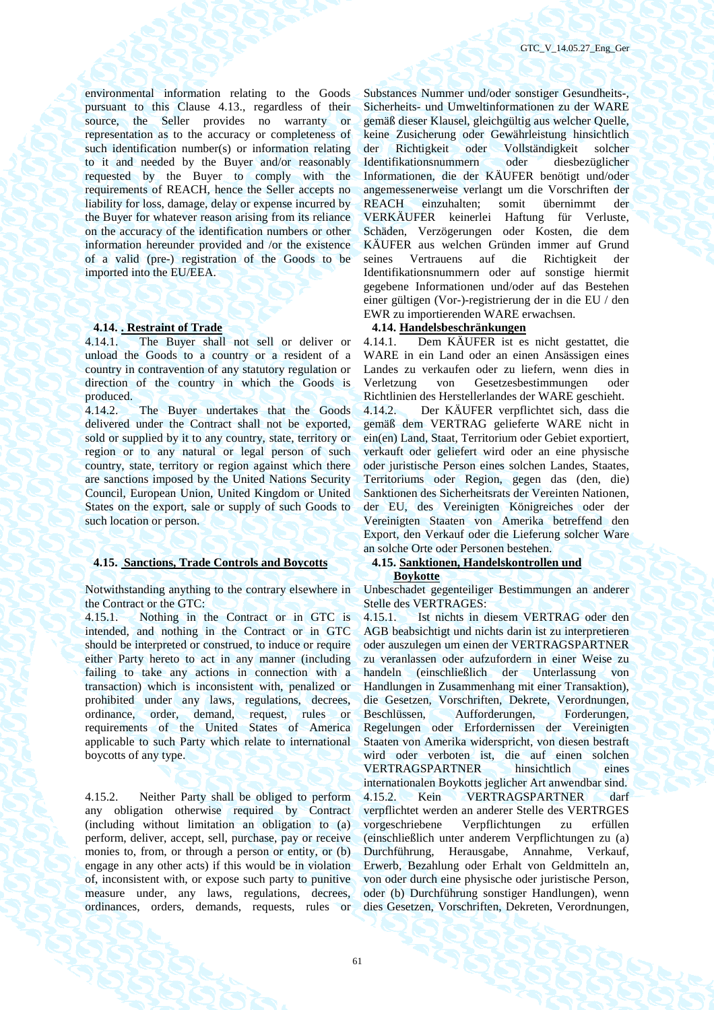environmental information relating to the Goods pursuant to this Clause 4.13., regardless of their source, the Seller provides no warranty or representation as to the accuracy or completeness of such identification number(s) or information relating to it and needed by the Buyer and/or reasonably requested by the Buyer to comply with the requirements of REACH, hence the Seller accepts no liability for loss, damage, delay or expense incurred by the Buyer for whatever reason arising from its reliance on the accuracy of the identification numbers or other information hereunder provided and /or the existence of a valid (pre-) registration of the Goods to be imported into the EU/EEA.

4.14.1. The Buyer shall not sell or deliver or unload the Goods to a country or a resident of a country in contravention of any statutory regulation or direction of the country in which the Goods is produced.

4.14.2. The Buyer undertakes that the Goods delivered under the Contract shall not be exported, sold or supplied by it to any country, state, territory or region or to any natural or legal person of such country, state, territory or region against which there are sanctions imposed by the United Nations Security Council, European Union, United Kingdom or United States on the export, sale or supply of such Goods to such location or person.

# **4.15. Sanctions, Trade Controls and Boycotts 4.15. Sanktionen, Handelskontrollen und**

Notwithstanding anything to the contrary elsewhere in the Contract or the GTC:

4.15.1. Nothing in the Contract or in GTC is intended, and nothing in the Contract or in GTC should be interpreted or construed, to induce or require either Party hereto to act in any manner (including failing to take any actions in connection with a transaction) which is inconsistent with, penalized or prohibited under any laws, regulations, decrees, ordinance, order, demand, request, rules or requirements of the United States of America applicable to such Party which relate to international boycotts of any type.

4.15.2. Neither Party shall be obliged to perform any obligation otherwise required by Contract (including without limitation an obligation to (a) perform, deliver, accept, sell, purchase, pay or receive monies to, from, or through a person or entity, or (b) engage in any other acts) if this would be in violation of, inconsistent with, or expose such party to punitive measure under, any laws, regulations, decrees, ordinances, orders, demands, requests, rules or

Substances Nummer und/oder sonstiger Gesundheits-, Sicherheits- und Umweltinformationen zu der WARE gemäß dieser Klausel, gleichgültig aus welcher Quelle, keine Zusicherung oder Gewährleistung hinsichtlich der Richtigkeit oder Vollständigkeit solcher Identifikationsnummern oder diesbezüglicher Informationen, die der KÄUFER benötigt und/oder angemessenerweise verlangt um die Vorschriften der REACH einzuhalten; somit übernimmt der VERKÄUFER keinerlei Haftung für Verluste, Schäden, Verzögerungen oder Kosten, die dem KÄUFER aus welchen Gründen immer auf Grund seines Vertrauens auf die Richtigkeit der Identifikationsnummern oder auf sonstige hiermit gegebene Informationen und/oder auf das Bestehen einer gültigen (Vor-)-registrierung der in die EU / den EWR zu importierenden WARE erwachsen.

# **4.14. <u>. Restraint of Trade 4.14. Handelsbeschränkungen**</u>

4.14.1. Dem KÄUFER ist es nicht gestattet, die WARE in ein Land oder an einen Ansässigen eines Landes zu verkaufen oder zu liefern, wenn dies in Verletzung von Gesetzesbestimmungen oder Richtlinien des Herstellerlandes der WARE geschieht. 4.14.2. Der KÄUFER verpflichtet sich, dass die gemäß dem VERTRAG gelieferte WARE nicht in ein(en) Land, Staat, Territorium oder Gebiet exportiert, verkauft oder geliefert wird oder an eine physische oder juristische Person eines solchen Landes, Staates, Territoriums oder Region, gegen das (den, die) Sanktionen des Sicherheitsrats der Vereinten Nationen, der EU, des Vereinigten Königreiches oder der Vereinigten Staaten von Amerika betreffend den Export, den Verkauf oder die Lieferung solcher Ware an solche Orte oder Personen bestehen.

# **Boykotte**

Unbeschadet gegenteiliger Bestimmungen an anderer Stelle des VERTRAGES:

4.15.1. Ist nichts in diesem VERTRAG oder den AGB beabsichtigt und nichts darin ist zu interpretieren oder auszulegen um einen der VERTRAGSPARTNER zu veranlassen oder aufzufordern in einer Weise zu handeln (einschließlich der Unterlassung von Handlungen in Zusammenhang mit einer Transaktion), die Gesetzen, Vorschriften, Dekrete, Verordnungen, Beschlüssen, Aufforderungen, Forderungen, Regelungen oder Erfordernissen der Vereinigten Staaten von Amerika widerspricht, von diesen bestraft wird oder verboten ist, die auf einen solchen<br>VERTRAGSPARTNER hinsichtlich eines VERTRAGSPARTNER hinsichtlich eines internationalen Boykotts jeglicher Art anwendbar sind. 4.15.2. Kein VERTRAGSPARTNER darf verpflichtet werden an anderer Stelle des VERTRGES vorgeschriebene Verpflichtungen zu erfüllen (einschließlich unter anderem Verpflichtungen zu (a) Durchführung, Herausgabe, Annahme, Verkauf, Erwerb, Bezahlung oder Erhalt von Geldmitteln an, von oder durch eine physische oder juristische Person, oder (b) Durchführung sonstiger Handlungen), wenn dies Gesetzen, Vorschriften, Dekreten, Verordnungen,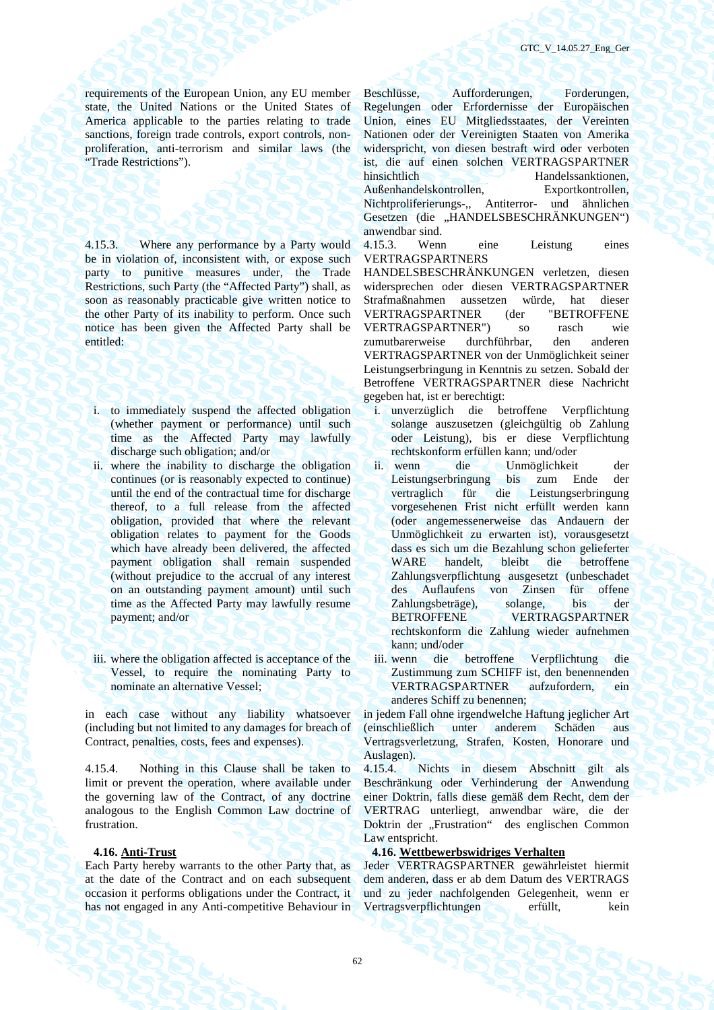requirements of the European Union, any EU member state, the United Nations or the United States of America applicable to the parties relating to trade sanctions, foreign trade controls, export controls, nonproliferation, anti-terrorism and similar laws (the "Trade Restrictions").

4.15.3. Where any performance by a Party would be in violation of, inconsistent with, or expose such party to punitive measures under, the Trade Restrictions, such Party (the "Affected Party") shall, as soon as reasonably practicable give written notice to the other Party of its inability to perform. Once such notice has been given the Affected Party shall be entitled:

- i. to immediately suspend the affected obligation (whether payment or performance) until such time as the Affected Party may lawfully discharge such obligation; and/or
- ii. where the inability to discharge the obligation continues (or is reasonably expected to continue) until the end of the contractual time for discharge thereof, to a full release from the affected obligation, provided that where the relevant obligation relates to payment for the Goods which have already been delivered, the affected payment obligation shall remain suspended (without prejudice to the accrual of any interest on an outstanding payment amount) until such time as the Affected Party may lawfully resume payment; and/or
- iii. where the obligation affected is acceptance of the Vessel, to require the nominating Party to nominate an alternative Vessel;

in each case without any liability whatsoever (including but not limited to any damages for breach of Contract, penalties, costs, fees and expenses).

4.15.4. Nothing in this Clause shall be taken to limit or prevent the operation, where available under the governing law of the Contract, of any doctrine analogous to the English Common Law doctrine of frustration.

Each Party hereby warrants to the other Party that, as at the date of the Contract and on each subsequent occasion it performs obligations under the Contract, it has not engaged in any Anti-competitive Behaviour in

Beschlüsse, Aufforderungen, Forderungen, Regelungen oder Erfordernisse der Europäischen Union, eines EU Mitgliedsstaates, der Vereinten Nationen oder der Vereinigten Staaten von Amerika widerspricht, von diesen bestraft wird oder verboten ist, die auf einen solchen VERTRAGSPARTNER hinsichtlich Handelssanktionen, Außenhandelskontrollen, Exportkontrollen, Nichtproliferierungs-,, Antiterror- und ähnlichen Gesetzen (die "HANDELSBESCHRÄNKUNGEN") anwendbar sind.

4.15.3. Wenn eine Leistung eines VERTRAGSPARTNERS

HANDELSBESCHRÄNKUNGEN verletzen, diesen widersprechen oder diesen VERTRAGSPARTNER Strafmaßnahmen aussetzen würde, hat dieser VERTRAGSPARTNER (der "BETROFFENE VERTRAGSPARTNER") so rasch wie zumutbarerweise durchführbar, den anderen VERTRAGSPARTNER von der Unmöglichkeit seiner Leistungserbringung in Kenntnis zu setzen. Sobald der Betroffene VERTRAGSPARTNER diese Nachricht gegeben hat, ist er berechtigt:

- i. unverzüglich die betroffene Verpflichtung solange auszusetzen (gleichgültig ob Zahlung oder Leistung), bis er diese Verpflichtung rechtskonform erfüllen kann; und/oder
- ii. wenn die Unmöglichkeit der<br>Leistungserbringung bis zum Ende der Leistungserbringung vertraglich für die Leistungserbringung vorgesehenen Frist nicht erfüllt werden kann (oder angemessenerweise das Andauern der Unmöglichkeit zu erwarten ist), vorausgesetzt dass es sich um die Bezahlung schon gelieferter WARE handelt, bleibt die betroffene Zahlungsverpflichtung ausgesetzt (unbeschadet des Auflaufens von Zinsen für offene Zahlungsbeträge), solange, bis der BETROFFENE VERTRAGSPARTNER rechtskonform die Zahlung wieder aufnehmen kann; und/oder
- iii. wenn die betroffene Verpflichtung die Zustimmung zum SCHIFF ist, den benennenden VERTRAGSPARTNER aufzufordern, ein anderes Schiff zu benennen;

in jedem Fall ohne irgendwelche Haftung jeglicher Art (einschließlich unter anderem Schäden aus Vertragsverletzung, Strafen, Kosten, Honorare und Auslagen).<br>4.15.4.

Nichts in diesem Abschnitt gilt als Beschränkung oder Verhinderung der Anwendung einer Doktrin, falls diese gemäß dem Recht, dem der VERTRAG unterliegt, anwendbar wäre, die der Doktrin der "Frustration" des englischen Common Law entspricht.

# **4.16. Anti-Trust 4.16. Wettbewerbswidriges Verhalten**

Jeder VERTRAGSPARTNER gewährleistet hiermit dem anderen, dass er ab dem Datum des VERTRAGS und zu jeder nachfolgenden Gelegenheit, wenn er Vertragsverpflichtungen erfüllt, kein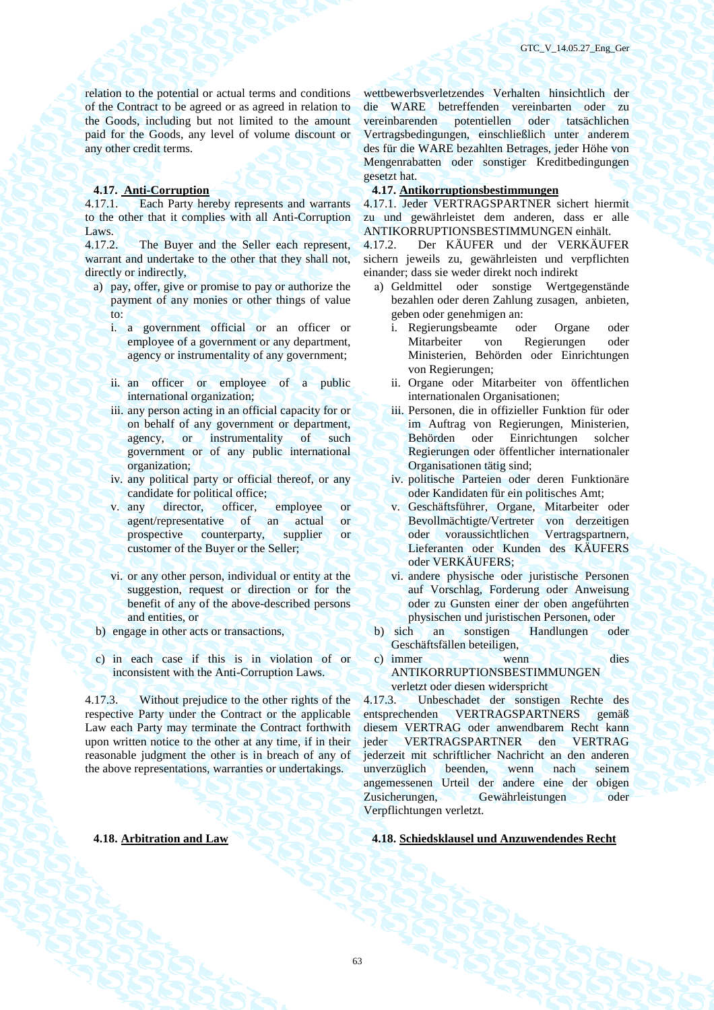relation to the potential or actual terms and conditions of the Contract to be agreed or as agreed in relation to the Goods, including but not limited to the amount paid for the Goods, any level of volume discount or any other credit terms.

4.17.1. Each Party hereby represents and warrants to the other that it complies with all Anti-Corruption Laws.

4.17.2. The Buyer and the Seller each represent, warrant and undertake to the other that they shall not, directly or indirectly,

- a) pay, offer, give or promise to pay or authorize the payment of any monies or other things of value to:
	- i. a government official or an officer or employee of a government or any department, agency or instrumentality of any government;
	- ii. an officer or employee of a public international organization;
	- iii. any person acting in an official capacity for or on behalf of any government or department, agency, or instrumentality of such government or of any public international organization;
	- iv. any political party or official thereof, or any candidate for political office;
	- v. any director, officer, employee or agent/representative of an actual or prospective counterparty, supplier or customer of the Buyer or the Seller;
	- vi. or any other person, individual or entity at the suggestion, request or direction or for the benefit of any of the above-described persons and entities, or
- 
- c) in each case if this is in violation of or inconsistent with the Anti-Corruption Laws.

4.17.3. Without prejudice to the other rights of the respective Party under the Contract or the applicable Law each Party may terminate the Contract forthwith upon written notice to the other at any time, if in their reasonable judgment the other is in breach of any of the above representations, warranties or undertakings.

wettbewerbsverletzendes Verhalten hinsichtlich der die WARE betreffenden vereinbarten oder zu vereinbarenden potentiellen oder tatsächlichen Vertragsbedingungen, einschließlich unter anderem des für die WARE bezahlten Betrages, jeder Höhe von Mengenrabatten oder sonstiger Kreditbedingungen gesetzt hat.

# **4.17. Anti-Corruption 4.17. Antikorruptionsbestimmungen**

4.17.1. Jeder VERTRAGSPARTNER sichert hiermit zu und gewährleistet dem anderen, dass er alle ANTIKORRUPTIONSBESTIMMUNGEN einhält.

4.17.2. Der KÄUFER und der VERKÄUFER sichern jeweils zu, gewährleisten und verpflichten einander; dass sie weder direkt noch indirekt

- а) Geldmittel oder sonstige Wertgegenstände bezahlen oder deren Zahlung zusagen, anbieten, geben oder genehmigen an:
	- i. Regierungsbeamte oder Organe oder Mitarbeiter von Regierungen oder Ministerien, Behörden oder Einrichtungen von Regierungen;
	- ii. Organe oder Mitarbeiter von öffentlichen internationalen Organisationen;
	- iii. Personen, die in offizieller Funktion für oder im Auftrag von Regierungen, Ministerien, Behörden oder Einrichtungen solcher Regierungen oder öffentlicher internationaler Organisationen tätig sind;
	- iv. politische Parteien oder deren Funktionäre oder Kandidaten für ein politisches Amt;
	- v. Geschäftsführer, Organe, Mitarbeiter oder Bevollmächtigte/Vertreter von derzeitigen oder voraussichtlichen Vertragspartnern, Lieferanten oder Kunden des KÄUFERS oder VERKÄUFERS;
	- vi. andere physische oder juristische Personen auf Vorschlag, Forderung oder Anweisung oder zu Gunsten einer der oben angeführten physischen und juristischen Personen, oder
- b) engage in other acts or transactions, b) sich an sonstigen Handlungen oder Geschäftsfällen beteiligen,
	- c) immer wenn wenn dies ANTIKORRUPTIONSBESTIMMUNGEN verletzt oder diesen widerspricht

4.17.3. Unbeschadet der sonstigen Rechte des entsprechenden VERTRAGSPARTNERS gemäß diesem VERTRAG oder anwendbarem Recht kann jeder VERTRAGSPARTNER den VERTRAG jederzeit mit schriftlicher Nachricht an den anderen unverzüglich beenden, wenn nach seinem angemessenen Urteil der andere eine der obigen Zusicherungen, Gewährleistungen oder Verpflichtungen verletzt.

# **4.18. Arbitration and Law 4.18. Schiedsklausel und Anzuwendendes Recht**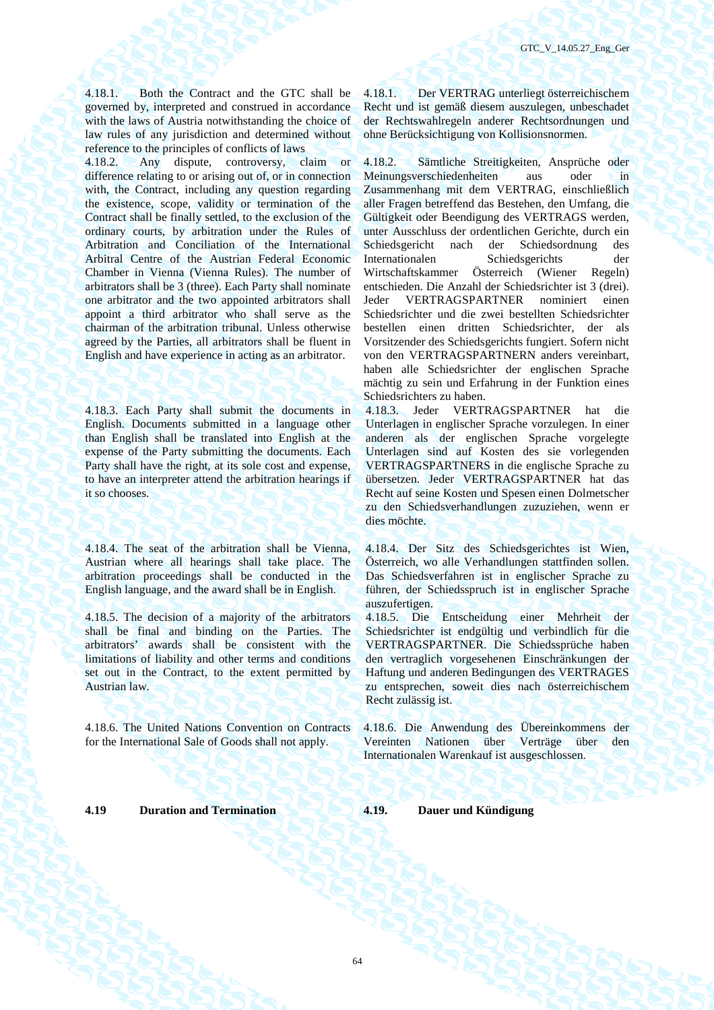4.18.1. Both the Contract and the GTC shall be governed by, interpreted and construed in accordance with the laws of Austria notwithstanding the choice of law rules of any jurisdiction and determined without reference to the principles of conflicts of laws

4.18.2. Any dispute, controversy, claim or difference relating to or arising out of, or in connection with, the Contract, including any question regarding the existence, scope, validity or termination of the Contract shall be finally settled, to the exclusion of the ordinary courts, by arbitration under the Rules of Arbitration and Conciliation of the International Arbitral Centre of the Austrian Federal Economic Chamber in Vienna (Vienna Rules). The number of arbitrators shall be 3 (three). Each Party shall nominate one arbitrator and the two appointed arbitrators shall appoint a third arbitrator who shall serve as the chairman of the arbitration tribunal. Unless otherwise agreed by the Parties, all arbitrators shall be fluent in English and have experience in acting as an arbitrator.

4.18.3. Each Party shall submit the documents in English. Documents submitted in a language other than English shall be translated into English at the expense of the Party submitting the documents. Each Party shall have the right, at its sole cost and expense, to have an interpreter attend the arbitration hearings if it so chooses.

4.18.4. The seat of the arbitration shall be Vienna, Austrian where all hearings shall take place. The arbitration proceedings shall be conducted in the English language, and the award shall be in English.

4.18.5. The decision of a majority of the arbitrators shall be final and binding on the Parties. The arbitrators' awards shall be consistent with the limitations of liability and other terms and conditions set out in the Contract, to the extent permitted by Austrian law.

4.18.6. The United Nations Convention on Contracts for the International Sale of Goods shall not apply.

4.18.1. Der VERTRAG unterliegt österreichischem Recht und ist gemäß diesem auszulegen, unbeschadet der Rechtswahlregeln anderer Rechtsordnungen und ohne Berücksichtigung von Kollisionsnormen.

4.18.2. Sämtliche Streitigkeiten, Ansprüche oder Meinungsverschiedenheiten aus oder in Zusammenhang mit dem VERTRAG, einschließlich aller Fragen betreffend das Bestehen, den Umfang, die Gültigkeit oder Beendigung des VERTRAGS werden, unter Ausschluss der ordentlichen Gerichte, durch ein Schiedsgericht nach der Schiedsordnung des Internationalen Schiedsgerichts der Wirtschaftskammer Österreich (Wiener Regeln) entschieden. Die Anzahl der Schiedsrichter ist 3 (drei). Jeder VERTRAGSPARTNER nominiert einen Schiedsrichter und die zwei bestellten Schiedsrichter bestellen einen dritten Schiedsrichter, der als Vorsitzender des Schiedsgerichts fungiert. Sofern nicht von den VERTRAGSPARTNERN anders vereinbart, haben alle Schiedsrichter der englischen Sprache mächtig zu sein und Erfahrung in der Funktion eines Schiedsrichters zu haben.

4.18.3. Jeder VERTRAGSPARTNER hat die Unterlagen in englischer Sprache vorzulegen. In einer anderen als der englischen Sprache vorgelegte Unterlagen sind auf Kosten des sie vorlegenden VERTRAGSPARTNERS in die englische Sprache zu übersetzen. Jeder VERTRAGSPARTNER hat das Recht auf seine Kosten und Spesen einen Dolmetscher zu den Schiedsverhandlungen zuzuziehen, wenn er dies möchte.

4.18.4. Der Sitz des Schiedsgerichtes ist Wien, Österreich, wo alle Verhandlungen stattfinden sollen. Das Schiedsverfahren ist in englischer Sprache zu führen, der Schiedsspruch ist in englischer Sprache auszufertigen.

4.18.5. Die Entscheidung einer Mehrheit der Schiedsrichter ist endgültig und verbindlich für die VERTRAGSPARTNER. Die Schiedssprüche haben den vertraglich vorgesehenen Einschränkungen der Haftung und anderen Bedingungen des VERTRAGES zu entsprechen, soweit dies nach österreichischem Recht zulässig ist.

4.18.6. Die Anwendung des Übereinkommens der Vereinten Nationen über Verträge über den Internationalen Warenkauf ist ausgeschlossen.

**4.19 Duration and Termination 4.19. Dauer und Kündigung**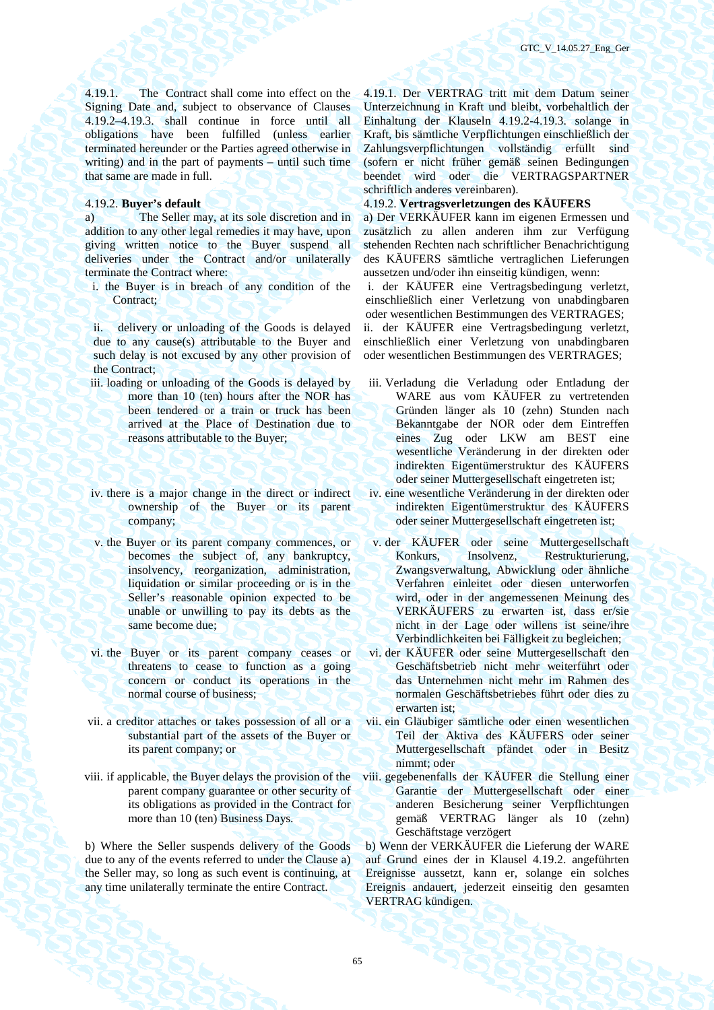4.19.1. The Contract shall come into effect on the Signing Date and, subject to observance of Clauses 4.19.2–4.19.3. shall continue in force until all obligations have been fulfilled (unless earlier terminated hereunder or the Parties agreed otherwise in writing) and in the part of payments – until such time that same are made in full.

a) The Seller may, at its sole discretion and in addition to any other legal remedies it may have, upon giving written notice to the Buyer suspend all deliveries under the Contract and/or unilaterally terminate the Contract where:

i. the Buyer is in breach of any condition of the Contract:

ii. delivery or unloading of the Goods is delayed due to any cause(s) attributable to the Buyer and such delay is not excused by any other provision of the Contract;

- iii. loading or unloading of the Goods is delayed by more than 10 (ten) hours after the NOR has been tendered or a train or truck has been arrived at the Place of Destination due to reasons attributable to the Buyer;
- iv. there is a major change in the direct or indirect ownership of the Buyer or its parent company;
- v. the Buyer or its parent company commences, or becomes the subject of, any bankruptcy, insolvency, reorganization, administration, liquidation or similar proceeding or is in the Seller's reasonable opinion expected to be unable or unwilling to pay its debts as the same become due;
- vi. the Buyer or its parent company ceases or threatens to cease to function as a going concern or conduct its operations in the normal course of business;
- vii. a creditor attaches or takes possession of all or a substantial part of the assets of the Buyer or its parent company; or
- viii. if applicable, the Buyer delays the provision of the parent company guarantee or other security of its obligations as provided in the Contract for more than 10 (ten) Business Days.

b) Where the Seller suspends delivery of the Goods due to any of the events referred to under the Clause a) the Seller may, so long as such event is continuing, at any time unilaterally terminate the entire Contract.

4.19.1. Der VERTRAG tritt mit dem Datum seiner Unterzeichnung in Kraft und bleibt, vorbehaltlich der Einhaltung der Klauseln 4.19.2-4.19.3. solange in Kraft, bis sämtliche Verpflichtungen einschließlich der Zahlungsverpflichtungen vollständig erfüllt sind (sofern er nicht früher gemäß seinen Bedingungen beendet wird oder die VERTRAGSPARTNER schriftlich anderes vereinbaren).

# 4.19.2. **Buyer's default** 4.19.2. **Vertragsverletzungen des KÄUFERS**

a) Der VERKÄUFER kann im eigenen Ermessen und zusätzlich zu allen anderen ihm zur Verfügung stehenden Rechten nach schriftlicher Benachrichtigung des KÄUFERS sämtliche vertraglichen Lieferungen aussetzen und/oder ihn einseitig kündigen, wenn:

i. der KÄUFER eine Vertragsbedingung verletzt, einschließlich einer Verletzung von unabdingbaren oder wesentlichen Bestimmungen des VERTRAGES; ii. der KÄUFER eine Vertragsbedingung verletzt, einschließlich einer Verletzung von unabdingbaren

oder wesentlichen Bestimmungen des VERTRAGES;

- iii. Verladung die Verladung oder Entladung der WARE aus vom KÄUFER zu vertretenden Gründen länger als 10 (zehn) Stunden nach Bekanntgabe der NOR oder dem Eintreffen eines Zug oder LKW am BEST eine wesentliche Veränderung in der direkten oder indirekten Eigentümerstruktur des KÄUFERS oder seiner Muttergesellschaft eingetreten ist;
- iv. eine wesentliche Veränderung in der direkten oder indirekten Eigentümerstruktur des KÄUFERS oder seiner Muttergesellschaft eingetreten ist;
- v. der KÄUFER oder seine Muttergesellschaft Konkurs, Insolvenz, Restrukturierung, Zwangsverwaltung, Abwicklung oder ähnliche Verfahren einleitet oder diesen unterworfen wird, oder in der angemessenen Meinung des VERKÄUFERS zu erwarten ist, dass er/sie nicht in der Lage oder willens ist seine/ihre Verbindlichkeiten bei Fälligkeit zu begleichen;
- vi. der KÄUFER oder seine Muttergesellschaft den Geschäftsbetrieb nicht mehr weiterführt oder das Unternehmen nicht mehr im Rahmen des normalen Geschäftsbetriebes führt oder dies zu erwarten ist;
- vii. ein Gläubiger sämtliche oder einen wesentlichen Teil der Aktiva des KÄUFERS oder seiner Muttergesellschaft pfändet oder in Besitz nimmt; oder
- viii. gegebenenfalls der KÄUFER die Stellung einer Garantie der Muttergesellschaft oder einer anderen Besicherung seiner Verpflichtungen gemäß VERTRAG länger als 10 (zehn) Geschäftstage verzögert

b) Wenn der VERKÄUFER die Lieferung der WARE auf Grund eines der in Klausel 4.19.2. angeführten Ereignisse aussetzt, kann er, solange ein solches Ereignis andauert, jederzeit einseitig den gesamten VERTRAG kündigen.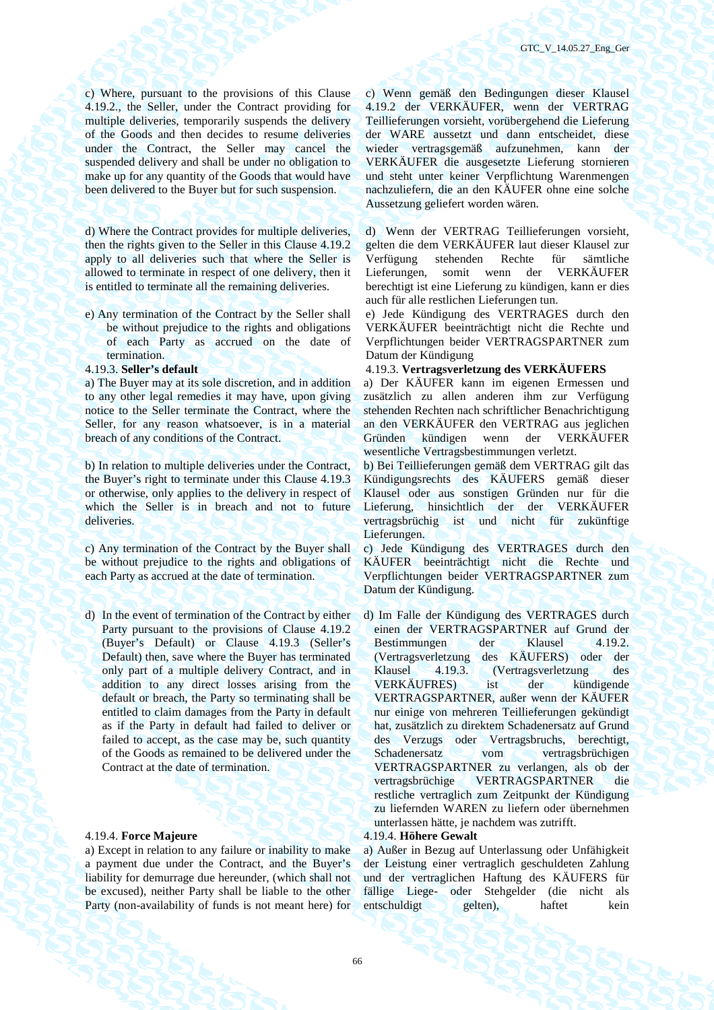c) Where, pursuant to the provisions of this Clause 4.19.2., the Seller, under the Contract providing for multiple deliveries, temporarily suspends the delivery of the Goods and then decides to resume deliveries under the Contract, the Seller may cancel the suspended delivery and shall be under no obligation to make up for any quantity of the Goods that would have been delivered to the Buyer but for such suspension.

d) Where the Contract provides for multiple deliveries, then the rights given to the Seller in this Clause 4.19.2 apply to all deliveries such that where the Seller is allowed to terminate in respect of one delivery, then it is entitled to terminate all the remaining deliveries.

e) Any termination of the Contract by the Seller shall be without prejudice to the rights and obligations of each Party as accrued on the date of termination.

a) The Buyer may at its sole discretion, and in addition to any other legal remedies it may have, upon giving notice to the Seller terminate the Contract, where the Seller, for any reason whatsoever, is in a material breach of any conditions of the Contract.

b) In relation to multiple deliveries under the Contract, the Buyer's right to terminate under this Clause 4.19.3 or otherwise, only applies to the delivery in respect of which the Seller is in breach and not to future deliveries.

c) Any termination of the Contract by the Buyer shall be without prejudice to the rights and obligations of each Party as accrued at the date of termination.

d) In the event of termination of the Contract by either Party pursuant to the provisions of Clause 4.19.2 (Buyer's Default) or Clause 4.19.3 (Seller's Default) then, save where the Buyer has terminated only part of a multiple delivery Contract, and in addition to any direct losses arising from the default or breach, the Party so terminating shall be entitled to claim damages from the Party in default as if the Party in default had failed to deliver or failed to accept, as the case may be, such quantity of the Goods as remained to be delivered under the Contract at the date of termination.

# 4.19.4. **Force Majeure** 4.19.4. **Höhere Gewalt**

a) Except in relation to any failure or inability to make a payment due under the Contract, and the Buyer's liability for demurrage due hereunder, (which shall not be excused), neither Party shall be liable to the other Party (non-availability of funds is not meant here) for

c) Wenn gemäß den Bedingungen dieser Klausel 4.19.2 der VERKÄUFER, wenn der VERTRAG Teillieferungen vorsieht, vorübergehend die Lieferung der WARE aussetzt und dann entscheidet, diese wieder vertragsgemäß aufzunehmen, kann der VERKÄUFER die ausgesetzte Lieferung stornieren und steht unter keiner Verpflichtung Warenmengen nachzuliefern, die an den KÄUFER ohne eine solche Aussetzung geliefert worden wären.

d) Wenn der VERTRAG Teillieferungen vorsieht, gelten die dem VERKÄUFER laut dieser Klausel zur Verfügung stehenden Rechte für sämtliche Lieferungen, somit wenn der VERKÄUFER berechtigt ist eine Lieferung zu kündigen, kann er dies auch für alle restlichen Lieferungen tun.

e) Jede Kündigung des VERTRAGES durch den VERKÄUFER beeinträchtigt nicht die Rechte und Verpflichtungen beider VERTRAGSPARTNER zum Datum der Kündigung

### 4.19.3. **Seller's default** 4.19.3. **Vertragsverletzung des VERKÄUFERS**

a) Der KÄUFER kann im eigenen Ermessen und zusätzlich zu allen anderen ihm zur Verfügung stehenden Rechten nach schriftlicher Benachrichtigung an den VERKÄUFER den VERTRAG aus jeglichen Gründen kündigen wenn der VERKÄUFER wesentliche Vertragsbestimmungen verletzt.

b) Bei Teillieferungen gemäß dem VERTRAG gilt das Kündigungsrechts des KÄUFERS gemäß dieser Klausel oder aus sonstigen Gründen nur für die Lieferung, hinsichtlich der der VERKÄUFER vertragsbrüchig ist und nicht für zukünftige Lieferungen.

c) Jede Kündigung des VERTRAGES durch den KÄUFER beeinträchtigt nicht die Rechte und Verpflichtungen beider VERTRAGSPARTNER zum Datum der Kündigung.

d) Im Falle der Kündigung des VERTRAGES durch einen der VERTRAGSPARTNER auf Grund der Bestimmungen der Klausel 4.19.2. (Vertragsverletzung des KÄUFERS) oder der Klausel 4.19.3. (Vertragsverletzung des VERKÄUFRES) ist der kündigende VERTRAGSPARTNER, außer wenn der KÄUFER nur einige von mehreren Teillieferungen gekündigt hat, zusätzlich zu direktem Schadenersatz auf Grund des Verzugs oder Vertragsbruchs, berechtigt, Schadenersatz vom vertragsbrüchigen VERTRAGSPARTNER zu verlangen, als ob der vertragsbrüchige VERTRAGSPARTNER die restliche vertraglich zum Zeitpunkt der Kündigung zu liefernden WAREN zu liefern oder übernehmen unterlassen hätte, je nachdem was zutrifft.

a) Außer in Bezug auf Unterlassung oder Unfähigkeit der Leistung einer vertraglich geschuldeten Zahlung und der vertraglichen Haftung des KÄUFERS für fällige Liege- oder Stehgelder (die nicht als entschuldigt gelten), haftet kein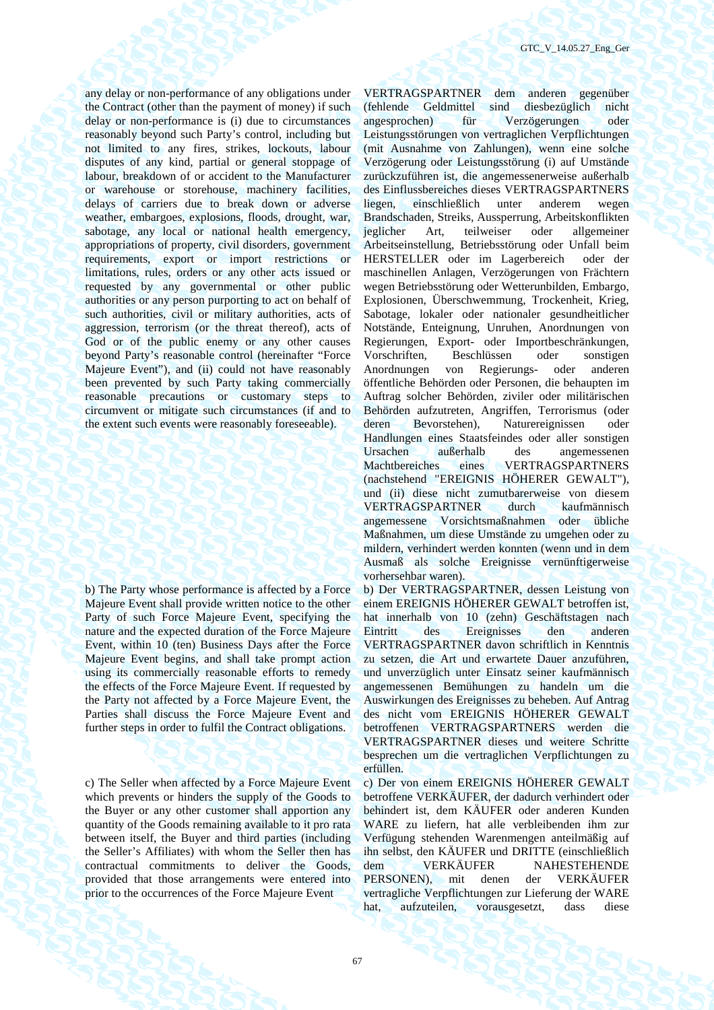any delay or non-performance of any obligations under the Contract (other than the payment of money) if such delay or non-performance is (i) due to circumstances reasonably beyond such Party's control, including but not limited to any fires, strikes, lockouts, labour disputes of any kind, partial or general stoppage of labour, breakdown of or accident to the Manufacturer or warehouse or storehouse, machinery facilities, delays of carriers due to break down or adverse weather, embargoes, explosions, floods, drought, war, sabotage, any local or national health emergency, appropriations of property, civil disorders, government requirements, export or import restrictions or limitations, rules, orders or any other acts issued or requested by any governmental or other public authorities or any person purporting to act on behalf of such authorities, civil or military authorities, acts of aggression, terrorism (or the threat thereof), acts of God or of the public enemy or any other causes beyond Party's reasonable control (hereinafter "Force Majeure Event"), and (ii) could not have reasonably been prevented by such Party taking commercially reasonable precautions or customary steps to circumvent or mitigate such circumstances (if and to the extent such events were reasonably foreseeable).

b) The Party whose performance is affected by a Force Majeure Event shall provide written notice to the other Party of such Force Majeure Event, specifying the nature and the expected duration of the Force Majeure Event, within 10 (ten) Business Days after the Force Majeure Event begins, and shall take prompt action using its commercially reasonable efforts to remedy the effects of the Force Majeure Event. If requested by the Party not affected by a Force Majeure Event, the Parties shall discuss the Force Majeure Event and further steps in order to fulfil the Contract obligations.

c) The Seller when affected by a Force Majeure Event which prevents or hinders the supply of the Goods to the Buyer or any other customer shall apportion any quantity of the Goods remaining available to it pro rata between itself, the Buyer and third parties (including the Seller's Affiliates) with whom the Seller then has contractual commitments to deliver the Goods, provided that those arrangements were entered into prior to the occurrences of the Force Majeure Event

VERTRAGSPARTNER dem anderen gegenüber (fehlende Geldmittel sind diesbezüglich nicht angesprochen) für Verzögerungen oder Leistungsstörungen von vertraglichen Verpflichtungen (mit Ausnahme von Zahlungen), wenn eine solche Verzögerung oder Leistungsstörung (i) auf Umstände zurückzuführen ist, die angemessenerweise außerhalb des Einflussbereiches dieses VERTRAGSPARTNERS liegen, einschließlich unter anderem wegen Brandschaden, Streiks, Aussperrung, Arbeitskonflikten jeglicher Art, teilweiser oder allgemeiner Arbeitseinstellung, Betriebsstörung oder Unfall beim HERSTELLER oder im Lagerbereich oder der maschinellen Anlagen, Verzögerungen von Frächtern wegen Betriebsstörung oder Wetterunbilden, Embargo, Explosionen, Überschwemmung, Trockenheit, Krieg, Sabotage, lokaler oder nationaler gesundheitlicher Notstände, Enteignung, Unruhen, Anordnungen von Regierungen, Export- oder Importbeschränkungen,<br>Vorschriften, Beschlüssen oder sonstigen Vorschriften. Beschlüssen oder Anordnungen von Regierungs- oder anderen öffentliche Behörden oder Personen, die behaupten im Auftrag solcher Behörden, ziviler oder militärischen Behörden aufzutreten, Angriffen, Terrorismus (oder deren Bevorstehen), Naturereignissen oder Handlungen eines Staatsfeindes oder aller sonstigen Ursachen außerhalb des angemessenen Machtbereiches eines VERTRAGSPARTNERS (nachstehend "EREIGNIS HÖHERER GEWALT"), und (ii) diese nicht zumutbarerweise von diesem VERTRAGSPARTNER durch kaufmännisch angemessene Vorsichtsmaßnahmen oder übliche Maßnahmen, um diese Umstände zu umgehen oder zu mildern, verhindert werden konnten (wenn und in dem Ausmaß als solche Ereignisse vernünftigerweise vorhersehbar waren).

b) Der VERTRAGSPARTNER, dessen Leistung von einem EREIGNIS HÖHERER GEWALT betroffen ist, hat innerhalb von 10 (zehn) Geschäftstagen nach Eintritt des Ereignisses den anderen VERTRAGSPARTNER davon schriftlich in Kenntnis zu setzen, die Art und erwartete Dauer anzuführen, und unverzüglich unter Einsatz seiner kaufmännisch angemessenen Bemühungen zu handeln um die Auswirkungen des Ereignisses zu beheben. Auf Antrag des nicht vom EREIGNIS HÖHERER GEWALT betroffenen VERTRAGSPARTNERS werden die VERTRAGSPARTNER dieses und weitere Schritte besprechen um die vertraglichen Verpflichtungen zu erfüllen.

c) Der von einem EREIGNIS HÖHERER GEWALT betroffene VERKÄUFER, der dadurch verhindert oder behindert ist, dem KÄUFER oder anderen Kunden WARE zu liefern, hat alle verbleibenden ihm zur Verfügung stehenden Warenmengen anteilmäßig auf ihn selbst, den KÄUFER und DRITTE (einschließlich dem **VERKÄUFER NAHESTEHENDE** PERSONEN), mit denen der VERKÄUFER vertragliche Verpflichtungen zur Lieferung der WARE hat, aufzuteilen, vorausgesetzt, dass diese

67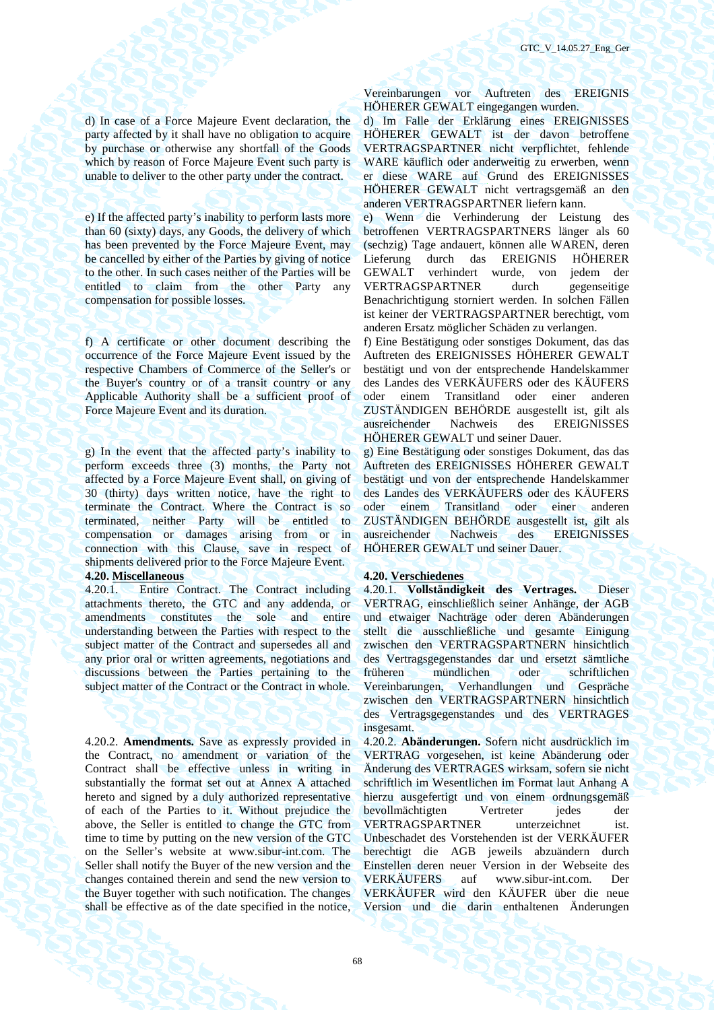d) In case of a Force Majeure Event declaration, the party affected by it shall have no obligation to acquire by purchase or otherwise any shortfall of the Goods which by reason of Force Majeure Event such party is unable to deliver to the other party under the contract.

e) If the affected party's inability to perform lasts more than 60 (sixty) days, any Goods, the delivery of which has been prevented by the Force Majeure Event, may be cancelled by either of the Parties by giving of notice to the other. In such cases neither of the Parties will be entitled to claim from the other Party any compensation for possible losses.

f) A certificate or other document describing the occurrence of the Force Majeure Event issued by the respective Chambers of Commerce of the Seller's or the Buyer's country or of a transit country or any Applicable Authority shall be a sufficient proof of Force Majeure Event and its duration.

g) In the event that the affected party's inability to perform exceeds three (3) months, the Party not affected by a Force Majeure Event shall, on giving of 30 (thirty) days written notice, have the right to terminate the Contract. Where the Contract is so terminated, neither Party will be entitled to compensation or damages arising from or in connection with this Clause, save in respect of shipments delivered prior to the Force Majeure Event.

4.20.1. Entire Contract. The Contract including attachments thereto, the GTC and any addenda, or amendments constitutes the sole and entire understanding between the Parties with respect to the subject matter of the Contract and supersedes all and any prior oral or written agreements, negotiations and discussions between the Parties pertaining to the subject matter of the Contract or the Contract in whole.

4.20.2. **Amendments.** Save as expressly provided in the Contract, no amendment or variation of the Contract shall be effective unless in writing in substantially the format set out at Annex A attached hereto and signed by a duly authorized representative of each of the Parties to it. Without prejudice the above, the Seller is entitled to change the GTC from time to time by putting on the new version of the GTC on the Seller's website at www.sibur-int.com. The Seller shall notify the Buyer of the new version and the changes contained therein and send the new version to the Buyer together with such notification. The changes shall be effective as of the date specified in the notice,

Vereinbarungen vor Auftreten des EREIGNIS HÖHERER GEWALT eingegangen wurden.

d) Im Falle der Erklärung eines EREIGNISSES HÖHERER GEWALT ist der davon betroffene VERTRAGSPARTNER nicht verpflichtet, fehlende WARE käuflich oder anderweitig zu erwerben, wenn er diese WARE auf Grund des EREIGNISSES HÖHERER GEWALT nicht vertragsgemäß an den anderen VERTRAGSPARTNER liefern kann.

e) Wenn die Verhinderung der Leistung des betroffenen VERTRAGSPARTNERS länger als 60 (sechzig) Tage andauert, können alle WAREN, deren Lieferung durch das EREIGNIS HÖHERER GEWALT verhindert wurde, von jedem der VERTRAGSPARTNER durch gegenseitige Benachrichtigung storniert werden. In solchen Fällen ist keiner der VERTRAGSPARTNER berechtigt, vom anderen Ersatz möglicher Schäden zu verlangen.

f) Eine Bestätigung oder sonstiges Dokument, das das Auftreten des EREIGNISSES HÖHERER GEWALT bestätigt und von der entsprechende Handelskammer des Landes des VERKÄUFERS oder des KÄUFERS oder einem Transitland oder einer anderen ZUSTÄNDIGEN BEHÖRDE ausgestellt ist, gilt als ausreichender Nachweis des EREIGNISSES HÖHERER GEWALT und seiner Dauer.

g) Eine Bestätigung oder sonstiges Dokument, das das Auftreten des EREIGNISSES HÖHERER GEWALT bestätigt und von der entsprechende Handelskammer des Landes des VERKÄUFERS oder des KÄUFERS oder einem Transitland oder einer anderen ZUSTÄNDIGEN BEHÖRDE ausgestellt ist, gilt als ausreichender Nachweis des EREIGNISSES HÖHERER GEWALT und seiner Dauer.

### **4.20. Miscellaneous 4.20. Verschiedenes**

4.20.1. **Vollständigkeit des Vertrages.** Dieser VERTRAG, einschließlich seiner Anhänge, der AGB und etwaiger Nachträge oder deren Abänderungen stellt die ausschließliche und gesamte Einigung zwischen den VERTRAGSPARTNERN hinsichtlich des Vertragsgegenstandes dar und ersetzt sämtliche früheren mündlichen oder schriftlichen Vereinbarungen, Verhandlungen und Gespräche zwischen den VERTRAGSPARTNERN hinsichtlich des Vertragsgegenstandes und des VERTRAGES insgesamt.

4.20.2. **Abänderungen.** Sofern nicht ausdrücklich im VERTRAG vorgesehen, ist keine Abänderung oder Änderung des VERTRAGES wirksam, sofern sie nicht schriftlich im Wesentlichen im Format laut Anhang A hierzu ausgefertigt und von einem ordnungsgemäß bevollmächtigten Vertreter jedes der VERTRAGSPARTNER unterzeichnet ist. Unbeschadet des Vorstehenden ist der VERKÄUFER berechtigt die AGB jeweils abzuändern durch Einstellen deren neuer Version in der Webseite des VERKÄUFERS auf www.sibur-int.com. Der VERKÄUFER wird den KÄUFER über die neue Version und die darin enthaltenen Änderungen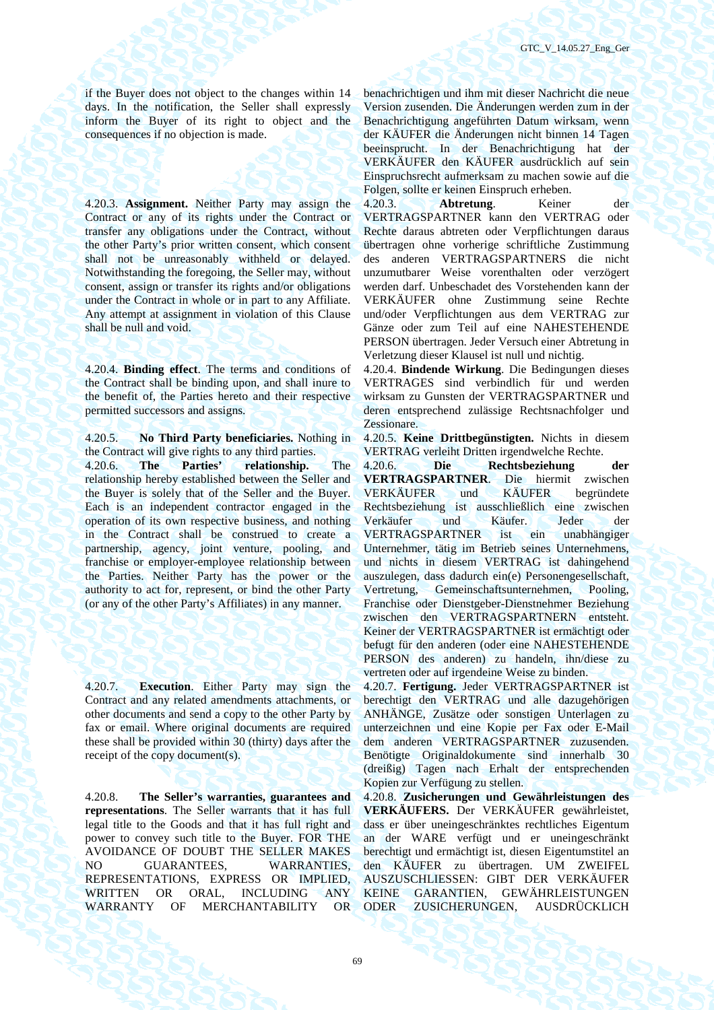if the Buyer does not object to the changes within 14 days. In the notification, the Seller shall expressly inform the Buyer of its right to object and the consequences if no objection is made.

4.20.3. **Assignment.** Neither Party may assign the Contract or any of its rights under the Contract or transfer any obligations under the Contract, without the other Party's prior written consent, which consent shall not be unreasonably withheld or delayed. Notwithstanding the foregoing, the Seller may, without consent, assign or transfer its rights and/or obligations under the Contract in whole or in part to any Affiliate. Any attempt at assignment in violation of this Clause shall be null and void.

4.20.4. **Binding effect**. The terms and conditions of the Contract shall be binding upon, and shall inure to the benefit of, the Parties hereto and their respective permitted successors and assigns.

4.20.5. **No Third Party beneficiaries.** Nothing in the Contract will give rights to any third parties.

4.20.6. **The Parties' relationship.** The relationship hereby established between the Seller and the Buyer is solely that of the Seller and the Buyer. Each is an independent contractor engaged in the operation of its own respective business, and nothing in the Contract shall be construed to create a partnership, agency, joint venture, pooling, and franchise or employer-employee relationship between the Parties. Neither Party has the power or the authority to act for, represent, or bind the other Party (or any of the other Party's Affiliates) in any manner.

4.20.7. **Execution**. Either Party may sign the Contract and any related amendments attachments, or other documents and send a copy to the other Party by fax or email. Where original documents are required these shall be provided within 30 (thirty) days after the receipt of the copy document(s).

4.20.8. **The Seller's warranties, guarantees and representations**. The Seller warrants that it has full legal title to the Goods and that it has full right and power to convey such title to the Buyer. FOR THE AVOIDANCE OF DOUBT THE SELLER MAKES NO GUARANTEES, WARRANTIES, REPRESENTATIONS, EXPRESS OR IMPLIED, WRITTEN OR ORAL, INCLUDING ANY WARRANTY OF MERCHANTABILITY OR benachrichtigen und ihm mit dieser Nachricht die neue Version zusenden. Die Änderungen werden zum in der Benachrichtigung angeführten Datum wirksam, wenn der KÄUFER die Änderungen nicht binnen 14 Tagen beeinsprucht. In der Benachrichtigung hat der VERKÄUFER den KÄUFER ausdrücklich auf sein Einspruchsrecht aufmerksam zu machen sowie auf die Folgen, sollte er keinen Einspruch erheben.

4.20.3. **Abtretung**. Keiner der VERTRAGSPARTNER kann den VERTRAG oder Rechte daraus abtreten oder Verpflichtungen daraus übertragen ohne vorherige schriftliche Zustimmung des anderen VERTRAGSPARTNERS die nicht unzumutbarer Weise vorenthalten oder verzögert werden darf. Unbeschadet des Vorstehenden kann der VERKÄUFER ohne Zustimmung seine Rechte und/oder Verpflichtungen aus dem VERTRAG zur Gänze oder zum Teil auf eine NAHESTEHENDE PERSON übertragen. Jeder Versuch einer Abtretung in Verletzung dieser Klausel ist null und nichtig.

4.20.4. **Bindende Wirkung**. Die Bedingungen dieses VERTRAGES sind verbindlich für und werden wirksam zu Gunsten der VERTRAGSPARTNER und deren entsprechend zulässige Rechtsnachfolger und Zessionare.

4.20.5. **Keine Drittbegünstigten.** Nichts in diesem VERTRAG verleiht Dritten irgendwelche Rechte.

4.20.6. **Die Rechtsbeziehung der VERTRAGSPARTNER**. Die hiermit zwischen VERKÄUFER und KÄUFER begründete Rechtsbeziehung ist ausschließlich eine zwischen Verkäufer und Käufer. Jeder der VERTRAGSPARTNER ist ein unabhängiger Unternehmer, tätig im Betrieb seines Unternehmens, und nichts in diesem VERTRAG ist dahingehend auszulegen, dass dadurch ein(e) Personengesellschaft, Vertretung, Gemeinschaftsunternehmen, Pooling, Franchise oder Dienstgeber-Dienstnehmer Beziehung zwischen den VERTRAGSPARTNERN entsteht. Keiner der VERTRAGSPARTNER ist ermächtigt oder befugt für den anderen (oder eine NAHESTEHENDE PERSON des anderen) zu handeln, ihn/diese zu vertreten oder auf irgendeine Weise zu binden.

4.20.7. **Fertigung.** Jeder VERTRAGSPARTNER ist berechtigt den VERTRAG und alle dazugehörigen ANHÄNGE, Zusätze oder sonstigen Unterlagen zu unterzeichnen und eine Kopie per Fax oder E-Mail dem anderen VERTRAGSPARTNER zuzusenden. Benötigte Originaldokumente sind innerhalb 30 (dreißig) Tagen nach Erhalt der entsprechenden Kopien zur Verfügung zu stellen.

4.20.8. **Zusicherungen und Gewährleistungen des VERKÄUFERS.** Der VERKÄUFER gewährleistet, dass er über uneingeschränktes rechtliches Eigentum an der WARE verfügt und er uneingeschränkt berechtigt und ermächtigt ist, diesen Eigentumstitel an den KÄUFER zu übertragen. UM ZWEIFEL AUSZUSCHLIESSEN: GIBT DER VERKÄUFER KEINE GARANTIEN, GEWÄHRLEISTUNGEN ODER ZUSICHERUNGEN, AUSDRÜCKLICH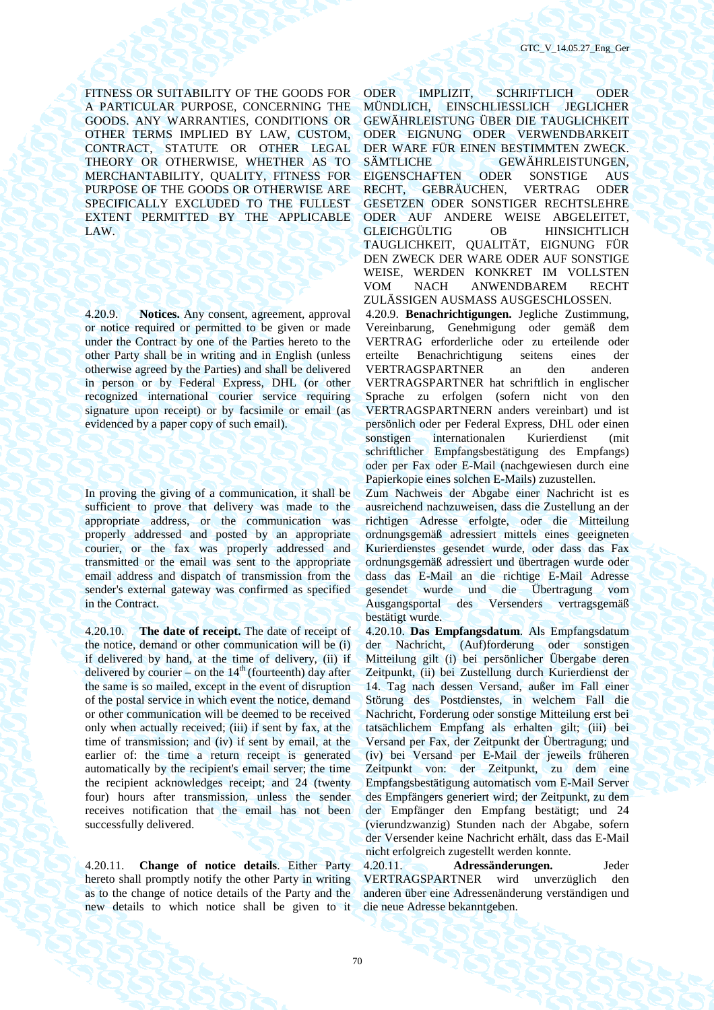FITNESS OR SUITABILITY OF THE GOODS FOR A PARTICULAR PURPOSE, CONCERNING THE GOODS. ANY WARRANTIES, CONDITIONS OR OTHER TERMS IMPLIED BY LAW, CUSTOM, CONTRACT, STATUTE OR OTHER LEGAL THEORY OR OTHERWISE, WHETHER AS TO MERCHANTABILITY, QUALITY, FITNESS FOR PURPOSE OF THE GOODS OR OTHERWISE ARE SPECIFICALLY EXCLUDED TO THE FULLEST EXTENT PERMITTED BY THE APPLICABLE LAW.

4.20.9. **Notices.** Any consent, agreement, approval or notice required or permitted to be given or made under the Contract by one of the Parties hereto to the other Party shall be in writing and in English (unless otherwise agreed by the Parties) and shall be delivered in person or by Federal Express, DHL (or other recognized international courier service requiring signature upon receipt) or by facsimile or email (as evidenced by a paper copy of such email).

In proving the giving of a communication, it shall be sufficient to prove that delivery was made to the appropriate address, or the communication was properly addressed and posted by an appropriate courier, or the fax was properly addressed and transmitted or the email was sent to the appropriate email address and dispatch of transmission from the sender's external gateway was confirmed as specified in the Contract.

4.20.10. **The date of receipt.** The date of receipt of the notice, demand or other communication will be (i) if delivered by hand, at the time of delivery, (ii) if delivered by courier – on the  $14<sup>th</sup>$  (fourteenth) day after the same is so mailed, except in the event of disruption of the postal service in which event the notice, demand or other communication will be deemed to be received only when actually received; (iii) if sent by fax, at the time of transmission; and (iv) if sent by email, at the earlier of: the time a return receipt is generated automatically by the recipient's email server; the time the recipient acknowledges receipt; and 24 (twenty four) hours after transmission, unless the sender receives notification that the email has not been successfully delivered.

4.20.11. **Change of notice details**. Either Party hereto shall promptly notify the other Party in writing as to the change of notice details of the Party and the new details to which notice shall be given to it ODER IMPLIZIT, SCHRIFTLICH ODER MÜNDLICH, EINSCHLIESSLICH JEGLICHER GEWÄHRLEISTUNG ÜBER DIE TAUGLICHKEIT ODER EIGNUNG ODER VERWENDBARKEIT DER WARE FÜR EINEN BESTIMMTEN ZWECK. SÄMTLICHE GEWÄHRLEISTUNGEN. EIGENSCHAFTEN ODER SONSTIGE AUS RECHT, GEBRÄUCHEN, VERTRAG ODER GESETZEN ODER SONSTIGER RECHTSLEHRE ODER AUF ANDERE WEISE ABGELEITET, GLEICHGÜLTIG OB HINSICHTLICH TAUGLICHKEIT, QUALITÄT, EIGNUNG FÜR DEN ZWECK DER WARE ODER AUF SONSTIGE WEISE, WERDEN KONKRET IM VOLLSTEN VOM NACH ANWENDBAREM RECHT ZULÄSSIGEN AUSMASS AUSGESCHLOSSEN.

4.20.9. **Benachrichtigungen.** Jegliche Zustimmung, Vereinbarung, Genehmigung oder gemäß dem VERTRAG erforderliche oder zu erteilende oder erteilte Benachrichtigung seitens eines der VERTRAGSPARTNER an den anderen VERTRAGSPARTNER hat schriftlich in englischer Sprache zu erfolgen (sofern nicht von den VERTRAGSPARTNERN anders vereinbart) und ist persönlich oder per Federal Express, DHL oder einen sonstigen internationalen Kurierdienst (mit schriftlicher Empfangsbestätigung des Empfangs) oder per Fax oder E-Mail (nachgewiesen durch eine Papierkopie eines solchen E-Mails) zuzustellen.

Zum Nachweis der Abgabe einer Nachricht ist es ausreichend nachzuweisen, dass die Zustellung an der richtigen Adresse erfolgte, oder die Mitteilung ordnungsgemäß adressiert mittels eines geeigneten Kurierdienstes gesendet wurde, oder dass das Fax ordnungsgemäß adressiert und übertragen wurde oder dass das E-Mail an die richtige E-Mail Adresse gesendet wurde und die Übertragung vom Ausgangsportal des Versenders vertragsgemäß bestätigt wurde.

4.20.10. **Das Empfangsdatum**. Als Empfangsdatum der Nachricht, (Auf)forderung oder sonstigen Mitteilung gilt (i) bei persönlicher Übergabe deren Zeitpunkt, (ii) bei Zustellung durch Kurierdienst der 14. Tag nach dessen Versand, außer im Fall einer Störung des Postdienstes, in welchem Fall die Nachricht, Forderung oder sonstige Mitteilung erst bei tatsächlichem Empfang als erhalten gilt; (iii) bei Versand per Fax, der Zeitpunkt der Übertragung; und (iv) bei Versand per E-Mail der jeweils früheren Zeitpunkt von: der Zeitpunkt, zu dem eine Empfangsbestätigung automatisch vom E-Mail Server des Empfängers generiert wird; der Zeitpunkt, zu dem der Empfänger den Empfang bestätigt; und 24 (vierundzwanzig) Stunden nach der Abgabe, sofern der Versender keine Nachricht erhält, dass das E-Mail nicht erfolgreich zugestellt werden konnte.

4.20.11. **Adressänderungen.** Jeder VERTRAGSPARTNER wird unverzüglich den anderen über eine Adressenänderung verständigen und die neue Adresse bekanntgeben.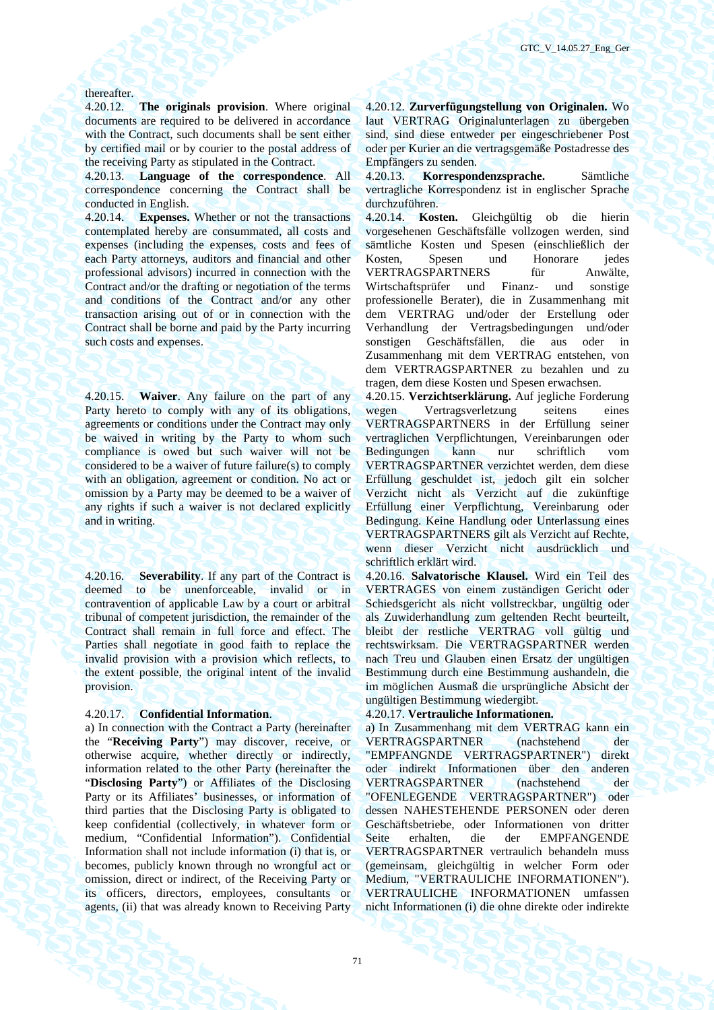### thereafter.

4.20.12. **The originals provision**. Where original documents are required to be delivered in accordance with the Contract, such documents shall be sent either by certified mail or by courier to the postal address of the receiving Party as stipulated in the Contract.

4.20.13. **Language of the correspondence**. All correspondence concerning the Contract shall be conducted in English.

4.20.14. **Expenses.** Whether or not the transactions contemplated hereby are consummated, all costs and expenses (including the expenses, costs and fees of each Party attorneys, auditors and financial and other professional advisors) incurred in connection with the Contract and/or the drafting or negotiation of the terms and conditions of the Contract and/or any other transaction arising out of or in connection with the Contract shall be borne and paid by the Party incurring such costs and expenses.

4.20.15. **Waiver**. Any failure on the part of any Party hereto to comply with any of its obligations, agreements or conditions under the Contract may only be waived in writing by the Party to whom such compliance is owed but such waiver will not be considered to be a waiver of future failure(s) to comply with an obligation, agreement or condition. No act or omission by a Party may be deemed to be a waiver of any rights if such a waiver is not declared explicitly and in writing.

4.20.16. **Severability**. If any part of the Contract is deemed to be unenforceable, invalid or in contravention of applicable Law by a court or arbitral tribunal of competent jurisdiction, the remainder of the Contract shall remain in full force and effect. The Parties shall negotiate in good faith to replace the invalid provision with a provision which reflects, to the extent possible, the original intent of the invalid provision.

a) In connection with the Contract a Party (hereinafter the "**Receiving Party**") may discover, receive, or otherwise acquire, whether directly or indirectly, information related to the other Party (hereinafter the "**Disclosing Party**") or Affiliates of the Disclosing Party or its Affiliates' businesses, or information of third parties that the Disclosing Party is obligated to keep confidential (collectively, in whatever form or medium, "Confidential Information"). Confidential Information shall not include information (i) that is, or becomes, publicly known through no wrongful act or omission, direct or indirect, of the Receiving Party or its officers, directors, employees, consultants or agents, (ii) that was already known to Receiving Party 4.20.12. **Zurverfügungstellung von Originalen.** Wo laut VERTRAG Originalunterlagen zu übergeben sind, sind diese entweder per eingeschriebener Post oder per Kurier an die vertragsgemäße Postadresse des Empfängers zu senden.

4.20.13. **Korrespondenzsprache.** Sämtliche vertragliche Korrespondenz ist in englischer Sprache durchzuführen.

4.20.14. **Kosten.** Gleichgültig ob die hierin vorgesehenen Geschäftsfälle vollzogen werden, sind sämtliche Kosten und Spesen (einschließlich der Kosten, Spesen und Honorare jedes VERTRAGSPARTNERS für Anwälte, Wirtschaftsprüfer und Finanz- und sonstige professionelle Berater), die in Zusammenhang mit dem VERTRAG und/oder der Erstellung oder Verhandlung der Vertragsbedingungen und/oder sonstigen Geschäftsfällen, die aus oder in Zusammenhang mit dem VERTRAG entstehen, von dem VERTRAGSPARTNER zu bezahlen und zu tragen, dem diese Kosten und Spesen erwachsen.

4.20.15. **Verzichtserklärung.** Auf jegliche Forderung wegen Vertragsverletzung seitens eines VERTRAGSPARTNERS in der Erfüllung seiner vertraglichen Verpflichtungen, Vereinbarungen oder Bedingungen kann nur schriftlich vom VERTRAGSPARTNER verzichtet werden, dem diese Erfüllung geschuldet ist, jedoch gilt ein solcher Verzicht nicht als Verzicht auf die zukünftige Erfüllung einer Verpflichtung, Vereinbarung oder Bedingung. Keine Handlung oder Unterlassung eines VERTRAGSPARTNERS gilt als Verzicht auf Rechte, wenn dieser Verzicht nicht ausdrücklich und schriftlich erklärt wird.

4.20.16. **Salvatorische Klausel.** Wird ein Teil des VERTRAGES von einem zuständigen Gericht oder Schiedsgericht als nicht vollstreckbar, ungültig oder als Zuwiderhandlung zum geltenden Recht beurteilt, bleibt der restliche VERTRAG voll gültig und rechtswirksam. Die VERTRAGSPARTNER werden nach Treu und Glauben einen Ersatz der ungültigen Bestimmung durch eine Bestimmung aushandeln, die im möglichen Ausmaß die ursprüngliche Absicht der ungültigen Bestimmung wiedergibt.

### 4.20.17. **Confidential Information**. 4.20.17. **Vertrauliche Informationen.**

a) In Zusammenhang mit dem VERTRAG kann ein VERTRAGSPARTNER (nachstehend der "EMPFANGNDE VERTRAGSPARTNER") direkt oder indirekt Informationen über den anderen VERTRAGSPARTNER (nachstehend der "OFENLEGENDE VERTRAGSPARTNER") oder dessen NAHESTEHENDE PERSONEN oder deren Geschäftsbetriebe, oder Informationen von dritter Seite erhalten, die der EMPFANGENDE VERTRAGSPARTNER vertraulich behandeln muss (gemeinsam, gleichgültig in welcher Form oder Medium, "VERTRAULICHE INFORMATIONEN"). VERTRAULICHE INFORMATIONEN umfassen nicht Informationen (i) die ohne direkte oder indirekte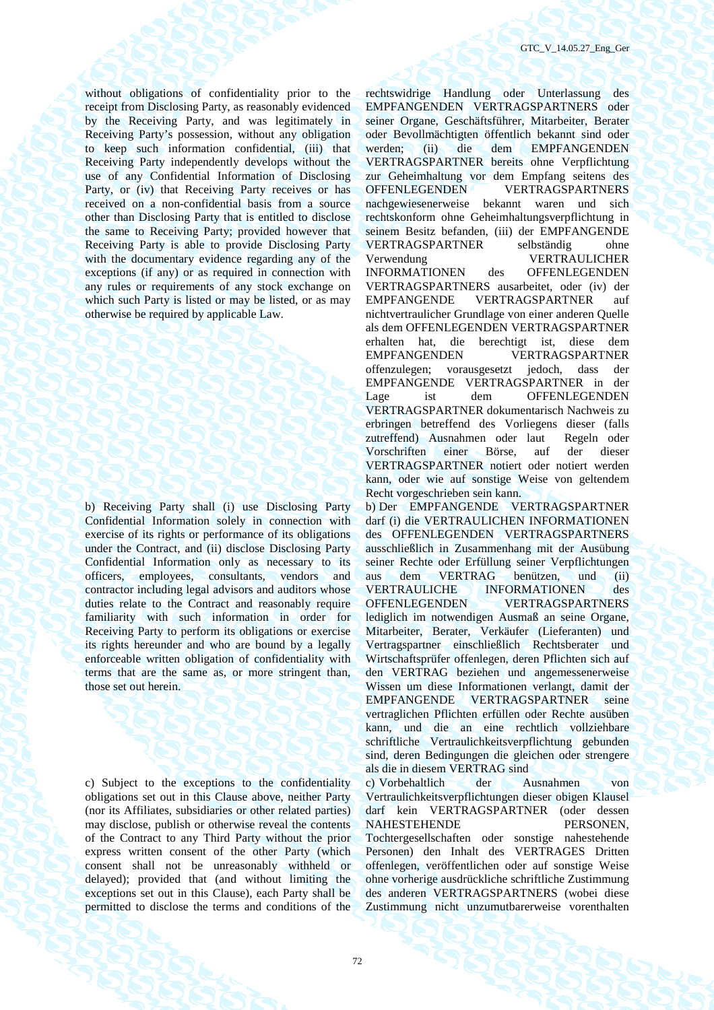without obligations of confidentiality prior to the receipt from Disclosing Party, as reasonably evidenced by the Receiving Party, and was legitimately in Receiving Party's possession, without any obligation to keep such information confidential, (iii) that Receiving Party independently develops without the use of any Confidential Information of Disclosing Party, or (iv) that Receiving Party receives or has received on a non-confidential basis from a source other than Disclosing Party that is entitled to disclose the same to Receiving Party; provided however that Receiving Party is able to provide Disclosing Party with the documentary evidence regarding any of the exceptions (if any) or as required in connection with any rules or requirements of any stock exchange on which such Party is listed or may be listed, or as may otherwise be required by applicable Law.

b) Receiving Party shall (i) use Disclosing Party Confidential Information solely in connection with exercise of its rights or performance of its obligations under the Contract, and (ii) disclose Disclosing Party Confidential Information only as necessary to its officers, employees, consultants, vendors and contractor including legal advisors and auditors whose duties relate to the Contract and reasonably require familiarity with such information in order for Receiving Party to perform its obligations or exercise its rights hereunder and who are bound by a legally enforceable written obligation of confidentiality with terms that are the same as, or more stringent than, those set out herein.

c) Subject to the exceptions to the confidentiality obligations set out in this Clause above, neither Party (nor its Affiliates, subsidiaries or other related parties) may disclose, publish or otherwise reveal the contents of the Contract to any Third Party without the prior express written consent of the other Party (which consent shall not be unreasonably withheld or delayed); provided that (and without limiting the exceptions set out in this Clause), each Party shall be permitted to disclose the terms and conditions of the

rechtswidrige Handlung oder Unterlassung des EMPFANGENDEN VERTRAGSPARTNERS oder seiner Organe, Geschäftsführer, Mitarbeiter, Berater oder Bevollmächtigten öffentlich bekannt sind oder werden; (ii) die dem EMPFANGENDEN VERTRAGSPARTNER bereits ohne Verpflichtung zur Geheimhaltung vor dem Empfang seitens des OFFENLEGENDEN VERTRAGSPARTNERS nachgewiesenerweise bekannt waren und sich rechtskonform ohne Geheimhaltungsverpflichtung in seinem Besitz befanden, (iii) der EMPFANGENDE VERTRAGSPARTNER selbständig ohne Verwendung VERTRAULICHER INFORMATIONEN des OFFENLEGENDEN VERTRAGSPARTNERS ausarbeitet, oder (iv) der EMPFANGENDE VERTRAGSPARTNER auf nichtvertraulicher Grundlage von einer anderen Quelle als dem OFFENLEGENDEN VERTRAGSPARTNER erhalten hat, die berechtigt ist, diese dem EMPFANGENDEN VERTRAGSPARTNER offenzulegen; vorausgesetzt jedoch, dass der EMPFANGENDE VERTRAGSPARTNER in der Lage ist dem OFFENLEGENDEN VERTRAGSPARTNER dokumentarisch Nachweis zu erbringen betreffend des Vorliegens dieser (falls zutreffend) Ausnahmen oder laut Regeln oder Vorschriften einer Börse, auf der dieser VERTRAGSPARTNER notiert oder notiert werden kann, oder wie auf sonstige Weise von geltendem Recht vorgeschrieben sein kann.

b) Der EMPFANGENDE VERTRAGSPARTNER darf (i) die VERTRAULICHEN INFORMATIONEN des OFFENLEGENDEN VERTRAGSPARTNERS ausschließlich in Zusammenhang mit der Ausübung seiner Rechte oder Erfüllung seiner Verpflichtungen aus dem VERTRAG benützen, und (ii) VERTRAULICHE INFORMATIONEN des OFFENLEGENDEN VERTRAGSPARTNERS lediglich im notwendigen Ausmaß an seine Organe, Mitarbeiter, Berater, Verkäufer (Lieferanten) und Vertragspartner einschließlich Rechtsberater und Wirtschaftsprüfer offenlegen, deren Pflichten sich auf den VERTRAG beziehen und angemessenerweise Wissen um diese Informationen verlangt, damit der EMPFANGENDE VERTRAGSPARTNER seine vertraglichen Pflichten erfüllen oder Rechte ausüben kann, und die an eine rechtlich vollziehbare schriftliche Vertraulichkeitsverpflichtung gebunden sind, deren Bedingungen die gleichen oder strengere als die in diesem VERTRAG sind

c) Vorbehaltlich der Ausnahmen von Vertraulichkeitsverpflichtungen dieser obigen Klausel darf kein VERTRAGSPARTNER (oder dessen NAHESTEHENDE PERSONEN, Tochtergesellschaften oder sonstige nahestehende Personen) den Inhalt des VERTRAGES Dritten offenlegen, veröffentlichen oder auf sonstige Weise ohne vorherige ausdrückliche schriftliche Zustimmung des anderen VERTRAGSPARTNERS (wobei diese Zustimmung nicht unzumutbarerweise vorenthalten

72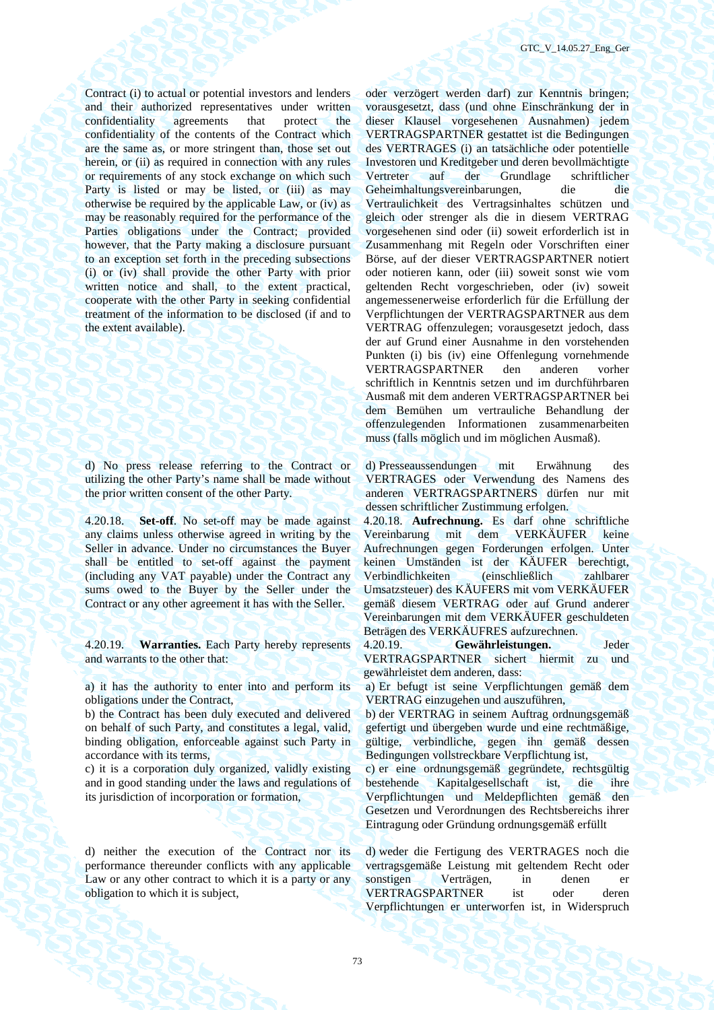Contract (i) to actual or potential investors and lenders and their authorized representatives under written confidentiality agreements that protect the confidentiality of the contents of the Contract which are the same as, or more stringent than, those set out herein, or (ii) as required in connection with any rules or requirements of any stock exchange on which such Party is listed or may be listed, or (iii) as may otherwise be required by the applicable Law, or (iv) as may be reasonably required for the performance of the Parties obligations under the Contract; provided however, that the Party making a disclosure pursuant to an exception set forth in the preceding subsections (i) or (iv) shall provide the other Party with prior written notice and shall, to the extent practical, cooperate with the other Party in seeking confidential treatment of the information to be disclosed (if and to the extent available).

d) No press release referring to the Contract or utilizing the other Party's name shall be made without the prior written consent of the other Party.

4.20.18. **Set-off**. No set-off may be made against any claims unless otherwise agreed in writing by the Seller in advance. Under no circumstances the Buyer shall be entitled to set-off against the payment (including any VAT payable) under the Contract any sums owed to the Buyer by the Seller under the Contract or any other agreement it has with the Seller.

4.20.19. **Warranties.** Each Party hereby represents and warrants to the other that:

a) it has the authority to enter into and perform its obligations under the Contract,

b) the Contract has been duly executed and delivered on behalf of such Party, and constitutes a legal, valid, binding obligation, enforceable against such Party in accordance with its terms,

c) it is a corporation duly organized, validly existing and in good standing under the laws and regulations of its jurisdiction of incorporation or formation,

d) neither the execution of the Contract nor its performance thereunder conflicts with any applicable Law or any other contract to which it is a party or any obligation to which it is subject,

oder verzögert werden darf) zur Kenntnis bringen; vorausgesetzt, dass (und ohne Einschränkung der in dieser Klausel vorgesehenen Ausnahmen) jedem VERTRAGSPARTNER gestattet ist die Bedingungen des VERTRAGES (i) an tatsächliche oder potentielle Investoren und Kreditgeber und deren bevollmächtigte Vertreter auf der Grundlage schriftlicher Geheimhaltungsvereinbarungen, die die Vertraulichkeit des Vertragsinhaltes schützen und gleich oder strenger als die in diesem VERTRAG vorgesehenen sind oder (ii) soweit erforderlich ist in Zusammenhang mit Regeln oder Vorschriften einer Börse, auf der dieser VERTRAGSPARTNER notiert oder notieren kann, oder (iii) soweit sonst wie vom geltenden Recht vorgeschrieben, oder (iv) soweit angemessenerweise erforderlich für die Erfüllung der Verpflichtungen der VERTRAGSPARTNER aus dem VERTRAG offenzulegen; vorausgesetzt jedoch, dass der auf Grund einer Ausnahme in den vorstehenden Punkten (i) bis (iv) eine Offenlegung vornehmende VERTRAGSPARTNER den anderen vorher schriftlich in Kenntnis setzen und im durchführbaren Ausmaß mit dem anderen VERTRAGSPARTNER bei dem Bemühen um vertrauliche Behandlung der offenzulegenden Informationen zusammenarbeiten muss (falls möglich und im möglichen Ausmaß).

d) Presseaussendungen mit Erwähnung des VERTRAGES oder Verwendung des Namens des anderen VERTRAGSPARTNERS dürfen nur mit dessen schriftlicher Zustimmung erfolgen.

4.20.18. **Aufrechnung.** Es darf ohne schriftliche Vereinbarung mit dem VERKÄUFER keine Aufrechnungen gegen Forderungen erfolgen. Unter keinen Umständen ist der KÄUFER berechtigt, Verbindlichkeiten (einschließlich zahlbarer Umsatzsteuer) des KÄUFERS mit vom VERKÄUFER gemäß diesem VERTRAG oder auf Grund anderer Vereinbarungen mit dem VERKÄUFER geschuldeten Beträgen des VERKÄUFRES aufzurechnen.

4.20.19. **Gewährleistungen.** Jeder VERTRAGSPARTNER sichert hiermit zu und gewährleistet dem anderen, dass:

a) Er befugt ist seine Verpflichtungen gemäß dem VERTRAG einzugehen und auszuführen,

b) der VERTRAG in seinem Auftrag ordnungsgemäß gefertigt und übergeben wurde und eine rechtmäßige, gültige, verbindliche, gegen ihn gemäß dessen Bedingungen vollstreckbare Verpflichtung ist,

c) er eine ordnungsgemäß gegründete, rechtsgültig bestehende Kapitalgesellschaft ist, die ihre Verpflichtungen und Meldepflichten gemäß den Gesetzen und Verordnungen des Rechtsbereichs ihrer Eintragung oder Gründung ordnungsgemäß erfüllt

d) weder die Fertigung des VERTRAGES noch die vertragsgemäße Leistung mit geltendem Recht oder sonstigen Verträgen, in denen er VERTRAGSPARTNER ist oder deren Verpflichtungen er unterworfen ist, in Widerspruch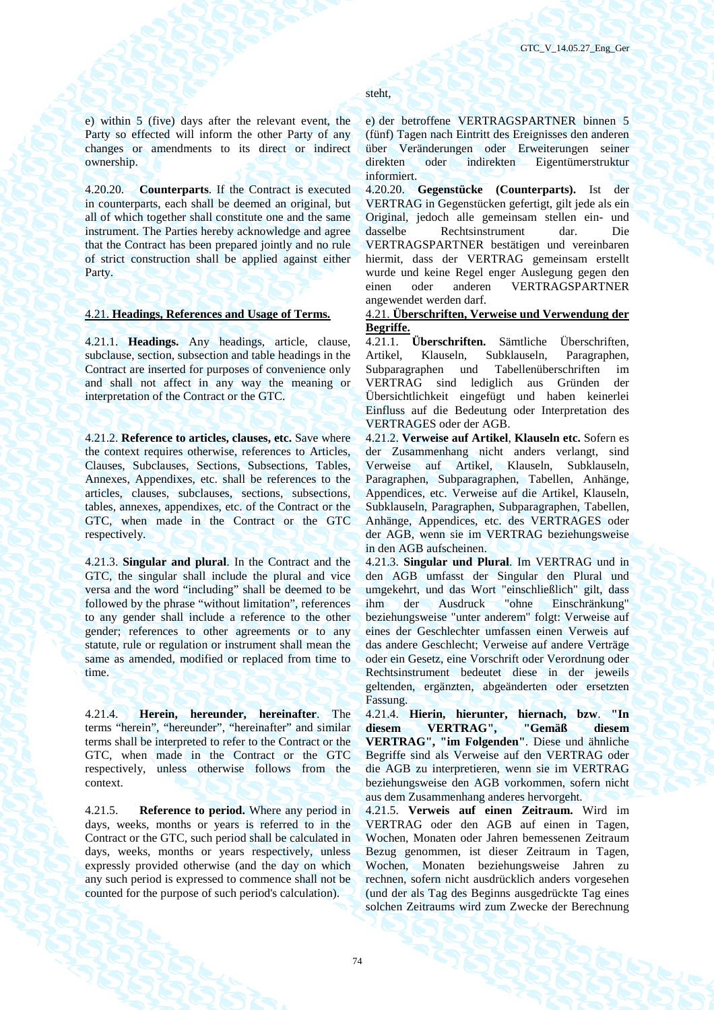e) within 5 (five) days after the relevant event, the Party so effected will inform the other Party of any changes or amendments to its direct or indirect ownership.

4.20.20. **Counterparts**. If the Contract is executed in counterparts, each shall be deemed an original, but all of which together shall constitute one and the same instrument. The Parties hereby acknowledge and agree that the Contract has been prepared jointly and no rule of strict construction shall be applied against either Party.

4.21.1. **Headings.** Any headings, article, clause, subclause, section, subsection and table headings in the Contract are inserted for purposes of convenience only and shall not affect in any way the meaning or interpretation of the Contract or the GTC.

4.21.2. **Reference to articles, clauses, etc.** Save where the context requires otherwise, references to Articles, Clauses, Subclauses, Sections, Subsections, Tables, Annexes, Appendixes, etc. shall be references to the articles, clauses, subclauses, sections, subsections, tables, annexes, appendixes, etc. of the Contract or the GTC, when made in the Contract or the GTC respectively.

4.21.3. **Singular and plural**. In the Contract and the GTC, the singular shall include the plural and vice versa and the word "including" shall be deemed to be followed by the phrase "without limitation", references to any gender shall include a reference to the other gender; references to other agreements or to any statute, rule or regulation or instrument shall mean the same as amended, modified or replaced from time to time.

4.21.4. **Herein, hereunder, hereinafter**. The terms "herein", "hereunder", "hereinafter" and similar terms shall be interpreted to refer to the Contract or the GTC, when made in the Contract or the GTC respectively, unless otherwise follows from the context.

4.21.5. **Reference to period.** Where any period in days, weeks, months or years is referred to in the Contract or the GTC, such period shall be calculated in days, weeks, months or years respectively, unless expressly provided otherwise (and the day on which any such period is expressed to commence shall not be counted for the purpose of such period's calculation).

# steht,

e) der betroffene VERTRAGSPARTNER binnen 5 (fünf) Tagen nach Eintritt des Ereignisses den anderen über Veränderungen oder Erweiterungen seiner direkten oder indirekten Eigentümerstruktur informiert.

4.20.20. **Gegenstücke (Counterparts).** Ist der VERTRAG in Gegenstücken gefertigt, gilt jede als ein Original, jedoch alle gemeinsam stellen ein- und dasselbe Rechtsinstrument dar. Die VERTRAGSPARTNER bestätigen und vereinbaren hiermit, dass der VERTRAG gemeinsam erstellt wurde und keine Regel enger Auslegung gegen den einen oder anderen VERTRAGSPARTNER angewendet werden darf.

## 4.21. **Headings, References and Usage of Terms.** 4.21. **Überschriften, Verweise und Verwendung der Begriffe.**

4.21.1. **Überschriften.** Sämtliche Überschriften, Artikel, Klauseln, Subklauseln, Paragraphen, Subparagraphen und Tabellenüberschriften im VERTRAG sind lediglich aus Gründen der Übersichtlichkeit eingefügt und haben keinerlei Einfluss auf die Bedeutung oder Interpretation des VERTRAGES oder der AGB.

4.21.2. **Verweise auf Artikel**, **Klauseln etc.** Sofern es der Zusammenhang nicht anders verlangt, sind Verweise auf Artikel, Klauseln, Subklauseln, Paragraphen, Subparagraphen, Tabellen, Anhänge, Appendices, etc. Verweise auf die Artikel, Klauseln, Subklauseln, Paragraphen, Subparagraphen, Tabellen, Anhänge, Appendices, etc. des VERTRAGES oder der AGB, wenn sie im VERTRAG beziehungsweise in den AGB aufscheinen.

4.21.3. **Singular und Plural**. Im VERTRAG und in den AGB umfasst der Singular den Plural und umgekehrt, und das Wort "einschließlich" gilt, dass ihm der Ausdruck "ohne Einschränkung" beziehungsweise "unter anderem" folgt: Verweise auf eines der Geschlechter umfassen einen Verweis auf das andere Geschlecht; Verweise auf andere Verträge oder ein Gesetz, eine Vorschrift oder Verordnung oder Rechtsinstrument bedeutet diese in der jeweils geltenden, ergänzten, abgeänderten oder ersetzten Fassung.

4.21.4. **Hierin, hierunter, hiernach, bzw**. **"In diesem VERTRAG", "Gemäß diesem VERTRAG", "im Folgenden"**. Diese und ähnliche Begriffe sind als Verweise auf den VERTRAG oder die AGB zu interpretieren, wenn sie im VERTRAG beziehungsweise den AGB vorkommen, sofern nicht aus dem Zusammenhang anderes hervorgeht.

4.21.5. **Verweis auf einen Zeitraum.** Wird im VERTRAG oder den AGB auf einen in Tagen, Wochen, Monaten oder Jahren bemessenen Zeitraum Bezug genommen, ist dieser Zeitraum in Tagen, Wochen, Monaten beziehungsweise Jahren zu rechnen, sofern nicht ausdrücklich anders vorgesehen (und der als Tag des Beginns ausgedrückte Tag eines solchen Zeitraums wird zum Zwecke der Berechnung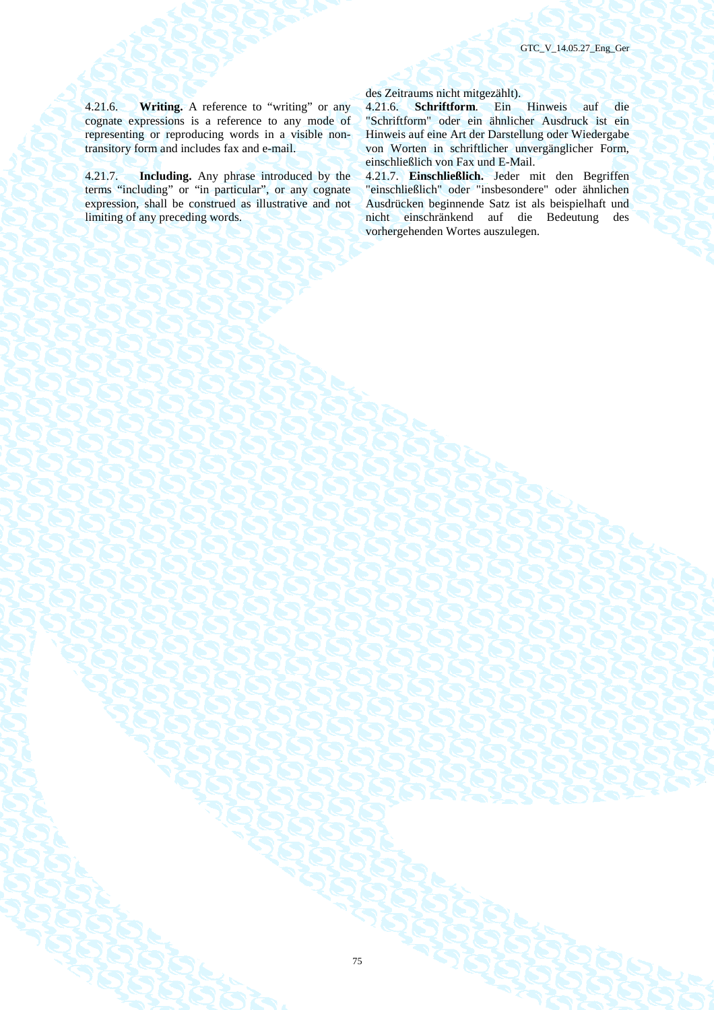GTC\_V\_14.05.27\_Eng\_Ger

4.21.6. **Writing.** A reference to "writing" or any cognate expressions is a reference to any mode of representing or reproducing words in a visible nontransitory form and includes fax and e-mail.

4.21.7. **Including.** Any phrase introduced by the terms "including" or "in particular", or any cognate expression, shall be construed as illustrative and not limiting of any preceding words.

## des Zeitraums nicht mitgezählt).

4.21.6. **Schriftform**. Ein Hinweis auf die "Schriftform" oder ein ähnlicher Ausdruck ist ein Hinweis auf eine Art der Darstellung oder Wiedergabe von Worten in schriftlicher unvergänglicher Form, einschließlich von Fax und E-Mail.

4.21.7. **Einschließlich.** Jeder mit den Begriffen "einschließlich" oder "insbesondere" oder ähnlichen Ausdrücken beginnende Satz ist als beispielhaft und nicht einschränkend auf die Bedeutung des vorhergehenden Wortes auszulegen.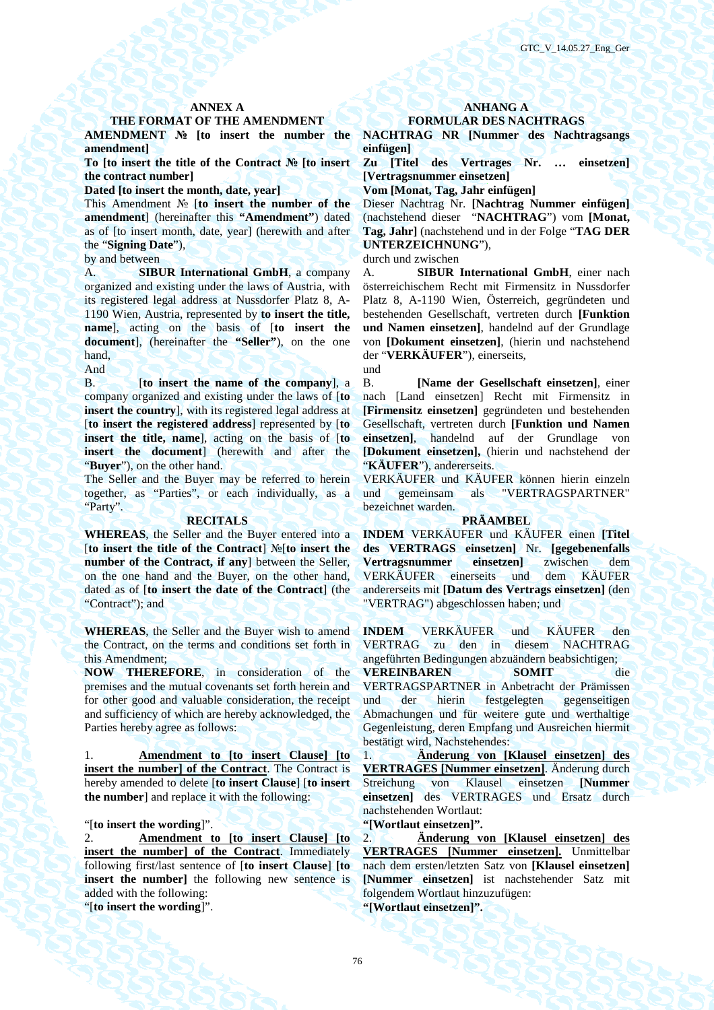# THE FORMAT OF THE AMENDMENT **FORMULAR DES NACHTRAGS**

**AMENDMENT № [to insert the number the amendment]** 

**To [to insert the title of the Contract № [to insert the contract number]** 

Dated [to insert the month, date, year] **Vom [Monat, Tag, Jahr einfügen]** 

This Amendment № [**to insert the number of the amendment**] (hereinafter this **"Amendment"**) dated as of [to insert month, date, year] (herewith and after the "**Signing Date**"),

A. **SIBUR International GmbH**, a company organized and existing under the laws of Austria, with its registered legal address at Nussdorfer Platz 8, A-1190 Wien, Austria, represented by **to insert the title, name**], acting on the basis of [**to insert the document**], (hereinafter the **"Seller"**), on the one hand,

And  $\bigcup_{n=1}^{\infty}$  and  $\bigcup_{n=1}^{\infty}$  and  $\bigcup_{n=1}^{\infty}$  and  $\bigcup_{n=1}^{\infty}$  and  $\bigcup_{n=1}^{\infty}$  and  $\bigcup_{n=1}^{\infty}$  and  $\bigcup_{n=1}^{\infty}$  and  $\bigcup_{n=1}^{\infty}$  and  $\bigcup_{n=1}^{\infty}$  and  $\bigcup_{n=1}^{\infty}$  and  $\bigcup_{n=1}^{\infty}$  a

B. [**to insert the name of the company**], a company organized and existing under the laws of [**to insert the country**], with its registered legal address at [**to insert the registered address**] represented by [**to insert the title, name**], acting on the basis of [**to insert the document**] (herewith and after the "**Buyer**"), on the other hand.

The Seller and the Buyer may be referred to herein together, as "Parties", or each individually, as a "Party".

**WHEREAS**, the Seller and the Buyer entered into a [**to insert the title of the Contract**] №[**to insert the number of the Contract, if any**] between the Seller, on the one hand and the Buyer, on the other hand, dated as of [**to insert the date of the Contract**] (the "Contract"); and

**WHEREAS**, the Seller and the Buyer wish to amend the Contract, on the terms and conditions set forth in this Amendment;

**NOW THEREFORE**, in consideration of the premises and the mutual covenants set forth herein and for other good and valuable consideration, the receipt and sufficiency of which are hereby acknowledged, the Parties hereby agree as follows:

1. **Amendment to [to insert Clause] [to insert the number] of the Contract**. The Contract is hereby amended to delete [**to insert Clause**] [**to insert the number**] and replace it with the following:

"[**to insert the wording**]". **"[Wortlaut einsetzen]".** 

2. **Amendment to [to insert Clause] [to insert the number] of the Contract**. Immediately following first/last sentence of [**to insert Clause**] **[to insert the number**] the following new sentence is added with the following: "[**to insert the wording**]". **"[Wortlaut einsetzen]".** 

# ANNEX A **ANHANG A**

**NACHTRAG NR [Nummer des Nachtragsangs einfügen]** 

**Zu [Titel des Vertrages Nr. … einsetzen] [Vertragsnummer einsetzen]** 

Dieser Nachtrag Nr. **[Nachtrag Nummer einfügen]** (nachstehend dieser "**NACHTRAG**") vom **[Monat, Tag, Jahr]** (nachstehend und in der Folge "**TAG DER UNTERZEICHNUNG**"),

by and between durch und zwischen

A. **SIBUR International GmbH**, einer nach österreichischem Recht mit Firmensitz in Nussdorfer Platz 8, A-1190 Wien, Österreich, gegründeten und bestehenden Gesellschaft, vertreten durch **[Funktion und Namen einsetzen]**, handelnd auf der Grundlage von **[Dokument einsetzen]**, (hierin und nachstehend der "**VERKÄUFER**"), einerseits,

B. **[Name der Gesellschaft einsetzen]**, einer nach [Land einsetzen] Recht mit Firmensitz in **[Firmensitz einsetzen]** gegründeten und bestehenden Gesellschaft, vertreten durch **[Funktion und Namen einsetzen]**, handelnd auf der Grundlage von **[Dokument einsetzen],** (hierin und nachstehend der "**KÄUFER**"), andererseits.

VERKÄUFER und KÄUFER können hierin einzeln und gemeinsam als "VERTRAGSPARTNER" bezeichnet warden.

### **RECITALS PRÄAMBEL**

**INDEM** VERKÄUFER und KÄUFER einen **[Titel des VERTRAGS einsetzen]** Nr. **[gegebenenfalls Vertragsnummer einsetzen]** zwischen dem VERKÄUFER einerseits und dem KÄUFER andererseits mit **[Datum des Vertrags einsetzen]** (den "VERTRAG") abgeschlossen haben; und

**INDEM** VERKÄUFER und KÄUFER den VERTRAG zu den in diesem NACHTRAG angeführten Bedingungen abzuändern beabsichtigen;

**VEREINBAREN SOMIT** die VERTRAGSPARTNER in Anbetracht der Prämissen und der hierin festgelegten gegenseitigen Abmachungen und für weitere gute und werthaltige Gegenleistung, deren Empfang und Ausreichen hiermit bestätigt wird, Nachstehendes:

1. **Änderung von [Klausel einsetzen] des VERTRAGES [Nummer einsetzen]**. Änderung durch Streichung von Klausel einsetzen **[Nummer einsetzen]** des VERTRAGES und Ersatz durch nachstehenden Wortlaut:

2. **Änderung von [Klausel einsetzen] des VERTRAGES [Nummer einsetzen].** Unmittelbar nach dem ersten/letzten Satz von **[Klausel einsetzen] [Nummer einsetzen]** ist nachstehender Satz mit folgendem Wortlaut hinzuzufügen: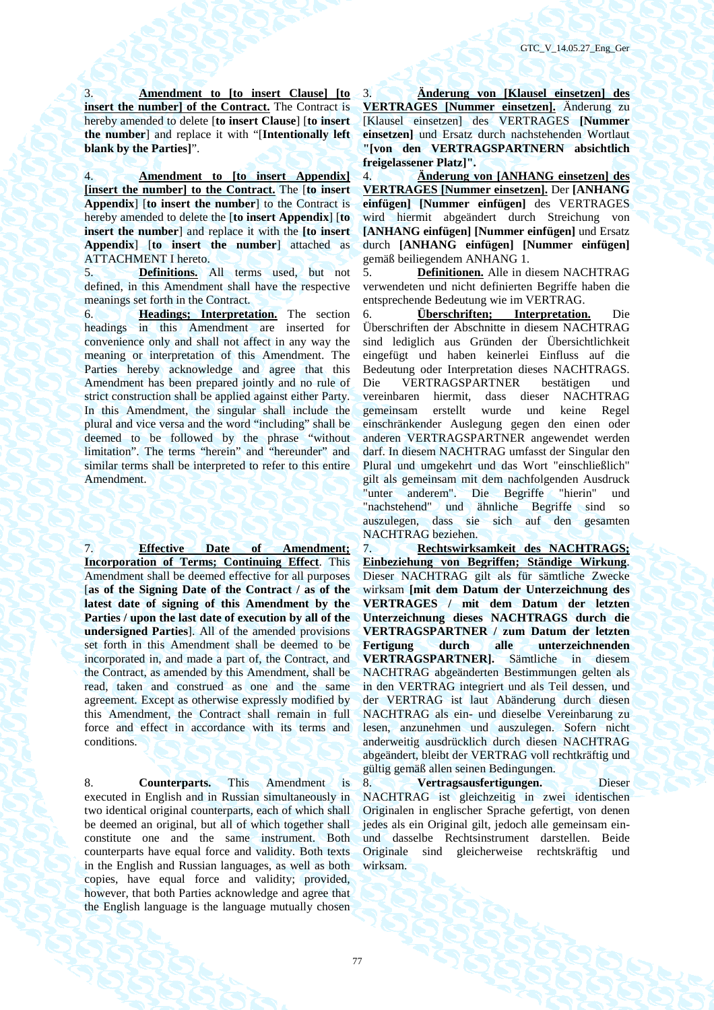3. **Amendment to [to insert Clause] [to insert the number] of the Contract.** The Contract is hereby amended to delete [**to insert Clause**] [**to insert the number**] and replace it with "[**Intentionally left blank by the Parties]**".

4. **Amendment to [to insert Appendix] [insert the number] to the Contract.** The [**to insert Appendix**] [**to insert the number**] to the Contract is hereby amended to delete the [**to insert Appendix**] [**to insert the number**] and replace it with the **[to insert Appendix**] [**to insert the number**] attached as ATTACHMENT I hereto.

5. **Definitions.** All terms used, but not defined, in this Amendment shall have the respective meanings set forth in the Contract.

6. **Headings; Interpretation.** The section headings in this Amendment are inserted for convenience only and shall not affect in any way the meaning or interpretation of this Amendment. The Parties hereby acknowledge and agree that this Amendment has been prepared jointly and no rule of strict construction shall be applied against either Party. In this Amendment, the singular shall include the plural and vice versa and the word "including" shall be deemed to be followed by the phrase "without limitation". The terms "herein" and "hereunder" and similar terms shall be interpreted to refer to this entire Amendment.

7. **Effective Date of Amendment; Incorporation of Terms; Continuing Effect**. This Amendment shall be deemed effective for all purposes [**as of the Signing Date of the Contract / as of the**  latest date of signing of this Amendment by the **Parties / upon the last date of execution by all of the undersigned Parties**]. All of the amended provisions set forth in this Amendment shall be deemed to be incorporated in, and made a part of, the Contract, and the Contract, as amended by this Amendment, shall be read, taken and construed as one and the same agreement. Except as otherwise expressly modified by this Amendment, the Contract shall remain in full force and effect in accordance with its terms and conditions.

8. **Counterparts.** This Amendment is executed in English and in Russian simultaneously in two identical original counterparts, each of which shall be deemed an original, but all of which together shall constitute one and the same instrument. Both counterparts have equal force and validity. Both texts in the English and Russian languages, as well as both copies, have equal force and validity; provided, however, that both Parties acknowledge and agree that the English language is the language mutually chosen

3. **Änderung von [Klausel einsetzen] des VERTRAGES [Nummer einsetzen].** Änderung zu [Klausel einsetzen] des VERTRAGES **[Nummer einsetzen]** und Ersatz durch nachstehenden Wortlaut **"[von den VERTRAGSPARTNERN absichtlich freigelassener Platz]".**

4. **Änderung von [ANHANG einsetzen] des VERTRAGES [Nummer einsetzen].** Der **[ANHANG einfügen] [Nummer einfügen]** des VERTRAGES wird hiermit abgeändert durch Streichung von **[ANHANG einfügen] [Nummer einfügen]** und Ersatz durch **[ANHANG einfügen] [Nummer einfügen]** gemäß beiliegendem ANHANG 1.

5. **Definitionen.** Alle in diesem NACHTRAG verwendeten und nicht definierten Begriffe haben die entsprechende Bedeutung wie im VERTRAG.

6. **Überschriften; Interpretation.** Die Überschriften der Abschnitte in diesem NACHTRAG sind lediglich aus Gründen der Übersichtlichkeit eingefügt und haben keinerlei Einfluss auf die Bedeutung oder Interpretation dieses NACHTRAGS. Die VERTRAGSPARTNER bestätigen und vereinbaren hiermit, dass dieser NACHTRAG gemeinsam erstellt wurde und keine Regel einschränkender Auslegung gegen den einen oder anderen VERTRAGSPARTNER angewendet werden darf. In diesem NACHTRAG umfasst der Singular den Plural und umgekehrt und das Wort "einschließlich" gilt als gemeinsam mit dem nachfolgenden Ausdruck "unter anderem". Die Begriffe "hierin" und "nachstehend" und ähnliche Begriffe sind so auszulegen, dass sie sich auf den gesamten NACHTRAG beziehen.

7. **Rechtswirksamkeit des NACHTRAGS; Einbeziehung von Begriffen; Ständige Wirkung**. Dieser NACHTRAG gilt als für sämtliche Zwecke wirksam **[mit dem Datum der Unterzeichnung des VERTRAGES / mit dem Datum der letzten Unterzeichnung dieses NACHTRAGS durch die VERTRAGSPARTNER / zum Datum der letzten Fertigung durch alle unterzeichnenden VERTRAGSPARTNER].** Sämtliche in diesem NACHTRAG abgeänderten Bestimmungen gelten als in den VERTRAG integriert und als Teil dessen, und der VERTRAG ist laut Abänderung durch diesen NACHTRAG als ein- und dieselbe Vereinbarung zu lesen, anzunehmen und auszulegen. Sofern nicht anderweitig ausdrücklich durch diesen NACHTRAG abgeändert, bleibt der VERTRAG voll rechtkräftig und gültig gemäß allen seinen Bedingungen.

8. **Vertragsausfertigungen.** Dieser NACHTRAG ist gleichzeitig in zwei identischen Originalen in englischer Sprache gefertigt, von denen jedes als ein Original gilt, jedoch alle gemeinsam einund dasselbe Rechtsinstrument darstellen. Beide Originale sind gleicherweise rechtskräftig und wirksam.